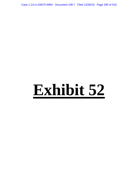Case 1:13-cv-03675-WBH Document 108-7 Filed 12/30/16 Page 295 of 519

# **Exhibit 52**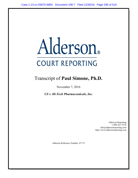# Alderson. **COURT REPORTING**

# Transcript of Paul Simone, Ph.D.

November 7, 2016

US v. Hi-Tech Pharmaceuticals, Inc.

Alderson Reporting 1-800-367-3376 info@aldersonreporting.com http://www.aldersonreporting.com

Alderson Reference Number: 67175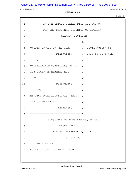## Case 1:13-cv-03675-WBH Document 108-7 Filed 12/30/16 Page 297 of 519

Paul Simone, Ph.D. November 7, 2016

Washington, D.C.

Page 1

| $\mathbf{1}$ | IN THE UNITED STATES DISTRICT COURT          |                               |
|--------------|----------------------------------------------|-------------------------------|
| $\mathbf{2}$ | FOR THE NORTHERN DISTRICT OF GEORGIA         |                               |
| 3            | ATLANTA DIVISION                             |                               |
| 4            |                                              |                               |
| 5            | UNITED STATES OF AMERICA, ) Civil Action No. |                               |
| 6            |                                              | Plaintiff, ) 1:13-cv-3675-WBH |
| 7            | $\mathbf v$ .                                | $\left( \right)$              |
| 8            | UNDETERMINED QUANTITIES OF )                 |                               |
| 9            | 1,3-DIMETHYLAMLAMINE HCI                     | $\left( \right)$              |
|              | $10$ (DMAA) $\ldots$                         | $\lambda$                     |
| 11           | Defendants,                                  |                               |
|              | 12 and                                       | $\lambda$                     |
|              | 13 HI-TECH PHARMACEUTICALS, INC., )          |                               |
|              | 14 and JARED WHEAT,                          | $\lambda$                     |
| 15           | Claimants.                                   | $\lambda$                     |
| 16           | ----------------------------------           |                               |
| 17           | DEPOSITION OF PAUL SIMONE, Ph.D.             |                               |
| 18           | WASHINGTON, D.C.                             |                               |
| 19           | MONDAY, NOVEMBER 7, 2016                     |                               |
| 20           | 9:30 A.M.                                    |                               |
| 21           | Job No.: 67175                               |                               |
| 22           | Reported by: Leslie A. Todd                  |                               |
|              |                                              |                               |
|              |                                              |                               |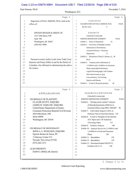#### Case 1:13-cv-03675-WBH Document 108-7 Filed 12/30/16 Page 298 of 519

Paul Simone, Ph.D. November 7, 2016

Washington, D.C.

|          | Page 2                                                | Page 4                                                                              |
|----------|-------------------------------------------------------|-------------------------------------------------------------------------------------|
| 1        | Deposition of PAUL SIMONE, Ph.D., held at the         | CONTENTS<br>$1\,$                                                                   |
| 2        | offices of:                                           | $\overline{c}$<br>EXAMINATION OF PAUL SIMONE, Ph.D.<br>PAGE                         |
| 3        |                                                       | 3<br>By Mr. Scott<br>8                                                              |
| 4        |                                                       | 4                                                                                   |
| 5        | EPSTEIN BECKER & GREEN, PC                            | 5<br>EXHIBITS                                                                       |
| 6        | 1227 25th Street, NW                                  | 6<br>(Attached to transcript)                                                       |
| 7        | Suite 700                                             | SIMONE DEPOSITION EXHIBITS<br>7<br>PAGE                                             |
| 8        | Washington, DC 20037                                  | $\,8\,$<br>10<br>Exhibit 1: Notice of Deposition                                    |
| 9        | $(202) 861 - 0900$                                    | 9<br>Exhibit 2: University of Memphis website                                       |
| 10       |                                                       | 10<br>Information re Paul Simone,                                                   |
| 11       |                                                       | Assistant Professor - Chemistry<br>11                                               |
| 12       |                                                       | 12<br>Department<br>12                                                              |
| 13       |                                                       | Exhibit 3: Declaration of Paul S. Simone, Jr., 40<br>13                             |
| 14       | Pursuant to notice, before Leslie Anne Todd, Court    | Ph.D.<br>14                                                                         |
| 15       | Reporter and Notary Public in and for the District of | Exhibit 4: "Analysis and Confirmation of<br>15                                      |
| 16       | Columbia, who officiated in administering the oath to | 16<br>1,3-DMAA and 1,4-DMAA in Geranium                                             |
| 17       | the witness.                                          | 17<br>Plants using High Performance                                                 |
| 18       |                                                       | Liquid Chromatography with Tandem<br>18                                             |
| 19<br>20 |                                                       | Mass Spectrometry at ng/g<br>19                                                     |
| 21       |                                                       | Concentrations," by Fleming,<br>20                                                  |
| 22       |                                                       | Ranaivo and Simone<br>51<br>21                                                      |
|          |                                                       | 22<br>Exhibit 5: E-mail re Research question<br>60                                  |
|          |                                                       |                                                                                     |
|          | Page 3                                                | Page 5                                                                              |
| 1        | <b>APPEARANCES</b>                                    | EXHIBITS CONTINUED<br>$\mathbf{1}$                                                  |
| 2        |                                                       | $\overline{c}$<br>(Attached to transcript)                                          |
| 3        | ON BEHALF OF PLAINTIFF:                               | 3<br>SIMONE DEPOSITION EXHIBITS<br>PAGE                                             |
| 4        | CLAUDE SCOTT, ESQUIRE                                 | 4<br>Exhibit 6: Fleming article entitled "Analysis                                  |
| 5        | JAMES W. HARLOW, ESQUIRE                              | 5<br>of Dimethylamylamine (DMAA) in                                                 |
| 6        | United States Department of Justice                   | Geranium Plants using HPLC-MS/MS"<br>6<br>90                                        |
| 7        | Consumer Protection Branch/Civil Division             | Exhibit 7: Letter dated August 8, 2012, to<br>7                                     |
| 8        | 450 Fifth Street, NW                                  | 8<br>Professor Thevis from Paul Simone 120                                          |
| 9        | Suite 6400S                                           | 9<br>Exhibit 8: E-mail re Thoughts on the Intertek/                                 |
| 10       | Washington, DC 20530                                  | ACC Paper and J. Of Analytical<br>10                                                |
| 11       |                                                       | <b>Toxicology Paper</b><br>11<br>131                                                |
| 12<br>13 | ON BEHALF OF DEFENDANT:                               | Exhibit 9: Fertilizer Analysis<br>12<br>140<br>13                                   |
| 14       | SHEILA A. WOOLSON, ESQUIRE                            | Exhibit 10: Analysis Survey for 1,3-DMAA and<br>1,4-DMAA in Food and Geranium<br>14 |
| 15       | Epstein Becker & Green, PC                            | 148<br>Plants<br>15                                                                 |
| 16       | 1 Gateway Center #13                                  | Exhibit 11: Spreadsheet<br>16<br>156                                                |
| $17\,$   | Newark, New Jersey 07102                              | Exhibit 12: Spreadsheet<br>17<br>158                                                |
| 18       | $(973) 642 - 1271$                                    | Exhibit 13: Document headed FHLFF131,<br>18                                         |
| 19       |                                                       | Fertilizer, 09-11-13<br>19<br>168                                                   |
| 20       | <b>ALSO PRESENT:</b>                                  | 20                                                                                  |
| 21       | DARYL GRIGLAK (Intern)                                | 21                                                                                  |
| 22       |                                                       | 22                                                                                  |

2 (Pages 2 to 5)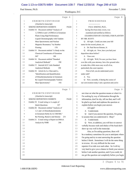#### Case 1:13-cv-03675-WBH Document 108-7 Filed 12/30/16 Page 299 of 519

Paul Simone, Ph.D. November 7, 2016

Washington, D.C.

|                | Page 6                                           |                   | Page 8                                                                                                      |
|----------------|--------------------------------------------------|-------------------|-------------------------------------------------------------------------------------------------------------|
| $\mathbf{1}$   | EXHIBITS CONTINUED                               | $\mathbf{1}$      | PROCEEDINGS                                                                                                 |
| $\overline{c}$ | (Attached to transcript)                         | $\overline{c}$    |                                                                                                             |
| 3              | SIMONE DEPOSITION EXHIBITS<br>PAGE               | 3                 | PAUL SIMONE, Ph.D.,                                                                                         |
| 4              | Exhibit 14: Document entitled "Analysis of       | 4                 | having first been duly sworn, was                                                                           |
| 5              | 1,3-DMAA and 1,4-DMAA in Geranium                | 5                 | examined and testified as follows:                                                                          |
| 6              | Plants Using High Performance                    | 6                 | EXAMINATION BY COUNSEL FOR PLAINTIFF                                                                        |
| 7              | Liquid Chromatography with Tandem                | 7                 | BY MR. SCOTT:                                                                                               |
| 8              | Mass Spectrometry and Nuclear                    | 8                 | Q All right. Could you state your full                                                                      |
| 9              | Magnetic Resonance," by Heather                  | 9                 | name for the record, please, sir.                                                                           |
| 10             | Fleming<br>170                                   | 10                | A Dr. Paul Steven Simone, Jr.                                                                               |
| 11             | Exhibit 15: Document entitled "A Study on the    | 11                | Q All right, sir. Now, have you had your                                                                    |
| 12             | Chemical Constituents of Geranium                | 12                | deposition taken before?                                                                                    |
| 13             | Oil"<br>180                                      | 13                | A I have not.                                                                                               |
| 14             | Exhibit 16: Document entitled "Standard          | 14                | Q All right. Well, I'm sure you have been                                                                   |
| 15             | Analytical Methods"<br>190                       | 15                | over this with your attorney, but a few ground rules                                                        |
| 16             | Exhibit 17: Intertek/ACC Labs Standard           | 16                | to make this a little more easy on all of us,                                                               |
| 17             | Analytical Methods<br>190                        | 17                | particularly the court reporter.                                                                            |
| 18             | Exhibit 18: Article by Li, Chen and Li,          | 18                | First of all, you do understand you're                                                                      |
| 19             | "Identification and Quantification               | 19                | under oath?                                                                                                 |
| 20             | of Dimethylamylamine in Geranium                 | 20                | A Yes.                                                                                                      |
| 21             | By Liquid Chromatography Tandem                  | 21                | Now, secondly, if during the course of<br>O                                                                 |
| 22             | Mass Spectrometry"<br>192                        | 22                | our conversation today I ask a question and you're                                                          |
|                |                                                  |                   |                                                                                                             |
|                | Page 7                                           |                   | Page 9                                                                                                      |
| 1              | EXHIBITS CONTINUED                               | 1                 | not clear on what the question means or what it is                                                          |
| 2              | (Attached to transcript)                         | 2                 | I'm seeking by way of information through the                                                               |
| 3              | <b>SIMONE DEPOSITION EXHIBITS</b><br><b>PAGE</b> | 3                 | information, don't be shy, tell me that, and I will                                                         |
| 4              | Exhibit 19: E-mail string re A couple of         | 4                 | be glad to go back and rephrase the question or                                                             |
| 5              | <b>Quick Questions</b><br>227                    | 5                 | explain before you begin your answer.                                                                       |
| 6              | Exhibit 20: Document entitled "Analysis of       | 6                 | All right?                                                                                                  |
| 7              | 1,3- and 1,4-Dimethylpentylamine                 | 7                 | A I understand.                                                                                             |
| 8              | in Geranium Herby by LC-MS/MS,"                  | 8                 | And if you answer the question, I'm going<br>Q                                                              |
| $\mathsf 9$    | By Fleming, Ranaivo and Simone<br>231            | 9                 | to assume that you understood it. Okay?                                                                     |
| $10$           | Exhibit 21: E-mail string re Report on DMAA      | 10                | A I understand.                                                                                             |
| 11             | Analysis by NMR<br>246                           | 11                | Now, in addition, you will have to answer<br>0                                                              |
| 12             |                                                  | 12                | verbally because nods and shakes of the head don't                                                          |
| 13             |                                                  | 13                | show up very well in the transcript.                                                                        |
| 14             |                                                  | $14$              | Also, as I'm asking questions, there will                                                                   |
| 15             |                                                  | 15                | be a tendency sometimes for you to anticipate where                                                         |
| 16             |                                                  | 16                | I'm going and try to start answering the question                                                           |
| $17$           |                                                  | 17                | before I finish. Sometimes I will do the same thing                                                         |
| 18             |                                                  | 18                | in reverse. It's very difficult for the court                                                               |
| 19<br>20       |                                                  | 19                | reporter if we talk over each other. So I will try                                                          |
| 21             |                                                  | 20                | very hard to give you a chance to finish your answer                                                        |
| 22             |                                                  | $2\sqrt{1}$<br>22 | before I ask another question, and if you could, let<br>me get the question out completely before you begin |

3 (Pages 6 to 9)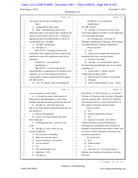#### Case 1:13-cv-03675-WBH Document 108-7 Filed 12/30/16 Page 300 of 519

Paul Simone, Ph.D. November 7, 2016

Washington, D.C.

|          | Page 10                                               | Page 12                                                                     |
|----------|-------------------------------------------------------|-----------------------------------------------------------------------------|
| 1        | your answer for her sake, if nothing else.            | $\mathbf{1}$<br>(Exhibit No. 2 was marked for                               |
| 2        | Okay?                                                 | identification.)<br>2                                                       |
| 3        | A I understand on both counts.                        | BY MR. SCOTT:<br>3                                                          |
| 4        | Okay. And during the course of the<br>O               | Q All right. So you have in front of you<br>4                               |
| 5        | deposition today, if you need to take a break for any | what's been marked as Exhibit 2 to your deposition.<br>5                    |
| 6        | reason, just let us know and we will -- at the next   | It is a three-page document.<br>6                                           |
| 7        | appropriate spot in the questioning, we will try to   | 7<br>The first page says "University of                                     |
| 8        | accommodate you. All right?                           | 8<br>Memphis, Department of Chemistry, Paul Simone,                         |
| 9        | All right. Sounds good.<br>A                          | Assistant Professor, Chemistry Department."<br>9                            |
| 10       | All right, sir.<br>$\overline{Q}$                     | Do you see that?<br>10                                                      |
| 11       | MR. SCOTT: I'm going to note for the                  | A I do.<br>11                                                               |
| 12       | record that I have marked as the first exhibit to the | 12<br>And do you recognize this document as<br>O                            |
| 13       | deposition a copy of the deposition notice for the    | something that you've seen previously?<br>13                                |
| 14       | deposition.                                           | Not that I can recall.<br>14<br>A                                           |
| 15       | (Exhibit No. 1 was marked for                         | 15<br>All right. So you don't know if this is<br>$\overline{O}$             |
| 16       | identification.)                                      | 16<br>the information that Memphis puts on its website                      |
| 17       | MR. SCOTT: I will also note for the                   | 17<br>regarding you?                                                        |
| 18       | record that this is a deposition of Dr. Simone in two | 18<br>A It looks like it. I mean, I haven't                                 |
| 19       | capacities. It is as a fact witness as well as an     | looked at this in quite a while.<br>19                                      |
| 20       | expert witness, subject to agreement of the parties.  | Did you look at it before it was posted?<br>20<br>Q                         |
| 21       | BY MR. SCOTT:                                         | Probably.<br>21<br>A                                                        |
| 22       | Now, Dr. Simone, what, if anything, did<br>O          | 22<br>Well, in the documents, it says: "About<br>$\mathbf Q$                |
|          |                                                       |                                                                             |
|          | Page 11                                               | Page 13                                                                     |
| 1        | you do to prepare to testify today?                   | Paul Simone: Dr. Paul S. Simone, Jr., is Assistant<br>1                     |
| 2        | A I reviewed the expert witness reports of            | Professor of Chemistry at the University of Memphis<br>2                    |
| 3        | Khan, Brown, and Kompatnick, as well as their         | where he earned his BH -- B.S.Ch, M.S. and Ph.D.,<br>3                      |
| 4        | rebuttals, and other documents produced in this case. | and started his career as a tenure-track professor at<br>4                  |
| 5        | Q All right, sir. And when did you do                 | The Citadel in Charleston, South Carolina."<br>5                            |
| 6        | that, review those reports and the documents that you | Do you see that?<br>6                                                       |
| 7        | just referred to?                                     | A Yes.<br>7                                                                 |
| 8        | A Prior to this deposition.                           | 8<br>Is all that information accurate?<br>Q                                 |
| 9        | I mean, was it this weekend, last week,<br>Q          | 9<br>Yes.<br>A                                                              |
| 10       | three weeks ago?                                      | 10<br>It goes on to say that: "Dr. Simone<br>О                              |
| 11       | All through that time. As best as I can<br>A          | works at the nexus of research and business,<br>11                          |
| 12       | recall.                                               | developing new technologies at the University of<br>12                      |
| 13       | $\overline{Q}$<br>All right, sir. Now, where are you  | Memphis to help drinking water utilities comply with<br>13                  |
| 14       | currently employed?                                   | ever stricter USEPA regulations of drinking water<br>14                     |
| 15       | The University of Memphis.<br>A                       | disinfection byproducts."<br>15                                             |
| 16       | What is your position there?<br>Q                     | 16<br>Do you see that?                                                      |
| 17       | Associate professor. I'm tenured.<br>A                | 17<br>A Yes.                                                                |
| 18       | You are tenured?<br>Q                                 | 18<br>Is that accurate?<br>Q                                                |
| 19       | Yes.<br>A                                             | Yes.<br>19<br>A                                                             |
| 20       | And when did that occur?<br>Q                         | 20<br>And when you -- the reference there to<br>O.                          |
| 21<br>22 | September 1, 2016.<br>A<br>All right, sir.<br>Q       | drinking water disinfection byproducts, what does<br>21<br>that mean?<br>22 |

4 (Pages 10 to 13)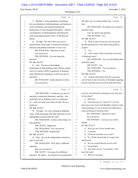Case 1:13-cv-03675-WBH Document 108-7 Filed 12/30/16 Page 301 of 519

Washington, D.C.

Paul Simone, Ph.D. November 7, 2016

|              | Page 14                                                                                                 | Page 16                                                                      |
|--------------|---------------------------------------------------------------------------------------------------------|------------------------------------------------------------------------------|
| $\mathbf{1}$ | Broadly, it is the regulations concerning<br>A                                                          | the other one, so I asked another one. I can do<br>1                         |
| 2            | the concentrations of trihalomethanes and haloacetic                                                    | 2<br>that.                                                                   |
| 3            | acids in drinking water produced during the                                                             | 3<br>MS. WOOLSON: He asked you to repeat it,                                 |
| 4            | disinfection of water through chlorination. And the                                                     | but that's okay.<br>4                                                        |
| 5            | concentrations of trihalomethanes and haloacetic                                                        | 5<br>You can answer the question.                                            |
| 6            | acids range approximately from 1 to 80 parts per                                                        | THE WITNESS: Yes.<br>6                                                       |
| 7            | billion.                                                                                                | 7<br>BY MR. SCOTT:                                                           |
| 8            | Q All right. Sir, and is that your area of                                                              | Q Well, as part of your job, do you go into<br>8                             |
| 9            | specialization, those types of chemicals and their                                                      | the lab and supervise work that's being done by<br>9                         |
| 10           | detection and perhaps treatment in some way?                                                            | people?<br>10                                                                |
| 11           | MS. WOOLSON: Objection to form.                                                                         | A Yes.<br>11                                                                 |
| 12           | You can answer.                                                                                         | And is most of that work done in the area<br>12<br>$\overline{O}$            |
| 13           | THE WITNESS: Can you repeat the                                                                         | 13<br>of drinking water?                                                     |
| 14           | question?                                                                                               | 14<br>MS. WOOLSON: Are you still talking about                               |
| 15           | BY MR. SCOTT:                                                                                           | presently today?<br>15                                                       |
| 16           | Q Sure. The area of developing                                                                          | 16<br>MR. SCOTT: Yes.                                                        |
| 17           | technologies to help drinking water utilities comply                                                    | 17<br>MS. WOOLSON: You can answer.                                           |
| 18           | with ever stricter USEPA regulations of drinking                                                        | THE WITNESS: Yes.<br>18                                                      |
| 19           | water disinfection byproducts, is that your area of                                                     | 19<br>BY MR. SCOTT:                                                          |
| 20           | specialty?                                                                                              | 20<br>And has that always been the case since<br>Q                           |
| 21           | MS. WOOLSON: Same objection to form.                                                                    | you've been at the University of Memphis regarding<br>21                     |
| 22           | You can answer.                                                                                         | 22<br>the lab work that you're involved with that's been                     |
|              |                                                                                                         |                                                                              |
|              | Page 15                                                                                                 | Page 17                                                                      |
|              |                                                                                                         | 1                                                                            |
| 1<br>2       | THE WITNESS: I would say my area of                                                                     | involved with chemicals in drinking water, that most<br>of it has been?<br>2 |
| 3            | specialty is analytical chemistry, and this -- the                                                      | 3<br>A Most of it.                                                           |
| 4            | work that I do in drinking water is a small part<br>of -- well, not small, but a part of what I do as a | Q And when you say "most of it," over the<br>4                               |
| 5            | professor.                                                                                              | time since you've been with Memphis coming to today,<br>5                    |
| 6            | BY MR. SCOTT:                                                                                           | what percentage of your work has been dedicated to<br>6                      |
| 7            | All right. Sir, your working in drinking<br>O                                                           | issues pertaining to drinking water?<br>7                                    |
| 8            | water, what percentage does that represent of your                                                      | MS. WOOLSON: Objection to form.<br>8                                         |
| 9            | independent research and lab work?                                                                      | 9<br>You can answer.                                                         |
| 10           | MS. WOOLSON: Is there a time frame for                                                                  | 10<br>THE WITNESS: I can't give you a hard                                   |
| 11           | that question?                                                                                          | number.<br>11                                                                |
| 12           | MR. SCOTT: Right now.                                                                                   | 12<br>BY MR. SCOTT:                                                          |
| 13           | MS. WOOLSON: You can answer.                                                                            | Q Well, give me a loose number then.<br>13                                   |
| 14           | THE WITNESS: Repeat that.                                                                               | 75 percent.<br>14<br>A                                                       |
| $15$         | BY MR. SCOTT:                                                                                           | Of the lab work that you've done?<br>15<br>Q                                 |
| 16           | Q Sure. Do you do independent research as                                                               | A No. Of the research that I've supervised<br>16                             |
| 17           | part of your job?                                                                                       | and directed.<br>17                                                          |
| 18           | MS. WOOLSON: Well, that's a different                                                                   | Do you yourself directly do lab work?<br>18<br>Q                             |
| 19           | question.                                                                                               | A Occasionally.<br>19                                                        |
| 20           | But you can answer.                                                                                     | 20<br>And when you say "occasionally," what<br>Q                             |
| 21<br>22     | MR. SCOTT: I'm aware it's a different<br>question. He asked -- he seemed to not understand              | does that mean?<br>21<br>A When it's necessary.<br>22                        |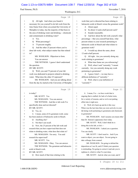#### Case 1:13-cv-03675-WBH Document 108-7 Filed 12/30/16 Page 302 of 519

Paul Simone, Ph.D. November 7, 2016

Washington, D.C.

|          | Page 18                                                     | Page 20                                                                                           |
|----------|-------------------------------------------------------------|---------------------------------------------------------------------------------------------------|
| 1        | All right. And when you found it<br>O                       | work that you've directed has been relating to<br>1                                               |
| 2        | necessary for you yourself to do lab work from the          | haloacetic acids in bleach versus the geranium work?<br>2                                         |
| 3        | time frame from when you joined the University of           | A About equal.<br>3                                                                               |
| 4        | Memphis to today, has the majority of that been in          | So about 12-and-a-half percent each?<br>4<br>$\mathbf Q$                                          |
| 5        | the area of drinking water and drinking -- chemicals        | Sounds reasonable.<br>5<br>A                                                                      |
| 6        | and contaminants in drinking water?                         | 6<br>And how about the lab work yourself, what<br>$\overline{O}$                                  |
| 7        | A Yes.                                                      | 7<br>percentage -- that you yourself had done, what                                               |
| 8        | What percentage?<br>$\mathbf Q$                             | percent relates to your research pertaining to<br>8                                               |
| 9        | 75 percent roughly.<br>A                                    | 9<br>haloacetic acids in bleach and what relates to                                               |
| 10       | And the other 25 percent where you've<br>$\mathbf Q$        | 10<br>geranium work?                                                                              |
| 11       | done lab work, what subject matter has that related         | 11<br>A I would say about the same, about                                                         |
| 12       | to?                                                         | 12<br>12-and-a-half percent.                                                                      |
| 13       | MS. WOOLSON: Objection to form.                             | Q All right. Are you currently doing any<br>13                                                    |
| 14       | You can answer.                                             | work relating to geraniums?<br>14                                                                 |
| 15       | THE WITNESS: I guess I don't understand                     | A What time frame are you referencing?<br>15                                                      |
| 16       | the question.                                               | Well, when I said "currently," I meant<br>16<br>$\overline{O}$                                    |
| 17       | BY MR. SCOTT:                                               | currently. Are you currently doing any work<br>17                                                 |
| 18       | Q Well, you said 75 percent of your lab                     | pertaining to geraniums?<br>18                                                                    |
| 19       | work was dedicated to projects related to drinking          | A I guess I don't -- we may have a<br>19                                                          |
| 20       | water. What does the other 25 represent?                    | different definition of "currently."<br>20                                                        |
| 21       | MS. WOOLSON: And you are talking about                      | 21<br>Well, what is your definition of<br>Q                                                       |
| 22       | from the day he started at the University of Memphis        | 22<br>"currently"?                                                                                |
|          |                                                             |                                                                                                   |
|          | Page 19                                                     | Page 21                                                                                           |
| 1        | to today?                                                   | A I mean, I've -- we have work that is<br>$\mathbf{1}$                                            |
| 2        | MR. SCOTT: Yes.                                             | ongoing that is stalled, for lack of a better term,<br>2                                          |
| 3        | MS. WOOLSON: You can answer.                                | 3<br>for a variety of reasons, and so we're not putting                                           |
| 4        | THE WITNESS: And this is lab work I've                      | effort into it right now.<br>4                                                                    |
| 5        | specifically done and not directed?                         | Q Well, let's back up and do it this way:<br>5                                                    |
| 6        | BY MR. SCOTT:                                               | When was the last time that you were actively in your<br>6                                        |
| 7        | Yes, sir.<br>O                                              | lab doing work pertaining to geraniums and chemicals<br>7                                         |
| 8        | A I mean, some of it's geranium work; some                  | in geraniums?<br>8                                                                                |
| 9        | has been analysis of haloacetic acids in bleach.            | 9<br>MS. WOOLSON: And I assume you mean other                                                     |
| 10       | Anything else?<br>Q                                         | 10<br>than Dr. Simone's appearance here today.                                                    |
| 11       | Not that I can recall.<br>A                                 | 11<br>MR. SCOTT: Well, I don't think he is                                                        |
| 12       | Now, the 25 percent of the lab work and<br>Q                | 12<br>doing this in his lab, so let's --                                                          |
| 13       | research that you have supervised that does not             | 13<br>MS. WOOLSON: I asked you a question.                                                        |
| 14       | relate to drinking water, what does that relate to?         | 14<br>You can clarify.                                                                            |
| $15\,$   | MS. WOOLSON: I'm sorry. You said                            | 15<br>MR. SCOTT: I don't need to. And if you                                                      |
| 16       | research he supervised?                                     | 16<br>want to object, you can object. I'm not going to                                            |
| 17       | MR. SCOTT: Yes.                                             | take colloquy from counsel.<br>17                                                                 |
| $1\,8$   | MS. WOOLSON: Okay. You can answer.                          | 18<br>MS. WOOLSON: I'm going to defend the                                                        |
| 19       | THE WITNESS: The geranium and haloacetic                    | 19<br>deposition as I see fit, and if I think your question                                       |
| $20$     | acids in bleach work.                                       | 20<br>is misleading, I'm going to correct it and ask you to                                       |
| 21<br>22 | BY MR. SCOTT:<br>How much of that time relating to the<br>Q | 21<br>rephrase it, which is what I've just done.<br>22<br>MR. SCOTT: And do what you want, and if |

6 (Pages 18 to 21)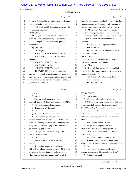## Case 1:13-cv-03675-WBH Document 108-7 Filed 12/30/16 Page 303 of 519

Washington, D.C.

Paul Simone, Ph.D. November 7, 2016

|                | Page 22                                                                                                     | Page 24                                                                                 |
|----------------|-------------------------------------------------------------------------------------------------------------|-----------------------------------------------------------------------------------------|
| $1\,$          | I need to do something regarding your interference                                                          | was after the contract work I did for them. But that<br>1                               |
| 2              | with questioning, I will do that too.                                                                       | funding ran out, and I've subsequently pursued it<br>$\overline{c}$                     |
| 3              | MS. WOOLSON: It's not interference with                                                                     | just because I would like to know if it's possible.<br>3                                |
| 4              | questioning, Counsel.                                                                                       | Q All right, sir. And when you stopped<br>4                                             |
| 5              | By MR. SCOTT:                                                                                               | doing this work pertaining to chiral derivatizing,<br>5                                 |
| 6              | Q Sir, when was the last time you were in                                                                   | had you successfully developed a protocol that would<br>6                               |
| 7              | your lab doing work pertaining to geraniums?                                                                | allow you to identify or separate the chiral<br>7                                       |
| 8              | Did you -- is that a different question<br>A                                                                | footprint?<br>8                                                                         |
| 9              | than before?                                                                                                | MS. WOOLSON: Objection to form.<br>9                                                    |
| 10             | Yes, sir, it is. I get to do that.<br>O                                                                     | You can answer.<br>10                                                                   |
| 11             | So are you --<br>A                                                                                          | 11<br>THE WITNESS: Can you repeat the first                                             |
| 12             | MS. WOOLSON: Counsel, no attitude.                                                                          | 12<br>part of the question?                                                             |
| 13             | MR. SCOTT: I don't have an attitude                                                                         | BY MR. SCOTT:<br>13                                                                     |
| 14             | about this.                                                                                                 | Q Well, let me withdraw the question and<br>14                                          |
| 15             | MS. WOOLSON: Yes, you do.                                                                                   | 15<br>ask it again, perhaps more simply.                                                |
| 16             | MR. SCOTT: No, I don't.                                                                                     | 16<br>A Okay.                                                                           |
| 17             | MS. WOOLSON: Yes, you do.                                                                                   | 17<br>The work that you were doing on chiral<br>Q                                       |
| 18             | THE WITNESS: So, so I'm clear, just --                                                                      | derivatizing, did you consider it to have come to a<br>18                               |
| 19             | are you -- so I think before the question was what                                                          | successful conclusion?<br>19                                                            |
| 20             | lab work I was supervising related to geranium, and                                                         | 20<br>MS. WOOLSON: Objection to form.                                                   |
| 21             | now are you asking me what I've done personally on                                                          | 21<br>You can answer.                                                                   |
| 22             | geranium and DMAA?                                                                                          | 22<br>THE WITNESS: No.                                                                  |
|                |                                                                                                             |                                                                                         |
|                | Page 23                                                                                                     | Page 25                                                                                 |
| $\mathbf{1}$   | BY MR. SCOTT:                                                                                               | $\mathbf{1}$<br>BY MR. SCOTT:                                                           |
| $\overline{c}$ | Q Yes, sir.                                                                                                 | $\overline{c}$<br>Q And why not?                                                        |
| 3              | When was the last time you were                                                                             | 3<br>A We developed a method to extract and --                                          |
| 4              | personally in your lab doing work pertaining to DMAA?                                                       | the 1,3-DMAA, we were able to successfully derivatize<br>4                              |
| 5              | A As best as I can recall, the summer.                                                                      | it and successfully separate the stereoisomers of<br>5                                  |
| 6              | The summer of what year?<br>Q                                                                               | 1,3-DMAA and 1,4-DMAA at the same time. I was very<br>6                                 |
| 7              | 2016.<br>A                                                                                                  | 7<br>excited, and my -- and then basically -- the                                       |
| 8              | And what did that work entail?<br>О                                                                         | 8<br>instrumentation we had is all a decade or more older                               |
| 9              | A We were trying to develop a method to                                                                     | 9<br>and it finally gave out, and it hasn't been repaired                               |
| 10             | separate the four stereoisomers of 1,3-DMAA -- I'm                                                          | 10<br>since.                                                                            |
| 11             | sorry -- 1,3-dimethylamylamine and geranium plants                                                          | What instrumentation was that?<br>11<br>Q                                               |
| 12             | using the chiral derivatizing agent and a non-chiral                                                        | 12<br>The gas chromatograph with mass<br>A                                              |
| 13             | gas chromatography column.                                                                                  | spectrometer. That was an ion trap system, and<br>13                                    |
| 14             | Q All right. And was that work sponsored                                                                    | unfortunately, our triple quad litho chromatograph<br>14                                |
| 15             | by anybody in particular?                                                                                   | tandem MS.<br>15                                                                        |
| 16             | A No.                                                                                                       | 16<br>All right, sir. And during -- was that<br>Q                                       |
| 17             | You were doing that just as a research<br>Q                                                                 | 17<br>also the last time that you had -- were doing work                                |
| 18             | project?                                                                                                    | while you were supervising work pertaining to DMAA?<br>18                               |
| 19             | A The funding for that work had started                                                                     | 19<br>A Yes.                                                                            |
| 20             | with USP Labs, I don't remember, back in 2012, 2013,                                                        | 20<br>Any other projects relating to DMAA<br>Q                                          |
| 21<br>22       | sometime in that time frame. I'll be honest, the --<br>when the chiral derivatizing agent stuff started, it | ongoing when you shut this particular one down?<br>21<br>A Not that I can recall.<br>22 |

7 (Pages 22 to 25)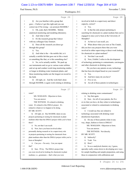#### Case 1:13-cv-03675-WBH Document 108-7 Filed 12/30/16 Page 304 of 519

Paul Simone, Ph.D. November 7, 2016

Washington, D.C.

|                | Page 26                                                                                                |    | Page 28                                                                                             |
|----------------|--------------------------------------------------------------------------------------------------------|----|-----------------------------------------------------------------------------------------------------|
| 1              | Are you familiar with a group that<br>$\mathcal{O}$                                                    | 1  | involved in both in a supervisory and direct                                                        |
| 2              | goes -- I believe I got this right and you can                                                         | 2  | capacity, correct?                                                                                  |
| 3              | correct me if I'm wrong -- an acronym MAMML?                                                           | 3  | A Yes.                                                                                              |
| 4              | A Oh, yeah, that's MAMML. Mobile                                                                       | 4  | Q Is that the only project pertaining to                                                            |
| 5              | analytical monitoring and modeling laboratory.                                                         | 5  | searching for chemicals in a plant medium that you've                                               |
| 6              | And what is that?<br>Q                                                                                 | 6  | engaged in since you've been at the University of                                                   |
| 7              | A It's the research group that I direct                                                                | 7  | Memphis?                                                                                            |
| 8              | with my colleague Gary Emmert.                                                                         | 8  | A As best as I can recall, yes.                                                                     |
| 9              | Q Does all the research you direct go                                                                  | 9  | Q What about when you were at The Citadel,                                                          |
| 10             | through this group?                                                                                    | 10 | did you have any projects there that you were                                                       |
| 11             | A Yes.                                                                                                 | 11 | involved in either supervising or direct work looking                                               |
| 12             | And what is the -- the mobile lab, is it<br>O                                                          | 12 | for chemicals in a plant medium?                                                                    |
| 13             | actually a mobile lab that goes out in like a truck                                                    | 13 | A Not that I can recall.                                                                            |
| 14             | or something like that, or is this something else?                                                     | 14 | Q Now, Exhibit 2 refers to the development                                                          |
| 15             | A No, we're actually mobile. We pack up                                                                | 15 | of technology pertaining to contaminants, carcinogens                                               |
| 16             | our instruments and we go to various water utilities                                                   | 16 | and other chemicals in drinking water.                                                              |
| 17             | and set up and conduct week-long monitoring studies                                                    | 17 | Do you have any patents on any technology                                                           |
| 18             | or longer at drinking water treatment plants, and                                                      | 18 | that has been developed based on your research?                                                     |
| 19             | these monitoring studies are the longest on record in                                                  | 19 | A Yes.                                                                                              |
| 20             | the field.                                                                                             | 20 | And how many do you have?<br>O                                                                      |
| 21             | Q All right, sir. And the work that's done                                                             | 21 | Five or six.<br>A                                                                                   |
| 22             | through MAMML is again work relating to drinking                                                       | 22 | Are all of those patents in technologies<br>Q                                                       |
|                |                                                                                                        |    |                                                                                                     |
|                | Page 27                                                                                                |    | Page 29                                                                                             |
| $\mathbf{1}$   | water?                                                                                                 | 1  | relating to drinking water contaminants?                                                            |
| $\overline{2}$ | MS. WOOLSON: Objection to form.                                                                        | 2  | A Say that again.                                                                                   |
| 3              | You can answer.                                                                                        | 3  | Q Sure. Are all of your patents, the five                                                           |
| 4              | THE WITNESS: It's related to drinking                                                                  | 4  | or six that you have, do they relate to technologies                                                |
| 5              | water. It's related to this DMAA project. It's                                                         | 5  | associated or related to contaminants in drinking                                                   |
| 6              | related to whatever we happen to be doing.                                                             | 6  | water?                                                                                              |
| $\overline{7}$ | BY MR. SCOTT:                                                                                          | 7  | A I would say they are related to                                                                   |
| 8              | Q All right, sir. Has MAMML taken on any                                                               | 8  | technology associated with drinking water                                                           |
| 9              | projects pertaining to testing for chemicals in plant                                                  | 9  | disinfection byproducts.                                                                            |
| $10$           | medium other than the DMAA project while you've been                                                   | 10 | Q Do any of those patents relate in any                                                             |
| $1\,1$         | there?                                                                                                 | 11 | way, shape, fashion or form to DMAA?                                                                |
| 12             | A No, not that I can recall.                                                                           | 12 | MS. WOOLSON: Objection to form.                                                                     |
| 13             | Now, have you been involved either<br>Q                                                                | 13 | You can answer.                                                                                     |
| 14             | personally during research or in a supervisory role                                                    | 14 | THE WITNESS: Not directly.                                                                          |
| 15             | in projects pertaining to testing for chemicals from                                                   | 15 | BY MR. SCOTT:                                                                                       |
| 16             | plant medium other than the DMAA project while you've                                                  | 16 | Indirectly?<br>Q                                                                                    |
| 17             | been at Memphis?                                                                                       | 17 | Yeah. Yes.<br>A                                                                                     |
| 18             | A Can you -- I'm sorry. Can you repeat                                                                 | 18 | How?<br>Q                                                                                           |
| 19             | that?                                                                                                  | 19 | So as a analytical chemist, my, I guess,<br>A                                                       |
| 20             | Sure. I'll try. The DMAA project that<br>Q                                                             | 20 | specialty really comes down to developing new ways                                                  |
| 21<br>22       | you were involved in looking for chemicals in plant<br>medium, i.e., geraniums -- that's what you were | 21 | for sample handling and sample preparation, and using<br>those in conjunction with calibrations and |

8 (Pages 26 to 29)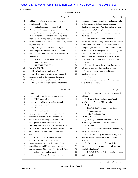## Case 1:13-cv-03675-WBH Document 108-7 Filed 12/30/16 Page 305 of 519

Paul Simone, Ph.D. November 7, 2016

Washington, D.C.

|        | Page 30                                               |              | Page 32                                                    |
|--------|-------------------------------------------------------|--------------|------------------------------------------------------------|
| $1\,$  | calibration methods to analyze drinking water         | $\mathbf{1}$ | take our sample and we analyze it, and then we take        |
| 2      | disinfection by-products.                             | 2            | another aliquot of that sample and spike in a              |
| 3      | But in the end, a good analytical                     | 3            | standard and analyze it. And then we take a -- and         |
| 4      | chemistry is still good analytical chemistry, whether | 4            | we can take multiple samples, we can do one or             |
| 5      | it's in drinking water or it's in plants, and it's    | 5            | multiple, and we spike in successively increasing          |
| 6      | all the things that I learned in developing those     | 6            | standards.                                                 |
| 7      | methods for drinking water. I can apply some of       | 7            | And you can do standard addition as                        |
| 8      | those concepts to analysis of 1,3-dimethylamylamine   | 8            | either what amounts to single point standard addition      |
| 9      | in geranium plants.                                   | 9            | where you have a sample and the spike alone, and           |
| 10     | Q All right, sir. The patents that you                | 10           | using an algebraic equation, you can determine the         |
| 11     | have, did you use any of those techniques in          | 11           | concentration of that sample while minimizing matrix       |
| 12     | searching for 1,3 or 1,4-DMAA in the context of       | 12           | effects. You can also do a graphical standard              |
| 13     | geraniums?                                            | 13           | addition, which is essentially what we did in this         |
| 14     | MS. WOOLSON: Objection to form.                       | 14           | 1,3-DMAA project. And, again, that minimizes               |
| 15     | You can answer.                                       | 15           | interferences.                                             |
| 16     | THE WITNESS: Yes.                                     | 16           | Q Now, the patent that you had that you are                |
| 17     | BY MR. SCOTT:                                         | 17           | referring to here regarding standard additions,            |
| 18     | Which ones, which patents?<br>Q                       | 18           | you're not saying that you patented the method of          |
| 19     | There was a patent that used standard<br>A            | 19           | standard addition?                                         |
| 20     | addition to analyze for trihalomethanes and           | 20           | A No.                                                      |
| 21     | haloacetic acids in a single instrument.              | 21           | You're just saying that in the patent you<br>О             |
| 22     | Standard addition meaning what in that<br>Q           | 22           | used standard addition?                                    |
|        | Page 31                                               |              |                                                            |
|        |                                                       |              |                                                            |
|        |                                                       |              | Page 33                                                    |
| 1      | answer?                                               | $\mathbf{1}$ | We patented a way to do online standard<br>A               |
| 2      | A Standard addition calibration protocol.             | 2            | addition.                                                  |
| 3      | Which means what?<br>O                                | 3            | Q Do you do that online standard addition                  |
| 4      | A Are you asking me to explain standard               | 4            | in relation to 1,3 or 1,4-DMAA testing?                    |
| 5      | addition calibration to you?                          | 5            | A No.                                                      |
| 6      | Yeah.<br>Q                                            | 6            | MS. WOOLSON: Objection to form.                            |
| 7      | A Okay. So in standard addition, you                  | 7            | You can answer.                                            |
| 8      | typically have a sample that you suspect may have     | 8            | THE WITNESS: No.                                           |
| 9      | interferences or matrix effects. Usually those        | 9            | BY MR. SCOTT:                                              |
| 10     | samples are relatively complex. You may think         | 10           | Q Now, you said that your particular area                  |
| 11     | drinking water is not that complex, but it is a       | 11           | of specialty is analytical chemistry, correct?             |
| 12     | challenging matrix to work in. The haloacetic acids   | 12           | Correct.<br>A                                              |
| 13     | and THMs are at, you know, somewhere between 1 and 80 | 13           | Could you define for me what you mean by<br>$\overline{Q}$ |
| $1\,4$ | part per billion depending on the drinking water      | 14           | analytical chemistry?                                      |
| 15     | plant.                                                | 15           | A Well, very, very broadly and loosely, the                |
| 16     | At the University of Memphis and in                   | 16           | determination of chemical species in various               |
| 17     | Memphis in general the concentrations of those        | 17           | matrices.                                                  |
| 18     | compounds are very low, 1 to 5 parts per billion. At  | 18           | Q Well, how do you define "analytical                      |
| 19     | a place like the city of Houston, they're higher,     | 19           | chemistry" in the context of your specialty, your          |
| 20     | somewhere around 50 parts per billion for each class. | 20           | specialization in that?                                    |
| 21     | And so we use standard addition to                    | 21           | MS. WOOLSON: Objection to form. Asked                      |
| 22     | minimize those effects, and the way we do it is we    | 22           | and answered.                                              |

9 (Pages 30 to 33)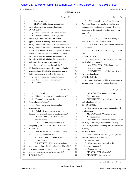#### Case 1:13-cv-03675-WBH Document 108-7 Filed 12/30/16 Page 306 of 519

Paul Simone, Ph.D. November 7, 2016

Washington, D.C.

|              | Page 34                                                       |              | Page 36                                               |
|--------------|---------------------------------------------------------------|--------------|-------------------------------------------------------|
| 1            | You can answer.                                               | 1            | Well, generally, when I use the term<br>O             |
| $\mathbf{2}$ | THE WITNESS: The determination of                             | 2            | "training," I'm asking you, have you had any          |
| 3            | chemical species in environmental matrices.                   | 3            | training. Did you take any coursework in plant        |
| 4            | BY MR. SCOTT:                                                 | 4            | chemistry in the context of getting any of your       |
| 5            | What do you mean by "chemical species"?<br>O.                 | 5            | degrees?                                              |
| 6            | Chemical compounds such as, but not<br>A                      | 6            | A No.                                                 |
| 7            | limited to, the nine haloacetic acids that are                | 7            | MS. WOOLSON: So you're asking the                     |
| 8            | typically present in drinking water, five of which            | 8            | witness if he took a course in plant --               |
| 9            | are regulated by the USEPA, the 4-trilomethanes that          | 9            | MR. SCOTT: Well, he's already answered                |
| 10           | are regulated by the USEPA, other compounds that may          | 10           | the question.                                         |
| 11           | or may not be present and determining whether they're         | 11           | MS. WOOLSON: That's all right. That's                 |
| 12           | present and whether they're not present. You know,            | 12           | fine.                                                 |
| 13           | the analysis of bleach solutions, the analysis of --          | 13           | BY MR. SCOTT:                                         |
| 14           | the analysis of bleach solutions for trihalomethanes          | 14           | Have you had any formal training, class<br>O.         |
| 15           | and haloacetic acids and hexavalent chromium.                 | 15           | work relating to botany?                              |
| 16           | In terms of geranium, the analysis of                         | 16           | MS. WOOLSON: Objection to form.                       |
| 17           | 1,3-dimethylamylamine and 1,4-dimethylamylamine in            | 17           | You can answer.                                       |
| 18           | geranium plants. It's all different chemical species          | 18           | THE WITNESS: I had Biology 101 as a                   |
| 19           | that we try to develop to analyze the matrices.               | 19           | freshman in college.                                  |
| 20           | Q So do you consider yourself having any                      | 20           | BY MR. SCOTT:                                         |
| 21           | specialization or expertise in phytochemistry?                | 21           | Q Other than Biology 101 as a freshman in             |
| 22           | A In what?                                                    | 22           | college, have you had any botany training?            |
|              |                                                               |              |                                                       |
|              | Page 35                                                       |              | Page 37                                               |
| 1            | Phytochemistry.<br>Q                                          | $\mathbf 1$  | MS. WOOLSON: Objection to form.                       |
| 2            | What do you mean by "phytochemistry"?<br>A                    | $\mathbf{2}$ | You can answer.                                       |
| 3            | You don't know what the term<br>О                             | 3            | THE WITNESS: I worked as a landscaper in              |
| 4            | "phytochemistry" means?                                       | 4            | high school and college.                              |
| 5            | A Yeah, I know what it means, plant                           | 5            | BY MR. SCOTT:                                         |
| 6            | chemistry, but --                                             | 6            | Q Did they give you botany training to work           |
| 7            | Well, I will ask it that way: Do you<br>O.                    | 7            | as a landscaper?                                      |
| 8            | have any expertise or training in plant chemistry?            | 8            | MS. WOOLSON: Objection to form.                       |
| 9            | MS. WOOLSON: Objection to form.                               | 9            | You can answer.                                       |
| 10           | You can answer.                                               | 10           | THE WITNESS: You know, you're -- I guess              |
| 11           | THE WITNESS: I've got expertise in                            | 11           | I'm trying to answer your question as honestly as I   |
| 12           | analyzing 1,3-DMAA and 1,4-DMAA in plants.                    | 12           | can. I mean, I haven't taken any further coursework   |
| 13           | BY MR. SCOTT:                                                 | 13           | in botany.                                            |
| 14           | Well, let me ask you this: Have you had<br>Q                  | 14           | BY MR. SCOTT:                                         |
| 15           | any training in plant chemistry?                              | 15           | Q Since freshman year Biology 101, you've             |
| 16           | MS. WOOLSON: Objection to form.                               | 16           | taken no coursework in botany?                        |
| 17           | You can answer.                                               | 17           | That's correct.<br>A                                  |
| 18           | THE WITNESS: When you say "training," do                      | 18           | What courses do you teach at the<br>O                 |
| 19           | you mean somebody formally advised me like a Ph.D.            | 19           | University of Memphis?                                |
| 20           | advisor or post-doc advisor training, or do you mean          | 20           | A General chemistry --                                |
| 21<br>22     | using my expertise as an analytical chemist?<br>BY MR. SCOTT: | 21<br>22     | MS. WOOLSON: Currently?<br>MR. SCOTT: Yes, currently. |

10 (Pages 34 to 37)

1-800-FOR-DEPO www.aldersonreporting.com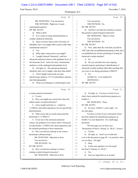#### Case 1:13-cv-03675-WBH Document 108-7 Filed 12/30/16 Page 307 of 519

#### Paul Simone, Ph.D. November 7, 2016

#### Washington, D.C.

|              | Page 38                                                                     |              | Page 40                                               |
|--------------|-----------------------------------------------------------------------------|--------------|-------------------------------------------------------|
| $\mathbf{1}$ | MS. WOOLSON: You can answer.                                                | $\mathbf{1}$ | You can answer.                                       |
| 2            | THE WITNESS: Right now I teach                                              | 2            | THE WITNESS: No.                                      |
| 3            | instrumental analysis.                                                      | 3            | BY MR. SCOTT:                                         |
| 4            | BY MR. SCOTT:                                                               | 4            | Q And have you had any training in courses            |
| 5            | What is that?<br>O.                                                         | 5            | that pertain to plant biological functions?           |
| 6            | A It is a class on using instrumentation to                                 | 6            | MS. WOOLSON: Object to form.                          |
| 7            | conduct analytical chemistry.                                               | 7            | You can answer.                                       |
| 8            | Q Since you have been at the University of                                  | 8            | THE WITNESS: No.                                      |
| 9            | Memphis, have you taught other courses other than                           | 9            | BY MR. SCOTT:                                         |
| 10           | instrumental analysis?                                                      | 10           | Q Now, other than the work that you did for           |
| 11           | A Yes.                                                                      | 11           | USP Labs and you published pertaining to that, have   |
| 12           | What other courses have you taught?<br>0                                    | 12           | you published any articles pertaining to testing for  |
| 13           | A I taught General Chemistry I, and two                                     | 13           | chemicals in plant medium?                            |
| 14           | advanced analytical classes at the graduate level, at                       | 14           | A No.                                                 |
| 15           | the doctorate level. And to be clear, instrumental                          | 15           | Q Do you currently have any ongoing                   |
| 16           | analysis is at the undergrad and graduate level.                            | 16           | research projects pertaining to identification of     |
| 17           | Q All right, sir. The advanced analytical                                   | 17           | chemicals in plant medium other than anything that    |
| 18           | chemistry that you've taught, what does that entail?                        | 18           | you were or are doing pertaining to DMAA?             |
| 19           | A I have taught coursework on mass                                          | 19           | A No.                                                 |
| 20           | spectroscopy analysis, UV-Vis absorbance analysis,                          | 20           | (Exhibit No. 3 was marked for                         |
| 21           | and chromatography.                                                         | 21           | identification.)                                      |
| 22           | These are techniques or technologies used<br>$\overline{Q}$                 | 22           | BY MR. SCOTT:                                         |
|              |                                                                             |              |                                                       |
|              |                                                                             |              |                                                       |
|              | Page 39                                                                     |              | Page 41                                               |
| $\mathbf{1}$ | in doing analytical chemistry?                                              | $\mathbf{1}$ | All right, sir. You have in front of you<br>O         |
| $\mathbf{2}$ | A Correct.                                                                  | $\mathbf{2}$ | what's been marked for identification purposes as     |
| 3            | Have you taught any coursework where the<br>Q                               | 3            | Exhibit 2--                                           |
| 4            | subject matter was phytochemistry?                                          | 4            | MS. WOOLSON: Three.                                   |
| 5            | A I have taught materials on -- related to                                  | 5            | BY MR. SCOTT:                                         |
| 6            | 1,3-DMAA and chiral separations, but not specifically                       | 6            | Q I'm sorry, Exhibit 3, you're right. Let             |
| 7            | phytochemistry.                                                             | 7            | me start again.                                       |
| 8            | Q What course did you teach using materials                                 | 8            | You have in front of you a document which             |
| 9            | pertaining to 1,3-DMAA?                                                     | 9            | has been marked for identification purposes as        |
| 10           | A It was one of the advanced analytical                                     | 10           | Exhibit 3 to your deposition. It's a multi-page       |
| $11\,$       | courses, the graduate level courses where I discussed                       | 11           | document.                                             |
| 12           | not specifically 1,3-DMAA but chiral separations and                        | 12           | The first page you see there says                     |
| 13           | the methods pertaining to those separations.                                | 13           | "Declaration of Paul S. Simone, Jr., Ph.D.," correct? |
| 14           | Q Have you had any training in any courses                                  | 14           | A Correct.                                            |
| 15           | pertaining to pharmacology?                                                 | 15           | All right, sir. And if you would turn<br>O            |
| 16           | MS. WOOLSON: Objection to form.                                             | 16           | over in the document to page 49. Let me know when     |
| 17           | You can answer.                                                             | 17           | you are there. All right?                             |
| 18           | THE WITNESS: No.                                                            | 18           | A Okay.                                               |
| 19           | BY MR. SCOTT:                                                               | 19           | Is that your signature over the typed<br>Q            |
| $20$         | Have you had any training in courses<br>Q                                   | 20           | line Paul S. Simone, Jr., Ph.D.?                      |
| 21<br>22     | relating to plant biological structures?<br>MS. WOOLSON: Objection to form. | 21<br>22     | A Yes.<br>And you signed this on or around<br>Q       |

11 (Pages 38 to 41)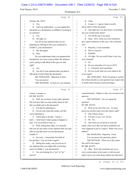#### Case 1:13-cv-03675-WBH Document 108-7 Filed 12/30/16 Page 308 of 519

Paul Simone, Ph.D. November 7, 2016

Washington, D.C.

|          | Page 42                                             |          | Page 44                                                                                                    |
|----------|-----------------------------------------------------|----------|------------------------------------------------------------------------------------------------------------|
| 1        | October 4th, 2016?                                  | 1        | Yeah.<br>Q                                                                                                 |
| 2        | A Yes.                                              | 2        | A I mean, I -- I guess I plan to testify                                                                   |
| 3        | Q And you understand -- so you signed this          | 3        | about what's in this document.                                                                             |
| 4        | document as a declaration, an affidavit swearing to | 4        | Q And right now you don't know of anything                                                                 |
| 5        | its contents?                                       | 5        | else you would testify about?                                                                              |
| 6        | A Yes.                                              | 6        | A Not off the top of my head.                                                                              |
| 7        | Q All right, sir.                                   | 7        | Q Okay. Now, when you were retained to                                                                     |
| 8        | Are all of your opinions that you are               | 8        | give expert testimony in this case, who contacted                                                          |
| 9        | planning on offering in this case contained in      | 9        | you?                                                                                                       |
| 10       | Exhibit 3, your declaration?                        | 10       | Honestly, I can't remember.<br>A                                                                           |
| 11       | Say that again.<br>A                                | 11       | Was it a lawyer?<br>$\mathbf Q$                                                                            |
| 12       | Q Sure.                                             | 12       | Probably.<br>A                                                                                             |
| 13       | Do you understand when you prepared the             | 13       | All right. Do you recall when it was you<br>Q                                                              |
| 14       | declaration, you were to put in there the opinions  | 14       | were retained?                                                                                             |
| 15       | you're going to talk about if this goes to trial,   | 15       | No.<br>A                                                                                                   |
| 16       | right?                                              | 16       | Do you remember if it was in 2015?<br>$\mathbf Q$                                                          |
| 17       | A Yes.                                              | 17       | A I--I honestly don't remember.                                                                            |
| 18       | Q Are all of your opinions that you plan to         | 18       | Do you recall what you were asked to do<br>O                                                               |
| 19       | talk about at trial within the document?            | 19       | as an expert?                                                                                              |
| 20       | MS. WOOLSON: Objection to form.                     | 20       | MS. WOOLSON: Well, I'm going to caution                                                                    |
| 21       | You can answer.                                     | 21       | the witness insofar as your question may require him                                                       |
| 22       | THE WITNESS: As best as I can estimate.             | 22       | to testify about attorney-client privileged                                                                |
|          |                                                     |          |                                                                                                            |
|          | Page 43                                             |          | Page 45                                                                                                    |
| 1        | I mean, I assume so.                                | 1        | communications. Subject to that, you can answer the                                                        |
| 2        | BY MR. SCOTT:                                       | 2        | question.                                                                                                  |
| 3        | Q Well, do you know of any other opinions           | 3        | THE WITNESS: Can you repeat the                                                                            |
| 4        | that you have that you may testify about at trial   | 4        | question?                                                                                                  |
| 5        | that you didn't put in the document?                | 5        | BY MR. SCOTT:                                                                                              |
| 6        | A Not that I'm planning to.                         | 6        | Q Well, let me ask it this way: At some                                                                    |
| 7        | I'm not sure what that means, not that<br>О         | 7        | point you sat down and wrote this report, right?                                                           |
| 8        | you're planning to.                                 | 8        | A (The witness nods.)                                                                                      |
| 9        | A I don't plan to do that. I mean, I                | 9        | You have to say "yes" for her.<br>Q                                                                        |
| 10       | don't -- I don't know what's going to happen at     | 10       | Oh. Yes.<br>A                                                                                              |
| 11       | trial. I've never been to trial, so                 | 11       | And when you sat down to write the<br>Q                                                                    |
| 12       | Q Well, sitting here today, is it accurate          | 12       | report, what was it that you had in mind that you                                                          |
| 13       | that you are not aware of any opinions that you may | 13       | were supposed to put in a report? What were you to                                                         |
| 14       | offer at trial that aren't in your declaration,     | 14       | address?                                                                                                   |
| $15$     | Exhibit 3?                                          | 15       | MS. WOOLSON: Objection. Form.                                                                              |
| 16       | A I'm sorry. I missed the first half of             | 16       | You can answer the questions, plural.                                                                      |
| 17       | the question. Can you state it again?               | 17       | THE WITNESS: What was in this report,                                                                      |
| 18       | Sitting here today, can you tell me of<br>Q         | 18       | like stuff in this report.                                                                                 |
| 19       | any opinions that you might offer at trial that     | 19       | BY MR. SCOTT:                                                                                              |
| 20       | aren't in Exhibit 3, your declaration?              | 20       | Q Okay. Well, did somebody ask you to                                                                      |
| 21<br>22 | A Are you looking for a "yes" or "no"<br>answer?    | 21<br>22 | cover certain topics in the report, or did you just<br>make it up as you went along without any direction? |

12 (Pages 42 to 45)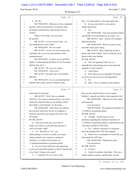#### Case 1:13-cv-03675-WBH Document 108-7 Filed 12/30/16 Page 309 of 519

Washington, D.C.

Paul Simone, Ph.D. November 7, 2016

|             | Page 46                                                                      |                | Page 48                                                                                          |
|-------------|------------------------------------------------------------------------------|----------------|--------------------------------------------------------------------------------------------------|
|             |                                                                              |                |                                                                                                  |
| 1           | $A$ Oh, oh --                                                                | 1              | like -- I've been told it's a fact and expert, but --                                            |
| 2           | MS. WOOLSON: Objection to form, compound                                     | 2              | Q So you were told it's a fact and an                                                            |
| 3           | question, calls for the disclosure of attorney-client                        | 3              | expert deposition?                                                                               |
| 4           | privileged communication, and misstates facts in                             | 4              | A Yes.                                                                                           |
| 5           | evidence.                                                                    | 5              | MS. WOOLSON: And your question related                                                           |
| 6           | Subject to all of that, you can answer                                       | 6              | specifically to his declaration as an expert. So --                                              |
| 7           | the question.                                                                | 7              | MR. SCOTT: Sure. And now I'm asking a                                                            |
| 8           | MR. SCOTT: So let me just be clear. Are                                      | 8              | different question.                                                                              |
| 9           | you saying that he is your client?                                           | 9              | MS. WOOLSON: Well, let's just be clear                                                           |
| 10          | MS. WOOLSON: He's our expert.                                                | 10             | that that's what you're doing.                                                                   |
| 11          | MR. SCOTT: So how are conversations with                                     | 11             | MR. SCOTT: Well, I think the record is                                                           |
| 12          | somebody who is not your client attorney-client                              | 12             | pretty clear what I asked. And I would ask you to                                                |
| 13          | communications?                                                              | 13             | please watch your attitude.                                                                      |
| 14          | MS. WOOLSON: Counsel, you are perfectly                                      | 14<br>15       | BY MR. SCOTT:                                                                                    |
| 15          | capable of understanding the Rules of Civil Procedure                        |                | Q Now, the question I had, sir, is, is                                                           |
| 16          | and knowing why I --                                                         | 16             | anybody here representing you in your personal                                                   |
| 17          | MR. SCOTT: Oh, I am, yes, I agree.                                           | 17             | capacity as a fact witness?                                                                      |
| 18          | MS. WOOLSON: And so am I.<br>MR. SCOTT: But that's not a well-founded        | 18             | A I don't know.                                                                                  |
| 19<br>20    |                                                                              | 19<br>20       | Well, did you say to anybody, I'm hiring<br>O                                                    |
| 21          | objection.<br>MS. WOOLSON: So you can understand the                         | 21             | you to be my lawyer for my fact deposition?<br>No.<br>$\mathbf{A}$                               |
| 22          | objection that I made, and your attitude is duly                             | 22             | Okay. Now, in relation to the expertise<br>0                                                     |
|             |                                                                              |                |                                                                                                  |
|             |                                                                              |                |                                                                                                  |
|             | Page 47                                                                      |                | Page 49                                                                                          |
| $\mathbf 1$ | noted and not welcomed.                                                      | 1              | that you have shared with us in your report,                                                     |
| 2           | MR. SCOTT: Well, I have no attitude                                          | $\overline{c}$ | Exhibit 3, what do you believe that expertise to be?                                             |
| 3           | about this. I'm trying to understand how you can be                          | 3              | MS. WOOLSON: Objection to form, asked                                                            |
| 4           | making the objection that you are making, which I                            | 4              | and answered.                                                                                    |
| 5           | don't think is well-founded. So obviously --                                 | 5              | You can answer.                                                                                  |
| 6           | MS. WOOLSON: Well, that's your opinion,                                      | 6              | THE WITNESS: The analytical chemistry of                                                         |
| 7           | but you and I both know the law as it applies to                             | 7              | 1,3-DMAA in geranium plants.                                                                     |
| 8           | attorneys and clients and experts and what is and                            | 8              | BY MR. SCOTT:                                                                                    |
| 9           | isn't proper.                                                                | 9              | All right. And the basis of your<br>Q                                                            |
| 10          | BY MR. SCOTT:                                                                | 10             | testimony regarding the analytical chemistry of                                                  |
| 11          | Q Well, let me ask you, you're here to                                       | 11             | 1,3-DMAA in geraniums plants, is that based on the                                               |
| 12          | testify, you realize, in your personal capacity as                           | 12             | work that you did for USP Labs?                                                                  |
| 13          | well as an expert, right?                                                    | 13             | A Yes. And the work that I've continued                                                          |
| 14          | A Yes. But hold on. I'm -- my                                                | 14             | since the funding from USP Labs stopped.                                                         |
| 15          | understanding is I'm here to testify as an expert                            | 15             | Which was a continuation of work that you<br>Q                                                   |
| 16          | witness related to my expertise in analytical                                | 16             | had started for USP Labs.                                                                        |
| 17          | chemistry as it relates to the presence of                                   | 17             | MS. WOOLSON: Objection to form.                                                                  |
| 18          | 1,3-dimethylamylamine in geranium plants.                                    | 18             | You can answer.                                                                                  |
| 19          | So you weren't told you're also appearing<br>Q                               | 19             | BY MR. SCOTT:                                                                                    |
| 20          | in your own individual capacity as Paul S. Simone and                        | 20             | Correct?<br>Q                                                                                    |
| 21<br>22    | not as Paul S. Simone, the expert?<br>A I -- honestly, I'm not a lawyer, and | 21<br>22       | I had two contracts from them. One was a<br>A<br>simple analysis contract, and the other was the |

13 (Pages 46 to 49)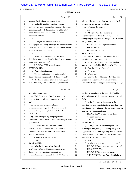#### Case 1:13-cv-03675-WBH Document 108-7 Filed 12/30/16 Page 310 of 519

Paul Simone, Ph.D. November 7, 2016

Washington, D.C.

|              | Page 50                                                                                                 |             | Page 52                                                                |
|--------------|---------------------------------------------------------------------------------------------------------|-------------|------------------------------------------------------------------------|
| $\mathbf{1}$ | contract for NMR and chiral separation.                                                                 | 1           | ask you if that's an article that you were involved                    |
| 2            | Q All right. And the work that you said                                                                 | 2           | in preparing and having published.                                     |
| 3            | that you were doing through this summer, which was a                                                    | 3           | A (Perusing document.)                                                 |
| 4            | continuation of work that you had started for USP                                                       | 4           | Yes.                                                                   |
| 5            | Labs, that was relating to the NMR and chiral                                                           | 5           | Q All right. And does this article                                     |
| 6            | separation contract?                                                                                    | 6           | describe the work that you did for USP Labs in                         |
| 7            | A Yes.                                                                                                  | 7           | testing samples of geraniums that you were provided                    |
| 8            | All right. So that was work that,<br>Q                                                                  | 8           | for 1,3- and 1,4-DMAA?                                                 |
| 9            | although you were doing it through the summer without                                                   | 9           | MS. WOOLSON: Objection to form.                                        |
| 10           | being paid by USP Labs, it was a continuation of work                                                   | 10          | You can answer.                                                        |
| 11           | you had started for USP Labs?                                                                           | 11          | THE WITNESS: Yes.                                                      |
| 12           | A Yes.                                                                                                  | 12          | BY MR. SCOTT:                                                          |
| 13           | Q Now, the first contract that you had with                                                             | 13          | Q And who is -- the other authors that are                             |
| 14           | USP Labs, how did you describe that? It was a simple                                                    | 14          | listed here, who is Heather L. Fleming?                                |
| 15           | something -- of a contract?                                                                             | 15          | A She was my first Ph.D. student who has                               |
| 16           | MS. WOOLSON: Objection to form.                                                                         | 16          | successfully defended her Ph.D., now Dr. Fleming.                      |
| 17           | BY MR. SCOTT:                                                                                           | 17          | And then Patricia Ranaivo?<br>Q                                        |
| 18           | Q Well, let me back up.                                                                                 | 18          | Ranaivo.<br>A                                                          |
| 19           | The first contract that you had with USP                                                                | 19          | Who is she?<br>Q                                                       |
| 20           | Labs, what was the scope of work that it covered?                                                       | 20          | She was the postdoctoral fellow that was<br>A                          |
| 21           | A So there is a scope of work document, but                                                             | 21          | funded by the Department of Chemistry at the                           |
| 22           | to the best of my -- well, actually, do you have the                                                    | 22          | University of Memphis as part of my startup package.                   |
|              |                                                                                                         |             |                                                                        |
|              | Page 51                                                                                                 |             | Page 53                                                                |
| $\mathbf 1$  | scope of work document?                                                                                 | $\mathbf 1$ | She is also a graduate of the Analytical Mobile                        |
| 2            | Q Well, I don't know. But I'm asking you a                                                              | 2           | Monitoring and Miniaturization Laboratory with her                     |
| 3            | question: Can you tell me what the scope of work                                                        | 3           | Ph.D.                                                                  |
| 4            | was?                                                                                                    | 4           | Q<br>All right. So now in relation to the                              |
| 5            | A As best as I can recall without the                                                                   | 5           | expertise that you bring to the table regarding your                   |
| 6            | written contractual scope of work in front of me, it                                                    | 6           | expert report and testimony, do you believe you are                    |
| 7            | was to analyze geranium plants for 1,3-DMAA and                                                         | 7           | an expert in FDA regulations?                                          |
| 8            | $1,4-DMAA$ .                                                                                            | 8           | MS. WOOLSON: Objection to form.                                        |
| 9            | Q Now, when you say "analyze geranium                                                                   | 9           | You can answer.                                                        |
| 10           | plants for 1,3-DMAA and 1,4-DMAA," what do you mean                                                     | 10          | THE WITNESS: No.                                                       |
| 11           | by "analyze"?                                                                                           | 11          | BY MR. SCOTT:                                                          |
| 12           | A I directed and developed a method for                                                                 | 12          | Q All right, sir. In relation to your work                             |
| 13           | analysis of 1,3- and 1,4-DMAA concentrations in                                                         | 13          | as an expert here, have you done any analysis to                       |
| 14           | geranium plants based off a method developed by                                                         | 14          | support any conclusions regarding whether taking                       |
| 15           | Intertek Laboratories.                                                                                  | 15          | DMAA, either in its 1,3 or 1,4 form, causes health                     |
| 16           | (Exhibit No. 4 was marked for                                                                           | 16          | problems or risks for humans?                                          |
| 17           | identification.)                                                                                        | 17          | A No.                                                                  |
| 18           | BY MR. SCOTT:                                                                                           | 18          | And you have no opinion on that topic?<br>Q                            |
| 19           | Q All right, sir. You've been handed                                                                    | 19          | MS. WOOLSON: You mean as an expert?                                    |
| 20           | what's been marked for identification purposes as                                                       | 20          | MR. SCOTT: Yes.                                                        |
| 21<br>22     | Exhibit 4 to your deposition. It's a multi-page<br>document running from page 59 through 78. And I will | 21<br>22    | MS. WOOLSON: You can answer.<br>THE WITNESS: No. And I don't believe I |

14 (Pages 50 to 53)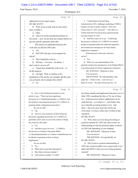#### Case 1:13-cv-03675-WBH Document 108-7 Filed 12/30/16 Page 311 of 519

Washington, D.C.

Paul Simone, Ph.D. November 7, 2016

|              | Page 54                                                                 | Page 56                                                     |
|--------------|-------------------------------------------------------------------------|-------------------------------------------------------------|
| $\mathbf{1}$ | addressed it in my expert report.                                       | A "United States Food and Drug<br>1                         |
| 2            | BY MR. SCOTT:                                                           | Administration, FDA, challenges marketing of DMAA<br>2      |
| 3            | Q Well, if you would, look at your article                              | 3<br>products for lack of safety evidence. FDA news         |
| 4            | there, Exhibit 4.                                                       | release April 27, 2012, accessed" -- well, there is a<br>4  |
| 5            | Okay.<br>A                                                              | website from their newsroom press announcements<br>5        |
| 6            | And over on the introduction portion of<br>$\mathbf Q$                  | 6<br>accessed August 10, 2012.                              |
| 7            | the article -- now, let me back up a minute before we                   | 7<br>Q And then it goes on to say: "Confirming              |
| 8            | get into specific questions about this.                                 | the presence or absence of 1,3-DMAA as a natural<br>8       |
| 9            | This article was published based on the                                 | product in geranium plants has important regulatory<br>9    |
| 10           | work that you did for USP Labs?                                         | and commercial consequences for many dietary<br>10          |
| 11           | Yes.<br>A                                                               | supplement companies."<br>11                                |
| 12           | Did USP Labs pay you to prepare the<br>$\mathbf Q$                      | Referring back to that same reference,<br>12                |
| 13           | article?                                                                | 13<br>correct?                                              |
| 14           | They funded the work to --<br>A                                         | 14<br>A Yes.                                                |
| 15           | Did they -- I'm sorry. Go ahead. I<br>$\overline{Q}$                    | What was your understanding of the<br>15<br>O               |
| 16           | don't want to cut you off.                                              | 16<br>potential commercial consequences of not finding DMAA |
| 17           | A I mean they funded the work to do -- to                               | in geranium plants for dietary supplement companies?<br>17  |
| 18           | do the analysis.                                                        | MS. WOOLSON: Objection to form.<br>18                       |
| 19           | All right. Well, in relation to the<br>Q                                | You can answer.<br>19                                       |
| 20           | preparation of the article, for example, did they pay                   | 20<br>THE WITNESS: My understanding is that                 |
| 21           | you an hourly rate to prepare this article?                             | under the -- I think it's the -- well, let's see, I<br>21   |
| 22           | A No.                                                                   | 22<br>think it's in here. The name always gets me. It's     |
|              |                                                                         |                                                             |
|              | Page 55                                                                 | Page 57                                                     |
| $\mathbf{1}$ | Q Now, in the introduction portion of your                              | the Dietary Health and Supplement Education Act of, I<br>1  |
| 2            | article, it says: "There has been significant                           | think 1994, something like that, or '96, one of those<br>2  |
| 3            | discussion of 1,3-dimethylamylamine, 1,3-DMAA, and                      | two. It discusses how dietary supplements can be<br>3       |
| 4            | the literature concerning the presence of 1,3-DMAA in                   | marketed and -- as it relates to -- and whether they<br>4   |
| 5            | geranium plants, pelargonium graveolens."                               | are a naturally occurring product or not. And<br>5          |
| 6            | Do you see that?                                                        | that's -- like to be clear, that's like off the top<br>6    |
| 7            | $A$ I do.                                                               | of my head. It's been a while since I looked at that<br>7   |
| 8            | And was your awareness of there being any<br>О                          | 8<br>regulation.                                            |
| 9            | discussion regarding the presence of 1,3-DMAA in                        | 9<br>BY MR. SCOTT:                                          |
| 10           | geraniums, did it come to you in the context of doing                   | Q Well, when you were doing the testing of<br>10            |
| 11           | this work for USP Labs?                                                 | geranium material for USP Labs, did you have an<br>11       |
| 12           | A Yes.                                                                  | 12<br>understanding of what the potential impact would be   |
| 13           | And then it goes on to say: "1,3-DMAA,<br>Q                             | on USP Labs depending on your findings?<br>13               |
| 14           | also known as 4-methyl-2-hexanone MHA,                                  | MS. WOOLSON: Objection to form.<br>14                       |
| 15           | 1,3-dimethylpentylamine or 2-amino-4-methylhexane can                   | 15<br>You can answer.                                       |
| 16           | be labeled as geranium extract in dietary                               | 16<br>THE WITNESS: Not specifically, no.                    |
| 17           | supplements."                                                           | BY MR. SCOTT:<br>17                                         |
| 18           | Do you see that?                                                        | Q Did you have a general understanding of<br>18             |
| 19           | A Yes.                                                                  | USP Labs would not think it was a good result if you<br>19  |
| 20           | Where did you get that information?<br>Q                                | 20<br>didn't find DMAA when you were testing geranium       |
| 21           | Most likely reference number 7.<br>A<br>And reference number 7 is what? | 21<br>material?<br>22<br>MS. WOOLSON: Objection to form.    |

15 (Pages 54 to 57)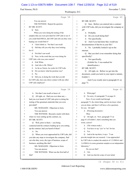#### Case 1:13-cv-03675-WBH Document 108-7 Filed 12/30/16 Page 312 of 519

Washington, D.C.

Paul Simone, Ph.D. November 7, 2016

|          | Page 58                                               | Page 60                                                            |  |
|----------|-------------------------------------------------------|--------------------------------------------------------------------|--|
| 1        | You can answer.                                       | 1<br>BY MR. SCOTT:                                                 |  |
| 2        | THE WITNESS: Repeat the question.                     | Q Sure. Before you entered into a contract<br>2                    |  |
| 3        | BY MR. SCOTT:                                         | with USP Labs, did you investigate the company at<br>З             |  |
| 4        | Q Sure.                                               | all?<br>4                                                          |  |
| 5        | When you were doing the testing of the                | 5<br>A Probably.                                                   |  |
| 6        | samples that you were provided for USP Labs to see if | Do you recall doing that?<br>6<br>Q                                |  |
| 7        | you could find DMAA, did USP Labs tell you they were  | Not specifically.<br>7<br>A                                        |  |
| 8        | hoping you would find it?                             | And if you had done that, would any<br>8<br>$\mathbf Q$            |  |
| 9        | A I don't think so. Not that I can recall.            | documentation of that be in your file?<br>9                        |  |
| 10       | Did they tell you why they were looking<br>Q          | No. I probably looked it up on the<br>10<br>A                      |  |
| 11       | for it?                                               | 11<br>internet.                                                    |  |
| 12       | Not that I can recall.<br>A                           | 12<br>But you don't even remember doing that<br>Q                  |  |
| 13       | Now, in the work that you were doing for<br>Q         | specifically?<br>13                                                |  |
| 14       | USP Labs, who was your contact?                       | 14<br>A Not specifically.                                          |  |
| 15       | A Erik White.                                         | 15<br>(Exhibit No. 5 was marked for                                |  |
| 16       | And who is Mr. White?<br>Q                            | 16<br>identification.)                                             |  |
| 17       | As far as I know, he works for USP Labs.<br>A         | 17<br>BY MR. SCOTT:                                                |  |
| 18       | Do you know what his position was?<br>Q               | 18<br>All right, sir. Before we get into the<br>Q                  |  |
| 19       | A No.                                                 | document, could you look in your report a minute,<br>19            |  |
| 20       | Did you, in doing the work that you did<br>Q          | Exhibit 3.<br>20                                                   |  |
| 21       | for USP Labs, have any direct contact with any other  | 21<br>And if you would, turn to paragraph 41 on                    |  |
| 22       | USP Labs employee?                                    | 22<br>page 73.                                                     |  |
|          |                                                       |                                                                    |  |
|          | Page 59                                               | Page 61                                                            |  |
| 1        | Not that I can recall or know of.<br>A                | A What page?<br>1                                                  |  |
| 2        | All right, sir. Had you ever done any --<br>Q         | I'm sorry, it's paragraph 73 on page 41.<br>2<br>Q                 |  |
| 3        | had you ever heard of USP Labs prior to doing the     | Now, if you would read through<br>3                                |  |
| 4        | testing of the geranium materials that you were       | paragraph 73, the whole thing, and let me know when<br>4           |  |
| 5        | provided?                                             | you are done, and then I will have a few questions<br>5            |  |
| 6        | MS. WOOLSON: Objection to form.                       | for you. All right?<br>6                                           |  |
| 7        | You can answer.                                       | A (Perusing document.)<br>7                                        |  |
| 8        | THE WITNESS: Beyond e-mails with them                 | 8<br>Okay.                                                         |  |
| 9        | when we were setting up the contract, no.             | 9<br>Q All right, sir. Now, paragraph 73 on                        |  |
| 10       | BY MR. SCOTT:                                         | page 41 of Exhibit 3, that's something that you<br>10              |  |
| 11       | Q Well, prior to them -- you being                    | wrote, correct?<br>11                                              |  |
| 12       | contacted and the contacts leading up to you setting  | A (The witness nods.)<br>12                                        |  |
| 13       | up the contract, had you heard of them?               | You have to say "yes" or "no" for her.<br>13<br>О                  |  |
| 14       | A No.                                                 | 14<br>A Yes.                                                       |  |
| 15       | When you were approached by USP Labs, did<br>Q        | 15<br>And at the top there, it says: "I can<br>Q                   |  |
| 16       | you take any steps to investigate the company, find   | 16<br>provide insight into our research. I was approached          |  |
| $17\,$   | out who they were, the type of business, scope of     | by USP Labs to conduct the analysis of 1,3-DMAA and<br>17          |  |
| 18       | business, anything like that?                         | 18<br>1,4-DMAA in some geranium samples as an independent          |  |
| 19       | MS. WOOLSON: Objection to form.                       | laboratory."<br>19                                                 |  |
| 20       | You can answer.                                       | 20<br>Do you see that?                                             |  |
| 21<br>22 | THE WITNESS: What was the first half of<br>that?      | 21<br>A I do.<br>And was that the scope of your initial<br>22<br>Q |  |

16 (Pages 58 to 61)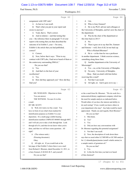#### Case 1:13-cv-03675-WBH Document 108-7 Filed 12/30/16 Page 313 of 519

Washington, D.C.

Paul Simone, Ph.D. November 7, 2016

|              | Page 62                                                       |                | Page 64                                                             |
|--------------|---------------------------------------------------------------|----------------|---------------------------------------------------------------------|
| $\mathbf{1}$ | assignment with USP Labs?                                     | 1              | I do.<br>A                                                          |
| 2            | A As best as I can recall.                                    | 2              | Who is Gary Emmert?<br>O                                            |
| 3            | That's what you put in your report and<br>0                   | 3              | A He is my Ph.D. advisor and colleague at                           |
| 4            | swore to anyway?                                              | 4              | the University of Memphis, and he's now the chair of                |
| 5            | A Yeah, that is. That's correct.                              | 5              | the department.                                                     |
| 6            | And in relation -- and that testing that<br>Q                 | 6              | Q Was he the chair of the department at                             |
| 7            | you -- the reference there in paragraph 73 of your            | 7              | this time back in 2011?                                             |
| 8            | report is the testing that you then described the             | 8              | A No.                                                               |
| 9            | outcome of in Exhibit 5, your -- I'm sorry,                   | 9              | Then it goes on to say that Drs. Emmert<br>Q                        |
| 10           | Exhibit 4, the article that you had published,                | 10             | and Simone -- well, first of all, let me back up.                   |
| 11           | correct?                                                      | 11             | Who is Richard Bloomer?                                             |
| 12           | A Correct.                                                    | 12             | A He is -- at the time he was a professor                           |
| 13           | Now, below that it says: "Prior to my<br>O                    | 13             | in another department. I think exercise science,                    |
| 14           | contract with USP Labs, I had never heard of them or          | 14             | something along those lines.                                        |
| 15           | the controversy surrounding DMAA."                            | 15             | Q Another department at the University of                           |
| 16           | Do you see that?                                              | 16             | Mississippi?                                                        |
| 17           | A Yes.                                                        | 17             | A Yes -- no, at the University of Memphis.                          |
| 18           | And that's to the best of your<br>Q                           | 18             | I'm sorry. University of Memphis.<br>Q                              |
| 19           | recollection?                                                 | 19             | Okay. Had you dealt with him before                                 |
| 20           | A Yes.                                                        | 20             | receiving this e-mail?                                              |
| 21           | How did they approach you? How did they<br>Q                  | 21             | A Not that I can recall.                                            |
| 22           | find you?                                                     | 22             | All right, sir. And it goes on to say --<br>Q                       |
|              |                                                               |                |                                                                     |
|              | Page 63                                                       |                | Page 65                                                             |
| 1            |                                                               | $\mathbf{1}$   | or the e-mail from Dr. Bloomer: "We do work for a                   |
| 2            | MS. WOOLSON: Objection to form.<br>You can answer.            | $\overline{c}$ | nutraceutical/dietary supplement company which has                  |
| 3            | THE WITNESS: I'm sure it's in this                            | 3              | the need for sample analysis as indicated below.                    |
| 4            | e-mail.                                                       | 4              | Would either of you have the interest and ability to                |
| 5            | BY MR. SCOTT:                                                 | 5              | do such testing? If not, would you know others in                   |
| 6            | Q Well, let's look over the e-mail. You                       | 6              | your department who may? Any help would be much                     |
| 7            | have in front of you what's been marked for                   | 7              | appreciated. Thank you and regards, Rick Bloomer."                  |
| 8            | identification purposes as Exhibit 5 to your                  | 8              | Do you see that?                                                    |
| 9            | deposition. It's a multi-page exhibit bearing                 | 9              | A Mm-hmm.                                                           |
| 10           | identification numbers UMPS-HT-004885 through 4887,           | 10             | Yes?<br>Q                                                           |
| 11           | and I will ask you to take a look through that. Look          | 11             | Yes.<br>A                                                           |
| 12           | through all of it, and then let me know when you're           | 12             | Did you have any conversations with<br>0                            |
| 13           | done, and then we will have some questions. All               | 13             | Dr. Bloomer regarding this potential assignment?                    |
| 14           | right?                                                        | 14             | Not that I can recall.<br>A                                         |
| $15$         | A (The witness nods.)                                         | 15             | Now, the description of work down there<br>Q                        |
| 16           | (Perusing document.)                                          | 16             | says that we need either LC/MS/MS or GC/MS analysis                 |
| 17           | Okay.                                                         | 17             | for 1,3-dimethylpentylamine (small volatile amine) in               |
| 18           | Q All right, sir. If you would look at the                    | 18             | a sample matrix of geranium oil."                                   |
| 19           | last page of that Exhibit 5 where there is an e-mail          | 19             | Do you see that?                                                    |
| 20           | from Richard J. Bloomer, dated December 12, 2011, to          | 20             | A Yes.                                                              |
| 21<br>22     | a Gary Emmert, E-M-M-E-R-T, and yourself.<br>Do you see that? | 21<br>22       | Is this the first time you had ever heard<br>0<br>of that chemical? |

17 (Pages 62 to 65)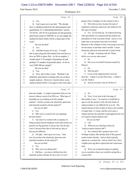Case 1:13-cv-03675-WBH Document 108-7 Filed 12/30/16 Page 314 of 519

Washington, D.C.

Paul Simone, Ph.D. November 7, 2016

|              | Page 66                                                                                             | Page 68                                                                         |
|--------------|-----------------------------------------------------------------------------------------------------|---------------------------------------------------------------------------------|
| $\mathbf{1}$ | A Yes.                                                                                              | going to have to budget it in the contract to do it.<br>1                       |
| 2            | And it goes on to say that: "We already<br>0                                                        | Q Well, did you have in place the type of<br>2                                  |
| 3            | have a validated method for the determination and                                                   | equipment, chemicals, glassware and whatnot to do<br>3                          |
| 4            | quantitation of 1,3-dimethylpentylamine," parens,                                                   | this type of testing?<br>4                                                      |
| 5            | "(CAS No. 105-41-9) in geranium oil and geranium                                                    | 5<br>A Yes. Let me back up. So without knowing                                  |
| 6            | plant tissue using LC/MS/MS, so we can supply the                                                   | what specifically was required and the method, the<br>6                         |
| 7            | method for them which will be a major part of the                                                   | 7<br>description of work was pretty broad. And so it was                        |
| 8            | work."                                                                                              | either they were going to provide it as in Rick<br>8                            |
| 9            | Do you see that?                                                                                    | Bloomer or the company or they were going to provide<br>9                       |
| 10           | A Yes.                                                                                              | me the money to purchase what I needed. I mean<br>10                            |
| 11           | And then it goes on to say: "I would<br>0                                                           | chemicals, glassware and materials is pretty broad.<br>11                       |
| 12           | like to pass along the full method, but we'd have to                                                | Q All right. In dealing with Mr. White,<br>12                                   |
| 13           | have an NDA in place first. As far as samples, I                                                    | did he ever use any other name?<br>13                                           |
| 14           | would expect 5-10 samples of geranium oil and                                                       | A No.<br>14                                                                     |
| 15           | perhaps 3-5 samples of geranium plant. As far as                                                    | 15<br>Q Have you ever heard of anyone named Sy                                  |
| 16           | cost, \$100-300 per sample."                                                                        | Wilson?<br>16                                                                   |
| 17           | Do you see that?                                                                                    | A No.<br>17                                                                     |
| 18           | A Yes.                                                                                              | Why the grin?<br>18<br>Q                                                        |
| 19           | Now, above that, it says: "Richard, I am<br>Q                                                       | A It was on the subpoena that I received<br>19                                  |
| 20           | definitely interested in working with you on these                                                  | from the -- I think it was the FDA from -- I think it<br>20                     |
| 21           | sample analyses. However, I need to know some                                                       | 21<br>was Mr. Harlow.                                                           |
| 22           | analysis details before I can agree to the work and a                                               | 22<br>Q And do you know who Sy Wilson is?                                       |
|              |                                                                                                     |                                                                                 |
|              |                                                                                                     |                                                                                 |
|              | Page 67                                                                                             | Page 69                                                                         |
|              |                                                                                                     |                                                                                 |
| 1            | price per sample. A couple of questions that you can                                                | 1<br>No.<br>A                                                                   |
| 2<br>3       | answer without a need of an NDA are: What type of                                                   | 2<br>Q Now, if you look at the first page of                                    |
| 4            | timetable are you looking at for this sample                                                        | that exhibit, it says: "As much as I would like to<br>3<br>4                    |
| 5            | analysis? And do you have the chemicals, glassware,                                                 | agree to do the analysis work, the time frame of                                |
|              | and materials needed to do the analysis?"                                                           | analysis makes it very difficult for us to do. The<br>5                         |
| 6            | Do you see that?                                                                                    | 6<br>typical amount of time it takes to learn a new method                      |
| 7<br>8       | A Yes.                                                                                              | 7<br>is longer than 1-2 weeks, and the cost to pay a                            |
|              | Why was it a concern for you regarding<br>O                                                         | 8<br>student and buy the materials would approach the cost                      |
| 9            | the time frame?                                                                                     | of a typical contract analysis lab."<br>9                                       |
| 10           | A Any time I've worked with a company on                                                            | 10<br>Do you see that?                                                          |
| $1\,1$       | doing research and development work and contracts in                                                | A I do.<br>11                                                                   |
| 12           | general, my big question is always how fast do they                                                 | 12<br>What are you referring to there by<br>O                                   |
| 13           | want it, because their idea of fast and my idea of                                                  | "typical contract analysis lab"?<br>13                                          |
| $1\,4$       | fast may be different.                                                                              | A So a contract lab is going to have a lot<br>14                                |
| $15\,$       | Q All right. And it goes on to say: "And                                                            | 15<br>of things in place, like already kind of like general                     |
| $1\,6$       | two, do you have the chemicals, glassware and                                                       | 16<br>needs in place already. And we don't typically                            |
| $17$         | materials needed to do the analysis?"                                                               | 17<br>operate as a contract lab. And so when I do, I have                       |
| $1\,8$       | Do you see that?                                                                                    | $1\,8$<br>a higher price tag than a typical lab and I need more                 |
| 19           | Yes.<br>A                                                                                           | 19<br>time.                                                                     |
| 20           | Why were you asking that?<br>Q                                                                      | 20<br>Were you seeing this project as putting<br>Q                              |
| 21<br>22     | Did they -- you know, did they have the<br>A<br>materials in place already for me to do it or was I | you in a position where you would be acting like a<br>21<br>22<br>contract lab? |

18 (Pages 66 to 69)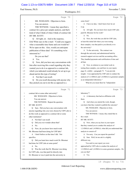#### Case 1:13-cv-03675-WBH Document 108-7 Filed 12/30/16 Page 315 of 519

Washington, D.C.

Paul Simone, Ph.D. November 7, 2016

|             | Page 70                                                                                            |                | Page 72                                               |
|-------------|----------------------------------------------------------------------------------------------------|----------------|-------------------------------------------------------|
| $\mathbf 1$ | MS. WOOLSON: Objection to form.                                                                    | $\mathbf 1$    | some form?                                            |
| 2           | You can answer.                                                                                    | 2              | A I have no idea. I don't know how he set             |
| 3           | THE WITNESS: I mean they specified a                                                               | 3              | it up.                                                |
| 4           | contract for a price per sample analysis, and that's                                               | 4              | All right. Do you know how much USP Labs<br>O         |
| 5           | kind of what I think of when I think of contract lab.                                              | 5              | paid Dr. Bloomer for his work?                        |
| 6           | BY MR. SCOTT:                                                                                      | 6              | A No.                                                 |
| 7           | All right, sir. And in the response,<br>Q.                                                         | 7              | Now, the work that you did for USP Labs,<br>О         |
| 8           | Erik White says in the e-mail: "Could you suggest                                                  | 8              | at least this initial lab where you were testing      |
| 9           | what a reasonable time frame and cost would be?                                                    | 9              | these samples, was that paid to you directly or to    |
| 10          | We're open on this. Also, would you anticipate                                                     | 10             | the university?                                       |
| 11          | publication of these data? It's something we're                                                    | 11             | A To the university. The contract was                 |
| 12          | interested in."                                                                                    | 12             | through the university and administered both by       |
| 13          | Do you see that?                                                                                   | 13             | research support services and the accounting office.  |
| 14          | A Yes.                                                                                             | 14             | They handled payments and certification of time and   |
| 15          | Now, did you have any conversations with<br>O.                                                     | 15             | all that.                                             |
| 16          | him after receiving this e-mail regarding why they                                                 | 16             | Q Now, in relation to your initial work in            |
| 17          | wanted you to do it as opposed to a contract lab,                                                  | 17             | testing these samples, you said here in your report,  |
| 18          | which you indicated would already be set up to go                                                  | $18$           | page 41, exhibit -- paragraph 73: "I can provide      |
| 19          | ahead and do this type of testing?                                                                 | 19             | insight. I was approached by USP Labs to conduct the  |
| 20          | A Not that I can recall.                                                                           | 20             | analysis of 1,3-DMAA and 1,4-DMAA in geranium samples |
| 21          | Do you recall discussing with anyone why<br>O.                                                     | 21             | as an independent laboratory."                        |
| 22          | they picked you out to do this as opposed to a                                                     | 22             | What do you mean there by "independent                |
|             |                                                                                                    |                |                                                       |
|             | Page 71                                                                                            |                | Page 73                                               |
| 1           | contract lab or some other university?                                                             | $\mathbf 1$    | laboratory"?                                          |
| 2           | MS. WOOLSON: Objection to form.                                                                    | $\overline{c}$ | A A laboratory that had no affiliation with           |
| 3           | You can answer.                                                                                    | 3              | them.                                                 |
| 4           | THE WITNESS: Repeat the question.                                                                  | 4              | And when you started the work, though,<br>Q           |
| 5           | BY MR. SCOTT:                                                                                      | 5              | you knew that they wanted to publish the outcome?     |
| 6           | Q Sure. Did you have any conversation with                                                         | 6              | MS. WOOLSON: Objection to form.                       |
| 7           | anyone regarding why you were chosen by USP Labs to                                                | 7              | You can answer.                                       |
| 8           | do this work as opposed to a contract lab or some                                                  | 8              | THE WITNESS: I mean, they stated that in              |
| 9           | other institution?                                                                                 | 9              | the e-mail.                                           |
| 10          | A Not that I can recall.                                                                           | 10             | BY MR. SCOTT:                                         |
| 11          | Did you ever wonder about that?<br>Q                                                               | 11             | Q Now, when you say here in your report               |
| 12          | A<br>No.                                                                                           | 12             | that they wanted you to conduct the analysis of       |
| 13          | Now, do you know how much work<br>Q                                                                | 13             | 1,3-DMAA and 1,4-DMAA, what did you understand that   |
| 14          | Mr. Bloomer had been doing for USP labs?                                                           | 14             | analysis to consist of?                               |
| 15          | A I don't believe at the time I did. Not                                                           | 15             | A I'm sorry. Can you repeat the question?             |
| 16          | specifics.                                                                                         | 16             | Sure. Well, let me ask it a slightly<br>Q             |
| 17          | Q Did you learn how much work Dr. Bloomer                                                          | 17             | different way.                                        |
| 18          | had done for USP Labs at some point?                                                               | 18             | You said in your report you were                      |
| 19          | A No.                                                                                              | 19             | approached by USP Labs to conduct the analysis of     |
| 20          | Was the work that Dr. Bloomer was doing<br>О                                                       | 20             | 1,3-DMAA and 1,4-DMAA in some geranium samples. Do    |
| 21<br>22    | for USP Labs, was that paid for directly into<br>Dr. Bloomer or was it paid into the university in | 21<br>22       | you see that?<br>A Yes.                               |

19 (Pages 70 to 73)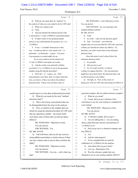#### Case 1:13-cv-03675-WBH Document 108-7 Filed 12/30/16 Page 316 of 519

Paul Simone, Ph.D. November 7, 2016

Washington, D.C.

|          | Page 74                                                     | Page 76                                                                                               |
|----------|-------------------------------------------------------------|-------------------------------------------------------------------------------------------------------|
| 1        | What do you mean there by "analysis" in<br>Q                | MS. WOOLSON: I said, Objection to form.<br>1                                                          |
| 2        | the context of what you were asked to do by USP Labs?       | $\mathbf{2}$<br>You can answer.                                                                       |
| 3        | What was I asked to do?<br>A                                | 3<br>THE WITNESS: Are you referring to the                                                            |
| 4        | Yeah.<br>Q                                                  | standard addition method?<br>4                                                                        |
| 5        | A Take the Intertek lab method and run with                 | BY MR. SCOTT:<br>5                                                                                    |
| 6        | it, and analyze 1,3 and 1,4-DMAA in geranium plants.        | 6<br>Q Yeah.                                                                                          |
| 7        | Q In other words, to test geranium plants                   | 7<br>A So in the -- what was the question again?                                                      |
| 8        | and see if you could identify the presence of 1,3 or        | Q Sure. You found -- you tested the<br>8                                                              |
| 9        | $1,4$ -DMAA.                                                | samples that you were provided by USP Labs, and some<br>9                                             |
| 10       | A It was -- I wouldn't characterize it that                 | of them you said did not reflect any DMAA. So,<br>10                                                  |
| 11       | way. I would say that we were asked to do -- to             | therefore, you said it wasn't there at the minimum<br>11                                              |
| 12       | determine -- to determine -- I guess -- I'm sorry.          | detection limit.<br>12                                                                                |
| 13       | Your question is worded oddly for me.                       | Does that mean it may be there below the<br>13                                                        |
| 14       | So we were asked to do the analysis for                     | minimum detection limit?<br>14                                                                        |
| 15       | 1,3 and 1,4-DMAA and report our results.                    | A It's possible.<br>15                                                                                |
| 16       | Q And the results were primarily whether                    | Did you test to see?<br>16<br>Q                                                                       |
| 17       | you found 1,3 or 1,4-DMAA or not in the geranium            | A So, if I recall correctly, we had no<br>17                                                          |
| 18       | samples using the Intertek procedure?                       | evidence to suggest that they -- the concentrations<br>18                                             |
| 19       | A Well, the -- if -- I guess, yes. If the                   | might have been there below the detection limit, and<br>19                                            |
| 20       | concentrations were there, then we report what they         | we did not pursue it any further.<br>20                                                               |
| 21       | were, you know, if they were above the method               | Q All right, sir. Now, in the course of<br>21                                                         |
| 22       | detection limit. If they were not there, then we            | doing your work for USP Labs and testing for DMAA in<br>22                                            |
|          |                                                             |                                                                                                       |
|          | Page 75                                                     | Page 77                                                                                               |
| 1        |                                                             | 1                                                                                                     |
| 2        | would report it as less than method detection limit.        | geranium samples, did you obtain reference samples?<br>2                                              |
| 3        | Q What do you mean by the term "method<br>detection limit"? | A What do you mean?<br>I mean, did you get a reference from<br>3<br>Q                                 |
| 4        | A That is the lowest concentration that can                 | somewhere to use for your testing as a standard for<br>4                                              |
| 5        | be distinguished from the noise in the analysis.            | your testing?<br>5                                                                                    |
| 6        | Q Now, in relation to the samples that you                  | MS. WOOLSON: Objection to form.<br>6                                                                  |
| 7        | tested for using the Intertek procedure for USP Labs        | 7<br>You can answer.                                                                                  |
| 8        | that are reported in exhibit -- the article itself,         | 8<br>BY MR. SCOTT:                                                                                    |
| 9        | were there some of those that you did not detect            | 9<br>A reference sample, did you get a --<br>Q                                                        |
| 10       | DMAA?                                                       | Are you talking like a -- are you asking<br>10<br>A                                                   |
| 11       | MS. WOOLSON: Objection to form.                             | about a plant that had a known concentration of<br>11                                                 |
| 12       | You can answer.                                             | 1,3-DMAA in it?<br>12                                                                                 |
| 13       | THE WITNESS: Yes.                                           | 13<br>Q Did you go out to a chemical company and                                                      |
| 14       | BY MR. SCOTT:                                               | buy DMAA?<br>14                                                                                       |
| 15       | And with those, did you do any exercise<br>$\overline{Q}$   | 15<br>Yes.<br>A                                                                                       |
| 16       | using addition procedures to check and see if there         | 16<br>And for what purpose?<br>Q                                                                      |
| 17       | was any evidence that it may be there at below the          | To be a standard that we used for<br>17<br>A                                                          |
| 18       | MDL?                                                        | 18<br>calibration of 1,3-DMAA for the analysis.                                                       |
| 19       | MS. WOOLSON: Objection to form.                             | And where did you get it from?<br>19<br>Q                                                             |
| 20       | You can answer.                                             | Let's see. Pharmakon USA.<br>20<br>A                                                                  |
| 21<br>22 | THE WITNESS: Are you -- well, what was<br>that?             | Was the reference sample that you<br>21<br>Q<br>22<br>obtained to use in your testing synthetic DMAA? |

20 (Pages 74 to 77)

1-800-FOR-DEPO www.aldersonreporting.com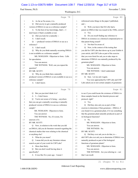#### Case 1:13-cv-03675-WBH Document 108-7 Filed 12/30/16 Page 317 of 519

Paul Simone, Ph.D. November 7, 2016

Washington, D.C.

|    | Page 78                                               | Page 80                                                             |
|----|-------------------------------------------------------|---------------------------------------------------------------------|
| 1  | As far as I'm aware, it is.<br>A                      | referenced some things in the paper I published,<br>$\mathbf{1}$    |
| 2  | Did you try to get a naturally produced<br>0          | and --<br>2                                                         |
| 3  | version of DMAA to use as a reference sample?         | 3<br>Well, you know that Eli Lilly had a<br>O.                      |
| 4  | A To the best of my knowledge, that's -- I            | patent on DMAA that was issued in the 1940s, correct?<br>4          |
| 5  | don't know if that's available or not.                | 5<br>A Yes.                                                         |
| 6  | Did you look for a naturally --<br>Q                  | Q Do you recall finding any reference to<br>6                       |
| 7  | I don't recall.<br>A                                  | DMAA in existence as a chemical compound prior to<br>7              |
| 8  | -- produced version of DMAA to use as a<br>Q          | that patent being issued?<br>8                                      |
| 9  | reference?                                            | A Not that I'm aware of.<br>9                                       |
| 10 | A I don't recall.                                     | Q Now, in the context of the testing that<br>10                     |
| 11 | Why do you think naturally occurring DMAA<br>Q        | you did for USP Labs that shows up in your Exhibit 4,<br>11         |
| 12 | is not available as a reference sample?               | your article, did USP Labs as part of the exercise<br>12            |
| 13 | MS. WOOLSON: Objection to form. Calls                 | that you were hired for ask you to take steps to<br>13              |
| 14 | for speculation.                                      | determine if DMAA was naturally produced by the<br>14               |
| 15 | You can answer.                                       | geranium plant?<br>15                                               |
| 16 | THE WITNESS: Well, can you repeat the                 | MS. WOOLSON: Objection to form.<br>16                               |
| 17 | question?                                             | 17<br>You can answer.                                               |
| 18 | BY MR. SCOTT:                                         | THE WITNESS: I don't understand.<br>18                              |
| 19 | Q Why do you think that a naturally                   | BY MR. SCOTT:<br>19                                                 |
| 20 | produced version of DMAA is not available to use as a | Q Sure. Let me ask it again.<br>20                                  |
| 21 | reference sample?                                     | You were approached by USP Labs and USP<br>21                       |
| 22 | A I don't know.                                       | Labs asked you to test certain samples of geraniums<br>22           |
|    |                                                       |                                                                     |
|    |                                                       |                                                                     |
|    | Page 79                                               | Page 81                                                             |
| 1  | But you just don't think it is?<br>Q                  | to see if you could locate the existence of DMAA in<br>$\mathbf{1}$ |
| 2  | I -- I don't know.<br>A                               | those samples based on the Intertek process and<br>2                |
| 3  | Q You're not aware of it being -- anywhere            | 3<br>protocol, right?                                               |
| 4  | that you can get a naturally occurring or naturally   | A Yes.<br>4                                                         |
| 5  | produced version of DMAA to use as a reference        | Q Did they also ask you as part of that<br>5                        |
| 6  | sample?                                               | exercise to determine if that geranium -- DMAA, if<br>6             |
| 7  | MS. WOOLSON: Objection to form.                       | you found it in a geranium plant, if it was something<br>7          |
| 8  | You can answer.                                       | 8<br>that the geranium plant naturally produced as part of          |
| 9  | THE WITNESS: No, if it exists, I'm                    | 9<br>its biological functions?                                      |
| 10 | unaware of it.                                        | A No.<br>10                                                         |
| 11 | BY MR. SCOTT:                                         | 11<br>MS. WOOLSON: Objection to form.                               |
| 12 | Q Now, in relation to the work that you did           | 12<br>You can answer.                                               |
| 13 | on DMAA, did you do literature research regarding the | THE WITNESS: No.<br>13                                              |
| 14 | chemical studies that were relating to the chemical   | BY MR. SCOTT:<br>14                                                 |
| 15 | or anything else?                                     | Q Did they ever ask you to do that, to --<br>15                     |
| 16 | A What do you mean?                                   | did USP Labs ever ask you to determine if DMAA was<br>16            |
| 17 | I mean did you do any literature release<br>Q         | naturally produced as part of the biological<br>17                  |
| 18 | search as part of your work for USP Labs?             | functions of geranium plants?<br>18                                 |
| 19 | A More than likely.                                   | 19<br>MS. WOOLSON: Objection to form.                               |
| 20 | But you don't recall having done it<br>Q              | 20<br>You can answer.                                               |
| 21 | specifically?                                         | 21<br>THE WITNESS: Are you referring to -- not                      |
| 22 | A It was like five years ago. I mean I                | that I can recall.<br>22                                            |

21 (Pages 78 to 81)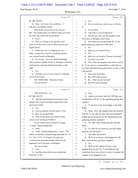#### Case 1:13-cv-03675-WBH Document 108-7 Filed 12/30/16 Page 318 of 519

Washington, D.C.

Paul Simone, Ph.D. November 7, 2016

|          | Page 82                                                           |              | Page 84                                                                               |
|----------|-------------------------------------------------------------------|--------------|---------------------------------------------------------------------------------------|
| 1        | BY MR. SCOTT:                                                     | $\mathbf 1$  | Yes.<br>A                                                                             |
| 2        | Q Okay. Let's turn if we could here -- I                          | $\mathbf{2}$ | Do you recall now who he was or who he<br>O                                           |
| 3        | will show you another exhibit.                                    | 3            | is?                                                                                   |
| 4        | Well, before we do that, let me ask you                           | 4            | To an extent.<br>A                                                                    |
| 5        | this: The samples that you worked on that you tested              | 5            | And what is your recollection?<br>Q                                                   |
| 6        | for USP Labs, where did you get them?                             | 6            | A He's the guy who sent the samples to the                                            |
| 7        | A From --                                                         | 7            | University of Memphis from China.                                                     |
| 8        | Well, we will get to the specifics, but I<br>Q.                   | 8            | Q Now, had you ever dealt with Dr. Yi Jin                                             |
| 9        | mean, were they sent to you or did you go out and                 | 9            | before doing this project for USP Labs?                                               |
| 10       | acquire them?                                                     | 10           | No.<br>A                                                                              |
| 11       | A Some were sent via shipping services. I                         | 11           | Had you ever heard of him?<br>Q                                                       |
| 12       | think a couple that we got for essentially practice               | 12           | No.<br>A                                                                              |
| 13       | were sourced locally in Memphis.                                  | 13           | Had you ever heard of Yunnan University?<br>Q                                         |
| 14       | Q So you got -- you went ahead and bought                         | 14           | Not that I can recall.<br>A                                                           |
| 15       | some geranium samples locally in Memphis so that you              | 15           | Now, when the samples were sent to you by<br>О                                        |
| 16       | could practice using the Intertek procedure; is that              | 16           | Dr. Yi Jin, had you contacted him to order those or                                   |
| 17       | right?                                                            | 17           | were they facilitated being delivered to you by a USP                                 |
| 18       | Yes.<br>A                                                         | 18           | Labs person?                                                                          |
| 19       | And then you were sent some by a shipping<br>Q                    | 19           | They were facilitated.<br>A                                                           |
| 20       | service from China?                                               | 20           | By a USP Labs person?<br>Q                                                            |
| 21       | MS. WOOLSON: Objection to form.                                   | 21           | By -- what was the last part?<br>A                                                    |
| 22       | You can answer.                                                   | 22           | By UPS Labs personnel.<br>Q                                                           |
|          |                                                                   |              |                                                                                       |
|          | Page 83                                                           |              | Page 85                                                                               |
| 1        | THE WITNESS: Yes.                                                 | 1            | Yes.<br>A                                                                             |
| 2        | BY MR. SCOTT:                                                     | 2            | And do you know who for USP Labs was<br>O                                             |
| 3        | Q And then did Intertek also send you some                        | 3            | coordinating with Dr. Yi Jin regarding getting these                                  |
| 4        | samples that it had of geranium plants that it had                | 4            | samples?                                                                              |
| 5        | previously tested?                                                | 5            | A To the best of my knowledge, it was Erik                                            |
| 6        | A Yes.                                                            | 6            | White.                                                                                |
| 7        | Are you familiar with the name Yi Jin?<br>Q                       | 7            | Okay. Now, the samples that you received<br>O                                         |
| 8        | How do you spell that?<br>A                                       | 8            | from Dr. Yi Jin, did you have any involvement in                                      |
| 9        | Well, let me focus you a little bit here<br>Q                     | $\mathsf 9$  | setting up any protocols for the identification and                                   |
| 10       | since you are looking at Exhibit 4.                               | 10           | gathering of those samples?                                                           |
| 11       | If you would, look in Exhibit 4 on page                           | 11           | A No. But I don't think anybody else did                                              |
| 12       | 71 under "Acknowledgments."                                       | 12           | either.                                                                               |
| 13       | A Okay.                                                           | 13           | Q<br>So what do you mean by you don't think                                           |
| 14       | Under "Acknowledgements," it says: "The<br>Q                      | 14           | anybody else did either?                                                              |
| 15       | authors would like to acknowledge and thank Dr. Yi,"              | 15           | The other researchers.<br>A                                                           |
| 16       | Y-I, "Jin," J-I-N, "of Yunnan University for                      | 16           | Well, do you know what happened with<br>Q                                             |
| 17       | overseeing the geranium sample collection and                     | 17           | those and how they got those samples?                                                 |
| 18       | shipment to the University of Memphis."                           | 18           | No.<br>A                                                                              |
| 19       | Do you see that?                                                  | 19           | Well, in the context of yours, your<br>Q                                              |
| $20$     | A I do.                                                           | 20           | samples that you got, Dr. Yi Jin didn't get any                                       |
| 21<br>22 | And does that refresh your recollection<br>Q<br>about Dr. Yi Jin? | 21<br>22     | instruction from you on how to select or prepare the<br>samples to be shipped to you? |

22 (Pages 82 to 85)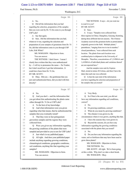#### Case 1:13-cv-03675-WBH Document 108-7 Filed 12/30/16 Page 319 of 519

Paul Simone, Ph.D. November 7, 2016

#### Washington, D.C.

|                | Page 86                                                                                       | Page 88                                                                             |
|----------------|-----------------------------------------------------------------------------------------------|-------------------------------------------------------------------------------------|
| 1              | No.<br>A                                                                                      | THE WITNESS: It says -- do you want me<br>1                                         |
| $\overline{c}$ | Q Did all the information that you had                                                        | $\overline{c}$<br>to read it to you?                                                |
| 3              | regarding the selection, preparation of the samples                                           | BY MR. SCOTT:<br>3                                                                  |
| 4              | that you were sent by Dr. Yi Jin come to you through                                          | O Sure.<br>4                                                                        |
| 5              | <b>USP Labs?</b>                                                                              | 5<br>A It says: "Samples were collected from                                        |
| 6              | A Say that again.                                                                             | three regions in China, Changzhou, Guiyang, Kunming,<br>6                           |
| 7              | Sure. Did the information that you had,<br>О                                                  | 7<br>during three different harvest seasons. The Chinese                            |
| 8              | whatever it was, regarding the selection and                                                  | Academy received the geranium herbs as potted plants<br>8                           |
| 9              | preparation of your samples of geraniums from Dr. Yi                                          | 9<br>originally grown in the field. Multiple plants,"                               |
| 10             | Jin, did that information come to you through USP                                             | parentheses, "ranging from two to ten in number,"<br>10                             |
| 11             | Labs, Erik White?                                                                             | closed parentheses, "were collected from each<br>11                                 |
| 12             | MS. WOOLSON: Objection to form.                                                               | 12<br>location. The plants from each location were                                  |
| 13             | You can answer.                                                                               | 13<br>combined prior to shipment to the University of                               |
| 14             | THE WITNESS: I don't know. I mean I                                                           | 14<br>Memphis. Therefore, concentrations of 1,3-DMAA and                            |
| 15             | clearly have written that they were authenticated                                             | 15<br>1,4-DMAA of individual plants and variations thereof                          |
| 16             | by -- I will try to pronounce the name -- Xu Youkai,                                          | 16<br>are not reported here."                                                       |
| 17             | but I don't recall how I got that information. It                                             | And the samples were sent by Express<br>17                                          |
| 18             | could have been from Dr. Yi Jin.                                                              | Mail, stored at minus 20 Celsius, and then I have the<br>18                         |
| 19             | BY MR. SCOTT:                                                                                 | dates that each one was collected.<br>19                                            |
| 20             | Q Okay. Did you -- the gentleman that you                                                     | 20<br>Q Is that the sum total of the information                                    |
| 21             | just said authenticated these, did you deal with him                                          | you have regarding the selection and preparation of<br>21                           |
| 22             | directly?                                                                                     | 22<br>the samples that you tested?                                                  |
|                |                                                                                               |                                                                                     |
|                | Page 87                                                                                       | Page 89                                                                             |
| 1              | A No.                                                                                         | 1<br>A                                                                              |
| 2              | $\overline{Q}$                                                                                | Very likely.<br>So if that is the sum total, you did not<br>$\mathbf{2}$<br>Q       |
| 3              | And you don't -- and the information that<br>you got about him authenticating the plants came | 3                                                                                   |
| 4              | either through Dr. Yi Jin or USP Labs?                                                        | have any information regarding soil conditions,<br>correct?<br>4                    |
| 5              | A To the best of my knowledge.                                                                | 5<br>A No.                                                                          |
| 6              | And what information were you given<br>O                                                      | Or growing conditions, correct?<br>6<br>Q                                           |
| 7              | regarding what that means, that he authenticated the                                          | What do you mean by growing conditions?<br>7<br>A                                   |
| 8              | samples that you eventually tested?                                                           | The climate it was grown in, the<br>8<br>Q                                          |
| 9              | That they were in fact pelargonium<br>A                                                       | 9<br>circumstances where it was grown, anything like that.                          |
| $10$           | graveolens samples and the regions they were                                                  | A I have the seasons they were grown in.<br>10                                      |
| 11             | collected from.                                                                               | Beyond the seasons, do you have any<br>11<br>Q                                      |
| 12             | Q Were you given any information regarding                                                    | information regarding the growing conditions<br>12                                  |
| 13             | the growing conditions of the plants that were                                                | associated with the plants that you tested?<br>13                                   |
| 14             | sampled and provided to you to test for USP Labs?                                             | A No.<br>14                                                                         |
| 15             | A Just what's in my published paper.                                                          | 15<br>Do you have any information regarding the<br>$\overline{Q}$                   |
| 16             | All right. And does your published paper<br>$\overline{Q}$                                    | 16<br>water, soil or fertilizers that may have been used to                         |
| $17$           | include anything regarding growing conditions,                                                | 17<br>grow these plants?                                                            |
| 18             | climatological conditions, geographic conditions,                                             | 18<br>MS. WOOLSON: Objection to form.                                               |
| 19             | soil conditions, anything like that regarding your                                            | THE WITNESS: No.<br>19                                                              |
| 20             | samples?                                                                                      | 20<br>MR. SCOTT: All right. We've been going                                        |
| 21<br>22       | MS. WOOLSON: Objection to form.<br>You can answer.                                            | at this a while. Why don't we take a short break.<br>21<br>MS. WOOLSON: Okay.<br>22 |

23 (Pages 86 to 89)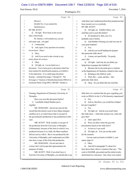#### Case 1:13-cv-03675-WBH Document 108-7 Filed 12/30/16 Page 320 of 519

Paul Simone, Ph.D. November 7, 2016

Washington, D.C.

|              | Page 90                                                                                        |          | Page 92                                                                                            |
|--------------|------------------------------------------------------------------------------------------------|----------|----------------------------------------------------------------------------------------------------|
| $\mathbf{1}$ | (Recess.)                                                                                      | 1        | with them, but I understood that their production had                                              |
| 2            | (Exhibit No. 6 was marked for                                                                  | 2        | been turned over to everybody.                                                                     |
| 3            | identification.)                                                                               | 3        | BY MR. SCOTT:                                                                                      |
| 4            | BY MR. SCOTT:                                                                                  | 4        | Q All right, sir. Exhibit 6 there, you                                                             |
| 5            | Q All right. We're back on the record                                                          | 5        | said that you've seen this before?                                                                 |
| 6            | after a short break.                                                                           | 6        | A If I produced it, then, yes, I've                                                                |
| 7            | Dr. Simone, I will remind you, you are                                                         | 7        | probably seen it before.                                                                           |
| 8            | still under oath. All right?                                                                   | 8        | Q And Heather Fleming you said was one of                                                          |
| 9            | A I understand.                                                                                | 9        | your grad students?                                                                                |
| 10           | And, again, if my questions are unclear,<br>Q                                                  | 10       | A Yes.                                                                                             |
| 11           | let me know. Okay?                                                                             | 11       | And do you recall helping her prepare<br>O                                                         |
| 12           | A Okay.                                                                                        | 12       | this particular slide show?                                                                        |
| 13           | And if you need to take a break at any<br>О                                                    | 13       | A I mean, not specifically. I'm pretty                                                             |
| 14           | point, please let us know.                                                                     | 14       | sure I did.                                                                                        |
| 15           | A Okay.                                                                                        | 15       | Q All right. And why do you think you                                                              |
| 16           | All right, sir. Let me hand you a<br>Q                                                         | 16       | helped her to prepare the Exhibit 6?                                                               |
| 17           | document. You've been given a document which has                                               | 17       | A Because she at one point gave a seminar                                                          |
| 18           | been marked for identification purposes as Exhibit 6                                           | 18       | in the Department of Chemistry related to this work.                                               |
| 19           | to the deposition. It is a multi-page document                                                 | 19       | Relating to the DMAA work.<br>Q                                                                    |
| 20           | bearing -- running from pages 1 through 45. The                                                | 20       | A Well, this -- yeah, and this -- this                                                             |
| 21           | first page is "Analysis of dimethylamylamine DMAA in                                           | 21       | particular slide show.                                                                             |
| 22           | Geranium Plants Using HPLC-MS/MS," Heather L.                                                  | 22       | Okay. So you think that she used this<br>O.                                                        |
|              |                                                                                                |          |                                                                                                    |
|              | Page 91                                                                                        |          | Page 93                                                                                            |
| 1            | Fleming, Department of Chemistry University of                                                 | 1        | slide show in a seminar that she gave regarding your                                               |
| 2            | Memphis.                                                                                       | 2        | work on DMAA in the U of M chemistry department?                                                   |
| 3            | Have you seen this document before?                                                            | 3        | A Yes.                                                                                             |
| 4            | A I probably helped Heather put it                                                             | 4        | And so, therefore, you would have helped<br>O                                                      |
| 5            | together.                                                                                      | 5        | her put it together?                                                                               |
| 6            | MS. WOOLSON: Just let me note for the                                                          | 6        | A Yes.                                                                                             |
| 7            | record that this doesn't seem to have Bates-stamped                                            | 7        | All right, sir. And do you recall when<br>0                                                        |
| 8            | numbers on it, so I don't know that it was part of                                             | 8        | that slide show -- when that seminar was, when she                                                 |
| 9            | the government's production or any production in this                                          | 9        | gave that?                                                                                         |
| 10           | case.                                                                                          | 10       | After April 2013.<br>A                                                                             |
| 11           | MR. SCOTT: Well, actually it was part of                                                       | 11       | Were you there when she gave the<br>0                                                              |
| 12           | the production from the University of Memphis.                                                 | 12       | presentation based on the slide show?                                                              |
| 13           | Unfortunately, because of the form in which it was                                             | 13       | A As best as I can recall.                                                                         |
| $1\,4$       | produced, because it is a slide, the Bates numbers                                             | 14       | All right, sir. You can set that aside<br>$\overline{Q}$                                           |
| $15\,$       | did not convey with it. But it was produced by the                                             | 15       | for the moment.                                                                                    |
| 16           | University of Memphis, and I understand you folks                                              | 16       | Let me send you back to Exhibit 3, your                                                            |
| 17           | also have a copy of this from that production.                                                 | 17       | report, page 41.                                                                                   |
| $1\,8$       | MS. WOOLSON: I'm not sure that is                                                              | 18       | A Okay.                                                                                            |
| 19           | correct, but I will accept that representation for                                             | 19       | And still in paragraph 73, about five<br>Q                                                         |
| $20$         | purposes of today.                                                                             | 20       | lines down there, there's a sentence that says: "The                                               |
| 21<br>22     | MR. SCOTT: Well, if you don't have it<br>from the University of Memphis, you should take it up | 21<br>22 | work at MAMML proceeded and the initial results<br>determined two outcomes: One, there were matrix |

24 (Pages 90 to 93)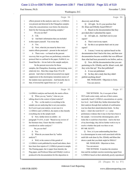#### Case 1:13-cv-03675-WBH Document 108-7 Filed 12/30/16 Page 321 of 519

Paul Simone, Ph.D. November 7, 2016

Washington, D.C.

|                | Page 94                                                                                                      |                | Page 96                                                                                                       |
|----------------|--------------------------------------------------------------------------------------------------------------|----------------|---------------------------------------------------------------------------------------------------------------|
| $1\,$          | effects present in the analysis; and, two, 1,3-DMAA                                                          | $1\,$          | discovery and all that.                                                                                       |
| 2              | was present and detected in the Changzhou samples                                                            | 2              | Q All right. So it's your position that                                                                       |
| 3              | where the concentrations were below the detection                                                            | 3              | Dr. Khan and ElSohly found DMAA?                                                                              |
| 4              | limit for the Guiyang and Kunming samples."                                                                  | 4              | A Based on the documentation that they                                                                        |
| 5              | Do you see that?                                                                                             | 5              | provided after I submitted the report.                                                                        |
| 6              | $A$ I do.                                                                                                    | 6              | All right, sir. And that's not in your<br>$\overline{O}$                                                      |
| 7              | And that's information that you included<br>0                                                                | 7              | report?                                                                                                       |
| 8              | in this report yourself. You wrote that.                                                                     | 8              | That is not in my report.<br>A                                                                                |
| 9              | A Yes.                                                                                                       | 9              | So this is an opinion that's not in your<br>$\mathbf Q$                                                       |
| 10             | Now, what do you mean by there were<br>О                                                                     | 10             | report?                                                                                                       |
| 11             | matrix effects presented -- present in the analysis?                                                         | 11             | A I mean, I wrote my opinion based on the                                                                     |
| 12             | A There were -- so based on the percent                                                                      | 12             | documentation that I had at the time, and then new                                                            |
| 13             | recovery that we got from our preliminary extraction                                                         | 13             | documentation became available that was different                                                             |
| 14             | protocol that we outlined in the paper, Exhibit 4, we                                                        | 14             | than what had been presented to me before, and so                                                             |
| 15             | found that the -- let me look at the sample analysis.                                                        | 15             | Q Now, did the documentation that you saw                                                                     |
| 16             | So the percent recoveries for those                                                                          | 16             | pertaining to Dr. ElSohly and Dr. Khan's work, did                                                            |
| 17             | samples, the Changzhou, Kunming, and Guiyang, were                                                           | 17             | they write that up? Was that published?                                                                       |
| 18             | relatively low. Here they range from 19 to 44                                                                | 18             | A It was not published.                                                                                       |
| 19             | percent. And what we believed occurred was signal                                                            | 19             | So they did a study that they didn't<br>Q                                                                     |
| 20             | suppression in the electrospray ionization source of                                                         | 20             | publish anything about?                                                                                       |
| 21             | the tandem mass spectrometer. And basically due to                                                           | 21             | MS. WOOLSON: Objection to form.                                                                               |
| 22             | that, it lowered the signal from our 1,3- and                                                                | 22             | You can answer.                                                                                               |
|                |                                                                                                              |                |                                                                                                               |
|                | Page 95                                                                                                      |                | Page 97                                                                                                       |
| $\mathbf{1}$   | 1,4-DMAA analytes and basically the matrix effects.                                                          | 1              | THE WITNESS: No, it was part of their                                                                         |
| $\mathbf{2}$   | Q When you say "matrix," what are you                                                                        | $\overline{c}$ | 2015 multi-center study, and one of their centers                                                             |
| 3              | talking about in the context of plant material?                                                              | 3              | reportedly found 1,3-DMAA concentrations at a pretty                                                          |
| $\overline{4}$ | A The -- so the matrix is everything in the                                                                  | 4              | low level. And I think they further determined that                                                           |
| 5              | sample you are analyzing that is not your analyte.                                                           | 5              | their analysis through their methods of confirmation                                                          |
| 6              | So if you've got your analyte, in our case it is                                                             | 6              | was less than their stated detection limits. So they                                                          |
| $\overline{7}$ | 1,3-DMAA and 1,4-DMAA, the matrix is like literally                                                          | 7              | had a -- what's the word for it? -- a -- some                                                                 |
| 8              | everything else in the sample itself.                                                                        | 8              | preliminary evidence that it may in fact have been in                                                         |
| 9              | Now, further down in exhibit -- in<br>Q                                                                      | 9              | the sample. I reviewed the chromatograms, and it                                                              |
| 10             | paragraph 73 of 41, it said: "Based on my review of                                                          | 10             | looks like it could have been there. And to the best                                                          |
| 11             | the literature time, I knew that this would be                                                               | 11             | of my knowledge, they did no further work to try to                                                           |
| 12             | considered an outlier analysis."                                                                             | 12             | resolve whether that peak was there or not.                                                                   |
| 13             | Do you see that?                                                                                             | 13             | BY MR. SCOTT:                                                                                                 |
| 14             | A Yes.                                                                                                       | 14             | Q Now, is it your understanding that there                                                                    |
| 15             | What do you mean there by "outlier<br>$\overline{O}$                                                         | 15             | is a chromatogram in some work associated with the                                                            |
| 16             | analysis"?                                                                                                   | 16             | multi-lab work done by Drs. ElSohly and Khan that                                                             |
| 17             | A Well, in the context of this gestalt of                                                                    | 17             | shows a peak that you think might be DMAA?                                                                    |
| 18             | 1,3-DMAA work published by myself and others, there                                                          | 18             | MS. WOOLSON: Objection to form.                                                                               |
| 19             | have been four reports of 1,3-DMAA present in sample.                                                        | 19             | You can answer.                                                                                               |
| 20             | The Fleming paper, the Li paper from Intertek, the                                                           | 20             | THE WITNESS: It matches the retention                                                                         |
| 21<br>22       | Ping paper, and Professor Khan and ElSohly's work as<br>produced in the documentation for this deposition in | 21<br>22       | time and the multiple reaction monitoring signal from<br>1,3-DMAA based on their admittedly poorly reproduced |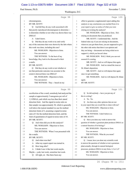#### Case 1:13-cv-03675-WBH Document 108-7 Filed 12/30/16 Page 322 of 519

Washington, D.C.

Paul Simone, Ph.D. November 7, 2016

|    | Page 98                                               |             | Page 100                                              |
|----|-------------------------------------------------------|-------------|-------------------------------------------------------|
| 1  | chromatograms.                                        | 1           | effort to generate a supplemental report adding this  |
| 2  | BY MR. SCOTT:                                         | 2           | analysis or any conclusions you reached from it to    |
| 3  | Q And did they do any work associated with            | 3           | your report or give us notice of what you were        |
| 4  | that poorly reproduced chromatogram to determine --   | 4           | relying on in doing the analysis?                     |
| 5  | to determine whether or not what was shown there was  | 5           | MS. WOOLSON: Objection to form. He's                  |
| 6  | DMAA?                                                 | 6           | relying on documents that you produced.               |
| 7  | A I don't know.                                       | 7           | MR. SCOTT: I understand that. And the                 |
| 8  | Did they do any work to try and verify<br>O           | 8           | federal rules say if you are relying on documents,    |
| 9  | any of the outcomes that were shown by the labs where | 9           | wherever you got them from, you are supposed to give  |
| 10 | this work was done, including this one?               | 10          | the other side notice that there is an opinion and    |
| 11 | MS. WOOLSON: Objection to form.                       | 11          | they are being -- documents are being relied on to    |
| 12 | You can answer.                                       | 12          | support it, which you haven't done.                   |
| 13 | THE WITNESS: To the best of my                        | 13          | MS. WOOLSON: Well, I think you can rest               |
| 14 | knowledge, they look to be discussed in their         | 14          | assured it's coming.                                  |
| 15 | e-mails.                                              | 15          | MR. SCOTT: And we will depose him again.              |
| 16 | BY MR. SCOTT:                                         | 16          | MS. WOOLSON: And we raised the issue at               |
| 17 | Q Did they do any work to test whether or             | 17          | Dr. Khan's deposition.                                |
| 18 | not that particular outcome was accurate to the       | 18          | MR. SCOTT: And we will depose him again               |
| 19 | extent it showed there was DMAA?                      | 19          | once we get something.                                |
| 20 | MS. WOOLSON: Objection to form.                       | 20          | MS. WOOLSON: And we will depose Dr. Khan              |
| 21 | You can answer.                                       | 21          | again.                                                |
| 22 | THE WITNESS: They -- based on my                      | 22          | BY MR. SCOTT:                                         |
|    |                                                       |             |                                                       |
|    | Page 99                                               |             | Page 101                                              |
|    |                                                       |             |                                                       |
| 1  | recollection of the e-mail, somebody had analyzed the | $\mathbf 1$ | So did anybody -- have you put any of<br>$\circ$      |
| 2  | sample at approximately 2 nanograms per mil of        | 2           | this in writing?                                      |
| 3  | 1,3-DMAA, and which was less than their stated        | 3           | A No. No.                                             |
| 4  | detection limit. And the signal-to-noise ratio on     | 4           | Are there any other opinions that are not<br>Q        |
| 5  | that sample was approximately 38, which is generally  | 5           | in your report that you would like to share with me?  |
| 6  | well above the typical standard we use for method     | 6           | MS. WOOLSON: Objection to form.                       |
| 7  | detection limits of 3, assuming a signal-to-noise     | 7           | You can answer.                                       |
| 8  | ratio of 3 for the method detection limit, and the    | 8           | THE WITNESS: I don't believe so.                      |
| 9  | limit of quantitation of signal-to-noise ratio of 10. | 9           | BY MR. SCOTT:                                         |
| 10 | BY MR. SCOTT:                                         | 10          | Q Have you done any work to answer the                |
| 11 | Q And when did you do this analysis?                  | 11          | question of whether a geranium plant produces DMAA as |
| 12 | MS. WOOLSON: Objection to form.                       | 12          | a natural function of its biology?                    |
| 13 | You can answer.                                       | 13          | MS. WOOLSON: Objection to form.                       |
| 14 | THE WITNESS: When I was presented with                | 14          | You can answer.                                       |
| 15 | the e-mails.                                          | 15          | THE WITNESS: What do you mean?                        |
| 16 | BY MR. SCOTT:                                         | 16          | BY MR. SCOTT:                                         |
| 17 | And when was that?<br>O.                              | 17          | Q I mean, have you done any scientific work           |
| 18 | After my expert report was turned in.<br>A            | 18          | to answer the question of whether or not a geranium   |
| 19 | How long after?<br>Q                                  | 19          | plant actually, through its natural biological        |
| 20 | I think I saw it like last week maybe.<br>A           | 20          | processes, produces DMAA in any form, 1,3 or 1,4?     |
| 21 | Maybe -- yeah, last week, sometime last week.         | 21          | MS. WOOLSON: Objection to form.                       |
| 22 | All right, sir. Has there been any<br>Q               | 22          | You can answer.                                       |

26 (Pages 98 to 101)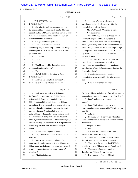#### Case 1:13-cv-03675-WBH Document 108-7 Filed 12/30/16 Page 323 of 519

Washington, D.C.

Paul Simone, Ph.D. November 7, 2016

|                | Page 102                                              | Page 104                                                                               |  |
|----------------|-------------------------------------------------------|----------------------------------------------------------------------------------------|--|
| 1              | THE WITNESS: No.                                      | $\mathbf{1}$<br>Any type of error, in what you've<br>Q                                 |  |
| $\overline{c}$ | BY MR. SCOTT:                                         | $\overline{c}$<br>identified, whether it's what you say it is, the                     |  |
| 3              | Q Now, the DMAA that you report in your --            | 3<br>concentration levels, anything.                                                   |  |
| 4              | the document that you published, Exhibit 4 to your    | MS. WOOLSON: Objection to form.<br>4                                                   |  |
| 5              | deposition, that DMAA was identified for you at what  | 5<br>You can answer.                                                                   |  |
| 6              | level of concentration? What was the measure of       | 6<br>THE WITNESS: There is always error in                                             |  |
| 7              | concentration that you found?                         | 7<br>any analytical protocol that you undertake. The                                   |  |
| 8              | A Can you restate the question?                       | errors at 1 to 10 parts per billion are traditionally<br>8                             |  |
| 9              | Sure. Let me ask it a little more<br>Q                | much higher simply because the concentrations are<br>9                                 |  |
| 10             | specifically, maybe it will help. The DMAA that you   | lower. And you could see errors on a range as high<br>10                               |  |
| 11             | report in your article, Exhibit 4, was found at parts | as 100 percent from one lab to another. And I would<br>11                              |  |
| 12             | per billion levels?                                   | 12<br>say that is not uncommon in this line of work.                                   |  |
| 13             | A In the plant?                                       | BY MR. SCOTT:<br>13                                                                    |  |
| 14             | Yeah.<br>O                                            | 14<br>Q Okay. And when you say you can see                                             |  |
| 15             | A Yes.                                                | errors from one lab to another as much as<br>15                                        |  |
| 16             | Would you consider that to be a trace<br>O            | 100 percent, are you talking about errors in the<br>16                                 |  |
| 17             | concentration of the chemical?                        | identification of chemicals or the quantification for<br>17                            |  |
| 18             | A Yes.                                                | chemicals or both?<br>18                                                               |  |
| 19             | MS. WOOLSON: Objection to form.                       | A We're talking about the reported<br>19                                               |  |
| 20             | BY MR. SCOTT:                                         | 20<br>concentration as determined by the lab. Multiple                                 |  |
| 21             | Q And you are using the term "trace," so              | 21<br>labs.                                                                            |  |
| 22             | the record is clear here, what do you mean?           | 22<br>Now, in relation to your article,<br>0                                           |  |
|                |                                                       |                                                                                        |  |
|                | Page 103                                              | Page 105                                                                               |  |
|                |                                                       |                                                                                        |  |
| 1              | A Well, there is a variety of definitions             | Exhibit 4, did you include any information regarding<br>$\mathbf{1}$                   |  |
| 2              | for "trace." If I recall correctly, I think "trace"   | potential error rates in the work that you had done?<br>2                              |  |
| 3              | refers to kind of the textbook definition as 1 to     | 3<br>A I don't understand your question as                                             |  |
| 4              | 100 -- 1 part per billion to, I think, 10 to 100 part | phrased.<br>4                                                                          |  |
| 5              | per million. But as somebody who does work at the     | Q Sure. Well let's do it this way: If<br>5                                             |  |
| 6              | part per billion level routinely, working at a single | 6<br>you would, turn in the document to Table 2. It's on                               |  |
| 7              | part per billion or 10 part per billion is very       | 7<br>page 65.                                                                          |  |
| 8              | different than working at 10 part per million, which  | 8<br>A All right.                                                                      |  |
| 9              | is -- you know, 10 part per million is a thousand     | 9<br>Q Now, you have there Table 2 which has                                           |  |
| 10             | times higher in concentration. And so the way you go  | some headings across the top with numbers flowing<br>10                                |  |
| 11             | about measuring concentrations at 10 part per million | below there.<br>11                                                                     |  |
| 12             | can be very different than those at 10 part per       | 12<br>Do you see that?                                                                 |  |
| 13             | billion.                                              | 13<br>A I do.                                                                          |  |
| 14             | Different in what general sense?<br>Q                 | 14<br>Analysis Set 1, Analysis Set 2 and<br>0                                          |  |
| 15             | They have to be more sensitive and more<br>A          | Analysis Set 3, what were they?<br>15                                                  |  |
| 16             | selective.                                            | A Those were the sets of analysis we did<br>16                                         |  |
| 17             | Is there also, because they have to be<br>Q           | 17<br>for each batch of samples that we reported.                                      |  |
| $1\,8$         | more sensitive and selective looking at 10 parts per  | 18<br>These were the samples that USP Labs<br>Q                                        |  |
| 19             | billion, more possibility of there being some type of | 19<br>supplied you from China or you got from Intertek?                                |  |
| $20$           | error in the quantification and identification of     | 20<br>A These are the labs that I received                                             |  |
| 21<br>22       | chemicals?<br>A What kind of error?                   | directly from China and from Intertek.<br>21<br>22<br>Did you pay anybody in China for |  |

27 (Pages 102 to 105)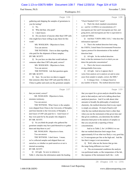#### Case 1:13-cv-03675-WBH Document 108-7 Filed 12/30/16 Page 324 of 519

Paul Simone, Ph.D. November 7, 2016

Washington, D.C.

|              | Page 106                                             |                | Page 108                                              |
|--------------|------------------------------------------------------|----------------|-------------------------------------------------------|
| $\mathbf{1}$ | gathering and shipping the samples of geraniums to   | $\mathbf{1}$   | "Check Standard UG/L" mean?                           |
| 2            | you for testing?                                     | 2              | A That's the check standard concentration             |
| 3            | A No.                                                | 3              | as -- and for 1,4-DMAA at concentrations of 3         |
| 4            | Who did that, who paid?<br>O                         | 4              | micrograms per liter and 8 micrograms per liter, and  |
| 5            | I don't know.<br>A                                   | 5              | going down, and micrograms per liter is equivalent to |
| 6            | Do you know of anyone other than USP Labs<br>0       | 6              | a part per billion.                                   |
| 7            | who might have been willing to pay them for this     | 7              | Q And then "USEPA MDL UG/L," what does that           |
| 8            | work?                                                | 8              | information represent?                                |
| 9            | MS. WOOLSON: Objection to form.                      | 9              | A That is the method detection limit using            |
| 10           | You can answer.                                      | 10             | the USEPA, United States Environmental Protection     |
| 11           | THE WITNESS: I have no data regarding                | 11             | Agency protocol for determination of the method       |
| 12           | who paid for the shipment of those samples.          | 12             | detection limit.                                      |
| 13           | BY MR. SCOTT:                                        | 13             | Q All right. So the method detection                  |
| 14           | Q So you have no data that would indicate            | 14             | limit, is that the minimum level at which you can     |
| 15           | someone other than USP Labs paid, correct?           | 15             | detect the particular concentration?                  |
| 16           | MS. WOOLSON: Objection to form.                      | 16             | A That is the lowest concentration                    |
| 17           | You can answer.                                      | 17             | distinguishable from noise.                           |
| 18           | THE WITNESS: Ask that question again.                | 18             | Q All right. And so it appears that it                |
| 19           | BY MR. SCOTT:                                        | 19             | varies from analysis set to analysis set and in some  |
| 20           | Sure. So you have no data to suggest<br>Q            | 20             | cases from sample to sample, correct, the MDL?        |
| 21           | that someone other than USP Labs paid the folks in   | 21             | A It changes from -- it changes based on              |
| 22           | China to gather and send you the geranium samples    | 22             | any number of factors. The method detection limit     |
|              |                                                      |                |                                                       |
|              |                                                      |                |                                                       |
|              | Page 107                                             |                | Page 109                                              |
| 1            | that you tested, correct?                            | 1              | that you report for a given analysis should be done   |
| 2            | MS. WOOLSON: Objection to form,                      | $\mathbf{2}$   | prior to that analysis, and we're talking about best  |
| 3            | misstates testimony.                                 | 3              | analytical practices. And if we talk about what       |
| 4            | You can answer.                                      | 4              | amounts to broadly the philosophy of analytical       |
| 5            | THE WITNESS: What I know is the samples              | 5              | chemistry, the method detection limit in any report   |
| 6            | were shipped from China to the University of Memphis | 6              | is simply an estimate. It's kind of hard to tell      |
| 7            | and from Intertek to the University of Memphis. I    | $\overline{7}$ | what the true method detection limit is other than    |
| 8            | don't know if USP Labs paid for it. I don't know if  | 8              | when you run the instrument at that given time and    |
| 9            | they were paid for by the people who shipped it.     | 9              | that given conditions, you determine the method       |
| 10           | BY MR. SCOTT:                                        | 10             | detection limit prior to the analysis of samples so   |
| 11           | So you think the people who gathered the<br>О        | $1\,1$         | that you can provide a reporting of those             |
| 12           | geranium samples may have paid themselves to gather  | 12             | concentrations.                                       |
| 13           | them and ship them to you?                           | 13             | And so in Table 2, for 1,4-DMAA we see                |
| 14           | MS. WOOLSON: Objection to form.                      | 14             | that our method detection limit ranges from           |
| $15\,$       | You can answer.                                      | $15\,$         | approximately 0.8 on what was likely a very good day  |
| 16           | THE WITNESS: I don't know. I mean,                   | 16             | to 2.4 micrograms per liter at the high end. And the  |
| 17           | we've collected samples and shipped them out         | 17             | fact that it ranges is not uncommon.                  |
| 18           | ourselves, so whether we paid ourselves or not is    | $18\,$         | Q Well, what are the factors that go into             |
| 19           | internal accounting.                                 | 19             | the range being different over time?                  |
| $20$         | BY MR. SCOTT:                                        | 20             | The environmental conditions the analysis<br>A        |
| 21           | Q All right. So now in relation to                   | 21             | was performed under, so like temperature of the lab,  |
| 22           | Table 2, what does the information under the heading | 22             | the response of the instrument itself, the -- well,   |

28 (Pages 106 to 109)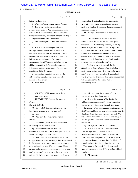#### Case 1:13-cv-03675-WBH Document 108-7 Filed 12/30/16 Page 325 of 519

Washington, D.C.

Paul Simone, Ph.D. November 7, 2016

|                  | Page 110                                                                                                    |                                                                | Page 112 |
|------------------|-------------------------------------------------------------------------------------------------------------|----------------------------------------------------------------|----------|
| $\mathbf{1}$     | that's a big chunk of it.                                                                                   | your method detection limit for the analysis, the<br>1         |          |
| $\mathbf{2}$     | Q What does "mean percent recovery" mean?                                                                   | error rates -- not the error rates, but the percent<br>2       |          |
| 3                | A That is the -- that's our estimate of                                                                     | relative to standard deviation on that check standard<br>3     |          |
| 4                | accuracy of the method. And when you are within a                                                           | 4<br>is going to increase.                                     |          |
| 5                | factor of 2 to 5 of your method detection limit, that                                                       | 5<br>Q All right. And the MDL factor, what is                  |          |
| 6                | mean percent recovery can range from approximately 50                                                       | 6<br>that?                                                     |          |
| 7                | to 150 percent and be considered normal.                                                                    | 7<br>A That is how close you are to the method                 |          |
| 8                | Q And percentage RSD, what does that relate                                                                 | detection limit. So you see we are -- so a good<br>8           |          |
| 9                | to?                                                                                                         | example of this is -- the thing we were just talking<br>9      |          |
| 10               | That is our estimate of precision, and<br>A                                                                 | about, Analysis Set 2, line number 1 at 3 part per<br>10       |          |
| 11               | it's the percent relative to standard deviation as                                                          | 11<br>billion, our MDL factor is 1.5, which means that our     |          |
| 12               | determined by the standard deviation of your seven                                                          | method detection limit was within a factor of 1.5 of<br>12     |          |
| 13               | measured check standards, the standard deviation of                                                         | 13<br>our check standard. And when your -- when your           |          |
| 14               | their concentration divided by the average                                                                  | 14<br>detection limit is that close to your check standard,    |          |
| 15               | concentration times 100 percent, and when you are                                                           | 15<br>the error rates are going to be very high.               |          |
| 16               | within a factor of 2 to 5 of that method detection                                                          | 16<br>But then as we look, let's call the line                 |          |
| 17               | limit, the percent relative to standard deviation can                                                       | 17<br>at the bottom of that, where Analysis Set 2, line 4,     |          |
| 18               | be as high as 30 to 40 percent.                                                                             | for 8 part per billion, you will see our MDL factor<br>18      |          |
| 19               | Q So does that mean that you have a -- the                                                                  | is 3.9, so about 4. So our method detection limit<br>19        |          |
| 20               | RSD, does that mean that there is an error rate                                                             | was 2.1, when we determined it on a check standard of<br>20    |          |
| 21               | potential in there or not?                                                                                  | 21<br>8.0, and you see that the percent RSD is                 |          |
| 22               | A Yeah, when --                                                                                             | 22<br>substantially lower.                                     |          |
|                  |                                                                                                             |                                                                |          |
|                  |                                                                                                             |                                                                |          |
|                  | Page 111                                                                                                    |                                                                | Page 113 |
| $\mathbf 1$      |                                                                                                             | 1                                                              |          |
| 2                | MS. WOOLSON: Objection to form.<br>You can answer.                                                          | Q All right. And the equation of linear<br>2                   |          |
| 3                |                                                                                                             | regression, what does that represent?<br>3                     |          |
| 4                | THE WITNESS: Restate the question,                                                                          | A That is the equation of the line for the<br>4                |          |
| 5                | please.<br>BY MR. SCOTT:                                                                                    | calibration curve determined by linear regression<br>5         |          |
| 6                |                                                                                                             | that we use to -- that relates the analytical signal<br>6      |          |
| 7                | Q Sure. RSD, does that relate in any way                                                                    | of the response of our tandem mass spectrometer, our<br>7      |          |
| 8                | to potential error rates in your analysis?<br>A                                                             | HPLC tandem MS, to the concentration of the analyte<br>8       |          |
| 9                | Yes.                                                                                                        | standard. So on the x-axis we plot -- not plot. On<br>9        |          |
|                  | And how does it relate to potential<br>Q                                                                    | the X-axis is concentration, on the Y-axis is signal,<br>10    |          |
| 10               | errors?<br>A                                                                                                | and we generate a line from a series of standards<br>11        |          |
| $1\,1$           | It provides you an estimate of the error                                                                    | that we run.<br>12<br>$\overline{Q}$                           |          |
| 12               | on that day for the analysis itself.                                                                        | All right, sir. And R2, R squared?<br>13<br>A                  |          |
| 13               | Q So the analysis on the day -- for                                                                         | That is -- let me see. I want to be sure                       |          |
| $1\,4$<br>$1\,5$ | example, Analysis Set 2, the first sample there, that                                                       | I use the right term. I believe the term<br>14<br>15           |          |
| $16\,$           | would be a 30 percent error rate?                                                                           | "coefficient of variance," I think. Anyway, it's a<br>16       |          |
|                  | A Yes. So when you are at concentrations                                                                    | measure of how well your line fits to the data that<br>$17\,$  |          |
| 17               | of approximately 3 micrograms per liter as measured                                                         | you have used to generate that line. So, ideally, if<br>$18\,$ |          |
| $18\,$           | by the instrument, the error rate can range from --                                                         | everything is perfect, that line is going to be 1, a<br>19     |          |
| 19               | as its written here, from 10 to 30 percent. If you                                                          | 1.00 on a range of zero to 1. In this case, our R<br>20        |          |
| $20$             | are at a higher concentration, such as 8 micrograms                                                         | squareds were greater than 0.995 or higher, which is<br>21     |          |
| 21<br>22         | per liter as what's right below it, the error rate is<br>going to likely be lower. And as you get closer to | excellent.<br>22<br>All right, sir.<br>Q                       |          |

29 (Pages 110 to 113)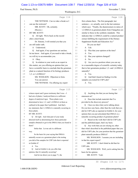#### Case 1:13-cv-03675-WBH Document 108-7 Filed 12/30/16 Page 326 of 519

#### Paul Simone, Ph.D. November 7, 2016

Washington, D.C.

|             | Page 114                                                                         |          | Page 116                                              |
|-------------|----------------------------------------------------------------------------------|----------|-------------------------------------------------------|
| 1           | THE WITNESS: Can we take a break so I                                            | 1        | first column there. The first paragraph, last         |
| 2           | can use the restroom?                                                            | 2        | sentence -- or, actually, next to the last sentence   |
| 3           | MR. SCOTT: Oh, certainly.                                                        | 3        | which says: "Finally, the diastereomers in ratios of  |
| 4           | (Recess.)                                                                        | 4        | 1,3-DMAA in geranium plants from Changzhou are        |
| 5           | BY MR. SCOTT:                                                                    | 5        | similar to those in the synthetic standards. This     |
| 6           | All right. We're back on the record<br>Q                                         | 6        | indicates that 1,3-DMAA could be a natural product    |
| 7           | after a short break.                                                             | 7        | extract fulfilling the requirement of the Dietary     |
| 8           | Dr. Simone, I will remind you that you                                           | 8        | Supplement Health and Education Act."                 |
| 9           | are still under oath.                                                            | 9        | Do you see that?                                      |
| 10          | A Understood.                                                                    | 10       | I do.<br>A                                            |
| 11          | And again, if my questions are unclear,<br>О                                     | 11       | Was that your opinion at the time?<br>О               |
| 12          | let me know. And again, if you need to take a break,                             | 12       | Yes.<br>A                                             |
| 13          | we will try to accommodate you.                                                  | 13       | Has your opinion changed?<br>$\mathbf Q$              |
| 14          | A Okay.                                                                          | 14       | A<br>No.                                              |
| 15          | In relation to your work as an expert in<br>O                                    | 15       | Are you in a position where you can say<br>Q          |
| 16          | this matter, are you offering an opinion that you                                | 16       | to a reasonable degree of scientific certainty today  |
| 17          | have a scientific basis to conclude that the geranium                            | 17       | that in fact geraniums produce 1,3- and 1,4-DMAA      |
| 18          | plant as a natural function of its biology produces                              | 18       | naturally?                                            |
| 19          | 1,3- or 1,4-DMAA?                                                                | 19       | A Yes.                                                |
| 20          | MS. WOOLSON: Objection to form.                                                  | 20       | And that's based on finding it in the<br>О            |
| 21          | You can answer.                                                                  | 21       | samples you tested for USP Labs?                      |
| 22          | THE WITNESS: I'm offering my expert                                              | 22       | A Yes.                                                |
|             |                                                                                  |          |                                                       |
|             |                                                                                  |          |                                                       |
|             | Page 115                                                                         |          | Page 117                                              |
| $\mathbf 1$ | witness report and I guess testimony that I was -- I                             | 1        | Anything else that you are basing that<br>Q           |
| 2           | had sets of plants, I analyzed them at a sufficient                              | 2        | statement on?                                         |
| 3           | degree of analytical rigor. Those plants were                                    | 3        | A Does that include materials that I've               |
| 4           | determined to have 1,3- and 1,4-DMAA in them as                                  | 4        | provided in the discovery process?                    |
| 5           | outlined in the paper that I published. And that's                               | 5        | Q I have no idea what you're talking about.           |
| 6           | my statement, that 1,3-DMAA is naturally occurring in                            | 6        | Do you have any basis, other than the work that you   |
| 7           | those plants.                                                                    | 7        | did for USP Labs as reported in Exhibit 4, for your   |
| 8           | BY MR. SCOTT:                                                                    | 8        | opinion that you just articulated that DMAA is a      |
| 9           | All right. And what part of your study<br>Q.                                     | 9        | naturally occurring product of geranium plants?       |
| 10          | directed itself as determining how those particular                              | 10       | A Based on the work that I did for USP Labs           |
| $1\,1$      | samples obtained or got in the DMAA that you found in                            | $1\,1$   | and the published paper, that's my basis.             |
| 12          | them?                                                                            | 12       | Q Any work that you are relying on, other             |
| 13          | Strike that. Let me ask it a different                                           | 13       | than what's described in the published paper that you |
| 14          | way.                                                                             | 14       | did for USP Labs, for your position that the geranium |
| 15          | So the basis for your saying that DMAA                                           | 15       | plant naturally produces DMAA?                        |
| 16          | naturally occurs as a geranium plant is the testing                              | 16       | MS. WOOLSON: I assume you are including               |
| $17$        | you did of the samples for USP Labs that is reported                             | $17\,$   | in that his expert report?                            |
| 18          | in Exhibit 4?                                                                    | 18       | MR. SCOTT: I don't think he did that for              |
| 19          | A Yes.                                                                           | 19       | USP Labs.                                             |
| 20          | And in Exhibit 4, do you offer that<br>О                                         | 20       | MS. WOOLSON: Well, you're asking him the              |
| 21<br>22    | opinion, that it's naturally occurring?<br>And let me direct you to page 71, the | 21<br>22 | basis for his opinion.<br>MR. SCOTT: Yeah.            |

30 (Pages 114 to 117)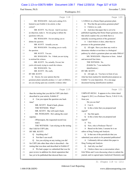#### Case 1:13-cv-03675-WBH Document 108-7 Filed 12/30/16 Page 327 of 519

#### Paul Simone, Ph.D. November 7, 2016

Washington, D.C.

|          | Page 118                                                                                            | Page 120                                                                                                                 |
|----------|-----------------------------------------------------------------------------------------------------|--------------------------------------------------------------------------------------------------------------------------|
| 1        | MS. WOOLSON: And you're asking if it's                                                              | 1,3-DMAA in a Home Depot geranium plant.<br>1                                                                            |
| 2        | limited to just Exhibit 4, his article; is that                                                     | Q Was that the graveolens geranium plant?<br>$\overline{c}$                                                              |
| 3        | correct?                                                                                            | A I believe so, yeah.<br>3                                                                                               |
| 4        | MR. SCOTT: No, I'm not. And if you have                                                             | Q And does that paper that is yet to be<br>4                                                                             |
| 5        | an objection, make it. I'm not going to debate the                                                  | published regarding that Home Depot geranium, does<br>5                                                                  |
| 6        | questions with you.                                                                                 | that article explain why you think that is a<br>6                                                                        |
| 7        | MS. WOOLSON: I'm not asking you to                                                                  | naturally occurring portion of the geranium?<br>7                                                                        |
| 8        | debate the question.                                                                                | A I don't believe it does, other than its<br>8                                                                           |
| 9        | MR. SCOTT: Actually you are.                                                                        | presence in the geranium plant.<br>9                                                                                     |
| 10       | MS. WOOLSON: I'm asking you to verify                                                               | Q All right. Have you done any work to<br>10                                                                             |
| 11       | the question.                                                                                       | determine whether or not there is a biological<br>11                                                                     |
| 12       | MR. SCOTT: You are.                                                                                 | pathway by which a geranium plant can make DMAA?<br>12                                                                   |
| 13       | MS. WOOLSON: No. I think you are trying                                                             | MS. WOOLSON: Objection to form. Asked<br>13                                                                              |
| 14       | to mislead the witness.                                                                             | and answered four times.<br>14                                                                                           |
| 15       | MR. SCOTT: No, actually, I'm not, but                                                               | 15<br>THE WITNESS: No.                                                                                                   |
| 16       | you're obviously trying to coach the witness.                                                       | (Exhibit No. 7 was marked for<br>16                                                                                      |
| 17       | MS. WOOLSON: No.                                                                                    | identification.)<br>17                                                                                                   |
| 18       | MR. SCOTT: Oh, really.                                                                              | BY MR. SCOTT:<br>18                                                                                                      |
| 19       | BY MR. SCOTT:                                                                                       | 19<br>Q All right, sir. You have in front of you                                                                         |
| 20       | Q Doctor, for your opinion that the                                                                 | what has been marked for identification purposes as<br>20                                                                |
| 21       | geranium plants naturally produce 1,3- and 1,4-DMAA,                                                | Exhibit 7 to your deposition. It's a one-page<br>21                                                                      |
| 22       | are you relying upon any scientific evidence other                                                  | 22<br>document bearing identification numbers                                                                            |
|          |                                                                                                     |                                                                                                                          |
|          | Page 119                                                                                            | Page 121                                                                                                                 |
| 1        |                                                                                                     | 1                                                                                                                        |
| 2        | than the testing that you did for USP Labs that's                                                   | UMPS-HT-002361. It appears to be a letter dated<br>2                                                                     |
| 3        | described in your article, Exhibit 4?<br>A                                                          | August 8, 2012, to a Professor Thevis, T-H-E-V-I-S,<br>3                                                                 |
| 4        | Can you repeat the question one back<br>time?                                                       | from you.<br>Do you see that?<br>4                                                                                       |
| 5        | MR. SCOTT: Read it back, please.                                                                    | 5<br>A I see it.                                                                                                         |
| 6        | THE WITNESS: What?                                                                                  | 6<br>Q Is this a letter that you prepared and                                                                            |
| 7        | MR. SCOTT: She will read it back.                                                                   | 7<br>signed?                                                                                                             |
| 8        | MS. WOOLSON: He's asking the court                                                                  | 8<br>A Say that again.                                                                                                   |
| 9        | reporter.                                                                                           | 9<br>Q Is this a letter that you prepared and                                                                            |
| 10       | (Whereupon, the requested record was                                                                | 10<br>signed?                                                                                                            |
| 11       | read.)                                                                                              | A Yes.<br>11                                                                                                             |
| 12       | THE WITNESS: I am relying on the testing                                                            | 12<br>Now, who is Professor Thevis?<br>0                                                                                 |
| 13       | that I did for USP Labs.                                                                            | 13<br>Based on the letter, I assume he is an<br>A                                                                        |
| 14       | BY MR. SCOTT:                                                                                       | editor at Drug Testing and Analysis.<br>14                                                                               |
| 15       | Anything else?<br>Q                                                                                 | Q Is that one of the periodicals that you<br>15                                                                          |
| 16       | Not that I can recall.<br>A                                                                         | 16<br>submitted your article to for potential publication?                                                               |
| 17       | Are you relying on any testing you did<br>Q                                                         | 17<br>A I ultimately did not submit this paper to                                                                        |
| 18       | for USP Labs other than what is described -- the                                                    | Drug Testing and Analysis.<br>18                                                                                         |
| 19       | testing that was done and described in Exhibit 4?                                                   | And why was that?<br>19<br>Q                                                                                             |
| 20       | A We had a paper we submitted that was for                                                          | A I believe there was a conversation where<br>20                                                                         |
| 21<br>22 | peer review in addition for chiral separation that<br>has yet to be published that showed there was | Erik White and I were discussing where to submit the<br>21<br>journal, and we agreed upon Analytical Chemistry and<br>22 |

31 (Pages 118 to 121)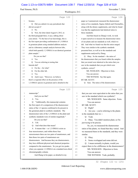#### Case 1:13-cv-03675-WBH Document 108-7 Filed 12/30/16 Page 328 of 519

Paul Simone, Ph.D. November 7, 2016

Washington, D.C.

|                | Page 122                                                            | Page 124                                                    |
|----------------|---------------------------------------------------------------------|-------------------------------------------------------------|
| 1              | Science.                                                            | paper as I summarized, measured the diastereomer<br>1       |
| $\overline{c}$ | Q Did you submit it to any periodicals that                         | 2<br>ratios of two standards, Sigma-Aldrich and ChromaDex,  |
| 3              | did not accept it?                                                  | along with the dietary supplements, and what he found<br>3  |
| 4              | A No.                                                               | was that the supplements had identical ratios to<br>4       |
| 5              | Q Now, the letter dated August 8, 2012, in                          | 5<br>those standards.                                       |
| 6              | the third paragraph there, it says, talking about                   | 6<br>And then based on Zhang's work, we took                |
| 7              | your article: "To the best of our knowledge, this is                | it upon ourselves to measure the diastereomer ratios<br>7   |
| 8              | the first report providing confirmation of 1,3-DMAA                 | 8<br>of our plants and our standards as well, which we      |
| 9              | in geranium plants using standard addition analysis                 | did. And what we found was that the ratios ranged.<br>9     |
| 10             | and in a laboratory sample analysis between labs,                   | They were similar to the synthetic standards<br>10          |
| 11             | which both quantify 1,3-DMAA in an identical geranium               | presented here, as well as to the standards and<br>11       |
| 12             | plant sample."                                                      | 12<br>supplements analyzed by Zhang.                        |
| 13             | Do you see that?                                                    | 13<br>Q Okay. So the standard -- the ratios of              |
| 14             | A Yes.                                                              | 14<br>the diastereomers that you found within the samples   |
| 15             | You are referring to testing that<br>Q                              | 15<br>that you tested were identical to the ratios that you |
| 16             | Intertek did?                                                       | 16<br>saw in the standards that you got which were          |
| 17             | A For the -- for what?                                              | synthetic, correct?<br>17                                   |
| 18             | Q For the other lab.                                                | MS. WOOLSON: Objection to form.<br>18                       |
| 19             | A Yes.                                                              | 19<br>You can answer.                                       |
| 20             | And it says: "However, we believe<br>O                              | 20<br>THE WITNESS: Say that again.                          |
| 21             | there's a regional effect on the presence of the                    | 21<br>BY MR. SCOTT:                                         |
| 22             | 1,3-DMAA species in geranium and is detailed in the                 | 22<br>Q Sure. The ratios of the diastereomers               |
|                |                                                                     |                                                             |
|                | Page 123                                                            | Page 125                                                    |
| 1              | manuscript."                                                        | that you saw were equivalent to the ratios that you<br>1    |
| 2              | And you see that?                                                   | 2<br>saw in the standard which was synthetic?               |
| 3              | A Yes.                                                              | 3<br>MS. WOOLSON: Same objection. Form.                     |
| 4              | "Additionally, this manuscript contains<br>0                        | 4<br>You can answer.                                        |
| 5              | the first report of a comparison of the diastereomer                | 5<br>BY MR. SCOTT:                                          |
| 6              | ratios of the 1,3 species confirmed to be present in                | 6<br>Right?<br>$\mathbf Q$                                  |
| 7              | the geranium plant to synthetic standards. The                      | Are you -- you're referring to the plants<br>7<br>A         |
| 8              | diastereomer ratio of the 1,3-DMAA in the plant and                 | 8<br>in the standards that we --                            |
| 9              | synthetic standards were of similar magnitude."                     | 9<br>Yeah.<br>Q                                             |
| 10             | Do you see that?                                                    | 10<br>A<br>Okay. You didn't mention plant, so I'm           |
| 11             | A I do.                                                             | 11<br>just trying to be precise.                            |
| 12             | And what does that mean?<br>0                                       | 12<br>So, yes, we measured the diastereomer                 |
| 13             | A It means that -- so 1,3-DMAA exists as                            | 13<br>ratios of the plants, we found that they varied. And  |
| 14             | four stereoisomers, and within those four                           | 14<br>we measured them in the standards, and they were      |
| 15             | stereoisomers there are two pairs of enantiomers, and               | 15<br>similar.                                              |
| 16             | then those two pairs of enantiomers are                             | 16<br>Okay.<br>Q                                            |
| 17             | diastereomers. And because they are diastereomers,                  | 17<br>Some overlapped and some did not.<br>A                |
| 18             | they have different physical and chemical properties                | I mean normally in plants, would you<br>18<br>0             |
| 19             | compared to the enantiomers. So you get two peaks                   | expect there to be a difference in the diastereomers?<br>19 |
| 20             | when you separate 1,3-DMAA on a standard non-chiral                 | 20<br>MS. WOOLSON: Objection to form.                       |
| 21<br>22       | chromatography column.<br>And Zhang in his paper, as detailed in my | 21<br>You can answer.<br>22<br>THE WITNESS: Yeah, probably. |

32 (Pages 122 to 125)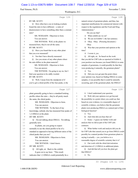#### Case 1:13-cv-03675-WBH Document 108-7 Filed 12/30/16 Page 329 of 519

Paul Simone, Ph.D. November 7, 2016

Washington, D.C.

|              | Page 126                                                                               |                | Page 128                                              |
|--------------|----------------------------------------------------------------------------------------|----------------|-------------------------------------------------------|
| 1            | BY MR. SCOTT:                                                                          | 1              | natural extract of geranium plants, and thus, has     |
| 2            | Q How often have you in looking at plants                                              | $\mathbf{2}$   | important ramifications for commercial interest with  |
| 3            | found the ratio to have different -- a ratio of                                        | 3              | respect to the regulations and the Food and Drug      |
| 4            | diastereomers to have something other than a constant                                  | $\overline{4}$ | Administration."                                      |
| 5            | ratio?                                                                                 | 5              | Do you see that?                                      |
| 6            | MS. WOOLSON: Objection to form.                                                        | 6              | A What exhibit are we on?                             |
| 7            | You can answer.                                                                        | 7              | We are on Exhibit 7, the last sentence.<br>$\circ$    |
| 8            | THE WITNESS: Well, in the plants we                                                    | 8              | A Okay. Okay. (Perusing document.)                    |
| 9            | measured here, they're not all the same.                                               | 9              | Okay.                                                 |
| 10           | BY MR. SCOTT:                                                                          | 10             | Was that your position and opinion at the<br>O        |
| 11           | Q Have you found that in any other plant                                               | 11             | time?                                                 |
| 12           | that you ever measured?                                                                | 12             | I wrote it, yes.<br>A                                 |
| 13           | A Not that I have directly measured.                                                   | 13             | All right, sir. So based on the work<br>O             |
| 14           | Are you aware of any other plants where<br>Q                                           | 14             | that you did for USP Labs as reported in Exhibit 4,   |
| 15           | the ratio differs in the plant material?                                               | 15             | your position was because you found DMAA in some      |
| 16           | MS. WOOLSON: Objection to form.                                                        | 16             | samples of geraniums, it could possibly be that they  |
| 17           | You can answer.                                                                        | 17             | were producing it naturally, the geranium plants?     |
| 18           | THE WITNESS: I'm going to say no, but I                                                | 18             | A Yes.                                                |
| 19           | find your question to be oddly worded.                                                 | 19             | Q Did you ever get past the point where               |
| 20           | BY MR. SCOTT:                                                                          | 20             | your opinion was, based on finding DMAA in some       |
| 21           | Q Well, I mean from the standpoint of if                                               | 21             | samples, it was possible that it could be naturally   |
| 22           | you've got a chiral profile of the four peaks, is the                                  | 22             | occurring, part of the geranium plant, the DMAA?      |
|              |                                                                                        |                |                                                       |
|              |                                                                                        |                |                                                       |
|              | Page 127                                                                               |                | Page 129                                              |
| $\mathbf{1}$ | plant generally going to have a standard looking                                       | 1              | A I don't understand your question.                   |
| 2            | profile where the ratio -- they're all pretty much                                     | 2              | Q Well, did your opinion ever get beyond              |
| 3            | the same, the chiral peaks.                                                            | 3              | the possibility to a point where you could say that   |
| 4            | MS. WOOLSON: Objection to form.                                                        | 4              | based on your evidence, to a reasonable degree of     |
| 5            | You can answer.                                                                        | 5              | scientific evidence, you believe that the geranium    |
| 6            | THE WITNESS: To the best of my                                                         | 6              | plants were producing DMAA as a natural part of their |
| 7            | knowledge, nobody else has measured four peaks of                                      | 7              | biological function?                                  |
| 8            | 1,3-DMAA in the plant.                                                                 | 8              | A Yes.                                                |
| 9            | BY MR. SCOTT:                                                                          | 9              | And what did you base that on?<br>O                   |
| $10$         | Q I'm not talking about DMAA. I'm talking                                              | 10             | A Some -- I guess our further work and                |
| 11           | generally now.                                                                         | 11             | analysis that we did as part of the USP Labs          |
| $12\,$       | In plants, are you going to expect                                                     | 12             | contracts.                                            |
| $13\,$       | normally to see the chiral profile to be of a                                          | 13             | Q What further work and analysis did you do           |
| 14           | standard as opposed to having different ratios of the                                  | 14             | for USP Labs that caused you to go from DMAA could    |
| $15$         | chiral peaks that you see?                                                             | 15             | possibly be a natural product from geranium plants to |
| 16           | MS. WOOLSON: Objection to form.                                                        | 16             | saying it actually -- yes, you believe to a           |
| 17           | You can answer.                                                                        | 17             | reasonable degree of scientific certainty that it is? |
| $1\,8$       | THE WITNESS: I don't know.                                                             | 18             | A Our work with the chiral derivatization             |
| 19           | BY MR. SCOTT:                                                                          | 19             | and detection of 1,3-DMAA in additional plants.       |
| 20           | Q All right, sir. Back to the exhibit.                                                 | 20             | Q And did that tell you how the plant got             |
| 21<br>22     | It goes on to say here: "This result<br>indicates that 1,3-DMAA could potentially be a | 21<br>22       | that DMAA?<br>A No.                                   |

33 (Pages 126 to 129)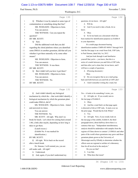#### Case 1:13-cv-03675-WBH Document 108-7 Filed 12/30/16 Page 330 of 519

Paul Simone, Ph.D. November 7, 2016

Washington, D.C.

|              | Page 130                                                     |                | Page 132                                              |
|--------------|--------------------------------------------------------------|----------------|-------------------------------------------------------|
| $\mathbf{1}$ | Q Whether it was by natural or some type of                  | 1              | questions, let me know. All right?                    |
| 2            | contamination or something along that line?                  | $\overline{c}$ | A Will do.                                            |
| 3            | MS. WOOLSON: Objection to form.                              | 3              | And if you need to take a break, let us<br>O          |
| 4            | You can answer.                                              | 4              | know.                                                 |
| 5            | THE WITNESS: Can you repeat the                              | 5              | A Okay.                                               |
| 6            | question?                                                    | 6              | So let me hand you a document which has<br>Q          |
| 7            | BY MR. SCOTT:                                                | 7              | been marked for identification purposes as Exhibit 8  |
| 8            | Q Sure.                                                      | 8              | to your deposition.                                   |
| 9            | Did the additional work that you did                         | 9              | It's a multi-page document bearing                    |
| 10           | regarding the chiral platform where you identified           | 10             | identification numbers UMPS-HT-005617 through 5619.   |
| 11           | some DMAA in another geranium, did that tell you             | 11             | And the first page is an e-mail from Erik, USP Labs,  |
| 12           | whether it got there naturally or by some other              | 12             | to Paul Simone, dated July 1st, 2012.                 |
| 13           | means?                                                       | 13             | And just look through it and familiarize              |
| 14           | MS. WOOLSON: Objection to form.                              | 14             | yourself that you're -- you know, that this is a      |
| 15           | You can answer.                                              | 15             | series of e-mails between you and Erik at USP Labs,   |
| 16           | THE WITNESS: It was there.                                   | 16             | and then after you've done that, let me know, and I   |
| 17           | BY MR. SCOTT:                                                | 17             | will have a couple of questions.                      |
| 18           | Q But it didn't tell you how it got there?                   | 18             | A (Perusing document.)                                |
| 19           | MS. WOOLSON: Objection to form.                              | 19             | Okay.                                                 |
| 20           | You can answer.                                              | 20             | Q Do you recognize that as an e-mail going            |
| 21           | THE WITNESS: No.                                             | 21             | back and forth between you and Erik at USP Labs?      |
| 22           | BY MR. SCOTT:                                                | 22             | A I don't remember writing the e-mail, but            |
|              |                                                              |                |                                                       |
|              |                                                              |                |                                                       |
|              | Page 131                                                     |                | Page 133                                              |
| $\mathbf 1$  | And it didn't identify any biological<br>Q                   | $\mathbf{1}$   | I'm -- it looks to be something I wrote, yes.         |
| 2            | mechanism by which the -- that work didn't identify a        | $\overline{c}$ | Q All right, sir. If you would, turn to               |
| 3            | biological mechanism by which the geranium plant             | 3              | the last page of Exhibit 8.                           |
| 4            | could make DMAA, did it?                                     | 4              | A Okay.                                               |
| 5            | MS. WOOLSON: Objection to form. Asked                        | 5              | And the e-mail that's on that page again<br>O         |
| 6            | and answered six times.                                      | 6              | is directed to Erik at USP Labs. It starts over on    |
| 7            | You can answer.                                              | 7              | the prior page. Would that be Erik White?             |
| 8            | THE WITNESS: No.                                             | 8              | A Yes.                                                |
| 9            | MR. SCOTT: All right. Why don't we                           | 9              | Q All right. Now, if you would, look on               |
| 10           | break for lunch. Let's shoot for coming back around          | 10             | the last page of the exhibit, Exhibit 8, the third    |
| 11           | 1:00, a little after maybe, depending on how long it         | 11             | paragraph down, about halfway down there is a         |
| 12           | takes to get there.                                          | 12             | sentence that says: "Independent interlaboratory      |
| 13           | (Lunch recess.)                                              | 13             | analysis should be undertaken with samples from the   |
| 14           | (Exhibit No. 8 was marked for                                | 14             | regions of China shown to contain 1,3-DMAA and other  |
| $15\,$       | identification.)                                             | 15             | parts of the world where geraniums may grow and those |
| 16           | BY MR. SCOTT:                                                | 16             | geranium plants grown at the University of            |
| 17           | Q All right. We're back on the record                        | 17             | Mississippi used by ElSohly to determine whether the  |
| 18           | after a lunch break.                                         | $1\,8$         | effects seen are regional or artifact of a laboratory |
| 19           | Dr. Simone, I will remind you, you are                       | 19             | bias for all involved in the analysis."               |
| 20           | still under oath. All right?                                 | 20             | Do you see that?                                      |
| 21<br>22     | A Understood.<br>And, again, if you don't understand my<br>Q | 21<br>22       | A I see that.<br>What does that mean?<br>Q            |

34 (Pages 130 to 133)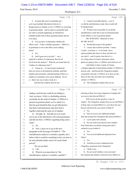### Case 1:13-cv-03675-WBH Document 108-7 Filed 12/30/16 Page 331 of 519

# Paul Simone, Ph.D. November 7, 2016

Washington, D.C.

|              | Page 134                                                                                                  | Page 136                                                              |
|--------------|-----------------------------------------------------------------------------------------------------------|-----------------------------------------------------------------------|
| $\mathbf{1}$ | A It means that you've essentially got --                                                                 | A I mean it's possible that the -- even if<br>$\mathbf{1}$            |
| 2            | you've got multiple laboratories that are in                                                              | 2<br>we did the interlaboratory study, there would still              |
| 3            | disagreement as whether or not 1,3-DMAA is occurring                                                      | 3<br>be disagreement.                                                 |
| 4            | in geranium plants. And in order to essentially hash                                                      | 4<br>Q Would it also be possible if you did the                       |
| 5            | out what is actually happening, he should have                                                            | interlaboratory study that it may be determined that<br>5             |
| 6            | multiple people look at these geranium plants and see                                                     | 6<br>in fact DMAA is not in geranium plants?                          |
| 7            | if it's there.                                                                                            | MS. WOOLSON: Objection to form.<br>7                                  |
| 8            | Q You say here "to determine whether the                                                                  | 8<br>BY MR. SCOTT:                                                    |
| 9            | effects seen." I take it whether geranium -- DMAA is                                                      | 9<br>Q Would that be part of the gamble?                              |
| 10           | in geraniums or not is the effect you're talking                                                          | 10<br>A I mean, that would be possible. I mean,                       |
| 11           | about?                                                                                                    | 11<br>I could -- you know, I -- to be frank, I have                   |
| 12           | A Yes.                                                                                                    | 12<br>analyzed plants that show it's there and show it's              |
| 13           | And it goes on to say that " are a<br>O                                                                   | 13<br>not, and if -- and it's pretty clear that it's a --             |
| 14           | regional or artifact of a laboratory bias for all                                                         | it's a thing where it's hard to determine which<br>14                 |
| 15           | involved in the analysis." What do you mean there by                                                      | 15<br>plants are going to have 1,3-DMAA and which are not.            |
| 16           | "artifact of a laboratory bias"?                                                                          | 16<br>And further in there I speak of it being                        |
| 17           | A I mean it's -- as I previously mentioned,                                                               | a shotgun approach to determining whether 1,3-DMAA is<br>17           |
| 18           | there are errors in all analytical methods, and both                                                      | present, and -- and beyond the Changzhou samples<br>18                |
| 19           | random and systematic, and determining if there is a                                                      | 19<br>consistently showing 1,3-DMAA in it, those are the --           |
| 20           | random or systematic error can be difficult. So it's                                                      | 20<br>those are the only ones that I have found that                  |
| 21           | a -- that's one way to take a look at it.                                                                 | 21<br>contain 1,3-DMAA.                                               |
| 22           | And the bias could be bias for not                                                                        | 22<br>The Changzhou samples that you are<br>О                         |
|              |                                                                                                           |                                                                       |
|              |                                                                                                           |                                                                       |
|              | Page 135                                                                                                  | Page 137                                                              |
| $\mathbf{1}$ | finding it and the bias could be for finding it.                                                          | referring to there, how many shipments of samples did<br>$\mathbf{1}$ |
| 2            | And, you know, if this is a factfinding mission                                                           | $\mathbf{2}$<br>you receive that showed DMAA?                         |
| 3            | essentially for the truth of whether 1,3-DMAA is                                                          | 3<br>Well, let me ask the question, it may be                         |
| 4            | present in geranium plants, as I've stated it is,                                                         | simpler: The Changzhou samples that you say had DMAA<br>4             |
| 5            | then the goal should be that you get laboratories                                                         | 5<br>in them, that you found DMAA in, were those the ones             |
| 6            | that find it and laboratories that don't find it                                                          | 6<br>that are referenced by your article, Exhibit 4?                  |
| 7            | together analyzing the same set of samples.                                                               | 7<br>A Yes.<br>8                                                      |
| 8            | All right, sir. And did you ever reach<br>Q                                                               | Did you receive any additional samples<br>Q                           |
| $\mathsf 9$  | out to any of the laboratories who tested geraniums                                                       | after that testing from Changzhou that showed DMAA?<br>9<br>10        |
| 10           | and did not find 1,3-DMAA regarding doing such a                                                          | A I can't speak with certainty.<br>$1\,1$                             |
| 11           | study?                                                                                                    | Do you recall receiving any more samples<br>Q<br>12                   |
| $12$         | No.<br>A<br>O                                                                                             | from China after you did the testing there that is<br>13              |
| 13           | Now, it goes on to say in the next                                                                        | outlined in your Exhibit 4?<br>A Yes.<br>14                           |
| 14           | paragraph on the last page of Exhibit 8: "The                                                             | 15<br>Q<br>You received additional shipments from                     |
| $15$<br>16   | interlaboratory analysis is certainly a gamble, but I                                                     | 16<br>China?                                                          |
| 17           | believe that it would be something to buy you time to<br>do more detailed studies and to let cooler heads | 17<br>A Yes.                                                          |
| $1\,8$       | prevail."                                                                                                 | And did you receive shipments from<br>18<br>Q                         |
| 19           | Do you see that?                                                                                          | Changzhou, geraniums from Changzhou?<br>19                            |
| 20           | A I do.                                                                                                   | 20<br>A I think it was.                                               |
| 21           | What do you mean there by "the<br>$\overline{Q}$                                                          | 21<br>Do you recall whether or not you tested<br>Q                    |
| 22           | interlaboratory analysis is certainly a gamble"?                                                          | 22<br>that material and whether it showed to have DMAA in             |

35 (Pages 134 to 137)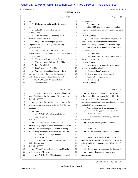## Case 1:13-cv-03675-WBH Document 108-7 Filed 12/30/16 Page 332 of 519

# Paul Simone, Ph.D. November 7, 2016

Washington, D.C.

|              | Page 138                                                            | Page 140                                                           |
|--------------|---------------------------------------------------------------------|--------------------------------------------------------------------|
| $\mathbf{1}$ | it?                                                                 | and answered.<br>1                                                 |
| 2            | I believe I did, and it had 1,3-DMAA in<br>A                        | 2<br>You can answer.                                               |
| 3            | it.                                                                 | THE WITNESS: I -- I mean, I -- you know,<br>3                      |
| 4            | O<br>All right, sir. And when did that                              | whether everybody came up with the same answer or<br>4             |
| 5            | testing occur?                                                      | 5<br>not.                                                          |
| 6            | A After this analysis. The timing is -- I                           | 6<br>BY MR. SCOTT:                                                 |
| 7            | believe it was in 2013 or so.                                       | 7<br>Q Or the answer came out in a way that they                   |
| 8            | Q Okay. And when did you get those                                  | didn't -- wasn't in line with their commercial<br>8                |
| 9            | shipments, the additional shipments of Changzhou                    | interest of wanting to sell DMAA products, right?<br>9             |
| 10           | geranium plants?                                                    | MS. WOOLSON: Objection to form, asked<br>10                        |
| 11           | A Well, to be clear, I can't recall if they                         | 11<br>and answered.                                                |
| 12           | were Changzhou or not. When did I get them or where                 | 12<br>You can answer.                                              |
| 13           | did I get them?                                                     | 13<br>THE WITNESS: No, the -- I guess maybe                        |
| 14           | Yes, where did you get them from?<br>O                              | 14<br>that would be the case.                                      |
| 15           | They were shipped directly from China.<br>A                         | 15<br>BY MR. SCOTT:                                                |
| 16           | From Dr. Yi Jim?<br>Q                                               | 16<br>Q When you say to let cooler heads prevail,                  |
| 17           | I don't remember. Probably.<br>A                                    | 17<br>what are you talking about?                                  |
| 18           | Were they shipped based on any efforts<br>Q                         | A Honestly, I don't remember.<br>18                                |
| 19           | by -- on your part, or did you order them, give                     | Okay. You can set that one aside.<br>19<br>Q                       |
| 20           | instructions to whoever shipped them to you?                        | (Exhibit No. 9 was marked for<br>20                                |
| 21           | MS. WOOLSON: Objection to form.                                     | identification.)<br>21                                             |
| 22           | You can answer.                                                     | 22<br>BY MR. SCOTT:                                                |
|              |                                                                     |                                                                    |
|              | Page 139                                                            | Page 141                                                           |
| $\mathbf{1}$ | THE WITNESS: No, these were shipped as                              | All right, sir. You have in front of you<br>1<br>Q                 |
| 2            | part of a shipment for the second USP Labs contract.                | a document which has been marked for identification<br>2           |
| 3            | BY MR. SCOTT:                                                       | 3<br>purposes as Exhibit 9 to your deposition. It is a             |
| 4            | Q And were they handled the same way as the                         | two-page document bearing no identification numbers.<br>4          |
| 5            | shipment of geranium material for the first USP Labs                | It's headed "Fertilizer Analysis."<br>5                            |
| 6            | contract?                                                           | And I will ask you if you recognize this<br>6                      |
| 7            | A Yes.                                                              | document as something you've seen previously.<br>7                 |
| 8            | MS. WOOLSON: Objection to form.                                     | A (Perusing document.)<br>8                                        |
| 9            | You can answer.                                                     | 9<br>When you say "seen previously," what do                       |
| 10           | BY MR. SCOTT:                                                       | you mean?<br>10                                                    |
| 11           | Q Now, in your view, would the -- an                                | 11<br>Q Well, do you recognize the document,                       |
| 12           | interlab study, as you describe there in the document               | Exhibit 9?<br>12                                                   |
| 13           | that we were just talking about, Exhibit 8, having                  | A Yeah. Yes.<br>13                                                 |
| 14           | such a thing, would that be a gamble for USP Labs?                  | What is Exhibit 9? How do you recognize<br>14<br>Q                 |
| $15$         | MS. WOOLSON: Objection to form.                                     | it?<br>15                                                          |
| 16           | You can answer.                                                     | A It looks like a document related to an<br>16                     |
| 17           | THE WITNESS: I mean, if -- I -- I mean,                             | analysis of fertilizers for 1,3-DMAA and 1,4-DMAA<br>17            |
| 18           | I clearly wrote that.                                               | using what is likely equipment at the University of<br>18          |
| 19           | BY MR. SCOTT:                                                       | 19<br>Memphis.                                                     |
| 20           | Q What did you understand the gamble to be                          | 20<br>Q Do you know who prepared this document?                    |
| 21<br>22     | as it relates to USP Labs?<br>MS. WOOLSON: Objection to form, asked | A I mean -- I'm not really sure how to<br>21<br>answer that.<br>22 |

36 (Pages 138 to 141)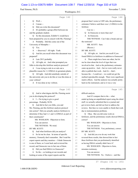#### Case 1:13-cv-03675-WBH Document 108-7 Filed 12/30/16 Page 333 of 519

Washington, D.C.

Paul Simone, Ph.D. November 7, 2016

|        | Page 142                                                               | Page 144                                                                                                         |  |
|--------|------------------------------------------------------------------------|------------------------------------------------------------------------------------------------------------------|--|
| 1      | Well-<br>O                                                             | proposal that I wrote to USP Labs, the preliminary<br>1                                                          |  |
| 2      | I mean --<br>A                                                         | estimates I believe said there was 1,3-DMAA in the<br>2                                                          |  |
| 3      | Did you write this document?<br>$\mathbf Q$                            | 3<br>fertilizer.                                                                                                 |  |
| 4      | It's probably a group effort between me<br>A                           | 4<br>Can we --                                                                                                   |  |
| 5      | and the graduate student.                                              | 5<br>In Osmocote or more than one?<br>Q                                                                          |  |
| 6      | So this document, Exhibit 9, would have<br>Q                           | 6<br>A In Osmocote.                                                                                              |  |
| 7      | been prepared by you in concert with Ms. Fleming?                      | 7<br>THE WITNESS: Can I take a break and use                                                                     |  |
| 8      | A Probably. Did this come out of the                                   | the restroom?<br>8                                                                                               |  |
| 9      | University of Memphis --                                               | 9<br>MR. SCOTT: Sure.                                                                                            |  |
| 10     | Q Yes.                                                                 | 10<br>(Recess.)                                                                                                  |  |
| 11     | -- discovery? All right. Yeah.<br>A                                    | BY MR. SCOTT:<br>11                                                                                              |  |
| 12     | And do you recall when this document was<br>O                          | 12<br>Q All right, sir. And do you recall if you                                                                 |  |
| 13     | prepared?                                                              | found DMAA in fertilizers in addition to Osmocote?<br>13                                                         |  |
| 14     | A Late 2013 probably.                                                  | 14<br>A There might have been one other, but let                                                                 |  |
| 15     | All right, sir. And what prompted you<br>Q                             | 15<br>me be clear about the level of rigor that was                                                              |  |
| 16     | folks to develop this fertilizer analysis protocol?                    | involved in that. And so the preliminary estimates<br>16                                                         |  |
| 17     | A I was trying to rule in or rule out a                                | 17<br>came up positive. And -- but we were really never                                                          |  |
| 18     | plausible reason for 1,3-DMAA in geranium plants.                      | able to publish that work. And it's -- that's<br>18                                                              |  |
| 19     | Q All right. And did somebody outside of                               | because the -- I could not -- we could not get the<br>19                                                         |  |
| 20     | the university ask you to do this or was this done at                  | method reproducible enough. There were significant<br>20                                                         |  |
| 21     | your volition?                                                         | matrix effects. And the analysis was actually pretty<br>21                                                       |  |
| 22     | A It was done at my volition.                                          | 22<br>hard on the instrument, and so it was a very                                                               |  |
|        |                                                                        |                                                                                                                  |  |
|        | Page 143                                                               | Page 145                                                                                                         |  |
|        |                                                                        | 1                                                                                                                |  |
| 1<br>2 | And to what degree did Ms. Fleming assist<br>O                         | difficult analysis.<br>2                                                                                         |  |
| 3      | you in developing this protocol?                                       | And if I compare that to the -- what<br>3                                                                        |  |
| 4      | A I -- I'm trying to give a good                                       | ended up being an unpublished report using the chiral<br>stuff, we actually submitted that to a journal and<br>4 |  |
| 5      | percentage. Probably 50/50.<br>And did in fact you folks, you and<br>Q | got reviews back, and did our best to address the<br>5                                                           |  |
| 6      | Ms. Fleming, put this fertilizer analysis protocol                     | 6<br>reviews. But then we were unable to finish that work                                                        |  |
| 7      | into action? Did you actually analyze fertilizers to                   | 7<br>due to instrumentation problems.                                                                            |  |
| 8      | determine if they had 1,3- and 1,4-DMAA as part of                     | 8<br>Q Okay. But you did some work on                                                                            |  |
| 9      | their constituents?                                                    | 9<br>fertilizers, and the preliminary results showed DMAA,                                                       |  |
| 10     | MS. WOOLSON: Objection to form.                                        | 10<br>correct?                                                                                                   |  |
| 11     | You can answer.                                                        | MS. WOOLSON: Objection to form.<br>11                                                                            |  |
| 12     | THE WITNESS: We tried.                                                 | 12<br>You can answer.                                                                                            |  |
| 13     | BY MR. SCOTT:                                                          | 13<br>THE WITNESS: Very preliminary, correct.                                                                    |  |
| 14     | And what fertilizers did you analyze?<br>Q                             | BY MR. SCOTT:<br>14                                                                                              |  |
| 15     | So let me be clear. In terms of specific<br>A                          | And did you ever do any work that<br>15<br>Q                                                                     |  |
| 16     | memory, I honestly don't remember. But I read the                      | 16<br>reversed those results, that showed that in fact                                                           |  |
| 17     | expert reports and they mention -- I think Osmocote                    | 17<br>these fertilizers that you preliminarily identified                                                        |  |
| $18\,$ | is one of them, so I went back and reviewed the                        | as having DMAA actually didn't have it?<br>18                                                                    |  |
| 19     | record, and Osmocote was in fact one of them.                          | MS. WOOLSON: Objection to form,<br>19                                                                            |  |
| 20     | Did you find DMAA in Osmocote?<br>Q                                    | 20<br>misstates testimony.                                                                                       |  |
| 21     | So the -- so looking at our records and<br>A                           | 21<br>You can answer.                                                                                            |  |
| 22     | looking at some of the expert reports and the                          | 22<br>THE WITNESS: No. I believe -- and like                                                                     |  |

37 (Pages 142 to 145)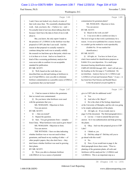## Case 1:13-cv-03675-WBH Document 108-7 Filed 12/30/16 Page 334 of 519

Paul Simone, Ph.D. November 7, 2016

Washington, D.C.

|          | Page 146                                                                            | Page 148                                                                                              |
|----------|-------------------------------------------------------------------------------------|-------------------------------------------------------------------------------------------------------|
| 1        | I said, I have not looked very closely at some of                                   | contamination for geranium plants?<br>1                                                               |
| 2        | that work since then. We essentially abandoned that                                 | 2<br>MS. WOOLSON: Objection to form.                                                                  |
| 3        | work. And, you know, the -- I believe we -- and --                                  | 3<br>You can answer.                                                                                  |
| 4        | I'm actually kind of nervous about talking about this                               | BY MR. SCOTT:<br>4                                                                                    |
| 5        | because I don't have the data in front of me to talk                                | Q Based on the work you did?<br>5                                                                     |
| 6        | about it.                                                                           | A I was never able to confirm nor deny it.<br>6                                                       |
| 7        | But, you know, the only report I made to                                            | The level of rigor in that work is preliminary for a<br>7                                             |
| 8        | the presence of 1,3-DMAA in the fertilizer was that                                 | reason. It was never published for a reason, because<br>8                                             |
| 9        | proposal to USP Labs that I can recall. And the                                     | 9<br>we couldn't get the method to work reproducibly.                                                 |
| 10       | reason in that proposal we actually wanted to                                       | 10<br>(Exhibit No. 10 was marked for                                                                  |
| 11       | continue doing that work was to actually solidify                                   | 11<br>identification.)                                                                                |
| 12       | the research we had done up to that point, which was                                | BY MR. SCOTT:<br>12                                                                                   |
| 13       | is it in there or is it not. And so we found it in                                  | 13<br>Q All right, sir. You have in front of you                                                      |
| 14       | kind of like a screening preliminary analysis but                                   | what's been marked for identification purposes as<br>14                                               |
| 15       | were never able to confirm it to an acceptable                                      | Exhibit 10 to your deposition. It's a multi-page<br>15                                                |
| 16       | standard for publication.                                                           | 16<br>document bearing identification numbers                                                         |
| 17       | BY MR. SCOTT:                                                                       | UMPS-HT-001088 through 1093. And I will ask you --<br>17                                              |
| 18       | Q Well, based on the work that you                                                  | 18<br>the heading on the first page is "Confidential: Do                                              |
| 19       | described that you did and looking at fertilizers to                                | 19<br>not distribute. Analysis Survey for 1,3-DMAA and                                                |
| 20       | see if it had DMAA, were you able to eliminate                                      | 1,4-DMAA in Food and Geranium Plants." It says -- it<br>20                                            |
| 21       | fertilizer contamination as a possible source of DMAA                               | has listed here Paul Simone and Randall Bayer.<br>21                                                  |
| 22       | in geraniums that you had tested?                                                   | 22<br>Is this the proposal you put together to                                                        |
|          |                                                                                     |                                                                                                       |
|          | Page 147                                                                            | Page 149                                                                                              |
| 1        | A I had no reason to believe the geraniums                                          | 1<br>give to USP Labs for additional work?                                                            |
| 2        | that we tested were contaminated.                                                   | A Yes.<br>2                                                                                           |
| 3        | Q Do you know what fertilizers were used                                            | 3<br>And who is Mr. Bayer?<br>Q                                                                       |
| 4        | with the geraniums that you --                                                      | A He is the chair of the biology department<br>4                                                      |
| 5        | MS. WOOLSON: Objection to form.                                                     | at the University of Memphis, and his role was going<br>5                                             |
| 6        | You can answer.                                                                     | to be simply authentication of the plants.<br>6                                                       |
| 7        | BY MR. SCOTT:                                                                       | Q All right, sir. If you would, turn to<br>7                                                          |
| 8        | $Q$ -- that you tested?                                                             | 8<br>page 4 of the document. The third paragraph down --                                              |
| 9        | A Repeat the question.                                                              | 9<br>A Let me -- I want to amend that previous                                                        |
| 10       | Sure. You got geraniums from -- samples<br>Q                                        | 10<br>answer. So it was authentication and help growing                                               |
| 11       | from China. What fertilizers were used to grow them?                                | the plants.<br>11                                                                                     |
| 12       | MS. WOOLSON: Objection to form.                                                     | 12<br>Q Okay. And was this proposal given to USP                                                      |
| 13       | You can answer.                                                                     | Labs?<br>13                                                                                           |
| 14       | THE WITNESS: I have no data indicating                                              | 14<br>I think so, yes.<br>A                                                                           |
| 15       | whether fertilizer was or was not used in those                                     | Did they adopt it? Did they tell you to<br>15<br>O                                                    |
| 16       | geraniums, and based on my reading of other -- of                                   | 16<br>go ahead with this work?                                                                        |
| $17\,$   | other people's papers, they also don't have -- they                                 | A No.<br>17                                                                                           |
| $1\,8$   | don't know whether fertilizer was used in growing                                   | 18<br>Now, if you would turn to page 4, the<br>О.                                                     |
| 19       | their plants.                                                                       | 19<br>third paragraph down there starts: "Prior to                                                    |
| 20       | BY MR. SCOTT:                                                                       | 20<br>planting of the geranium plants, all soils and                                                  |
| 21<br>22 | Q Were you able to eliminate fertilizer<br>with DMAA in it as a source of potential | 21<br>fertilizers will be analyzed for 1,3-DMAA and<br>1,4-DMAA. This is an important step as a<br>22 |

38 (Pages 146 to 149)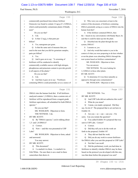## Case 1:13-cv-03675-WBH Document 108-7 Filed 12/30/16 Page 335 of 519

Paul Simone, Ph.D. November 7, 2016

Washington, D.C.

|              | Page 150                                                                                              | Page 152                                                                                                      |
|--------------|-------------------------------------------------------------------------------------------------------|---------------------------------------------------------------------------------------------------------------|
| $\mathbf{1}$ | commercially purchased time-release fertilizer                                                        | Q Why were you concerned, at least in the<br>$\mathbf{1}$                                                     |
| 2            | Osmocote was found to contain 12 ng/g of 1,3-DMAA,                                                    | context of this document, of fertilizers containing<br>$\overline{c}$                                         |
| 3            | which could potentially contaminate plants if blindly                                                 | DMAA potentially acting as a source of DMAA into the<br>3                                                     |
| 4            | used."                                                                                                | human food diet?<br>4                                                                                         |
| 5            | Do you see that?                                                                                      | A If the fertilizer contained DMAA, then<br>5                                                                 |
| 6            | $A$ I do.                                                                                             | 6<br>the -- based on my conversations with Randy Bayer, he                                                    |
| 7            | Is that 12 ng/g, is that parts per<br>0                                                               | 7<br>said that it could be taken up into the plant.                                                           |
| 8            | billion?                                                                                              | Q Absorbed into the plant through the root<br>8                                                               |
| 9            | A Yes, nanograms per gram.                                                                            | 9<br>system, DMAA?                                                                                            |
| 10           | Is that the same unit of measure that you<br>Q                                                        | 10<br>A I assume so, yes.                                                                                     |
| 11           | used in the tests that you did for geranium samples,                                                  | Q And why would that matter to you in the<br>11                                                               |
| 12           | parts per billion?                                                                                    | 12<br>context of what you were proposing to do here whether                                                   |
| 13           | A Yes.                                                                                                | or not the plants were absorbing DMAA through the<br>13                                                       |
| 14           | And it goes on to say: "A screening of<br>О                                                           | 14<br>root system based on fertilizer contamination?                                                          |
| 15           | fertilizers will be conducted to identify                                                             | 15<br>MS. WOOLSON: Objection to form.                                                                         |
| 16           | commercially available sources with high nitrogen,                                                    | 16<br>You can answer.                                                                                         |
| 17           | phosphorous and potassium content to provide growth                                                   | THE WITNESS: We were looking for<br>17                                                                        |
| 18           | to all aspects of the plants."                                                                        | 18<br>1,3-DMAA in these other plants.                                                                         |
| 19           | Do you see that?<br>$A$ I do.                                                                         | BY MR. SCOTT:<br>19                                                                                           |
| 20           |                                                                                                       | 20<br>Q To determine if it was there naturally as<br>21                                                       |
| 21<br>22     | And then it goes on to say: "Fertilizers<br>О<br>containing DMAA could potentially act as a source of | opposed to through some contamination?<br>22<br>MS. WOOLSON: Objection to form.                               |
|              |                                                                                                       |                                                                                                               |
|              |                                                                                                       |                                                                                                               |
|              | Page 151                                                                                              | Page 153                                                                                                      |
| $\mathbf{1}$ | DMAA into the human food diet. If all fertilizers                                                     | THE WITNESS: Yes.<br>1                                                                                        |
| 2            | analyzed contain 1,3-DMAA, then a custom mix of                                                       | 2<br>BY MR. SCOTT:                                                                                            |
| 3            | fertilizer will be reproduced from a reagent grade                                                    | 3<br>And USP Labs did not authorize this work?<br>O.                                                          |
| 4            | fertilizer equivalence, all scheduled for both DMAA                                                   | What do you mean?<br>4<br>A                                                                                   |
| 5            | species."                                                                                             | I mean, you made a proposal. Did they<br>5<br>O                                                               |
| 6            | Do you see that?                                                                                      | say, Go do it? The proposal that is set out here in<br>6                                                      |
| 7            | MS. WOOLSON: Objection to form.                                                                       | 7<br>Exhibit 10.                                                                                              |
| 8            | THE WITNESS: I do.                                                                                    | 8<br>A Are you -- so -- can -- can you -- I'm                                                                 |
| 9            | BY MR. SCOTT:                                                                                         | 9<br>sorry. Can you restate the question?                                                                     |
| 10           | By "DMAA species," you're talking about<br>O                                                          | You called Exhibit 10 a proposal that was<br>10<br>O.                                                         |
| 11           | 1,3- and 1,4-DMAA?                                                                                    | 11<br>sent to USP Labs. Correct?                                                                              |
| 12           | A Correct.                                                                                            | 12<br>Correct.<br>A                                                                                           |
| 13           | $\overline{Q}$<br>Now -- and this was presented to USP                                                | Did they tell you to do the work set<br>13<br>Q                                                               |
| 14           | Labs?                                                                                                 | forth in the proposal, Exhibit 10?<br>14                                                                      |
| 15           | MS. WOOLSON: Objection to form, asked                                                                 | They did not fund the work.<br>15<br>A                                                                        |
| 16           | and answered.                                                                                         | Did you do any work to screen fertilizers<br>16<br>Q                                                          |
| 17<br>18     | You may answer.                                                                                       | for DMAA after you sent this proposal to USP Labs?<br>17<br>Not that I can recall.<br>18<br>A                 |
| 19           | BY MR. SCOTT:<br>Q                                                                                    | 19<br>Q                                                                                                       |
| 20           | This document?<br>I e-mailed it to them. I e-mailed it to<br>A                                        | Did the preliminary work you had done in<br>20                                                                |
| 21           | Erik White. I'm sure there is an e-mail in there                                                      | fertilizers to identify whether DMAA may be there<br>based on the protocol you developed with this one,<br>21 |
| 22           | somewhere that shows it.                                                                              | was that done before this proposal was sent?<br>22                                                            |

39 (Pages 150 to 153)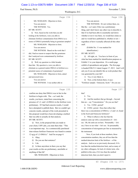#### Case 1:13-cv-03675-WBH Document 108-7 Filed 12/30/16 Page 336 of 519

# Paul Simone, Ph.D. November 7, 2016

Washington, D.C.

|              | Page 154                                                 |              | Page 156                                                                                         |
|--------------|----------------------------------------------------------|--------------|--------------------------------------------------------------------------------------------------|
| $\mathbf{1}$ | MS. WOOLSON: Objection to form.                          | 1            | You can answer.                                                                                  |
| 2            | You can answer.                                          | 2            | THE WITNESS: It's not written there, no.                                                         |
| 3            | THE WITNESS: Yes.                                        | 3            | But the -- as I said, if this was a preliminary                                                  |
| 4            | BY MR. SCOTT:                                            | 4            | thing, and I don't know any other way to describe it,                                            |
| 5            | Q Now, based on the work that you did                    | 5            | that if we had been able to essentially nail down                                                |
| 6            | looking at the fertilizers, were you able to             | 6            | whether or not it was there, we would have done so                                               |
| 7            | eliminate fertilizer contamination from DMAA as a        | 7            | and we would have published it, whether or not --                                                |
| 8            | source of DMAA potentially being in geranium samples?    | 8            | regardless of how it actually affected all this other                                            |
| 9            | MS. WOOLSON: Objection to form.                          | 9            | stuff.                                                                                           |
| 10           | You can answer.                                          | 10           | (Exhibit No. 11 was marked for                                                                   |
| 11           | THE WITNESS: Based on the work that I                    | 11           | identification.)                                                                                 |
| 12           | did, I had no reason to suspect that the geraniums       | 12           | BY MR. SCOTT:                                                                                    |
| 13           | that I analyzed were contaminated by fertilizer.         | 13           | Q All right, sir. You have in front of you                                                       |
| 14           | BY MR. SCOTT:                                            | 14           | what has been marked for identification purposes as                                              |
| 15           | Q Well, my question is a little broader                  | 15           | Exhibit 11 to your deposition. It's a multi-page                                                 |
| 16           | than that. My question is, were you able to              | 16           | exhibit of spreadsheets and graphs. The first page                                               |
| 17           | eliminate as a general matter DMAA in fertilizer as a    | 17           | is headed FHLF111 dated August 17, 2013. And I will                                              |
| 18           | potential source of contaminate of geraniums?            | 18           | ask you if you can identify this as work product that                                            |
| 19           | MS. WOOLSON: Objection to form, asked                    | 19           | was generated by your lab?                                                                       |
| 20           | and answered twice.                                      | 20           | A Yes, it very likely is.                                                                        |
| 21           | You can answer.                                          | 21           | Q Now, at the bottom there, it says:                                                             |
| 22           | THE WITNESS: I was neither able to                       | 22           | "Fertilizer sample: Osmocote, Scott." Do you see                                                 |
|              |                                                          |              |                                                                                                  |
|              | Page 155                                                 |              | Page 157                                                                                         |
| 1            | confirm nor deny that DMAA was in fact in the            | $\mathbf{1}$ | that?                                                                                            |
| 2            | fertilizer to begin with. The -- as I said, the          | 2            | Yes.<br>A                                                                                        |
| 3            | results, you know, stated here concerning the            | 3            | And the numbers that go through -- beyond<br>О                                                   |
| 4            | presence of 1,3- and 1,4-DMAA in the fertilizer were     | 4            | that are -- say "Concentration." Do you see that?                                                |
| 5            | preliminary. If I had had concrete results, I would      | 5            | A Yes. CONC, period?                                                                             |
| 6            | have attempted to publish them. But we couldn't get      | 6            | Q CONC, period. Does that reflect that                                                           |
| 7            | concrete results, and part of the work presented in      | 7            | there was a concentration of DMAA, 1,3 and 1,4, found                                            |
| 8            | this proposal would have been developing a method        | 8            | in the Scott and Osmocote fertilizers?                                                           |
| 9            | that was able to actually do that analysis.              | 9            | A What it reflects is the fact that the                                                          |
| 10           | BY MR. SCOTT:                                            | $10 \,$      | analysis came up with a concentration of -- let's                                                |
| 11           | Q Now, in the proposal that you made to                  | 11           | see. Oh, the units are on here. Presumably -- let's                                              |
| 12           | your client, USP Labs, you state there that: "This       | 12           | see, I have to see what -- let's see. So presumably                                              |
| 13           | is an important step. As a commercially purchased        | $13\,$       | concentration of micrograms per liter as measured by                                             |
| $1\,4$       | time-release fertilizer Osmocote was found to contain    | 14           | the instrument.                                                                                  |
| $15\,$       | 12 ng/g of 1,3-DMAA." And I'm on page 4.                 | 15           | Now, if you look at those numbers, those                                                         |
| 16           | A Okay.                                                  | 16           | concentration numbers, they are all less than the                                                |
| 17           | Do you see that sentence?<br>Q                           | 17           | method detection limit of the fertilizer -- of the                                               |
| 18           | I do.<br>$\mathbf{A}$                                    | 18           | analysis. And so as we previously discussed, if it's                                             |
| 19           | Is there anywhere in there you say that<br>Q             | 19           | less than the method detection limit, and as many of                                             |
| $20$         | your results on this are preliminary, unreliable or      | 20           | my other colleagues, for lack of a better term, who                                              |
| 21<br>22     | anything of that ilk?<br>MS. WOOLSON: Objection to form. | 21<br>22     | publish in this area, if it's less than the method<br>detection limit, then you don't report it. |

40 (Pages 154 to 157)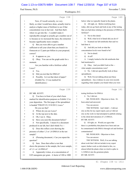#### Case 1:13-cv-03675-WBH Document 108-7 Filed 12/30/16 Page 337 of 519

Paul Simone, Ph.D. November 7, 2016

Washington, D.C.

|             | Page 158                                                                                        | Page 160                                                        |
|-------------|-------------------------------------------------------------------------------------------------|-----------------------------------------------------------------|
| 1           | Now, if I recall correctly, we very                                                             | below what we typically found in the plants.<br>1               |
| 2           | likely, as what I would have done, actually tried to                                            | Q All right, sir. Before testifying here<br>2                   |
| 3           | analyze a higher mass of fertilizer to see if that                                              | today, did you go back and look at any of the testing<br>3      |
| 4           | concentration was in fact real. And then that's                                                 | that you had done relating to the presence of DMAA in<br>4      |
| 5           | where we get into the -- I couldn't make it                                                     | fertilizer?<br>5                                                |
| 6           | reproducible enough to actually get a number out of                                             | A Not in this detail.<br>6                                      |
| 7           | it, because as we increased the mass, the extraction                                            | Well, what level of detail did you do it?<br>7<br>Q             |
| 8           | became significantly more complex.                                                              | Scanned our lab notebooks that said we<br>$\mathsf{A}$<br>8     |
| 9           | Q But you were able to get a number                                                             | had done it.<br>9                                               |
| 10          | sufficient to tell your client that you found it in                                             | Q And did you look at what the<br>10                            |
| 11          | Osmocote at 12 parts per billion in your proposal,                                              | concentration levels were found to be?<br>11                    |
| 12          | correct?                                                                                        | 12<br>A Not in detail.                                          |
| 13          | A It appears so, yes.                                                                           | 13<br>At all?<br>О                                              |
| 14          | Q Okay. You can set the graph aside for a                                                       | 14<br>A I simply looked at the lab notebooks that               |
| 15          | moment.                                                                                         | had mentioned it.<br>15                                         |
| 16          | Are you familiar with a fertilizer called                                                       | Q Okay. And you didn't look at the --<br>16                     |
| 17          | Lesco?                                                                                          | what sample concentrations were?<br>17                          |
| 18          | A Yes.                                                                                          | A No. I did not specifically look at these<br>18                |
| 19          | Did you test that for DMAA?<br>$\overline{Q}$                                                   | 19<br>spreadsheets.                                             |
| 20          | Possibly. Is it on that sheet of paper?<br>A                                                    | 20<br>Q Well, I'm not talking about just these                  |
| 21          | (Exhibit No. 12 was marked for                                                                  | spreadsheets. Any evidence in your own records<br>21            |
| 22          | identification.)                                                                                | regarding what samples you found when you were<br>22            |
|             |                                                                                                 |                                                                 |
|             |                                                                                                 |                                                                 |
|             | Page 159                                                                                        | Page 161                                                        |
| $\mathbf 1$ | BY MR. SCOTT:                                                                                   | testing fertilizers for DMAA.<br>$\mathbf{1}$                   |
| 2           | Q You have in front of you what's been                                                          | A No, I did not.<br>2                                           |
| 3           | marked for identification purposes as Exhibit 12 to                                             | 3<br>MS. WOOLSON: Objection to form. It's                       |
| 4           | your deposition. The first page of the spreadsheet                                              | been asked and answered.<br>4                                   |
| 5           | is headed "FHLFF135, 9/18/2013, Lesco."                                                         | 5<br>You can answer.                                            |
| 6           | Do you see that?                                                                                | 6<br>THE WITNESS: And I didn't -- I did not                     |
| 7           | A Where do you see Lesco?                                                                       | rely on this for my expert report, just as I did not<br>7       |
| 8           | At the top next to the date.<br>Q                                                               | rely on the work we had attempted to publish relating<br>8      |
| 9           | Oh, I see it. Okay.<br>A                                                                        | 9<br>to the chiral derivatization of 1,3-DMAA.                  |
| 10          | Have you seen this document before?<br>O                                                        | BY MR. SCOTT:<br>10                                             |
| 11          | Not specifically. I mean it's a document<br>A                                                   | 11<br>Q All right, sir. Would you agree that                    |
| 12          | produced in our lab, but I don't think I've --                                                  | 12<br>there is a probability that plants have been and can      |
| 13          | Q Does this reflect a test showing the                                                          | 13<br>be contaminated with DMAA through soil and fertilizer     |
| 14          | presence of either 1,3 or 1,4-DMAA in the test                                                  | contamination?<br>14                                            |
| $15$        | sample?                                                                                         | 15<br>MS. WOOLSON: Objection to form.                           |
| 16          | (Perusing document.) Can you repeat the<br>A                                                    | 16<br>You can answer.                                           |
| 17          | question?                                                                                       | 17<br>THE WITNESS: Well, if we are talking                      |
| 18          | Sure. Does that reflect a test that<br>$\overline{Q}$                                           | 18<br>about work that I did not include in my expert            |
| 19          | shows the presence in the sample, the Lesco sample,                                             | report, further work we did related to this, we<br>19           |
| 20          | of 1,3- or 1,4-DMAA?                                                                            | 20<br>almost killed the plants when we tried to spike in        |
| 21<br>22    | A Apparently it does, at a concentration of<br>0.05 nanograms per gram. A factor of 100 to 1000 | 21<br>1,3-DMAA into the geranium plants.<br>BY MR. SCOTT:<br>22 |

41 (Pages 158 to 161)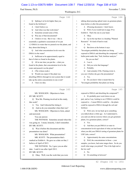## Case 1:13-cv-03675-WBH Document 108-7 Filed 12/30/16 Page 338 of 519

#### Paul Simone, Ph.D. November 7, 2016

#### Washington, D.C.

|              | Page 162                                              |                |                                                       |
|--------------|-------------------------------------------------------|----------------|-------------------------------------------------------|
|              |                                                       |                | Page 164                                              |
| $\mathbf{1}$ | Spiking it at levels higher than you<br>Q             | 1              | talking about pouring spiked water on geranium plants |
| 2            | found in the fertilizers?                             | $\overline{c}$ | done before or after this presentation?               |
| 3            | A I don't believe so.                                 | 3              | A (Perusing document.) I don't know.                  |
| 4            | And when was that work done?<br>Q                     | 4              | Q Well, if you would turn to page 39 in               |
| 5            | Sometime around some of this.<br>A                    | 5              | Exhibit 6. That's the one in your hand.               |
| 6            | Was any of that documented?<br>Q                      | 6              | A Okay.                                               |
| 7            | A I believe it was. But it was -- this is             | 7              | Up on the top there is a heading "Planned"<br>Q       |
| 8            | essentially a qualitative assessment of we put        | 8              | Research." It's kind of hard to read.                 |
| 9            | 1,3-DMAA in water that we poured over the plants, and | 9              | A Yes.                                                |
| 10           | they about died doing it.                             | 10             | But down at the bottom it says:<br>O.                 |
| 11           | Q And what concentration levels were the              | 11             | "Investigate probability that plants are being        |
| 12           | DMAA in the water?                                    | 12             | exposed to DMAA and absorbing the compound," with a   |
| 13           | A Sufficient to be approximately equal to             | 13             | bullet point under that, "Soil, fertilizer analysis." |
| 14           | that of what we found in the plants.                  | 14             | Do you see that?                                      |
| 15           | Q All at one time you put the -- what you             | 15             | A I see it.                                           |
| 16           | found in the plants, that concentration level in the  | 16             | Did you write that language?<br>Q                     |
| 17           | water and poured it on the plant?                     | 17             | Probably.<br>A                                        |
| 18           | A (The witness nods.)                                 | 18             | And certainly if Ms. Fleming wrote it,<br>Q           |
| 19           | Would you expect if the plant was<br>Q                | 19             | you saw it before she gave the presentation?          |
| 20           | absorbing DMAA through its root system that it would  | 20             | A Yes.                                                |
| 21           | take up the entire concentration in one event?        | 21             | Do you know what is meant there by<br>O               |
| 22           | A I have no idea.                                     | 22             | "Investigate probability that plants are being        |
|              |                                                       |                |                                                       |
|              |                                                       |                |                                                       |
|              | Page 163                                              |                | Page 165                                              |
| 1            | MS. WOOLSON: Objection to form.                       | $\mathbf 1$    | exposed to DMAA and absorbing the compound"?          |
| 2            | BY MR. SCOTT:                                         | 2              | A It's probably poor word choice on our               |
| 3            | Q Was Ms. Fleming involved in this study,             | 3              | part, and as I say, looking to see if DMAA could be   |
| 4            | this work?                                            | 4              | exposed to -- I mean DMAA could be -- the plants      |
| 5            | A Yes. And I directed her doing it.                   | 5              | could be exposed to DMAA through the soil and         |
| 6            | And so do you remember when that was?<br>Q            | 6              | fertilizer.                                           |
| 7            | MS. WOOLSON: Objection to form, asked                 | 7              | Q Well, now, let me back up to something              |
| 8            | and answered.                                         | 8              | you talked about a while ago. As I understand it,     |
| 9            | You can answer.                                       | 9              | you said you did an exercise where you got geranium   |
| 10           | THE WITNESS: Sometime around when this                | 10             | plants, live geranium plants, correct?                |
| 11           | was going on. I mean, honestly, I don't remember.     | 11             | A Yes.                                                |
| 12           | BY MR. SCOTT:                                         | 12             | Q And then you put DMAA in water in                   |
| 13           | Q Was it before this document and this                | 13             | concentration levels equivalent of what you had found |
| 14           | presentation was done?                                | 14             | when you did your DMAA testing of geranium plants for |
| 15           | MS. WOOLSON: What presentation?                       | 15             | USP Labs, correct?                                    |
| 16           | MR. SCOTT: The presentation that's                    | 16             | A Approximately the same concentrations.              |
| 17           | marked as Exhibit 6. He gave us a date on that, I     | 17             | Q Well, the concentrations in those -- your           |
| 18           | believe of April of 2013.                             | $1\,8$         | samples, you know, had some ranges there. So do you   |
| 19           | THE WITNESS: No, I gave you an after                  | 19             | recall what range you picked? Was it the high end or  |
| 20           | date. I said it was after April 2013.                 | 20             | the low end?                                          |
| 21           | BY MR. SCOTT:                                         | 21             | A No.                                                 |
| 22           | Q Okay. Well, was the work that you were              | 22             | Or something in between?<br>Q                         |

42 (Pages 162 to 165)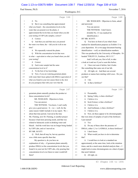## Case 1:13-cv-03675-WBH Document 108-7 Filed 12/30/16 Page 339 of 519

Washington, D.C.

Paul Simone, Ph.D. November 7, 2016

|             | Page 166                                              |              | Page 168                                              |
|-------------|-------------------------------------------------------|--------------|-------------------------------------------------------|
| 1           | A No.                                                 | 1            | MS. WOOLSON: Objection to form, asked                 |
| 2           | But it was something that approximated<br>0           | $\mathbf{2}$ | and answered.                                         |
| 3           | what you found -- the concentration levels in the     | 3            | You can answer.                                       |
| 4           | water that you poured over the plants, it             | 4            | THE WITNESS: I don't know.                            |
| 5           | approximated the levels that you found when you did   | 5            | (Exhibit No. 13 was marked for                        |
| 6           | your testing of USP Labs samples, correct?            | 6            | identification.)                                      |
| 7           | A Correct.                                            | 7            | BY MR. SCOTT:                                         |
| 8           | And then you said that once you poured<br>Q           | 8            | Q You have in front of you what's been                |
| 9           | the water over them, the -- did you do it all at one  | 9            | marked for identification purposes as Exhibit 13 to   |
| 10          | time?                                                 | 10           | your deposition. It's a two-page document bearing     |
| 11          | We repeatedly watered the plants.<br>A                | 11           | identification -- well, no identification numbers.    |
| 12          | With the concentration levels that were<br>0          | 12           | This was produced by the University of Memphis. It's  |
| 13          | in what -- equivalent to what you found when you did  | 13           | headed "FHLFF131, Fertilizer, 09/11/13."              |
| 14          | your testing?                                         | 14           | And I will ask you, first of all, to take             |
| 15          | A Correct.                                            | 15           | a look at it and see if you've seen this before.      |
| 16          | Each water sample had the same<br>Q                   | 16           | A I have not seen it before, but it looks             |
| 17          | concentration level in it?                            | 17           | like something that came out of our lab.              |
| 18          | A To the best of my knowledge.                        | 18           | All right, sir. And there are several<br>Q            |
| 19          | Now, if you are watering geranium plants<br>Q         | 19           | products or names here starting with Lesco. Do you    |
| 20          | with water that's been spiked with DMAA equivalent of | 20           | see that?                                             |
| 21          | what you found in your test causes them to die, how   | 21           | $A$ I do.                                             |
| 22          | do you juxtapose that with your view that the         | 22           | Is that a fertilizer?<br>Q                            |
|             | Page 167                                              |              | Page 169                                              |
| 1           | geranium plants naturally produce the product at      | 1            | Presumably.<br>A                                      |
| 2           | those concentration levels?                           | 2            | Spring Valley, is that a fertilizer?<br>Q             |
| 3           | MS. WOOLSON: Objection to form.                       | 3            | I believe it is.<br>A                                 |
| 4           | You can answer.                                       | 4            | Scott Extract, is that a fertilizer?<br>Q             |
| 5           | THE WITNESS: You know, I can't really                 | 5            | I believe it is.<br>A                                 |
| 6           | give you a good answer. It -- we -- well, for the     | 6            | And Earthmate, is that a fertilizer?<br>Q             |
| 7           | same reason I didn't include it in my report. We --   | 7            | I believe it is.<br>A                                 |
| 8           | about that time period, I moved at the time           | 8            | Now, do these appear to be chromatographs<br>Q        |
| 9           | Ms. Fleming, now Dr. Fleming, to another project      | 9            | that were done of samples of each of the fertilizers  |
| 10          | because it had more pressing needs, and that was      | 10           | I just named?                                         |
| 11          | related to haloacetic acids in drinking water and     | 11           | A Yes.                                                |
| 12          | bleach. And the work here was no longer being funded  | 12           | Do any of these show the presence of<br>Q             |
| 13          | by USP Labs, and so I moved on.                       | 13           | DMAA, either 1,3 or 1,4-DMAA, in those fertilizers?   |
| 14          | BY MR. SCOTT:                                         | 14           | I don't know.<br>A                                    |
| 15          | Well, that all may be, but my question<br>Q           | 15           | What would you have to do to determine<br>Q           |
| 16          | was a little more specific than that.                 | 16           | that?                                                 |
| 17          | My question is, do you have an                        | 17           | I would have to look at a standard run<br>A           |
| 18          | explanation of why -- if geranium plants naturally    | 18           | approximately at the same time, look at the retention |
| 19          | produce DMAA at the concentration levels that you     | 19           | times, and do a much more detailed analysis than -- I |
| 20          | found it in your test for USP Labs, why pouring that  | 20           | might look at some chromatograms on a sheet of paper  |
| 21          | concentration level over them in water would kill     | 21           | that aren't labeled.                                  |
| $2\sqrt{2}$ | them?                                                 | 22           | Q All right, sir.                                     |
|             |                                                       |              |                                                       |

43 (Pages 166 to 169)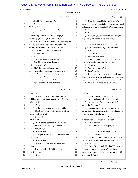#### Case 1:13-cv-03675-WBH Document 108-7 Filed 12/30/16 Page 340 of 519

Paul Simone, Ph.D. November 7, 2016

Washington, D.C.

|              | Page 170                                              |             | Page 172                                                               |
|--------------|-------------------------------------------------------|-------------|------------------------------------------------------------------------|
| $\mathbf{1}$ | (Exhibit No. 14 was marked for                        | 1           | Now, in your published study you talk<br>$\overline{O}$                |
| 2            | identification.)                                      | 2           | about a number of other studies that were performed                    |
| 3            | BY MR. SCOTT:                                         | 3           | pertaining to trying to identify DMAA in geranium                      |
| 4            | Q All right, sir. You have in front of you            | 4           | plants. Right?                                                         |
| 5            | what's been marked for identification purposes as     | 5           | A Right.                                                               |
| 6            | Exhibit 14 to your deposition. It is a multi-page     | 6           | Now, are you familiar with something that<br>Q                         |
| 7            | document, pages 1 through 23. The first page is       | 7           | is generally referred to as the Ping study?                            |
| 8            | "Analysis of 1,3-DMAA and 1,4-DMAA in geranium plants | 8           | Yes.<br>A                                                              |
| 9            | using high performance liquid chromatography with     | 9           | And do you refer to or cite the Ping<br>0                              |
| 10           | tandem mass spectrometry and nuclear magnetic         | 10          | study in your published study there, Exhibit 4?                        |
| 11           | resonance, Heather L. Fleming, September 2013."       | 11          | No.<br>A                                                               |
| 12           | Do you see that?                                      | 12          | Why is that?<br>Q                                                      |
| 13           | $A$ I do.                                             | 13          | I had not read that study.<br>A                                        |
| 14           | And do you know what this document is?<br>Q           | 14          | All right. So when you did your work for<br>$\mathbf Q$                |
| 15           | Probably her prospectus document.<br>A                | 15          | USP Labs, you had not seen the Ping study?                             |
| 16           | And what's that?<br>О                                 | 16          | That's correct.<br>A                                                   |
| 17           | That's the document that she writes as<br>А           | 17          | Were you aware of it?<br>Q                                             |
| 18           | part of her cumulative examinations to qualify as a   | 18          | I don't recall.<br>A                                                   |
| 19           | Ph.D. candidate at the University of Memphis.         | 19          | But certainly when you put forward your<br>O.                          |
| 20           | Q All right, sir. Did you have any                    | 20          | findings in Exhibit 4, you had not reviewed the Ping                   |
| 21           | involvement in the preparation of this?               | 21          | study and were not relying on it for any purpose?                      |
| 22           | A I probably edited it, more than likely.             | 22          | A I had not reviewed it and I did not                                  |
|              |                                                       |             |                                                                        |
|              | Page 171                                              |             | Page 173                                                               |
| 1            | I mean -- yes.                                        | $\mathbf 1$ | reference it.                                                          |
| 2            | Q And so you would have looked it over and            | 2           | Did you rely on it for anything?<br>Q                                  |
| 3            | told her go/no go with the document before she        | 3           | No. I had not read it, had not seen it.<br>A                           |
| 4            | submitted it?                                         | 4           | All right, sir. When do you recall first<br>О                          |
| 5            | A Yes.                                                | 5           | seeing the Ping study?                                                 |
| 6            | All right, sir. You can set that aside.<br>0          | 6           | Sometime after it was provided to me<br>A                              |
| 7            | MR. SCOTT: Let's take a short break here              | 7           | during this -- the generation of my expert report as                   |
| 8            | while I shift materials.                              | 8           | related to this particular case.                                       |
| 9            | (Recess.)                                             | 9           | Q Okay. So you first saw Ping after you                                |
| 10           | BY MR. SCOTT:                                         | 10          | were retained as an expert in this case?                               |
| 11           | Back on the record after a short break.<br>O.         | 11          | That's correct.<br>A                                                   |
| 12           | Doctor, I will remind you you're still                | 12          | And I will assume a lawyer gave it to<br>Q                             |
| 13           | under oath, all right?                                | 13          | you?                                                                   |
| 14           | Understood.<br>A                                      | 14          | MS. WOOLSON: Objection to form.                                        |
| 15           | And please let me know if my questions<br>Q           | 15          | You can answer.                                                        |
| 16           | are unclear.                                          | 16          | THE WITNESS: Yeah, it was provided as                                  |
| 17           | Understood.<br>A                                      | 17          | part of the documents that were given to me.                           |
| 18           | And if you need a break, again let me<br>Q            | 18          | BY MR. SCOTT:                                                          |
| 19           | know.                                                 | 19          | Q Okay. Now, I probably should have asked                              |
| 20           | If you would, grab Exhibit 4, your                    | 20          | this earlier, but in the course of preparing as an                     |
| 21<br>22     | published study.<br>A Okay.                           | 21<br>22    | expert here, have you had any conversations with<br>anyone at Hi-Tech? |

44 (Pages 170 to 173)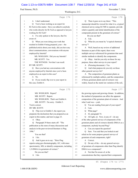### Case 1:13-cv-03675-WBH Document 108-7 Filed 12/30/16 Page 341 of 519

Paul Simone, Ph.D. November 7, 2016

Washington, D.C.

|          | Page 174                                             | Page 176                                                                                          |
|----------|------------------------------------------------------|---------------------------------------------------------------------------------------------------|
| 1        | I don't understand.<br>A                             | Then it goes on to say there: "This<br>1<br>Q                                                     |
| 2        | You've been working as an expert for<br>O            | manuscript should be viewed for what it is, a typical<br>2                                        |
| 3        | Hi-Tech in this matter. Have you talked to anybody   | chemical survey using GC/MS to separate, provide<br>3                                             |
| 4        | who works directly for Hi-Tech as opposed to lawyers | relative quantity and initial identification of the<br>4                                          |
| 5        | working for Hi-Tech?                                 | compounds present in the geranium oil extract."<br>5                                              |
| 6        | A I've only spoken to the lawyers, that I'm          | 6<br>Do you see that?                                                                             |
| 7        | aware of.                                            | 7<br>A I do.                                                                                      |
| 8        | When you were doing your work that<br>Q              | What do you mean by "a typical chemical<br>8<br>Q                                                 |
| 9        | resulted in Exhibit 4 being prepared, your -- the    | survey"?<br>9                                                                                     |
| 10       | published article about your study, did you have any | A Well, based on my review of additional<br>10                                                    |
| 11       | direct communications, conversations with anyone     | literature as part of this report, there were<br>11                                               |
| 12       | employed by Intertek?                                | multiple surveys referenced for geranium that used<br>12                                          |
| 13       | MS. WOOLSON: Did you say Intertek?                   | similar methods to identify the components.<br>13                                                 |
| 14       | MR. SCOTT: Yes.                                      | Q Okay. And do you rely on those for any<br>14                                                    |
| 15       | THE WITNESS: Not that I can recall.                  | purpose, those other surveys in your report?<br>15                                                |
| 16       | BY MR. SCOTT:                                        | A (Perusing document.) Yes.<br>16                                                                 |
| 17       | Have you had any conversations with<br>Q             | And what purpose do you rely on those<br>17<br>$\overline{Q}$                                     |
| 18       | anyone employed by Intertek since you've been        | other general surveys for?<br>18                                                                  |
| 19       | employed as an expert in this case?                  | A The composition of geranium plants as<br>19                                                     |
| 20       | A No.                                                | referenced by multiple authors, and the composition<br>20                                         |
| 21       | If you would, flip over to your report in<br>$\circ$ | of those geranium plants and oil extracts vary<br>21                                              |
| 22       | this case, Exhibit 4.                                | 22<br>widely, based on the metal ion variation of the soil,                                       |
|          |                                                      |                                                                                                   |
|          |                                                      |                                                                                                   |
|          | Page 175                                             | Page 177                                                                                          |
| 1        | MS. WOOLSON: Report?                                 | the growing region and growing climate. In addition,<br>1                                         |
| 2        | MR. SCOTT: Report.                                   | the method of preparation can affect the apparent<br>2                                            |
| 3        | MS. WOOLSON: That's not Exhibit 4.                   | 3<br>composition of the geranium plant oil extracts. And                                          |
| 4        | MR. SCOTT: I'm sorry. Exhibit 3.                     | what I said was -- yeah.<br>4                                                                     |
| 5        | You're correct.                                      | You are reading from part of your report?<br>5<br>Q                                               |
| 6        | BY MR. SCOTT:                                        | 6<br>I am.<br>A                                                                                   |
| 7        | Flip over to Exhibit 3, the report you<br>0          | What page?<br>7<br>$\mathbf Q$                                                                    |
| 8        | prepared, the declaration that you prepared as an    | 42, paragraph 74.<br>8<br>A                                                                       |
| 9        | expert in this matter, and turn to page 23.          | 9<br>All right, sir. Now, in any of -- do any<br>Q                                                |
| 10       | Okay.<br>A                                           | of the other general surveys of components of the<br>10                                           |
| 11       | Paragraph 39 there starts off: "The<br>0             | geranium plants and oil extracts identify DMAA as a<br>11                                         |
| 12       | publication as the stem of many discussions and      | 12<br>component, anybody beyond Ping?                                                             |
| 13       | analysis in the peer-reviewed literature is Ping     | 13<br>A Can you repeat the question?                                                              |
| 14       | 1996."                                               | Sure. You said that you looked at and<br>14<br>Q                                                  |
| 15       | You see that?                                        | relied on for some purpose general surveys of<br>15                                               |
| 16       | $A$ I do.                                            | 16<br>geranium oil and components, right?                                                         |
| 17       | And it goes on to say: "Here Ping<br>$\mathbf Q$     | Correct.<br>17<br>A                                                                               |
| $18\,$   | reports using gas chromatography, GC, with mass      | 18<br>Do any of the -- do any general surveys<br>Q                                                |
| 19       | spectrometry, MS, to identify components, including  | 19<br>of geranium oil components other than Ping identify                                         |
| 20       | 1,3-DMAA in geranium oil extract."                   | DMAA as a component?<br>20                                                                        |
| 21<br>22 | Do you see that?<br>A I do.                          | A Not that I'm aware of, at the<br>21<br>22<br>concentrations that they reported their components |

45 (Pages 174 to 177)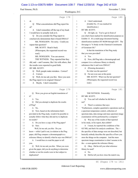### Case 1:13-cv-03675-WBH Document 108-7 Filed 12/30/16 Page 342 of 519

Paul Simone, Ph.D. November 7, 2016

Washington, D.C.

|          | Page 178                                                           | Page 180                                                      |
|----------|--------------------------------------------------------------------|---------------------------------------------------------------|
| 1        | at.                                                                | A I don't understand.<br>1                                    |
| 2        | Q<br>What concentrations did Ping report his                       | $\overline{c}$<br>(Exhibit No. 15 was marked for              |
| 3        | at?                                                                | 3<br>identification.)                                         |
| 4        | I don't remember off the top of my head.<br>A                      | BY MR. SCOTT:<br>4                                            |
| 5        | I would have to actually look at it.                               | Q All right, sir. You've got in front of<br>5                 |
| 6        | Do you consider the Ping report to<br>Q                            | 6<br>you what's been marked for identification purposes as    |
| 7        | conclusively demonstrate that it found DMAA?                       | Exhibit 15. It's a multi-page document bearing<br>7           |
| 8        | MS. WOOLSON: I'm sorry. Could you                                  | identification numbers HT 06200 through 6207. The<br>8        |
| 9        | repeat that question?                                              | first page is "A Study on the Chemical Constituents<br>9      |
| 10       | MR. SCOTT: Read it back.                                           | of Geranium Oil."<br>10                                       |
| 11       | (Whereupon, the requested record was                               | 11<br>Is that the translation of the Ping study               |
| 12       | read.)                                                             | 12<br>that you were provided?                                 |
| 13       | MS. WOOLSON: You can answer.                                       | A Yes.<br>13                                                  |
| 14       | THE WITNESS: They reported that they                               | Q Now, did Ping take a chromatograph and<br>14                |
| 15       | did, and -- and I assume, like I do with others, that              | compare it to a reference library to identify<br>15           |
| 16       | the results were reported in good faith.                           | substances that it said were DMAA?<br>16                      |
| 17       | BY MR. SCOTT:                                                      | A (Perusing document.)<br>17                                  |
| 18       | Well, people make mistakes. Correct?<br>Q                          | So what was the question?<br>18                               |
| 19       | Correct.<br>A                                                      | Q I'm not even sure at this point.<br>19                      |
| 20       | Well, let me ask you this: Have you seen<br>O                      | MR. SCOTT: What was the last question?<br>20                  |
| 21       | the Ping report in its original Chinese?                           | (Whereupon, the requested record was<br>21                    |
| 22       | Maybe. I don't remember.<br>A                                      | read.)<br>22                                                  |
|          |                                                                    |                                                               |
|          | Page 179                                                           | Page 181                                                      |
| 1        | Were you given an English translation of<br>Q                      | $\mathbf{1}$<br>THE WITNESS: Potentially.                     |
| 2        | it?                                                                | BY MR. SCOTT:<br>$\overline{2}$                               |
| 3        | Yes.<br>$\mathsf{A}$                                               | 3<br>You can't tell whether he did that or<br>О.              |
| 4        | Did you attempt to duplicate the results<br>0                      | 4<br>not?                                                     |
| 5        | of Ping?                                                           | 5<br>There's a sentence that says:<br>A                       |
| 6        | A No.                                                              | 6<br>"Furthermore, complex quantitative operations such as    |
| 7        | Now, based on the information that's<br>$\circ$                    | a spectrum temperature control, collection of<br>7            |
| 8        | provided in the Ping study, would it be possible to                | 8<br>spectrum data, data storage and mass spectrum image      |
| 9        | actually follow what they did and try to duplicate                 | examination will be performed by a computer."<br>9            |
| $10$     | its results?                                                       | 10<br>Q Was any of the results of that reported               |
| 11       | A Do you have a copy of the Ping paper?                            | 11<br>in his study, in his report, that exhibit?              |
| $12$     | Sure.<br>Q                                                         | 12<br>A I mean, he reported the conditions of the             |
| 13       | Well, let me ask you this: Do you                                  | 13<br>GC/MS, and that's his analysis conditions. The --       |
| $1\,4$   | know -- while I pull it out, in relation to the Ping               | 14<br>the specifics of data storage were not described, but   |
| $15\,$   | paper, did Ping compare a chromatograph to a                       | 15<br>basically nobody describes the specifics of how you     |
| 16       | reference library to identify what he says was DMAA?               | 16<br>store the things on the computer. And the mass          |
| $17$     | A I would have to read the paper to tell                           | 17<br>spectrum image examination is what I assume to be       |
| 18       | you.                                                               | the -- a scan against the reference library.<br>18            |
| 19       | Well, let me ask you this: When you were<br>Q                      | Q Okay. Did he tell you what reference<br>19                  |
| 20       | given the paper, did you do anything to determine                  | 20<br>library he used?                                        |
| 21<br>22 | whether or not his results were in fact subject to<br>duplication? | A No.<br>21<br>Did he tell you how close the match was,<br>22 |

46 (Pages 178 to 181)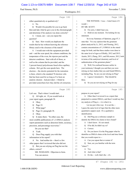## Case 1:13-cv-03675-WBH Document 108-7 Filed 12/30/16 Page 343 of 519

Washington, D.C.

Paul Simone, Ph.D. November 7, 2016

|             | Page 182                                                  | Page 184                                                                        |
|-------------|-----------------------------------------------------------|---------------------------------------------------------------------------------|
| $\mathbf 1$ | either quantitatively or qualitatively?                   | THE WITNESS: I was -- I don't know if I<br>1                                    |
| 2           | No.<br>A                                                  | would --<br>2                                                                   |
| 3           | Would it be possible for you to go back<br>$\overline{O}$ | 3<br>BY MR. SCOTT:                                                              |
| 4           | then and take what he gave you in the chromatograph       | 4<br>I'm sorry, I didn't hear you.<br>Q                                         |
| 5           | and determine if his analysis was done correctly?         | A Hold on one moment. I'm looking for my<br>5                                   |
| 6           | A I mean, can -- can you repeat the                       | 6<br>statement.                                                                 |
| 7           | question?                                                 | 7<br>So in my Summary of Opinions, page 87, I                                   |
| 8           | Sure. How would you duplicate the<br>Q                    | state that: "It is my opinion that the geranium<br>8                            |
| 9           | results that he has without knowing the reference         | plants analyzed by Li, 2012, and Fleming, 2012,<br>9                            |
| 10          | library used or the closeness of the match?               | contain concentrations of 1,3-DMAA in the stated<br>10                          |
| 11          | A I would start with the equipment provided               | range for both, and that these studies were done to<br>11                       |
| 12          | and -- and the scan speed, the column conditions, the     | 12<br>the same level of rigor as ElSohly, 2012 and 2015;                        |
| 13          | temperature of the oven, the injector port and the        | Austin, 2013; Zhang, 2011; and DiLorenzo, 2012, both<br>13                      |
| 14          | detector conditions. Start with all of those, as          | in terms of the analytical chemistry and level of<br>14                         |
| 15          | well as the column that he provided, and the              | authentication of the geranium plants."<br>15                                   |
| 16          | 5 percent benzyl polysiloxane fused silica capillary      | Q Well, I'm confused because earlier in<br>16                                   |
| 17          | column. He's got the scan speeds here. The                | your testimony I thought you said that you were<br>17                           |
| 18          | electron -- the electric potential for the ionization     | relying on four studies that you said found DMAA,<br>18                         |
| 19          | is there, which is the standard 70 electron volts         | including Ping. So are you not relying on Ping?<br>19                           |
| 20          | that has been used for as long as I've been an            | 20<br>A I guess I misstated it. That should be                                  |
| 21          | analytic chemist. And provided -- I think he              | 21<br>three.                                                                    |
| 22          | provided somewhere how they did the oil extraction.       | 22<br>So you are not relying on Ping for any<br>Q                               |
|             |                                                           |                                                                                 |
|             | Page 183                                                  | Page 185                                                                        |
| 1           | Let's see. That's where I would start.                    | purpose in your report?<br>1                                                    |
| 2           | Q All right, sir. If you would look at                    | A Other than I reviewed it as a report that<br>2                                |
| 3           | your report again, paragraph 38.                          | 3<br>purported to contain DMAA, and then I would say that                       |
| 4           | Okay.<br>A                                                | my analysis of Ping is -- it is what it is.<br>4                                |
| 5           | Page 22.<br>Q                                             | Let me put it this way: It is not the --<br>5                                   |
| 6           | What page?<br>A                                           | I guess the same level of rigor that the other more<br>6                        |
| 7           | Page 22, paragraph 38.<br>Q                               | quantitative papers used. It's a qualitative<br>7                               |
| 8           | Okay.<br>A                                                | identification.<br>8                                                            |
| 9           | It states there: "In either case, the<br>Q                | 9<br>Q Did Ping use a reference sample to                                       |
| 10          | most credible publications of 1,3-DMAA analysis           | identify the DMAA he claims to have found?<br>10                                |
| 11          | report parameters such as detection limits, accuracy,     | A I don't know. It's not stated.<br>11                                          |
| 12          | precision, and percentage recoveries."                    | If he did, he didn't say so?<br>12<br>O                                         |
| 13          | Do you see that?                                          | Correct.<br>13<br>A                                                             |
| 14          | A Yeah.                                                   | Do you know if in the Ping paper what he<br>14<br>Q                             |
| 15          | Does Ping supply you with that<br>O                       | identifies as DMAA elutes at the level and time frame<br>15                     |
| 16          | information in his report?                                | 16<br>that you would expect to --                                               |
| 17          | A No. And neither do -- there's a few                     | 17<br>Can you repeat that or restate it?<br>A                                   |
| 18          | other papers that I reviewed that also did not.           | Sure, are you familiar with the term<br>18<br>Q                                 |
| 19          | Q But you are relying on Ping but not the                 | "elutes"?<br>19                                                                 |
| 20          | others, correct?                                          | 20<br>A Yes.                                                                    |
| 21<br>22    | MS. WOOLSON: Objection to form.<br>You can answer.        | 21<br>And what is that?<br>Ő<br>It's the -- well, that's the -- it's<br>22<br>A |

47 (Pages 182 to 185)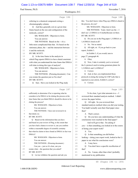#### Case 1:13-cv-03675-WBH Document 108-7 Filed 12/30/16 Page 344 of 519

Washington, D.C.

Paul Simone, Ph.D. November 7, 2016

|              | Page 186                                                    |                | Page 188                                                                    |
|--------------|-------------------------------------------------------------|----------------|-----------------------------------------------------------------------------|
| $\mathbf{1}$ | referring to a chemical compound exiting a                  | $\mathbf{1}$   | this: You don't know when Ping says DMAA eluted in                          |
| 2            | chromatography column.                                      | $\overline{c}$ | the process, do you?                                                        |
| 3            | Q And they generally exit at a given time                   | 3              | MS. WOOLSON: Objection to form.                                             |
| 4            | frame based on the size and configuration of the            | 4              | THE WITNESS: Yeah, I don't see the -- I                                     |
| 5            | molecule, correct?                                          | 5              | don't see 1,3-DMAA or 4-methylhexane on there.                              |
| 6            | MS. WOOLSON: Objection to form.                             | 6              | BY MR. SCOTT:                                                               |
| 7            | You can answer.                                             | 7              | Q Do you see in the Ping paper 1,3-DMAA or                                  |
| 8            | THE WITNESS: Based on the -- it's a                         | 8              | 1,4-DMAA listed at all?                                                     |
| 9            | little more complicated than that. It's based on the        | 9              | A No. Not as stated.                                                        |
| 10           | stationary phase, the -- and the interaction between        | 10             | All right, sir. If you go back to your<br>O.                                |
| 11           | it and the molecule.                                        | 11             | report, Exhibit 3.                                                          |
| 12           | BY MR. SCOTT:                                               | 12             | In Exhibit 3, if you would, turn to                                         |
| 13           | Q Is the time frame in the analysis in                      | 13             | page 27, paragraph 46.                                                      |
| 14           | which Ping reports DMAA to have eluted consistent           | 14             | A Okay.                                                                     |
| 15           | with what you understand the time frame that DMAA           | 15             | Q Now, I take it certainly you've reviewed                                  |
| 16           | will elute in doing this type of analysis?                  | 16             | the Li protocol used in testing geranium plants for                         |
| 17           | MS. WOOLSON: Objection to form.                             | 17             | 1,3-DMAA and 1,4-DMAA?                                                      |
| 18           | You can answer.                                             | 18             | A Correct.                                                                  |
| 19           | THE WITNESS: (Perusing document.) Can                       | 19             | Q And, in fact, you implemented those                                       |
| 20           | you restate the question just so I'm clear?                 | 20             | protocols in doing the testing for USP Labs that is                         |
| 21           | BY MR. SCOTT:                                               | 21             | reported in your article, Exhibit 4, correct?                               |
| 22           | Q Sure. Have you looked at the Ping study                   | 22             | A Correct.                                                                  |
|              |                                                             |                |                                                                             |
|              | Page 187                                                    |                | Page 189                                                                    |
| $\mathbf{1}$ | sufficiently to determine if he is reporting what he        | 1              | To be clear, I got what amounts to a -- I                                   |
| $\mathbf{2}$ | considers to be DMAA to be eluting the process at the       | 2              | reviewed their standard analysis method. I didn't                           |
| 3            | time frame that you think DMAA should be shown to be        | 3              | review the paper before.                                                    |
| 4            | eluting the process?                                        | 4              | Q All right. So you reviewed their                                          |
| 5            | MS. WOOLSON: Objection to form.                             | 5              | standard analysis method when you did your testing.                         |
| 6            | You can answer.                                             | 6              | You hadn't actually seen their final paper since                            |
| 7            | THE WITNESS: I have not reviewed it in                      | 7              | then?                                                                       |
| 8            | that detail, no.                                            | 8              | A That's correct.                                                           |
| 9            | BY MR. SCOTT:                                               | 9              | Q Do you have any understanding of what the                                 |
| 10           | Based on the information that you have<br>Q                 | 10             | conclusions were reached in the final paper?                                |
| 11           | and based on your review of Ping, to the extent that        | 11             | And we'll get to that. I'm asking if                                        |
| 12           | you have had a chance to review it, can you confirm         | 12             | you -- is that something you looked at in the course                        |
| 13           | within a reasonable degree of scientific certainty          | 13             | of doing your expert work?                                                  |
| 14           | that what he claims to have found as DMAA in fact was       | 14             | A Yes.                                                                      |
| $15\,$       | DMAA?                                                       | 15             | Is that something you did before<br>$\overline{Q}$                          |
| 16           | MS. WOOLSON: Objection to form.                             | 16             | looking -- doing your expert work, looked at the Li                         |
| 17           | You can answer.                                             | 17             | paper to see what his conclusions were?                                     |
| 18           | THE WITNESS: (Perusing document.)                           | 18             | I may have.<br>A                                                            |
| 19           | Can you -- just so it's clear, can you                      | 19             | You don't have a specific recollection of<br>Q                              |
| 20           | restate what -- the question that you asked?                | 20             | that?                                                                       |
| 21<br>22     | BY MR. SCOTT:<br>Q Let me withdraw the question and ask you | 21<br>22       | No. I mean, other than what I probably<br>A<br>mentioned in my publication. |

48 (Pages 186 to 189)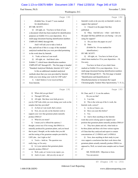## Case 1:13-cv-03675-WBH Document 108-7 Filed 12/30/16 Page 345 of 519

Washington, D.C.

Paul Simone, Ph.D. November 7, 2016

|              | Page 190                                                   |                | Page 192                                              |
|--------------|------------------------------------------------------------|----------------|-------------------------------------------------------|
| 1            | (Exhibit Nos. 16 and 17 were marked                        | 1              | Intertek's work or do you rely on Intertek's work to  |
| 2            | for identification.)                                       | $\overline{c}$ | support that opinion?                                 |
| 3            | BY MR. SCOTT:                                              | 3              | A I based it on the paper that they                   |
| 4            | Q All right, sir. You have in front of you                 | 4              | published.                                            |
| 5            | a document which has been marked for identification        | 5              | Q Okay. And did you -- what -- and what in            |
| 6            | purposes as Exhibit 16 to your deposition. It's a          | 6              | the paper did they publish are you basing -- are you  |
| 7            | multi-page document bearing identification numbers         | 7              | using for support?                                    |
| 8            | UMPS-HT-00682 through 686.                                 | 8              | A Do you have the paper on you?                       |
| 9            | And I will ask you to take a look at                       | 9              | Sure.<br>$\overline{Q}$                               |
| 10           | this, and tell me if this is a copy of the standard        | 10             | (Exhibit No. 18 was marked for                        |
| 11           | analytical method that you were provided pertaining        | 11             | identification.)                                      |
| 12           | to the work done by Intertek.                              | 12             | BY MR. SCOTT:                                         |
| 13           | A Yeah, as best as I can recall.                           | 13             | Q All right, sir. You have in front of you            |
| 14           | All right, sir. And there's also<br>O                      | 14             | what's been marked as 19 to your deposition -- 18,    |
| 15           | Exhibit 17, which bears identification numbers             | 15             | I'm sorry.                                            |
| 16           | UMPS-HT-687 through 691. The first page is headed          | 16             | You have in front of you what's been                  |
| 17           | "Standard Analytical Methods, Intertek ACC Labs."          | 17             | marked as Exhibit 18 to your deposition. It is a      |
| 18           | Is this an additional standard analytical                  | 18             | multi-page document bearing identification numbers    |
| 19           | methods sheet that you were provided by Intertek           | 19             | HT-06140 through 06151. The first page is headed      |
| 20           | while you were doing your work for USP Labs?               | 20             | "Identification and Quantification of                 |
| 21           | A I don't believe I ever received these                    | 21             | Dimethylamylamine in Geranium By Liquid               |
| 22           | from Intertek.                                             | 22             | Chromatography Tandem Mass Spectrometry," J. S. Li,   |
|              |                                                            |                |                                                       |
|              | Page 191                                                   |                | Page 193                                              |
|              |                                                            |                |                                                       |
| 1            | Where did you get them?<br>Q                               | $\mathbf 1$    | M. Chan, and Z. C. Li are the authors.                |
| $\mathbf{2}$ | Through USP Labs.<br>A                                     | 2              | Do you see that?                                      |
| 3            | Q All right. But these were both given to                  | 3              | A I see that.                                         |
| 4            | you by USP Labs while you were doing your work on the      | 4              | This is the write-up of the Li work, the<br>O         |
| 5            | samples that they provided?                                | 5              | Intertek work, correct?                               |
| 6            | A As best as I can recall, that's correct.                 | 6              | A As far as I know, yes.                              |
| 7            | Now, do you rely on the Intertek work to<br>$\overline{O}$ | 7              | Have you seen this before?<br>0                       |
| 8            | support your view that geranium plants naturally           | 8              | A Yes.                                                |
| 9            | produce DMAA?                                              | $\mathsf 9$    | And is there anything in the Intertek<br>Q            |
| 10           | A What do you mean?                                        | 10             | work that you're relying upon to support your         |
| 11           | I mean you've offered the opinion, I<br>O                  | 11             | position that geranium plants naturally produce DMAA? |
| 12           | thought, correct me if I'm wrong, that DMAA is             | 12             | A They have plants and oils, what looks to            |
| 13           | naturally produced by geranium plants, and you based       | 13             | be three plants and three oils from various regions   |
| 14           | that in part, I thought, on the studies that you did       | 14             | of China that they analyzed and report to contain     |
| $15$         | and the testing of the geranium samples provided by        | 15             | concentrations of 1,3-DMAA and 1,4-DMAA.              |
| 16           | USP Labs. Am I right so far?                               | 16             | Q Now, does anything in their study in your           |
| 17           | A You're -- hold on. The question was                      | 17             | view support a conclusion that their work shows that  |
| 18           | really long, so I'm sorry.                                 | 18             | geranium plants actually naturally produce DMAA as    |
| 19           | Q Is it your opinion that geranium plants                  | 19             | opposed to, Well, we tested some samples and we found |
| 20           | naturally produce DMAA?                                    | 20             | it?                                                   |
| 21           | A Well, yeah, as I wrote in my report, yes.                | 21             | MS. WOOLSON: Objection to form.                       |
| 22           | And is it your -- did you rely on any of<br>Q              | 22             | You can answer.                                       |

49 (Pages 190 to 193)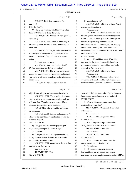#### Case 1:13-cv-03675-WBH Document 108-7 Filed 12/30/16 Page 346 of 519

Washington, D.C.

Paul Simone, Ph.D. November 7, 2016

|              | Page 194                                                | Page 196                                                                                                             |
|--------------|---------------------------------------------------------|----------------------------------------------------------------------------------------------------------------------|
| $\mathbf{1}$ | THE WITNESS: Can you restate the                        | And what was that?<br>$\mathbf{1}$<br>$\rm{O}$                                                                       |
| 2            | question?                                               | $\overline{c}$<br>MS. WOOLSON: Objection to form. Asked                                                              |
| 3            | BY MR. SCOTT:                                           | and answered three times.<br>3                                                                                       |
| 4            | Q Sure. Do you know what they were asked                | 4<br>You can answer.                                                                                                 |
| 5            | to do by USP Labs in doing this work?                   | THE WITNESS: That they measured -- that<br>5                                                                         |
| 6            | MS. WOOLSON: That's a different question                | they analyzed plants from three different regions in<br>6                                                            |
| 7            | completely.                                             | 7<br>China, and the oils that they analyzed, although I'm                                                            |
| 8            | MR. SCOTT: Yes, I know it. I'm asking a                 | not sure if I specifically mentioned the oils<br>8                                                                   |
| 9            | different question because he didn't understand the     | themselves because I did not analyze them, but they<br>9                                                             |
| 10           | other one.                                              | did the three different plants from China, three<br>10                                                               |
| 11           | MS. WOOLSON: No, he asked you to restate                | different regions and found DMAA in all of them above<br>11                                                          |
| 12           | it. Now you're asking him a completely different        | their detection limits.<br>12                                                                                        |
| 13           | question. And that's fine, but that's what you're       | 13<br>BY MR. SCOTT:                                                                                                  |
| 14           | doing.                                                  | 14<br>Q Okay. What did Intertek do, if anything,                                                                     |
| 15           | Go ahead, you can answer.                               | 15<br>to ensure that the plants they tested had not been                                                             |
| 16           | MR. SCOTT: So what's the objection if                   | 16<br>contaminated before they reached Intertek's lab by                                                             |
| 17           | it's fine for me to ask a different question?           | water, air or fertilizer or soil?<br>17                                                                              |
| 18           | MS. WOOLSON: The witness asked you to                   | MS. WOOLSON: Objection to form.<br>18                                                                                |
| 19           | restate the question that you asked him, and instead,   | 19<br>You can answer.                                                                                                |
| 20           | you chose to ask him a completely different question    | 20<br>THE WITNESS: I have no evidence in any                                                                         |
| 21           | in response.                                            | way, shape or form of -- that their plants could have<br>21                                                          |
| 22           | MR. SCOTT: Yes, and do you have an                      | 22<br>been contaminated, and the -- there was no evidence                                                            |
|              |                                                         |                                                                                                                      |
|              | Page 195                                                | Page 197                                                                                                             |
| $\mathbf{1}$ | objection or is it just you want to get involved --     | based on my dealings with -- where I got my samples<br>1                                                             |
| 2            | MS. WOOLSON: Yes, my objection is the                   | from that they were adulterated or contaminated.<br>2                                                                |
| 3            | witness asked you to restate the question, and you      | BY MR. SCOTT:<br>3                                                                                                   |
| 4            | didn't do that. You chose to ask him a different        | Q Were fertilizers used on the plants that<br>4                                                                      |
| 5            | question from what he asked you to do.                  | you tested in growing them?<br>5                                                                                     |
| 6            | MR. SCOTT: Okay. I still haven't heard                  | MS. WOOLSON: Objection to form, asked<br>6                                                                           |
| 7            | an objection.                                           | $\overline{7}$<br>and answered.                                                                                      |
| 8            | MS. WOOLSON: I'm just making sure we're                 | 8<br>You can answer.                                                                                                 |
| 9            | clear for the record that you did not respond to the    | 9<br>THE WITNESS: Can you repeat that?                                                                               |
| 10           | witness's request.                                      | 10<br>BY MR. SCOTT:                                                                                                  |
| 11           | BY MR. SCOTT:                                           | Q Sure. The plants that you received for<br>11                                                                       |
| 12           | Sir, you read the Intertek paper as part<br>Q           | 12<br>testing, had fertilizer been used to grow them?                                                                |
| 13           | of you being an expert in this case, right?             | MS. WOOLSON: Same objection.<br>13                                                                                   |
| 14           | A Correct.                                              | 14<br>You can answer.                                                                                                |
| 15           | Did you rely on that for your conclusion<br>$\mathbf Q$ | 15<br>THE WITNESS: I don't know.                                                                                     |
| 16           | in any form or fashion that DMAA is naturally           | 16<br>BY MR. SCOTT:                                                                                                  |
| 17           | produced by geranium plants?                            | Q Were fertilizers used on the plants that<br>17                                                                     |
| 18           | MS. WOOLSON: Objection to form. Asked                   | were grown and supplied to Intertek?<br>18                                                                           |
| 19           | and answered three times.                               | A I don't know.<br>19                                                                                                |
| 20           | You can answer.                                         | All right, sir. Is there anything that<br>20<br>Q                                                                    |
| 21<br>22     | THE WITNESS: Yes.<br>BY MR. SCOTT:                      | Intertek did that you rely upon to support your<br>21<br>conclusion that geranium plants actually produce DMAA<br>22 |

50 (Pages 194 to 197)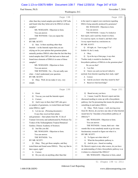#### Case 1:13-cv-03675-WBH Document 108-7 Filed 12/30/16 Page 347 of 519

Washington, D.C.

Paul Simone, Ph.D. November 7, 2016

|          | Page 198                                                   | Page 200                                                                                 |
|----------|------------------------------------------------------------|------------------------------------------------------------------------------------------|
| 1        | other than they tested samples provided by USP Labs        | in the report to support your conclusion regarding<br>1                                  |
| 2        | and found what they believed to be DMAA in those           | $\overline{c}$<br>DMAA being naturally produced by geraniums?                            |
| 3        | samples?                                                   | MS. WOOLSON: Objection to form.<br>3                                                     |
| 4        | MS. WOOLSON: Objection to form.                            | You can answer.<br>4                                                                     |
| 5        | You can answer.                                            | THE WITNESS: I mean, I've looked at<br>5                                                 |
| 6        | THE WITNESS: Can you repeat the                            | their report, and it said they found it in there.<br>6                                   |
| 7        | question?                                                  | $\overline{7}$<br>I've used my report, we found it, and that's what                      |
| 8        | BY MR. SCOTT:                                              | 8<br>I in my report based my conclusions on.                                             |
| 9        | Q Sure. Is there anything other than                       | BY MR. SCOTT:<br>9                                                                       |
| 10       | Intertek -- in the Intertek report that you are            | Q All right, sir. Turn to page 57 of<br>10                                               |
| 11       | relying on for your opinion that geranium plants           | Exhibit 18, the Li study.<br>11                                                          |
| 12       | naturally produce DMAA other than the fact that they       | A Okay.<br>12                                                                            |
| 13       | tested samples that USP Labs had sent to them and          | 13<br>Up at the top of that page, it says that:<br>О                                     |
| 14       | found trace elements of DMAA in some of those              | "Further study is needed to elucidate the<br>14                                          |
| 15       | samples?                                                   | biosynthetic pathway of DMAAs in the geranium plant."<br>15                              |
| 16       | MS. WOOLSON: Objection to form.                            | Do you see that?<br>16                                                                   |
| 17       | You can answer.                                            | 17<br>A I see that.                                                                      |
| 18       | THE WITNESS: I'm -- I'm not really sure                    | Q I know you said you haven't talked to<br>18                                            |
| 19       | what -- I don't understand your question.                  | anybody from Intertek regarding their study, right?<br>19                                |
| 20       | BY MR. SCOTT:                                              | A Correct.<br>20                                                                         |
| 21       | Q Okay. Well, let me make it very, very                    | And do you know what they meant by that?<br>21<br>О                                      |
| 22       | simple.                                                    | 22<br>Based on what knowledge?<br>A                                                      |
|          |                                                            |                                                                                          |
|          | Page 199                                                   | Page 201                                                                                 |
| 1        | Great.<br>A                                                | Based on any you have.<br>1<br>Q                                                         |
| 2        | You say you read the Intertek report.<br>Q                 | A I mean, I read Dr. Brown's report and she<br>2                                         |
| 3        | Correct.<br>A                                              | discussed needing to come up with a biosynthetic<br>3                                    |
| 4        | And it says in there that USP Labs gave<br>Q               | pathway, but I'm presuming that means the plant takes<br>4                               |
| 5        | us samples of geraniums, we tested them and found          | something in and makes DMAA.<br>5                                                        |
| 6        | some DMAA, right?                                          | Q Okay. Well, I mean -- well, moving away<br>6                                           |
| 7        | A Let me see. (Perusing document.)                         | from Dr. Brown, do you have any idea of what Intertek<br>7                               |
| 8        | It says they received their plants                         | meant here by "elucidate a biosynthetic pathway of<br>8                                  |
| 9        | and geranium -- their plants from Mr. Yi Jin of            | 9<br>DMAAs"?                                                                             |
| 10       | Yunnan University and authenticated by Professor Xu        | 10<br>MS. WOOLSON: Objection to form.                                                    |
| 11       | Youkai of the Xishuangbanna Tropical Botanical             | You can answer.<br>11                                                                    |
| 12       | Garden, Chinese Academy of Sciences.                       | 12<br>THE WITNESS: I mean, that's not -- that                                            |
| 13       | Q Just like you did.                                       | 13<br>sounds like to me somebody needs to go do some                                     |
| 14       | MS. WOOLSON: Objection to form.                            | biochemistry research to figure out what it is.<br>14                                    |
| 15       | You can answer.                                            | BY MR. SCOTT:<br>15                                                                      |
| 16       | THE WITNESS: Yes.                                          | To figure out what what is?<br>16<br>Q                                                   |
| 17       | BY MR. SCOTT:                                              | 17<br>What the biosynthetic pathway is.<br>A                                             |
| 18       | Okay. They got those samples, and they<br>Q                | 18<br>And do you -- based on reading<br>Q                                                |
| 19       | tested them and found some DMAA. They say that in          | Dr. Brown's report or any other source, do you have<br>19                                |
| 20       | their report, right?                                       | an understanding of what a biosynthetic pathway is as<br>20                              |
| 21<br>22 | A Correct.<br>Do you rely on anything other than that<br>Q | it relates to a chemical like DMAA?<br>21<br>MS. WOOLSON: Objection to form, asked<br>22 |

51 (Pages 198 to 201)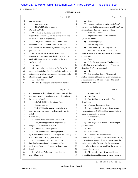#### Case 1:13-cv-03675-WBH Document 108-7 Filed 12/30/16 Page 348 of 519

Washington, D.C.

Paul Simone, Ph.D. November 7, 2016

|              | Page 202                                             |                                                           | Page 204                                              |
|--------------|------------------------------------------------------|-----------------------------------------------------------|-------------------------------------------------------|
| 1            | and answered.                                        | Okay.<br>1<br>A                                           |                                                       |
| 2            | You can answer.                                      | 2<br>О                                                    | Now, do you know if the levels of DMAA                |
| 3            | THE WITNESS: I mean, I --                            | 3                                                         | that Li reports that he found in samples of DMAA were |
| 4            | BY MR. SCOTT:                                        | lower or higher than were reported by Ping?<br>4          |                                                       |
| 5            | Q I mean as a general idea what a                    | A (Perusing document.)<br>5                               |                                                       |
| 6            | biosynthetic pathway is. I'm not asking you if you   | 6<br>So I previously stated that I didn't see             |                                                       |
| 7            | know of one particular chemical.                     | 1,3-DMAA on the --<br>7                                   |                                                       |
| 8            | A No, I think I understand. I think -- I'm           | Q On the Ping study?<br>8                                 |                                                       |
| 9            | not sure if that's a question -- like I'm not sure   | A -- on the Ping study.<br>9                              |                                                       |
| 10           | that's a question that my background covers, let me  | Q Okay. I'm sorry. I had forgotten that.<br>10            |                                                       |
| 11           | put it that way.                                     | 11                                                        | Okay. Well, look at the Li study, if you              |
| 12           | Q The question of what a biosynthetic                | would, Exhibit 18 to your deposition. If you would,<br>12 |                                                       |
| 13           | pathway is, is not something that is typically to be | turn to page 55.<br>13                                    |                                                       |
| 14           | dealt with by an analytical chemist. Is that what    | A Okay.<br>14                                             |                                                       |
| 15           | you're saying?                                       | 15                                                        | Q Under the heading there, "Application of            |
| 16           | A Yeah.                                              | the Method to Investigating Geranium Plants and<br>16     |                                                       |
| 17           | Now, when you looked at Dr. Brown's<br>O             | Geranium Oils," do you see that?<br>17                    |                                                       |
| 18           | report and she talked about biosynthetic pathways in | A I do.<br>18                                             |                                                       |
| 19           | determining whether the geranium plant could make    | Q And under that it says: "The current<br>19              |                                                       |
| 20           | DMAA or not, you saw that?                           | method was applied to analyze geranium plants and<br>20   |                                                       |
| 21           | A I saw that.                                        | geranium oils from different sources. The results<br>21   |                                                       |
| 22           | And did you agree with her view that that<br>0       | are shown in Table 5."<br>22                              |                                                       |
|              | Page 203                                             |                                                           | Page 205                                              |
| $\mathbf{1}$ | was important in determining whether the DMAA that   | Do you see that?<br>1                                     |                                                       |
| 2            | you found was either synthetic or naturally produced | A I see that.<br>2                                        |                                                       |
| 3            | by geranium plants?                                  | 3<br>O                                                    | And feel free to take a look at Table 5               |
| 4            | MS. WOOLSON: Objection. Form.                        | if you'd like.<br>4                                       |                                                       |
| 5            | You can answer.                                      | A (Perusing document.) Okay.<br>5                         |                                                       |
| 6            | THE WITNESS: You're going to have to                 | 6<br>O                                                    | Now, on Table 5, we have there various                |
| 7            | show me where she wrote it, so I can read what she   | concentrations of DMAA that they purport to have<br>7     |                                                       |
| 8            | stated.                                              | 8<br>found in samples from China.                         |                                                       |
| 9            | BY MR. SCOTT:                                        | 9<br>Do you see that?                                     |                                                       |
| 10           | Q Okay. But you've done -- strike that.              | A I see that.<br>10                                       |                                                       |
| 11           | Now, in doing your work on your study,               | 11<br>$\circ$                                             | And do you know which of these samples                |
| 12           | did you do ion detection analysis?                   | 12<br>you also tested?                                    |                                                       |
| 13           | A What are you talking about?                        | A Yes.<br>13                                              |                                                       |
| 14           | Did you use ions or identifying ions to<br>Q         | Which ones?<br>14<br>0                                    |                                                       |
| $15\,$       | try to determine whether or not what you were seeing | A I believe it is the -- I believe it's the<br>15         |                                                       |
| 16           | was DMAA in your study, your analysis?               | 16                                                        | Changzhou sample, but I would have to like basically  |
| 17           | A I understand you're saying did I use               | 17<br>look at Google Maps to figure out -- make sure the  |                                                       |
| 18           | ions, but I'm not -- I don't understand -- it's an   | regions were right. We -- we did the work to tie<br>18    |                                                       |
| 19           | oddly worded question. I mean, like ions is pretty   | 19                                                        | them all together when we published the paper, but -- |
| 20           | broad.                                               | 20<br>the specifics are hazy.                             |                                                       |
| 21           | O<br>All right. Well, we will hold that one          | 21<br>Q All right, sir. Now, if you would, look           |                                                       |
| 22           | and get back to it.                                  | down at the bottom of the page, at Table 6 there on<br>22 |                                                       |
|              |                                                      |                                                           |                                                       |

52 (Pages 202 to 205)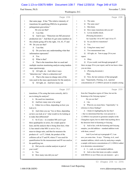#### Case 1:13-cv-03675-WBH Document 108-7 Filed 12/30/16 Page 349 of 519

Paul Simone, Ph.D. November 7, 2016

Washington, D.C.

|      | Page 206                                                                                         |        | Page 208                                              |
|------|--------------------------------------------------------------------------------------------------|--------|-------------------------------------------------------|
| 1    | that same page. It has "The relative intensity of                                                | 1      | The same.<br>A                                        |
| 2    | transitions for qualifying DMAAs in geranium                                                     | 2      | The same ones?<br>Q                                   |
| 3    | pelargonium graveolens."                                                                         | 3      | Mm-hmm.<br>A                                          |
| 4    | Do you see that?                                                                                 | 4      | How many transitions did you do?<br>О                 |
| 5    | A I see that.                                                                                    | 5      | Let me double-check.<br>A                             |
| 6    | And it says: "Detection ion MZ precursor<br>0                                                    | 6      | (Perusing document.)                                  |
| 7    | production ion." And then it's got some numbers in                                               | 7      | So I used the 116 to 99.7 and 116 to 57.              |
| 8    | the column going off to the right, 116, 43, 57 and                                               | 8      | So you did two transitions?<br>Q                      |
| 9    | 99. Do you see that?                                                                             | 9      | Yes.<br>A                                             |
| 10   | A I see that.                                                                                    | 10     | Using how many ions?<br>Q                             |
| 11   | Do you have any understanding what that<br>О                                                     | 11     | Two measurement ions.<br>A                            |
| 12   | information represents?                                                                          | 12     | All right, sir. Turn to page 28 in your<br>Q          |
| 13   | Yes.<br>A                                                                                        | 13     | report.                                               |
| 14   | What is that?<br>0                                                                               | 14     | Okay.<br>A                                            |
| 15   | That is the transitions that we used and<br>A                                                    | 15     | Q If you would, read through paragraph 47             |
| 16   | multiple reaction monitoring analysis using tandem                                               | 16     | there on page 28 in your report, and let me know when |
| 17   | mass spectroscopy.                                                                               | 17     | you are done.                                         |
| 18   | Q All right, sir. And when it says                                                               | 18     | A (Perusing document.)                                |
| 19   | "detection ion," what is a detection ion?                                                        | 19     | Okay.                                                 |
| 20   | A That is the mass-to-charge ratio of the                                                        | 20     | Q Now, the last sentence of that paragraph            |
| 21   | ions used in the mass spectrometer for the analysis.                                             | 21     | says: "Importantly, Fleming, et al., reported         |
| 22   | All right, sir. And how many ion<br>Q                                                            | 22     | concentrations of 1,3-DMAA present in samples arising |
|      |                                                                                                  |        |                                                       |
|      |                                                                                                  |        |                                                       |
|      | Page 207                                                                                         |        | Page 209                                              |
| 1    |                                                                                                  | 1      | from the Changzhou region of China, but not the       |
| 2    | transitions, if I'm using that term correctly, did Li<br>use in doing his analysis?              | 2      | Kunming or the Guiyang regions."                      |
| 3    | A He used two transitions.                                                                       | 3      | Do you see that?                                      |
| 4    | Q                                                                                                | 4      | $A$ I do.                                             |
| 5    | And how many ions is he using?<br>A                                                              | 5      | Q What do you mean there, "importantly," in           |
| 6    | Either two or three, depending on how you<br>look at it.                                         | 6      | reference to those findings?                          |
| 7    | O                                                                                                | 7      | A I think it's highlighting the fact that I           |
| 8    | And when you say "two or three, depending<br>on how you look at it," what would we be looking at | 8      | -- that we determined that they were present in --    |
| 9    | to make that differential?                                                                       | 9      | 1,3-DMAA was present in geranium samples in the       |
| 10   | So if you -- in a tandem MS you've got<br>A                                                      | $10$   | Changzhou region, but we didn't find anything above   |
| 11   | three quadrupoles in series, for a triple quad at                                                | $1\,1$ | the detection limit in Kunming or Guiyang.            |
| 12   | least, and the analysis that is being done here, what                                            | 12     | Q And in fact, with the Kunming and Guiyang           |
| 13   | Li has stated is that MS1 is set to 116, a                                                       | 13     | samples, you did addition -- standard addition work   |
| 14   | mass-to-charge ratio, and then he measures the                                                   | $1\,4$ | with them, correct?                                   |
| $15$ | products of -- at 57, I think, the product of the                                                | 15     | And if you look up in paragraph 47, I can             |
| 16   | collision cell at 57 and 99, where 57 was used for                                               | 16     | save you some time. It says: "Fleming, et al., used   |
| 17   | quantification for the measurement and 99 was used as                                            | $17$   | standard addition, which works by analyzing a sample, |
| 18   | his qualifying ion.                                                                              | $1\,8$ | a sample with known concentrations of 1,3-DMAA added  |
| 19   | Did you do a similar analysis in part of<br>Q                                                    | 19     | in to determine concentrations."                      |
| $20$ | your work?                                                                                       | 20     | A I -- yeah, we used standard addition.               |
| 21   | A Yes.                                                                                           | 21     | And so does that mean you spike a sample<br>Q         |
| 22   | How many ions did you use?<br>O                                                                  | 22     | with DMAA to see if then you can measure -- get a     |

53 (Pages 206 to 209)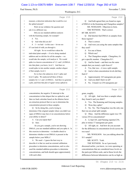## Case 1:13-cv-03675-WBH Document 108-7 Filed 12/30/16 Page 350 of 519

Washington, D.C.

Paul Simone, Ph.D. November 7, 2016

|              | Page 210                                                                |              | Page 212                                                                                                   |
|--------------|-------------------------------------------------------------------------|--------------|------------------------------------------------------------------------------------------------------------|
| $\mathbf{1}$ | measure, a detection indication that would be over                      | $\mathbf{1}$ | And both agreed that you found no signs<br>Q                                                               |
| $\mathbf{2}$ | the spiked amount?                                                      | $\mathbf{2}$ | of DMAA in the Kunming and Changzhou samples?                                                              |
| 3            | Well, let me withdraw the question and                                  | 3            | MS. WOOLSON: Objection to form.                                                                            |
| 4            | ask it in a different way.                                              | 4            | THE WITNESS: That's correct.                                                                               |
| 5            | Did you use standard addition analysis                                  | 5            | BY MR. SCOTT:                                                                                              |
| 6            | with the Kunming sample, for example?                                   | 6            | Q Did Intertek find DMAA in samples from                                                                   |
| 7            | A Yes.                                                                  | 7            | those regions?                                                                                             |
| 8            | And what did you do?<br>Q                                               | 8            | That is correct.<br>$\mathsf{A}$                                                                           |
| 9            | A I -- we had -- in this case -- let me see                             | 9            | And were you using the same samples that<br>$\mathbf Q$                                                    |
| 10           | if I can kind of walk you through it.                                   | 10           | they used?                                                                                                 |
| 11           | All right. So we would have taken the                                   | 11           | A For one of them.                                                                                         |
| 12           | individual plant sample -- if we're doing standard                      | 12           | Which one?<br>$\mathbf Q$                                                                                  |
| 13           | addition and we did this for all the samples -- we                      | 13           | The Changzhou sample. Changzhou, it's<br>A                                                                 |
| 14           | would take the sample, we'd analyze it. We would                        | 14           | got a specific number. Changzhou S11.                                                                      |
| 15           | spike in a known concentration of 1,3- and 1,4-DMAA                     | 15           | Q And he found -- and that was the same                                                                    |
| 16           | into that plant, you know, level 1. And then we                         | 16           | sample that you tested, a split from it?                                                                   |
| 17           | would spike in into another sample, another aliquot                     | 17           | Yes, that was -- it was a split sample.<br>A                                                               |
| 18           | of that sample, level 2.                                                | 18           | And at what concentration levels did they<br>$\mathbf Q$                                                   |
| 19           | So we have the unknown, level 1 spike and                               | 19           | find it?                                                                                                   |
| 20           | level 2 spike. We analyzed all three of those                           | 20           | Approximately 165 nanograms per gram.<br>A                                                                 |
| 21           | samples for 1,3- and 1,4-DMAA. And then we generate                     | 21           | And you didn't find it at all?<br>Q                                                                        |
| 22           | a plot, and from that plot of signal versus spiked-in                   | 22           | No. I found it at 254 nanograms per<br>A                                                                   |
|              |                                                                         |              |                                                                                                            |
|              | Page 211                                                                |              | Page 213                                                                                                   |
| $\mathbf 1$  | concentration, the negative X intercept is the                          | $\mathbf{1}$ | gram, roughly.                                                                                             |
| 2            | concentration in that aliquot that we spiked in, and                    | 2            | Q All right. And was there a sample where                                                                  |
| 3            | then we back calculate based on the dilution factor                     | 3            | they found it and you didn't?                                                                              |
| 4            | an extraction protocol that we use to determine the                     | 4            | Yes. The Kunming and Guiyang samples.<br>A                                                                 |
| 5            | concentration present in those samples.                                 | 5            | Were they splits?<br>$\overline{Q}$                                                                        |
| 6            | So by doing this, you're trying to<br>Q                                 | 6            | No. No. The Changzhou was the only one<br>A                                                                |
| 7            | determine if the original sample where you didn't see                   | 7            | that was an actual split sample.                                                                           |
| 8            | signs of DMAA may have it at concentrations below                       | 8            | Q Okay. And the difference again was 156                                                                   |
| 9            | your ability to detect?                                                 | 9            | versus 254 in concentration?                                                                               |
| 10           | Can you repeat that?<br>A                                               | 10           | A Li had 165, and Fleming reported 254,                                                                    |
| 11           | Sure.<br>Q                                                              | 11           | plus or minus 17 nanograms per gram.                                                                       |
| 12           | So you got a sample, you're not showing                                 | 12           | Q All right, sir. And how do you account                                                                   |
| 13           | DMAA; you use standard addition and you spike it. Is                    | 13           | for the difference in concentration levels across the                                                      |
| $1\,4$       | this exercise to determine -- to double-check to                        | 14           | two tests?                                                                                                 |
| $15\,$       | determine whether or not DMAA is present in the                         | $15$         | MS. WOOLSON: Are you talking about the                                                                     |
| 16           | sample below your MDLs?                                                 | 16           | S <sub>11</sub> sample?                                                                                    |
| 17           | A We used -- I guess the best way to                                    | 17           | MR. SCOTT: Yeah.                                                                                           |
| $1\,8$       | describe it is that we used an external calibration                     | 18<br>19     | THE WITNESS: So as I previously                                                                            |
| 19           | procedure to determine concentrations, and we also                      | 20           | discussed earlier, you know, we were operating at                                                          |
| 20<br>21     | used the standard addition procedure to determine                       | 21           | concentrations that are considered trace levels on                                                         |
| 22           | concentrations, and both should agree approximately<br>with each other. | 22           | the parts-per-billion scale, and at those levels the<br>differences between laboratories can be as high as |

54 (Pages 210 to 213)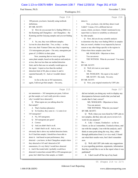## Case 1:13-cv-03675-WBH Document 108-7 Filed 12/30/16 Page 351 of 519

# Paul Simone, Ph.D. November 7, 2016

Washington, D.C.

|              | Page 214                                                                                                  |                | Page 216                                                  |
|--------------|-----------------------------------------------------------------------------------------------------------|----------------|-----------------------------------------------------------|
| $\mathbf{1}$ | 100 percent, you know, basically using textbook                                                           | 1              | detect it.                                                |
| 2            | definitions.                                                                                              | $\overline{c}$ | Now, you know, why did they detect it and                 |
| 3            | BY MR. SCOTT:                                                                                             | 3              | I didn't? I mean, if it's a different harvest             |
| 4            | Q How do you account for Li finding DMAA in                                                               | 4              | season, which, you know, I think I mentioned in my        |
| 5            | the Kunming and Changzhou -- not Changzhou -- the                                                         | 5              | report that is a factor in variability as referenced      |
| 6            | Kunming and the Guiyang samples and you not finding                                                       | 6              | by other people.                                          |
| 7            | it?                                                                                                       | 7              | Q Now, did you do any scientific analysis                 |
| 8            | A So, one, they were different samples.                                                                   | 8              | to determine why they were finding DMAA in samples        |
| 9            | Let me be clear about that. Two, so they -- so they                                                       | 9              | that you weren't, whether it was impacted by harvest      |
| 10           | have one, their Yunnan China one, they're reporting                                                       | 10             | season or any other things specific to the regions in     |
| 11           | 13.6 micrograms per gram -- I'm sorry, nanograms per                                                      | 11             | China where these samples came from?                      |
| 12           | gram of 1,3-DMAA in their plant.                                                                          | 12             | MS. WOOLSON: Objection to form.                           |
| 13           | Now, assuming that we were to get that                                                                    | 13             | You can answer.                                           |
| 14           | same plant sample, based on the analysis and analysis                                                     | 14             | THE WITNESS: What do you mean? You mean                   |
| 15           | at two, that was less than our method detection                                                           | 15             | like --                                                   |
| 16           | limit, and in that case we actually would agree on                                                        | 16             | BY MR. SCOTT:                                             |
| 17           | the report. I report as less than the method                                                              | 17             | Q Well, let's turn to your report.                        |
| 18           | detection limit of 20, plus or minus 4; and Li                                                            | 18             | A Okay.                                                   |
| 19           | reported basically 14. And so I wouldn't detect                                                           | 19             | MS. WOOLSON: His report or his study?                     |
| 20           | that.                                                                                                     | 20             | MR. SCOTT: His study. I'm sorry.                          |
| 21           | As far as the one at 365 nanometers,                                                                      | 21             | BY MR. SCOTT:                                             |
| 22           | again, I did not get that sample -- I'm sorry,                                                            | 22             | Q Now, your original retention by USP Labs                |
|              |                                                                                                           |                |                                                           |
|              | Page 215                                                                                                  |                | Page 217                                                  |
| $\mathbf{1}$ | not nanometers -- 365 nanograms per gram, I did not                                                       | $\mathbf{1}$   | did not include you doing any work to display any         |
| 2            | get that sample, so I can't really provide a reason                                                       | 2              | discrepancies between results that you had and            |
| 3            | why I wouldn't have detected it.                                                                          | 3              | results that Li had, correct?                             |
| 4            | Q What region are you talking about for                                                                   | 4              | MS. WOOLSON: Objection to form.                           |
| 5            | that sample?                                                                                              | 5              | You can answer.                                           |
| 6            | A That's Guizhou (phonetic).                                                                              | 6              | THE WITNESS: What do you mean?                            |
| 7            | So Guizhou, they came in -- Li came in at<br>О                                                            | 7              | BY MR. SCOTT:                                             |
| 8            | 165 nanograms?                                                                                            | 8              | Q Well, when you were hired by USP Labs to                |
| 9            | No, 365 nanograms.<br>A                                                                                   | $\mathsf 9$    | test samples, did they also ask you to review Li's        |
| 10           | 365 nanograms per gram?<br>Q                                                                              | $10$           | work for any purpose?                                     |
| 11           | Correct.<br>$\mathbf{A}$                                                                                  | $1\,1$         | A Like -- I mean, I looked at -- as far as                |
| 12           | And you didn't find it at all.<br>Q                                                                       | 12             | I know, as far as I remember, I looked at these, and      |
| 13           | A I didn't find it at all. And so, now,                                                                   | 13             | ran with the sample, I ran with the analysis, and I       |
| 14           | obviously that is above my method detection limits.                                                       | 14             | think at some point along the way, they, either           |
| $15\,$       | So if I had that sample, I should have been able to                                                       | $15\,$         | through publication from Li or via e-mail, I found        |
| 16           | detect it. And based on past performance, they                                                            | 16             | out what their results were, but I don't remember         |
| 17           | detected -- you know, in their Changzhou sample where                                                     | 17             | now.                                                      |
| $1\,8$       | they detected at 165 and I detected at 265                                                                | 18             | Well, did USP Labs make any suggestions<br>$\overline{Q}$ |
| 19           | nanometers, it's very likely I would have detected                                                        | 19             | to you regarding positions, arguments, information        |
| $20$         | it. And if the trends hold, I probably would have                                                         | 20             | that they would like to see in the report when it was     |
| 21<br>22     | detected it somewhere around 400 or 450 nanograms per<br>gram, but I didn't have that sample, so I didn't | 21<br>22       | published?<br>A I don't recall off the top of my head.    |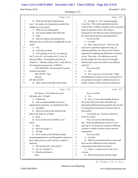#### Case 1:13-cv-03675-WBH Document 108-7 Filed 12/30/16 Page 352 of 519

Paul Simone, Ph.D. November 7, 2016

Washington, D.C.

|              | Page 218                                                 | Page 220                                                        |
|--------------|----------------------------------------------------------|-----------------------------------------------------------------|
| $\mathbf{1}$ | What was the limit of detection on<br>0                  | All right, sir. Now, in that paragraph,<br>$\mathbf{1}$<br>Q    |
| 2            | your -- the studies, the testing that you did of the     | 2<br>it says that: "The results reported here provide           |
| 3            | samples you were given?                                  | 3<br>evidence that 1,3-DMAA naturally occurs in geranium        |
| 4            | A What are you asking again?                             | plants in agreement with Li, but clearly in<br>4                |
| 5            | You tested samples from USP Labs.<br>$\mathbf Q$         | disagreement with other previously reported articles<br>5       |
| 6            | Okay.<br>A                                               | by well-respected chemists and organizations."<br>6             |
| 7            | Did your analysis, the protocol you<br>O                 | Do you see that?<br>7                                           |
| 8            | followed, have an LOD that was applicable to your        | A I see that.<br>8                                              |
| 9            | work?                                                    | Q Now, it goes on to say: "However, this<br>9                   |
| 10           | Yes.<br>A                                                | may not be a question of right and wrong. In<br>10              |
| 11           | And what was that?<br>$\overline{O}$                     | 11<br>analytical chemistry, the critical review of data is      |
| 12           | A For Kunming, it was 20. For Analysis                   | 12<br>important for explaining the differences on reported      |
| 13           | Set 2, it was 20. For Analysis Set 3, it was 10          | results. These data -- the differences can also<br>13           |
| 14           | parts per billion. 10 nanograms per gram on              | 14<br>provide insight into why analysis of seemingly            |
| 15           | Analysis 3. And then Analysis Set 1, looks like it's     | identical plant species can result in very different<br>15      |
| 16           | 0.5 nanograms per gram for 1,3-DMAA.                     | outcomes."<br>16                                                |
| 17           | THE WITNESS: Do you mind if I use the                    | Do you see that?<br>17                                          |
| 18           | restroom real quick?                                     | $A$ I do.<br>18                                                 |
| 19           | MR. SCOTT: Sure.                                         | 19<br>Q Now, it goes on to say here that: "Khan                 |
| 20           | (Recess.                                                 | has published an extensive review showing that it is<br>20      |
| 21           | BY MR. SCOTT:                                            | 21<br>not uncommon for plants in different locations to         |
| 22           | Back on the record after a short break.<br>O.            | exhibit variations in their chemical compositions."<br>22       |
|              |                                                          |                                                                 |
|              |                                                          |                                                                 |
|              | Page 219                                                 | Page 221                                                        |
| $\mathbf 1$  | Dr. Simone, I will remind you you're                     | Do you see that?<br>1                                           |
| 2            | still under oath. All right?                             | A Yes.<br>2                                                     |
| 3            | A Understood.                                            | 3<br>Q Now, is it your understanding, based on                  |
| 4            | And you understand that if you don't<br>O.               | the research that you've done, that plants can<br>4             |
| 5            | understand my questions, you should tell me that.        | demonstrate different chemical profiles from location<br>5      |
| 6            | Absolutely.<br>A                                         | to location based on the type of chemical that's in<br>6        |
| 7            | And if you need to take another break,<br>0              | their profile?<br>7                                             |
| 8            | that's in the cards too, all right?                      | 8<br>Let me back up. You look confused, so                      |
| 9            | Great.<br>A                                              | 9<br>let me try it again.                                       |
| 10           | Q<br>If you would, look at Exhibit 4, your               | Now, you say here that fluctuating --<br>10                     |
| 11           | article.                                                 | that: "Khan has published an extensive review<br>11             |
| 12           | Okay.<br>A                                               | showing it's not uncommon for plants in differing<br>12         |
| 13           | Flip over to page 71.<br>Q                               | locations to exhibit variations in their chemical<br>13         |
| 14           | All right.<br>A                                          | compositions."<br>14                                            |
| 15           | If you would, on the left-hand column,<br>$\overline{Q}$ | 15<br>Do you see that?                                          |
| 16           | second paragraph down, read through that, and let me     | 16<br>A I see that.                                             |
| 17           | know when you have, and I will have a couple of          | 17<br>What do you understand that to mean, that<br>Q            |
| 18           | questions.                                               | they can show differences in their chemical<br>18               |
| 19           | The one that starts "The results"?<br>A                  | compositions from different locations?<br>19                    |
| 20           | Yes, sir. On page 71.<br>Q                               | A I mean -- it means exactly what it says<br>20                 |
| 21<br>22     | (Perusing document.)<br>A<br>Okay.                       | 21<br>it means.<br>22<br>Q Well, does that mean that they might |

56 (Pages 218 to 221)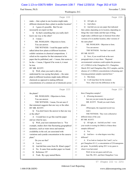#### Case 1:13-cv-03675-WBH Document 108-7 Filed 12/30/16 Page 353 of 519

Paul Simone, Ph.D. November 7, 2016

Washington, D.C.

|          | Page 222                                               | Page 224                                                                                     |  |
|----------|--------------------------------------------------------|----------------------------------------------------------------------------------------------|--|
| 1        | make -- that a plant in one location might make        | All right, sir.<br>1<br>Q                                                                    |  |
| 2        | different chemicals than a plant in another location?  | A And others.<br>2                                                                           |  |
| 3        | A I guess it's possible. But I'm not                   | 3<br>And did you see any paper that indicated<br>O                                           |  |
| 4        | necessarily an expert on that.                         | that a plant, depending on its location, depending on<br>4                                   |  |
| 5        | Q So that's something that you really don't            | things like water intake and that type of thing,<br>5                                        |  |
| 6        | know one way or the other?                             | might make a different type of chemical from other<br>6                                      |  |
| 7        | A I mean --                                            | versions of it in another location, other versions of<br>7                                   |  |
| 8        | MS. WOOLSON: Objection to form.                        | 8<br>the same plant?                                                                         |  |
| 9        | You can answer.                                        | MS. WOOLSON: Objection to form.<br>9                                                         |  |
| 10       | THE WITNESS: I read the paper and he                   | 10<br>You can answer.                                                                        |  |
| 11       | talked about how plants at different locations         | THE WITNESS: Not that I can recall.<br>11                                                    |  |
| 12       | exhibit variations in chemical compositions. I         | BY MR. SCOTT:<br>12                                                                          |  |
| 13       | relied on his expertise for that statement in his      | Q Now, if you would look at the next<br>13                                                   |  |
| 14       | paper that he published, and -- I mean, that seems to  | paragraph down, it says there: "Regional<br>14                                               |  |
| 15       | be the -- I mean, I figured if he wrote it, it must    | 15<br>environmental variations could explain the presence                                    |  |
| 16       | be true.                                               | of 1,3-DMAA in the Changzhou S11, Changzhou<br>16                                            |  |
| 17       | BY MR. SCOTT:                                          | March 2012 and Changzhou May 2012 samples, and the<br>17                                     |  |
| 18       | Q Well, when you read it, did you                      | absence of 1,3-DMAA concentrations in Kunming and<br>18                                      |  |
| 19       | understand he was saying that plants -- the same       | Guiyang geranium samples reported here."<br>19                                               |  |
| 20       | plant in different locations might make different      | A Mm-hmm.<br>20                                                                              |  |
| 21       | chemicals as opposed to making different               | I will stop there for the moment.<br>21<br>O                                                 |  |
| 22       | concentrations of a common set of chemicals across     | 22<br>Now, what were the differences in the                                                  |  |
|          | Page 223                                               | Page 225                                                                                     |  |
|          |                                                        |                                                                                              |  |
| 1        | the plants?                                            | three Changzhou samples?<br>1                                                                |  |
| 2        | MS. WOOLSON: Objection to form.                        | A (Perusing document.)<br>$\mathbf{2}$                                                       |  |
| 3        | You can answer.                                        | 3<br>Just can you just restate the question?                                                 |  |
| 4        | THE WITNESS: I mean, I'm not sure if                   | MR. SCOTT: Would you read it back,<br>4                                                      |  |
| 5        | that statement suggests that one way or the other.     | 5<br>please.                                                                                 |  |
| 6        | BY MR. SCOTT:                                          | (Whereupon, the requested record was<br>6                                                    |  |
| 7        | Q You don't know the answer to that one way            | 7<br>read.)                                                                                  |  |
| 8        | or the other?                                          | THE WITNESS: They were collected at<br>8                                                     |  |
| 9        | A I would have to go like read the paper               | 9<br>different times of the year.                                                            |  |
| 10       | and see what he says.                                  | BY MR. SCOTT:<br>10                                                                          |  |
| 11       | Q Well, your next statement here is: "For              | 11<br>Q All right, sir. And did you find -- were                                             |  |
| 12       | example, studies show that fluctuating geographical    | your results in testing for DMAA of those three<br>12                                        |  |
| 13       | dynamics, such as water stress and nutrient            | samples different?<br>13                                                                     |  |
| 14       | availability in the soil, are associated with          | A Yes.<br>14                                                                                 |  |
| 15       | variations and cyanide concentration in the cassava    | 15<br>Q And how -- to what degree were they                                                  |  |
| 16       | plant."                                                | 16<br>different?                                                                             |  |
| 17       | Do you see that?                                       | 17<br>A If we look at Analysis Set 2 and 3, we've                                            |  |
| 18       | A I see it.                                            | 18<br>got Changzhou S11-2, a concentration of 254 nanograms                                  |  |
| 19       | And did that come from Dr. Khan's paper?<br>Q          | 19<br>per gram. So probably spring 2011 is my guess is                                       |  |
| 20       | No. It came from another paper we found.<br>A          | 20<br>when it was harvested.                                                                 |  |
| 21<br>22 | Reference 19?<br>Q<br>Yeah. By a guy named Burns.<br>A | Well, let me not guess and tell you.<br>21<br>22<br>June 9th, 2011, and then Changzhou 3 was |  |

57 (Pages 222 to 225)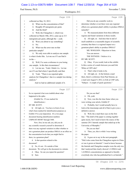#### Case 1:13-cv-03675-WBH Document 108-7 Filed 12/30/16 Page 354 of 519

Paul Simone, Ph.D. November 7, 2016

Washington, D.C.

|              | Page 226                                                 |          | Page 228                                                                                                 |
|--------------|----------------------------------------------------------|----------|----------------------------------------------------------------------------------------------------------|
| $\mathbf{1}$ | collected on May 18, 2012.                               | 1        | Did you do any scientific work to                                                                        |
| 2            | What was the concentration of that?<br>O                 | 2        | determine whether or not there were any regional                                                         |
| 3            | Roughly 69 nanograms per gram.<br>A                      | 3        | effects on a geranium plant's ability to produce DMAA                                                    |
| 4            | And the third?<br>$\overline{Q}$                         | 4        | naturally?                                                                                               |
| 5            | Well, the Changzhou 1, which was<br>A                    | 5        | A We measured plants from three different                                                                |
| 6            | collected on March 10th, 2012, came up as 213            | 6        | regions and found variations in those results.                                                           |
| 7            | nanograms per gram, although the -- yeah.                | 7        | Q All right, sir. And does that in and of                                                                |
| 8            | Were you about to say something?<br>Q                    | 8        | itself establish to a reasonable degree of scientific                                                    |
| 9            | No.<br>A                                                 | 9        | certainty that there is a regional impact on a                                                           |
| 10           | What was the error rate on that<br>O                     | 10       | geranium plant's ability to produce DMAA?                                                                |
| 11           | particular sample?                                       | 11       | MS. WOOLSON: Objection to form.                                                                          |
| 12           | A We only were able to analyze one sample                | 12       | You can answer.                                                                                          |
| 13           | is what it looks like. Let me see if I can find it       | 13       | THE WITNESS: I believe it is.                                                                            |
| 14           | in the --                                                | 14       | BY MR. SCOTT:                                                                                            |
| 15           | Q Well, I've seen a reference to you losing              | 15       | Q Okay. If you would, look at the exhibit.                                                               |
| 16           | one sample. Is this that circumstance?                   | 16       | Is this a series of e-mails between you and Erik                                                         |
| 17           | A Let me see. Yeah, I think it is. Let me                | 17       | White at USP Labs?                                                                                       |
| 18           | see if I can find where I specifically said that.        | 18       | A That's what it looks to be.                                                                            |
| 19           | Yeah. "There is no reported spike<br>O                   | 19       | All right, sir. At the bottom e-mail<br>O.                                                               |
| 20           | analysis for Changzhou 1 due to a sample loss during     | 20       | there, there's a reference from Paul Simone, an                                                          |
| 21           | analysis."                                               | 21       | e-mail sent August 9, 2012, to Erik at USP Labs,                                                         |
| 22           | And we had no additional sample of it.                   | 22       | "Subject: A couple of quick questions."                                                                  |
|              |                                                          |          |                                                                                                          |
|              | Page 227                                                 |          | Page 229                                                                                                 |
| 1            | So we reported it but were truthful about what           | 1        | Do you see that?                                                                                         |
| 2            | happened to the spike.                                   | 2        | A Oh, yeah.                                                                                              |
| 3            | (Exhibit No. 19 was marked for                           | 3        | Q Now, was this the time frame when you                                                                  |
| 4            | identification.)                                         | 4        | were writing your article, Exhibit 4?                                                                    |
| 5            | BY MR. SCOTT:                                            | 5        | A Probably, but I would actually have to                                                                 |
| 6            | Q All right, sir. You have in front of you               | 6        | look at the timestamps and all of that to give you a                                                     |
| 7            | what's been marked for identification purposes as        | 7        | definitive answer.                                                                                       |
| 8            | Exhibit 19 to your deposition. It's a two-page           | 8        | Q Well, the e-mail there says on the first                                                               |
| 9            | document bearing identification numbers                  | 9        | line: "The draft of the paper is coming together                                                         |
| 10           | UMPS-HT-005487 through 5488.                             | 10       | quite nicely, but I need to know the source of the                                                       |
| 11           | Now, first, let me ask you, did you do                   | 11       | summer 2011 Intertek sample that ended up at the                                                         |
| 12           | any scientific research yourself to determine if         | 12       | University of Memphis."                                                                                  |
| 13           | there was any regional variation in either whether or    | 13       | Do you see that?                                                                                         |
| 14           | not a geranium plant can produce DMAA or an effect on    | 14       | A Then, yes, this is while I was writing                                                                 |
| $15\,$       | the concentration levels that you might find in          | 15       | the paper.                                                                                               |
| 16           | there, in a geranium plant?                              | 16       | Q It goes on to say in the next paragraph:                                                               |
| 17           | A Is that question related to this                       | 17       | "Did it also come from the Changzhou region in China                                                     |
| 18           | document?                                                | 18       | or was it grown at Intertek? I need to know because                                                      |
| 19           | Q No, it's not. It's outside of that                     | 19       | the Intertek and Changzhou samples were the only two                                                     |
| 20           | document. We will get to the document in a minute.       | 20       | that I analyzed that clearly showed 1,3-DMAA and                                                         |
| 21<br>22     | Okay. So can you repeat the question?<br>A<br>Sure.<br>Q | 21<br>22 | 1,4-DMAA concentrations as opposed to literally<br>everybody else who has published but Li at Intertek." |

58 (Pages 226 to 229)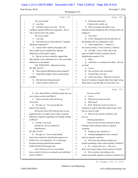### Case 1:13-cv-03675-WBH Document 108-7 Filed 12/30/16 Page 355 of 519

Paul Simone, Ph.D. November 7, 2016

Washington, D.C.

|              | Page 230                                                                     |                | Page 232                                                                                      |
|--------------|------------------------------------------------------------------------------|----------------|-----------------------------------------------------------------------------------------------|
| $\mathbf{1}$ | Do you see that?                                                             | $\mathbf{1}$   | A (Perusing document.)                                                                        |
| 2            | A I see that.                                                                | 2              | It looks to be a draft, yes.                                                                  |
| 3            | And then it goes on to say: "So I'm<br>O                                     | 3              | Q Did you prepare the draft or was                                                            |
| 4            | crafting a regional differences argument. This is                            | 4              | basically the pen handled by Ms. Fleming with you                                             |
| 5            | why I need to know the origin."                                              | 5              | editing it?                                                                                   |
| 6            | Do you see that?                                                             | 6              | A The what?                                                                                   |
| 7            | A I see that.                                                                | 7              | Is Ms. Fleming the one that did most of<br>$\mathbf Q$                                        |
| 8            | And what do you mean there by "regional<br>$\mathbf Q$                       | 8              | the drafting with you editing her work?                                                       |
| 9            | differences argument"?                                                       | 9              | A I don't think that's -- I think it's --                                                     |
| 10           | A I mean what I stated in the paper, the --                                  | 10             | she wrote sections, I wrote sections, I edited it.                                            |
| 11           | these results can be explained by regional                                   | 11             | Q All right. If you would, turn to the                                                        |
| 12           | differences of the plants' origins.                                          | 12             | page in Exhibit 20 that is marked with the                                                    |
| 13           | Q But do you have scientific support that                                    | 13             | identification number 2156.                                                                   |
| 14           | that actually is the explanation as to why you found                         | 14             | Okay.<br>A                                                                                    |
| 15           | differences in the plants?                                                   | 15             | And there is a comment box there. Do you<br>Q                                                 |
| 16           | MS. WOOLSON: Objection to form.                                              | 16             | see that?                                                                                     |
| 17           | BY MR. SCOTT:                                                                | 17             | A I see it.                                                                                   |
| 18           | That regional differences had an impact?<br>Q                                | 18             | Do you know who wrote that?<br>Q                                                              |
| 19           | I had Khan's paper, which seemed pretty<br>A                                 | 19             | It looks like it was me.<br>A                                                                 |
| 20           | credible.                                                                    | 20             | And it says there: "Redo the section in<br>Q                                                  |
| 21           | Did that deal with geraniums?<br>Q                                           | 21             | terms of variation in region rather than right/wrong.                                         |
| 22           | I don't recall if it did or not.<br>A                                        | 22             | More likely to get through reviewers this way."                                               |
|              |                                                                              |                |                                                                                               |
|              | Page 231                                                                     |                | Page 233                                                                                      |
| 1            | How about DMAA, did Khan's paper that you<br>O                               | 1              | Do you see that?                                                                              |
| 2            | were relying on deal with DMAA?                                              | 2              | A I see it.                                                                                   |
| 3            | A I don't recall that it did, off the top                                    | 3              | What did you mean by that?<br>Q                                                               |
| 4            | of my head.                                                                  | 4              | Which part?<br>A                                                                              |
| 5            | Q All right, sir. You can put that one                                       | 5              | Well, "Redo the section in terms of<br>Q                                                      |
| 6            | aside for the moment.                                                        | 6              | variations in region rather than right/wrong," what                                           |
| 7            | Did anyone from USP Labs provide you any                                     | $\overline{7}$ | did you mean by that?                                                                         |
| 8            | suggestion that you might want to make a regional                            | 8              | A Well, let me read this, and then I can                                                      |
| 9            | differences argument regarding your findings relating                        | 9              | tell you.                                                                                     |
| 10           | to DMAA?                                                                     | 10             | (Perusing document.)                                                                          |
| 11           | A Not that I can recall.                                                     | 11             | I have no idea why that comment is there.                                                     |
| 12           | (Exhibit No. 20 was marked for                                               | 12             | Nothing in that comment relates to regional                                                   |
| 13           | identification.)                                                             | 13             | variations.                                                                                   |
| 14           | BY MR. SCOTT:                                                                | 14             | Nothing in the comment or --<br>Q                                                             |
| $15\,$       | All right, sir. You've been handed<br>Q                                      | 15             | Nothing highlighted by that comment<br>A                                                      |
| 16           | what's been marked for identification purposes as                            | 16             | refers to regional variations.                                                                |
| 17           | Exhibit 20 to your deposition. It's a multi-page                             | 17             | Well, does that indicate perhaps you<br>Q                                                     |
| 18           | document bearing identification numbers                                      | 18             | wanted something in there about regional variations?                                          |
| 19           | UMPS-HT-002154 through 2168.                                                 | 19             | A No. I mean, this was a -- this was a                                                        |
| 20           | And I will ask you if you can identify                                       | 20             | draft, and, I mean, things come in and out of drafts.                                         |
| 21<br>22     | this as a draft of what was eventually your published<br>article, Exhibit 4? | 21<br>22       | Q Do you believe that talking in the<br>context of possible regional variations would have an |

59 (Pages 230 to 233)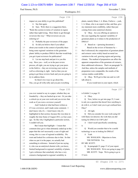### Case 1:13-cv-03675-WBH Document 108-7 Filed 12/30/16 Page 356 of 519

Paul Simone, Ph.D. November 7, 2016

Washington, D.C.

|             | Page 234                                                                                          | Page 236                                                               |  |
|-------------|---------------------------------------------------------------------------------------------------|------------------------------------------------------------------------|--|
| $1\,$       | impact on your ability to get this published?                                                     | $\mathbf{1}$<br>plants, namely Khan, I. A. Khan, I believe -- yeah,    |  |
| 2           | Say that again.<br>A                                                                              | I. A. Khan, who is an expert in that, and thus, give<br>2              |  |
| 3           | Sure. Well, there is a suggestion there,<br>$\mathcal{O}$                                         | my statement more credibility, rather than just<br>3                   |  |
| 4           | "Redo this section in terms of variation in region                                                | coming from some analytical chemist.<br>4                              |  |
| 5           | rather than right/wrong. More likely to get through                                               | 5<br>Q Okay. Are you offering an opinion in                            |  |
| 6           | reviewers this way." What reviewers are you                                                       | 6<br>this case regarding the regional variability of                   |  |
| 7           | referring to?                                                                                     | $\boldsymbol{7}$<br>geranium plants as it relates to the production of |  |
| 8           | A Probably the peer reviewers of the paper.                                                       | 8<br>DMAA?                                                             |  |
| 9           | So did you believe that if you talked<br>Q                                                        | 9<br>A Based on -- (perusing document.)                                |  |
| 10          | about your results in the context of possibly there                                               | Based on the review of literature by --<br>10                          |  |
| 11          | being some regional variations in the geranium                                                    | $1\,1$<br>that I referenced, the composition of geranium plants        |  |
| 12          | plants' ability to produce DMAA that that would help                                              | and extracts varies widely based on metal ion<br>12                    |  |
| 13          | you get it past reviewers for publication?                                                        | variation in the soil, growing region and growing<br>13                |  |
| 14          | A Let me step back and put it to you this                                                         | climate. The method of preparation can affect the<br>14                |  |
| 15          | way. Have you -- well, so in the peer review                                                      | apparent composition of the geranium oil extracts,<br>15               |  |
| 16          | process, all right, you are trying to get your peers                                              | three additional references. That's on paragraph 74.<br>16             |  |
| 17          | in the field to -- they are reviewing your work as                                                | And thus, unless the samples and methods of<br>17                      |  |
| 18          | well as criticizing it, right. And so then you are                                                | $18$<br>preparation were comparable, the results of the                |  |
| 19          | going to get those reviews back and you are going to                                              | various studies could differ.<br>19                                    |  |
| 20          | try to address them.                                                                              | Okay. We'll get to that one and we will<br>20<br>Q                     |  |
| 21          | So there's two ways to go about this.                                                             | talk about it.<br>21                                                   |  |
| 22          | One, you go all willy-nilly and you put everything                                                | 22<br>If you would turn in your report, which                          |  |
|             |                                                                                                   |                                                                        |  |
|             | Page 235                                                                                          | Page 237                                                               |  |
| $1\,$       | you ever wanted to say in a paper, whether they are                                               | 1<br>is Exhibit 3, to page 35.                                         |  |
| 2           | founded by -- they are backed up or not. Or you take                                              | A Okay.<br>2                                                           |  |
| 3           | a critical eye at your own work and you review that                                               | Q Now, before we get into page 35, I want<br>3                         |  |
| 4           | work as if you were a reviewer yourself.                                                          | to ask you a question that doesn't have anything to<br>4               |  |
| 5           | And I looked at what had been written as                                                          | do with it, so I don't want you to get confused here.<br>5             |  |
| 6           | if I was a reviewer, and I made some comment. I                                                   | 6<br>Okay?                                                             |  |
| 7           | don't know why it's -- I don't know why it's                                                      | 7<br>A All right.                                                      |  |
| 8           | highlighted in that section, because this was done in                                             | 8<br>Did you consider for your work using GC<br>Q                      |  |
| $\mathsf 9$ | roughly the time frame of August 2012, so four years                                              | 9<br>with flame ion detector, the work that you did                    |  |
| $10$        | ago. So like why I highlighted a particular section,                                              | testing for DMAA for USP Labs?<br>10                                   |  |
| 11          | I couldn't tell you.                                                                              | A I don't recall specifically considering<br>11                        |  |
| 12          | But I mean that highlight -- I mean that                                                          | 12<br>it.                                                              |  |
| 13          | comment does get to what ultimately ended up in this                                              | 13<br>Would you consider that to be a useful<br>Q                      |  |
| $1\,4$      | paper that this isn't necessarily a case of right and                                             | technology to use in looking for DMAA?<br>14                           |  |
| $1\,5$      | wrong, this is a case of regional availability. We                                                | $15\,$<br>A Yeah.                                                      |  |
| $1\,6$      | went and looked for a reference due to that. So that                                              | 16<br>MS. WOOLSON: Objection to form.                                  |  |
| 17          | when we put it in the paper, we actually had                                                      | 17<br>THE WITNESS: Yes.                                                |  |
| $1\,8$      | something to reference. Instead of just me saying                                                 | $1\,8$<br>BY MR. SCOTT:                                                |  |
| 19          | it, who was an analytical chemist with, you know,                                                 | Q In paragraph 23, page 15 of your report.<br>19                       |  |
| $20$        | limited background in regional variability of plants,                                             | MS. WOOLSON: We're not going to page 35?<br>20<br>21                   |  |
| 21<br>22    | I got a reference that somebody who has a very<br>extensive background in regional variability in | MR. SCOTT: Nope. We're going to go to<br>15 now.<br>22                 |  |

60 (Pages 234 to 237)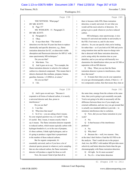## Case 1:13-cv-03675-WBH Document 108-7 Filed 12/30/16 Page 357 of 519

Washington, D.C.

Paul Simone, Ph.D. November 7, 2016

|              | Page 238                                                                                       | Page 240                                                                                  |  |
|--------------|------------------------------------------------------------------------------------------------|-------------------------------------------------------------------------------------------|--|
| $\mathbf{1}$ | THE WITNESS: What page?                                                                        | there is because while FID, flame ionization<br>1                                         |  |
| 2            | BY MR. SCOTT:                                                                                  | detection, is nearly universal, it's not what you<br>$\mathbf{2}$                         |  |
| 3            | Q Page 15?                                                                                     | 3<br>would call the most selective of detectors. It's                                     |  |
| 4            | MS. WOOLSON: 15. Paragraph 23.                                                                 | $\sqrt{4}$<br>going to give a peak whenever you have reduced                              |  |
| 5            | BY MR. SCOTT:                                                                                  | 5<br>carbon.                                                                              |  |
| 6            | Paragraph 23.<br>Q                                                                             | 6<br>MS techniques, mass spectroscopy, is nice                                            |  |
| 7            | Okay.<br>A                                                                                     | 7<br>because it's universal and similar in universality to                                |  |
| 8            | It says there that: "The trend in<br>O                                                         | the FID, if not more so, and it's also more<br>8                                          |  |
| 9            | detection over the last 30 years has been to replace                                           | selective. So you can specify what you're looking<br>9                                    |  |
| 10           | chemically and specific detectors; e.g., flame                                                 | for rather than -- so if you look at GC/MS and you're<br>10                               |  |
| 11           | ionization detection for GC, or ultraviolet visible                                            | 11<br>using retention time and the mass-to-charge ratio                                   |  |
| 12           | absorption and fluorescent detectors for HP/LC with                                            | 12<br>that is detected with flame ionization detection,                                   |  |
| 13           | mass spectrometry MS techniques."                                                              | 13<br>you're using solely the retention time as your                                      |  |
| 14           | Do you see that?                                                                               | 14<br>identifier, and so you end up with basically two                                    |  |
| 15           | A Mm-hmm. Yes.                                                                                 | chemistries for identification when you use GC/MS or<br>15                                |  |
| 16           | And it goes on to say: "For example, the<br>Q                                                  | 16<br>separation with an MS detector.                                                     |  |
| 17           | flame ionization detector is selective for reduced                                             | 17<br>Q Okay. When you say that the flame                                                 |  |
| 18           | carbon in a chemical compound. This means that it                                              | ionization detector is prone to interferences, what<br>18                                 |  |
| 19           | detects chemicals like methane, propane, butane,                                               | does that mean?<br>19                                                                     |  |
| 20           | gasoline, benzene, 1,3-DMAA, et cetera."                                                       | 20<br>A It means that when you do your separation                                         |  |
| 21           | Do you see that?                                                                               | 21<br>on your gas chromatography column, if there is -- if                                |  |
| 22           | A I do.                                                                                        | 22<br>two compounds coelute, then that means they elute at                                |  |
|              |                                                                                                |                                                                                           |  |
|              | Page 239                                                                                       | Page 241                                                                                  |  |
| 1            | And it goes on and says: "Because it<br>Q                                                      | the same time, emerge from the column at the same<br>$\mathbf{1}$                         |  |
| 2            | responds to all forms of reduced carbon, it is merely                                          | 2<br>time, then you're going to get essentially one peak.                                 |  |
| 3            | a universal detector and, thus, prone to                                                       | 3<br>You're not going to be able to necessarily tell the                                  |  |
| 4            | interferences."                                                                                | difference between those two if you simply use<br>4                                       |  |
| 5            | Do you see that?                                                                               | external calibration, and one way you get around that<br>5                                |  |
| 6            | A I see that.                                                                                  | 6<br>is actually use standard addition to provide -- to                                   |  |
| 7            | What does that mean?<br>О                                                                      | 7<br>minimize interferences due to coelution.                                             |  |
| 8            | A So if we -- you are asking what it means.                                                    | 8<br>Q Now, did you use frame ionization in your                                          |  |
| 9            | So your original question was, is it useful? Yeah,                                             | 9<br>work?                                                                                |  |
| $10$         | it's useful. But, I mean, it means exactly what it                                             | No.<br>10<br>A                                                                            |  |
| 11           | say it means. The flame ionization detector responds                                           | 11<br>Is that because of the interference<br>0                                            |  |
| 12           | to reduced carbon, which means typically carbon with                                           | 12<br>problem?                                                                            |  |
| $13\,$       | hydrogen bonded to it, so in the case of propane,                                              | 13<br>No.<br>A                                                                            |  |
| 14           | it's three carbons, I think eight hydrogens, and so                                            | Why then?<br>14<br>Q                                                                      |  |
| $15\,$       | it's going to produce a signal that is proportional                                            | 15<br>Because the -- well, two reasons. One,<br>A                                         |  |
| 16           | to the number of those reduced carbons.                                                        | at the time I don't believe I had the GC/FID to do<br>16                                  |  |
| 17           | But for organic compounds, it's                                                                | the analysis. That I could devote to the project.<br>17                                   |  |
| $1\,8$       | essentially universal, and so if you have a lot of                                             | 18<br>And, two, the HPLC with tandem MS provides more                                     |  |
| 19           | chemical species present in whatever you're sampling                                           | 19<br>selectivity and better detection limits than the gas                                |  |
| 20           | that are also reduced carbon, the flame ionization                                             | 20<br>chromatography with flame ionization detection.                                     |  |
| 21           | detector will produce a signal for those as well.<br>Now, the reason I kind of put that all in | All right. So it's more accurate?<br>21<br>Q<br>22<br>No, it's -- it has better detection |  |

61 (Pages 238 to 241)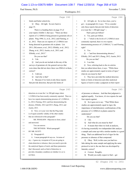#### Case 1:13-cv-03675-WBH Document 108-7 Filed 12/30/16 Page 358 of 519

Paul Simone, Ph.D. November 7, 2016

Washington, D.C.

|              | Page 242                                                          | Page 244                                                                          |
|--------------|-------------------------------------------------------------------|-----------------------------------------------------------------------------------|
|              |                                                                   |                                                                                   |
| $\mathbf{1}$ | limits and better selectivity.                                    | Q All right, sir. So we have here, you've<br>$\mathbf 1$                          |
| 2            | Q Okay. All right. So now back to                                 | got -- in paragraph 64, it says: "If we consider<br>$\mathbf{2}$                  |
| 3            | page 35.                                                          | 3<br>only those reports that provide limits of detection                          |
| 4            | There is a heading there on page 35 of                            | at or near the 1 -300 ppb range" --<br>$\overline{4}$                             |
| 5            | your report, Exhibit 3, that says: "There are three               | That's parts per billion?<br>5                                                    |
| 6            | reports of 1,3-DMAA being present in geranium oils or             | 6<br>A Yes, parts per billion.                                                    |
| 7            | plants: Ping 1996; Li, et al., 2012; and Fleming, et              | Q -- "which is the levels of 1,3-DMAA most<br>7                                   |
| 8            | al., 2012. There are six reports of 1,3-DMAA not                  | commonly reported, then it is two reports<br>8                                    |
| 9            | being detected in geranium oils or plants: Lisi                   | 9<br>demonstrating presence of 1,3-DMAA," Li and Fleming,                         |
| 10           | 2011; DiLorenzo, et al., 2012; ElSohly, et al., 2012;             | right?<br>10                                                                      |
| 11           | Zhang, et al., 2012; Austin, et al., 2013; and                    | A Yes.<br>11                                                                      |
| 12           | ElSohly, et al., 2015."                                           | Q -- "and four demonstrating absence,"<br>12                                      |
| 13           | Do you see that?                                                  | ElSohly, 2012 and 2015; Zhang, 2012; Austin, 2013.<br>13                          |
| 14           | $A$ I do.                                                         | 14<br>Do you see that?                                                            |
| 15           | And you do not include in this any of the<br>0                    | 15<br>A I see that.                                                               |
| 16           | surveys of geranium oil, the general surveys that                 | 16<br>Q Now, referring back to the six articles                                   |
| 17           | were done that did not show there was DMAA in them,               | 17<br>that you talked about there, it says: "While these                          |
| 18           | correct?                                                          | 18<br>studies are approximately equal in terms of rigor,"                         |
| 19           | A I did not.                                                      | 19<br>what do you mean by that?                                                   |
| 20           | And why is that?<br>Q                                             | 20<br>A They have provided the method detection                                   |
| 21           | A Because if we look at only those reports                        | 21<br>limits or limits of detection and other analytical                          |
| 22           | that provide detection, that provide limits of                    | 22<br>figures of merit to make a judgment on their report                         |
|              |                                                                   |                                                                                   |
|              |                                                                   |                                                                                   |
|              | Page 243                                                          | Page 245                                                                          |
| $\mathbf 1$  | detection at or near the 1 to 300 ppb range where                 | 1<br>of presence or absence. And that that judgment is                            |
| 2            | 1,3-DMAA has been mostly commonly reported. Then we               | 2<br>applied equally. You know, it's two reports for and                          |
| 3            | have two reports demonstrating presence of 1,3-DMAA,              | 3<br>four reports against.                                                        |
| 4            | Li, 2012; Fleming, 2012; and four demonstrating the               | 4<br>Q So it goes on to say: "That While these                                    |
| 5            | absence, ElSohly, 2012 and 2015; Zhang, 2012; and                 | 5<br>studies are approximately equal in rigor, the                                |
| 6            | Austin, 2013.                                                     | 6<br>importance of interlaboratory confirmations of the                           |
| 7            | Q Now, is it your view that the Ping study                        | presence of 1,3-DMAA in plants cannot be<br>7                                     |
| 8            | is of equal scientific validity of the other studies              | 8<br>understated."                                                                |
| 9            | that are referenced in this paragraph?                            | 9<br>Do you see that?                                                             |
| 10           | MS. WOOLSON: Objection to form, asked                             | $A$ I do.<br>10                                                                   |
| 11           | and answered.                                                     | And what do you mean by that?<br>11<br>0                                          |
| 12           | You can answer.                                                   | 12<br>It means that when we look at analysis,<br>A                                |
| 13           | THE WITNESS: Which paragraph?                                     | it's having essentially two independent labs analyze<br>13                        |
| 14           | BY MR. SCOTT:                                                     | a sample and come up with a similar number is a good<br>14                        |
| 15           | Paragraph 63.<br>Q                                                | thing. That's an additional level of rigor for the<br>15                          |
| 16           | I mean paragraph 64 says no. In terms of<br>A                     | 16                                                                                |
| 17           | my -- I guess my viewpoint of if you are going to                 | presence or absence of that compound.<br>17                                       |
| 18           |                                                                   | Q Okay. Well, in this case you had two                                            |
|              | claim detection or absence, then you need to provide              | 18<br>labs taking the same sample and applying the same                           |
| 19           | the analytical figures of merit, and those parameters             | protocol to test it, the one that was developed by<br>19                          |
| 20           | that I discussed, such as limit of detection, to                  | 20<br>Intertek, correct?                                                          |
| 21<br>22     | provide a boundary condition on whether it is or is<br>not there. | 21<br>Correct. Roughly.<br>A<br>22<br>Would you really expect to find -- get<br>Q |

62 (Pages 242 to 245)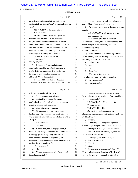#### Case 1:13-cv-03675-WBH Document 108-7 Filed 12/30/16 Page 359 of 519

Washington, D.C.

Paul Simone, Ph.D. November 7, 2016

|              | Page 246                                              |        | Page 248                                                    |
|--------------|-------------------------------------------------------|--------|-------------------------------------------------------------|
| $\mathbf{1}$ | any different results than what you got from the      | 1      | I mean it was a two-lab interlaboratory<br>A                |
| $\mathbf{2}$ | standpoint of you finding DMAA in the sample that you | 2      | study. That's about as small as you can get.                |
| 3            | tested?                                               | 3      | Particularly when you're dealing with one<br>$\overline{O}$ |
| 4            | MS. WOOLSON: Objection to form.                       | 4      | sample.                                                     |
| 5            | You can answer.                                       | 5      | MS. WOOLSON: Objection to form.                             |
| 6            | THE WITNESS: I mean, the -- yeah, the                 | 6      | You can answer.                                             |
| 7            | personnel were different. The specifics of the        | 7      | THE WITNESS: Just in terms of                               |
| 8            | analysis, like the instrumentation used, as far as I  | 8      | laboratories. I mean, two laboratories is as small          |
| 9            | know, were different. And not only did we -- yes, we  | 9      | as you can get. One laboratory is not an                    |
| 10           | built upon Li's method, but then we added our own     | 10     | interlaboratory study.                                      |
| 11           | additional standard addition on top of that really to | 11     | BY MR. SCOTT:                                               |
| 12           | make the paper as bulletproof as we could.            | 12     | Q Have you done interlaboratory studies                     |
| 13           | (Exhibit No. 21 was marked for                        | 13     | before where you were dealing with a test of one            |
| 14           | identification.)                                      | 14     | split sample as part of that study?                         |
| 15           | BY MR. SCOTT:                                         | 15     | A Before this?                                              |
| 16           | Q All right, sir. You've got in front of              | 16     | Yeah.<br>Q                                                  |
| 17           | you what is marked for identification purposes as     | 17     | No.<br>A                                                    |
| 18           | Exhibit 21 to your deposition. It is a multi-page     | 18     | Since then?<br>Q                                            |
| 19           | document bearing identification numbers               | 19     | We have participated in an<br>A                             |
| 20           | UMPS-HT-005965 through 5969.                          | 20     | interlaboratory study with three samples.                   |
| 21           | If you would look at that, and it appears             | 21     | How many labs?<br>Q                                         |
| 22           | to be some e-mail traffic between you and Erik of USP | 22     | I believe it's three.<br>A                                  |
|              |                                                       |        |                                                             |
|              | Page 247                                              |        | Page 249                                                    |
| 1            | Labs on or around April 19, 2013.                     | 1      | And had one of the labs already tested<br>Q                 |
| 2            | A Do you want me to read the --                       | 2      | the sample to see what was in it before you did this        |
| 3            | Just familiarize yourself with that<br>$\mathbf{O}$   | 3      | interlaboratory study?                                      |
| 4            | that's what it is, and then I will point you to some  | 4      | MS. WOOLSON: Objection to form.                             |
| 5            | specifics and then with questions.                    | 5      | You can answer.                                             |
| 6            | Okay. (Perusing document.)<br>A                       | 6      | THE WITNESS: No.                                            |
| 7            | All right, sir. If you would, look on<br>0            | 7      | But I will say that apparently the                          |
| 8            | the first page, the e-mail that was written by you,   | 8      | Changzhou region is difficult to get samples from.          |
| 9            | where it says from Paul Simone, dated April 19th at   | 9      | BY MR. SCOTT:                                               |
| 10           | 7:13 p.m.                                             | 10     | Pardon?<br>Q                                                |
| 11           | Do you see that?                                      | $11\,$ | Apparently the Changzhou region is<br>A                     |
| 12           | A I see that.                                         | 12     | difficult to get samples from. I don't know why.            |
| 13           | In that e-mail, third paragraph down, it<br>O         | 13     | Have you tried to get them and couldn't?<br>$\mathbf Q$     |
| $1\,4$       | says: "So my thoughts were that the Li paper and the  | 14     | No. But Professor ElSohly's group, his<br>A                 |
| $1\,5$       | Fleming paper ended up being a very small             | 15     | multi-center study, did not.                                |
| 16           | interlaboratory study using a split sample of         | 16     | Turning to page 37 of the report.<br>Q                      |
| 17           | geranium, Changzhou sample, based on the Li, et al.,  | 17     | My expert report?<br>A                                      |
| $18\,$       | method that was published first."                     | 18     | Yes, sir.<br>Q                                              |
| 19           | Do you see that?                                      | 19     | Okay.<br>A                                                  |
| $20$         | A I do.                                               | 20     | It says there in paragraph 67 that: "The<br>$\overline{Q}$  |
| 21           | What do you mean there by "a very small<br>Q          | 21     | FDA falsely states that detection of 1,3-DMAA               |
| 22           | interlaboratory study"?                               | 22     | requires derivatization for analysis at the low             |

63 (Pages 246 to 249)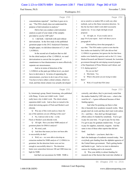#### Case 1:13-cv-03675-WBH Document 108-7 Filed 12/30/16 Page 360 of 519

# Paul Simone, Ph.D. November 7, 2016

Washington, D.C.

|             | Page 250                                                 | Page 252                                                                                                       |
|-------------|----------------------------------------------------------|----------------------------------------------------------------------------------------------------------------|
| $1\,$       | concentrations reported." And then it goes on to         | $\mathbf{1}$<br>not as sensitive as tandem MS or really any other                                              |
| 2           | say: "The FDA clearly does not understand the            | $\overline{c}$<br>methods, such as like flame ionization detection. So                                         |
| 3           | purpose of derivatization in analysis."                  | 3<br>like the fact that it didn't work didn't necessarily                                                      |
| 4           | Did in fact you conduct a derivatization                 | 4<br>surprise me. It was a high risk/high reward                                                               |
| 5           | analysis as part of your study of the samples            | 5<br>proposal.                                                                                                 |
| 6           | provided to you by USP Labs?                             | 6<br>Q All right, sir. If you would, turn to                                                                   |
| 7           | A I did both. I did both with and without                | page 38 of your report. And I will direct you to<br>7                                                          |
| 8           | derivatization. In the first study in the published      | 8<br>paragraph 69.                                                                                             |
| 9           | geranium paper in the 2012 Analytical Chemistry          | 9<br>About halfway down that paragraph, it                                                                     |
| 10          | Insights paper, we did direct detection of 1,3- and      | says that: "The FDA makes a point to note that the<br>10                                                       |
| 11          | 1,4-DMAA.                                                | 11<br>four studies not funded by USP Labs did not find                                                         |
| 12          | In the second set of analyses that we did                | 12<br>1,3-DMAA in geranium, but ignores the fact that those                                                    |
| 13          | for the chiral analysis of the 1,3-DMAA, we used         | 13<br>studies were funded by agencies such as the U.S. Army                                                    |
| 14          | derivatization to convert the two pairs of               | 14<br>Medical Research and Materiel Command, the Australian                                                    |
| 15          | enantiomers to four diastereomers to more effectively    | 15<br>government through the anti-doping research program                                                      |
| 16          | separate our stereoisomers.                              | 16<br>of the Department of Prime Minister and Cabinet, and                                                     |
| 17          | And so in terms of detection of the                      | 17<br>U.S. doping agencies."                                                                                   |
| 18          | 1,3-DMAA at the parts per billion level, you don't       | 18<br>Do you see that?                                                                                         |
| 19          | have to derivatize it. In terms of separating the        | A Mm-hmm. Yes.<br>19                                                                                           |
| 20          | stereoisomers, you have to do it one of two ways.        | 20<br>What is the point you are trying to make<br>Q                                                            |
| 21          | You have to have either a chiral column, which we        | 21<br>there?                                                                                                   |
| 22          | tried, and that chiral column was actually developed     | A Well, if I recall that FDA letter<br>22                                                                      |
|             |                                                          |                                                                                                                |
|             | Page 251                                                 | Page 253                                                                                                       |
| $\mathbf 1$ | by Armstrong's group, Daniel Armstrong, who published    | 1<br>correctly, and others, they've previously noted that                                                      |
| 2           | with Zhang. It turns out it didn't work. I don't         | 2<br>the studies funded by USP Labs were -- what is the                                                        |
| 3           | really know why it didn't work. The chiral column        | word for it? -- I guess influenced because of their<br>3                                                       |
| 4           | separation didn't work. And so then we turned to the     | funding agency.<br>4                                                                                           |
| 5           | chiral derivatizing agents of Fleck and Mosher's acid    | 5<br>And what I'm pointing out there is that                                                                   |
| 6           | chloride.                                                | this is basically how academic research works. Most<br>6                                                       |
| 7           | Q Was any of this work used as a basis for               | people don't do work and they don't start work unless<br>7                                                     |
| 8           | any of the opinions you are offering in this case?       | it's -- and they -- they don't go through major<br>8                                                           |
| 9           | A No, I did not refer to the -- to the                   | 9<br>efforts unless it's funded by somebody. You've got                                                        |
| 10          | Fleck or Mosher's acid chloride work.                    | 10<br>to pay for your time. I've got to pay for my time.                                                       |
| 11          | Q All right. Have you done NMR analysis of               | I've got to pay for graduate student time. I've got<br>11                                                      |
| 12          | geranium plants for DMAA analysis?                       | 12<br>to pay for supplies, materials, reagents. And the                                                        |
| 13          | A We tried, yeah.                                        | same is true of those other reports that did not<br>13                                                         |
| 14          | And does that mean you have not been able<br>Q           | 14<br>fund.                                                                                                    |
| $15\,$      | to successfully do that?                                 | 15<br>And that's -- you know, that's the --                                                                    |
| 16          | A Well, we -- we were able to develop an                 | 16<br>that's the landscape of academic research today. Not                                                     |
| 17          | extraction method for NMR analysis of 1,3-DMAA in        | 17<br>everybody gets funding from the alphabet agencies of                                                     |
| 18          | geranium, but the detection limits were not low          | 18<br>the United States government. That's getting harder                                                      |
| 19          | enough to successfully detect it. The detection          | 19<br>and harder to get. And so we turn to alternative                                                         |
| 20          | limits were somewhere between 100 and 1000 times too     | sources for funding and to do research.<br>20                                                                  |
| 21<br>22    | high for NMR.<br>And that's not uncommon for NMR. NMR is | 21<br>Q Was your ability to attract funding for<br>22<br>research one of the factors that went into whether or |

64 (Pages 250 to 253)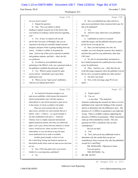### Case 1:13-cv-03675-WBH Document 108-7 Filed 12/30/16 Page 361 of 519

Washington, D.C.

Paul Simone, Ph.D. November 7, 2016

|              | Page 254                                              |              | Page 256                                              |
|--------------|-------------------------------------------------------|--------------|-------------------------------------------------------|
| 1            | not you receive tenure?                               | 1            | Q Have you published any other articles in            |
| 2            | A Repeat the question.                                | 2            | open access periodicals where someone had to pay for  |
| 3            | Sure. Was your ability to attract<br>Q                | 3            | that to be published?                                 |
| 4            | funding to support research one of the factors that   | 4            | A Yes.                                                |
| 5            | was looked at in making a tenure decision regarding   | 5            | And how many others have you published<br>0           |
| 6            | you?                                                  | 6            | that way?                                             |
| 7            | A Yes. In fact, it's stated in all our job            | 7            | A I published an article in a journal                 |
| 8            | ads for the University of Memphis, that you are       | 8            | called Beverages, and the publisher themselves paid   |
| 9            | expected to develop an externally funded research     | 9            | for the fee by waiving the fee.                       |
| 10           | program, and part of that is getting funding from any | 10           | Q Have you had anybody else who, for                  |
| 11           | source. A dollar is a dollar, it all spends the       | 11           | example, you were doing the research, they funded it, |
| 12           | same. And on top of that you're expected to publish   | 12           | and then they paid for your publication, other than   |
| 13           | and graduate students, and that's -- that's the life  | 13           | <b>USP Labs?</b>                                      |
| 14           | as a professor.                                       | 14           | A No, but it's not particularly uncommon to           |
| 15           | Q In relation to your published study                 | 15           | have funded proposals have publication fees in them   |
| 16           | pertaining to the DMAA work, was a payment made to    | 16           | to pay for publication.                               |
| 17           | the publisher to publish that particular study?       | 17           | Q Okay. And have you -- other than the one            |
| 18           | A Yes. Which is pretty normal for open                | 18           | in the Beverages magazine where the publisher waived  |
| 19           | access articles. Somebody's got to pay those          | 19           | the fee, have you paid to publish any other articles? |
| 20           | publication costs.                                    | 20           | A Not that I can recall.                              |
| 21           | Q When you say "open access" publishers,              | 21           | Now, in the next page, page 40 of your<br>O           |
| 22           | what are you talking about there?                     | 22           | report-                                               |
|              |                                                       |              |                                                       |
|              |                                                       |              |                                                       |
|              | Page 255                                              |              | Page 257                                              |
| $\mathbf 1$  | A So Analytical Chemistry Insights is an              | $\mathbf{1}$ | Expert report?<br>A                                   |
| $\mathbf{2}$ | open access publisher, which means that instead of    | 2            | Q Yes, sir.                                           |
| 3            | articles being behind a pay wall that requires a      | 3            | -- it says that: "The analytical                      |
| 4            | subscription or a per-article payment to gain access  | 4            | chemists conducting the research are there to review  |
| 5            | to that article, it's freely available to the public. | 5            | published work, report the findings of the research,  |
| 6            | There are some journals that are solely               | 6            | and try to determine why the differences arise. The   |
| 7            | open access, and there are some journals that are a   | 7            | presence of 1,3-DMAA in geranium is not right and     |
| 8            | hybrid. And I -- I believe -- so a good example is    | 8            | wrong. There is credible evidence supporting the      |
| 9            | one that I published in the past is -- Analytica      | 9            | presence of DMAA in geraniums. Other researchers      |
| 10           | Chimica Acta is a highly respected international      | 10           | came up with contradictory results. The real          |
| 11           | applied analytical journal, and when you submit the   | 11           | question for FDA is should be why are they            |
| $12$         | paper, you've got a choice between submit as a closed | 12           | contradictory."                                       |
| 13           | source, closed access, where you have to have a       | 13           | Do you see that?                                      |
| 14           | subscription, or you can choose to pay the open       | 14           | $A$ I do.                                             |
| 15           | access publication fee to make it available.          | 15           | Now, did you do any additional work to<br>0           |
| 16           | Another good example, as best as I can                | 16           | determine why the results that you got are            |
| 17           | tell, is that Drug Testing and Analysis operates on   | 17           | contradictory from everyone else who has published    |
| 18           | that hybrid model where some are open access and some | 18           | except for Li and Ping?                               |
| 19           | are not.                                              | 19           | MS. WOOLSON: Objection to form.                       |
| 20           | Q Now, USP Labs paid to have your article,            | 20           | You can answer.                                       |
| 21<br>22     | Exhibit 4 to your deposition, published?<br>A Yes.    | 21<br>22     | THE WITNESS: No.<br>BY MR. SCOTT:                     |

65 (Pages 254 to 257)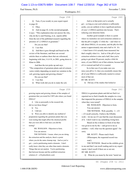### Case 1:13-cv-03675-WBH Document 108-7 Filed 12/30/16 Page 362 of 519

Washington, D.C.

Paul Simone, Ph.D. November 7, 2016

|              | Page 258                                                                                 |                  | Page 260                                                      |
|--------------|------------------------------------------------------------------------------------------|------------------|---------------------------------------------------------------|
| 1            | Turn, if you would, in your expert report<br>Q                                           | 1                | And so at that point you've actually                          |
| 2            | to page 42.                                                                              | $\overline{c}$   | got -- as long as your acid solution is sufficiently          |
| 3            | Okay.<br>A                                                                               | 3                | acidic, you are unlikely to have significant portions         |
| 4            | And on page 42, in the second paragraph,<br>0                                            | 4                | of your 1,3-DMAA partition into hexane. That's                |
| 5            | it says: "This explanation does not answer the why,                                      | 5                | reducing your detection limits.                               |
| 6            | why do the Li and Fleming, et al., reports differ                                        | 6                | Another good example is there is a point                      |
| 7            | from the rest of the published research regarding the                                    | $\boldsymbol{7}$ | where we neutralize our acid extraction solution so           |
| 8            | presence of 1,3-DMAA in geranium."                                                       | 8                | that the pH is roughly 12 while the -- and when we            |
| 9            | Do you see that?                                                                         | 9                | talk about DMAA, it's an amine, and the pKa for that          |
| 10           | A I see that.                                                                            | 10               | amine is approximately nine and a half to 10. It's            |
| 11           | And then it goes through and based on the<br>О                                           | 11               | -- I don't know if it's actually been measured, but           |
| 12           | review of the literature, and there are several                                          | 12               | that's roughly what it is. And so if the pH of your           |
| 13           | articles there or authors there that are referenced,                                     | 13               | extraction solution is nine and a half, then you're           |
| 14           | beginning with Jain, J-A-I-N, in 2001, going down to                                     | 14               | going to get about 50 percent, maybe a little bit             |
| 15           | Khan in 2006.                                                                            | 15               | more, of your DMAA out of that solution, because half         |
| 16           | And then the text picks up and says:                                                     | 16               | of it is ionized and half of it is neutral.                   |
| 17           | "The composition of geranium plants and oil extracts                                     | 17               | So in that case if you make sure you                          |
| 18           | varies widely depending on metal ion variation in the                                    | $18\,$           | raise your pH to 12, then you essentially ensure that         |
| 19           | soil, growing region and growing climate."                                               | 19               | all of your DMAA is sufficiently neutral to extract           |
| 20           | Do you see that?                                                                         | 20               | most of that out.                                             |
| 21           | A I see that.                                                                            | 21               | BY MR. SCOTT:                                                 |
| 22           | What work did you do to study the soil,<br>0                                             | 22               | Q Did any of the studies that looked at                       |
|              |                                                                                          |                  |                                                               |
|              |                                                                                          |                  |                                                               |
|              | Page 259                                                                                 |                  | Page 261                                                      |
| $\mathbf{1}$ | growing region and growing climate of the samples of                                     | $1\,$            | DMAA in geranium plants and did not find it or                |
| 2            | geranium that you tested for USP Labs where you found                                    | 2                | reported not to find it handle the samples in a way           |
| 3            | DMAA?                                                                                    | 3                | that impacted the presence of DMAA in the samples             |
| 4            | A Like us personally in the research lab,                                                | 4                | when they were tested?                                        |
| 5            | did we test those things?                                                                | 5                | MS. WOOLSON: Objection to form.                               |
| 6            | Yes.<br>Q                                                                                | 6                | You can answer.                                               |
| 7            | I did not.<br>A                                                                          | 7                | THE WITNESS: Well, possibly. I -- if I                        |
| 8            | Were you able to identify any method of<br>Q                                             | 8                | -- if I recall correctly, I believe the ElSohly               |
| 9            | preparation regarding the geranium plants that you                                       | 9                | work -- let me see if I can find the exact discussion         |
| 10           | were testing that might affect the chemical profile                                      | 10               | of it. I don't want to say something wrong here.              |
| 11           | that you were able to find once you did the                                              | 11               | Based on the evidence in front of me that                     |
| 12           | testing?                                                                                 | 12               | was given to me by the -- and given to me as                  |
| 13           | MS. WOOLSON: Objection to form.                                                          | 13               | exhibits -- well, what was the question again? I'm            |
| 14           | You can answer.                                                                          | 14               | sorry.                                                        |
| 15           | THE WITNESS: I mean, when you are doing                                                  | $15$             | MR. SCOTT: Please read it back.                               |
| 16           | the extraction and the analysis, there's a point                                         | 16               | (Whereupon, the requested record was                          |
| 17           | where you do the same cleanup step. And so you've                                        | 17               | read.)                                                        |
| $1\,8$       | got -- you're partitioning matrix elements. I don't                                      | 18               | THE WITNESS: Based on the exhibits given                      |
| 19           | really know what they are other than matrix elements.                                    | 19               | to me and that I can recall reading and in my expert          |
| 20           | Things that are not analyte. You're partitioning                                         | $20$             | report, I don't recall if there are or are not.               |
| 21<br>22     | that between hexane and the acidified extraction<br>solution of -- of hydrochloric acid. | 21<br>22         | BY MR. SCOTT:<br>What do you mean by the term "metal ion<br>Q |

66 (Pages 258 to 261)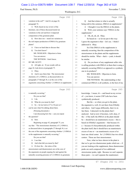#### Case 1:13-cv-03675-WBH Document 108-7 Filed 12/30/16 Page 363 of 519

Paul Simone, Ph.D. November 7, 2016

Washington, D.C.

|              | Page 262                                              |        | Page 264                                                                                                    |
|--------------|-------------------------------------------------------|--------|-------------------------------------------------------------------------------------------------------------|
| $\mathbf{1}$ | variation in the soil"? And it's on page 42,          | 1      | And that relates to what is actually<br>Q                                                                   |
| 2            | paragraph 74.                                         | 2      | being sold in this sentence, DMAA in supplements?                                                           |
| 3            | A Well, based on my review of the                     | 3      | A I thought it was the DMAA in the plants.                                                                  |
| 4            | literature, one of those discussed metal ion          | 4      | Well, your sentence says "DMAA in the<br>О                                                                  |
| 5            | variations in the soil and how it impacted            | 5      | supplements."                                                                                               |
| 6            | composition of the geranium plant.                    | 6      | A Oh, oh, oh, oh. Okay.                                                                                     |
| 7            | Q How does ion -- metal ion variation in              | 7      | So based on -- so let me put it this way:                                                                   |
| 8            | the soil impact production of DMAA by geranium        | 8      | I guess the argument is that -- let's see. I think I                                                        |
| 9            | plants?                                               | 9      | addressed it. Okay.                                                                                         |
| 10           | A I have no hard data to discuss that.                | 10     | So if the DMAA in the supplements is                                                                        |
| 11           | Q You don't know?                                     | 11     | naturally occurring, then the composition of the                                                            |
| 12           | MS. WOOLSON: Objection to form.                       | 12     | stereoisomers in the plants and the supplements                                                             |
| 13           | You can answer.                                       | 13     | should be similar. What -- that's -- yeah, it should                                                        |
| 14           | THE WITNESS: I don't know.                            | 14     | be similar.                                                                                                 |
| 15           | BY MR. SCOTT:                                         | 15     | Q Do you know of any supplement seller who                                                                  |
| 16           | Q All right, sir. If you would, still on              | 16     | is selling products with DMAA in them that is using a                                                       |
| 17           | page 42, look down at paragraph 75.                   | 17     | naturally occurring DMAA as opposed to a synthetic                                                          |
| 18           | A Okay.                                               | 18     | one in its products?                                                                                        |
| 19           | And it says there that: The stereoisomer<br>Q         | 19     | MS. WOOLSON: Objection to form.                                                                             |
| 20           | chemistry of 1,3-DMAA, as discussed above in          | 20     | You can answer.                                                                                             |
| 21           | paragraphs 27 through 36, is at the core of the       | 21     | THE WITNESS: My understanding is that                                                                       |
| 22           | arguments concerning whether 1,3-DMAA in supplements  | 22     | commercial DMAA is all synthetic, to the best of my                                                         |
|              |                                                       |        |                                                                                                             |
|              |                                                       |        |                                                                                                             |
|              | Page 263                                              |        | Page 265                                                                                                    |
| $\mathbf{1}$ | is naturally occurring."                              | 1      |                                                                                                             |
| 2            | Do you see that?                                      | 2      | knowledge. I mean, it's -- and based on my review                                                           |
| 3            | $A$ I do.                                             | 3      | of -- you know, it seems USP Labs have been<br>synthetically produced.                                      |
| 4            | What do you mean by that?<br>Q                        | 4      | But the -- so when you get to the plant,                                                                    |
| 5            | A So -- let me look at 27 to 36 just so I             | 5      | the argument is, well, it's not there from ElSohly                                                          |
| 6            | can be sure what I'm talking about there.             | 6      | and others. And I argue differently, that it is in                                                          |
| 7            | (Perusing document.)                                  | 7      | fact there. I detected it in the plants that I                                                              |
| 8            | I am discussing how the -- can you repeat             | 8      | analyzed. And so now it becomes, well, okay, if                                                             |
| 9            | the question?                                         | 9      | the -- if the stuff, the DMAA in the plant should                                                           |
| 10           | Q Sure.                                               | 10     | be -- should have an enantiomeric excess -- this is                                                         |
| 11           | Beginning on page 42, paragraph 75, you               | 11     | based on ElSohly's arguments -- that because it's                                                           |
| $12\,$       | say that: "The stereoisomer chemistry of 1,3-DMAA,    | 12     |                                                                                                             |
| 13           | as discussed above in paragraphs 27 through 36, is at | 13     | a -- because it's biosynthetically produced within<br>the plant itself, that it should have an enantiomeric |
| 14           | the core of the arguments concerning whether 1,3-DMAA | 14     | excess of one or -- an enantiomeric excess of at                                                            |
| 15           | in the supplements is naturally occurring."           | $15$   | least one chiral center. So 1,3-DMAA has two chiral                                                         |
| 16           | Do you see that?                                      | 16     | centers. Those are four stereoisomers.                                                                      |
| 17           | A I see that.                                         | 17     | Now, what we have shown in the plant is                                                                     |
| $1\,8$       | And what did you mean by that?<br>Q                   | $1\,8$ | that we've got two diastereomer peaks which are -- if                                                       |
| 19           | It's how the -- the ratios of the<br>A                | 19     | you are looking at the supplement, those diastereomer                                                       |
| 20           | stereoisomers and diastereomers are at the core of    | 20     | peaks are each composed of two additional                                                                   |
| 21           | the arguments on people arguing for and against the   | 21     | stereoisomer peaks, right. Because we can't separate                                                        |
| 22           | naturally occurring presence of 1,3-DMAA in geranium. | 22     | those pairs -- we can't separate the enantiomers                                                            |

67 (Pages 262 to 265)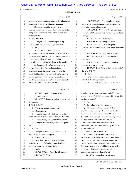## Case 1:13-cv-03675-WBH Document 108-7 Filed 12/30/16 Page 364 of 519

Washington, D.C.

Paul Simone, Ph.D. November 7, 2016

|              | Page 266                                                  | Page 268                                                                                         |  |
|--------------|-----------------------------------------------------------|--------------------------------------------------------------------------------------------------|--|
| $\mathbf{1}$ | within that peak, the diastereomer peak without using     | MS. WOOLSON: So, beyond what we've<br>1                                                          |  |
| 2            | some kind of chiral derivatization technique.             | talked about all day long and all the sentences we<br>2                                          |  |
| 3            | Now, in the plant there has been no                       | 3<br>have talked about all day long?                                                             |  |
| 4            | published work that shows whether -- that shows the       | MR. SCOTT: Wow, so we've got an extract<br>4                                                     |  |
| 5            | composition, the stereoisomer ratios of those four        | 5<br>of natural DMAA somewhere, we talked about that at                                          |  |
| 6            | stereoisomers.                                            | 6<br>some point?                                                                                 |  |
| 7            | BY MR. SCOTT:                                             | 7<br>MS. WOOLSON: I'm asking you --                                                              |  |
| 8            | Q All right. Well, let me ask you to flip                 | MR. SCOTT: I'm asking a question.<br>8                                                           |  |
| 9            | over to page 47 of your report, paragraph 86.             | MS. WOOLSON: -- to clarify your<br>9                                                             |  |
| 10           | A Okay.                                                   | question. We've been here for seven-and-a-half hours<br>10                                       |  |
| 11           | It says there: "Given the state of<br>Q                   | 11<br>now.                                                                                       |  |
| 12           | knowledge regarding the presence of 1,3-DMAA in           | 12<br>MR. SCOTT: I'm happy with it. Let's go.                                                    |  |
| 13           | geranium plants and the diastereomer ratios measured      | THE WITNESS: Am I answering the<br>13                                                            |  |
| 14           | therein, the 1,3-DMAA found in the plant is               | 14<br>question?                                                                                  |  |
| 15           | equivalent to the 1,3-DMAA found in the supplement."      | 15<br>MS. WOOLSON: If you understand the                                                         |  |
| 16           | So that means that what you're seeing in                  | 16<br>question, you can answer it.                                                               |  |
| 17           | the artificial -- from the standpoint of the              | 17<br>THE WITNESS: What is the question again?                                                   |  |
| 18           | stereoisomer and the diastereomer ratios in the           | BY MR. SCOTT:<br>18                                                                              |  |
| 19           | plant, that based on your work that you're seeing are     | 19<br>O Sure.                                                                                    |  |
| 20           | the same as those ratios for the -- understand --         | 20<br>Have you found a standard of natural                                                       |  |
| 21           | what you understand to be artificial or synthetically     | 21<br>extract of DMAA anywhere?                                                                  |  |
| 22           | produced DMAA in the supplements?                         | A -- so I understand, somebody has taken<br>22                                                   |  |
|              |                                                           |                                                                                                  |  |
|              | Page 267                                                  | Page 269                                                                                         |  |
| 1            | MS. WOOLSON: Objection to form.                           | $\mathbf{1}$<br>geranium that has been proven to contain DMAA or                                 |  |
| 2            | You can answer.                                           | known to grow 1,3-DMAA and extracted it and provided<br>$\overline{c}$                           |  |
| 3            | MR. SCOTT: Let me withdraw that one and                   | 3<br>a reference sample?                                                                         |  |
| 4            | try it again.                                             | Q Yes.<br>4                                                                                      |  |
| 5            | BY MR. SCOTT:                                             | 5<br>A To the best of my knowledge, no.                                                          |  |
| 6            | There is a ratio, a diastereomer --<br>Q                  | All right, sir. Now, in paragraph 86 on<br>6<br>0                                                |  |
| 7            | A Diastereomer.                                           | $\overline{7}$<br>page 47, you go on to say: "If at some point in the                            |  |
| 8            | -- diastereomer ratio that you see in the<br>О            | 8<br>future the measurement of the ratios of the four                                            |  |
| 9            | supplements which you know to be synthetic DMAA.          | 9<br>1,3-DMAA stereoisomers can be successfully done in                                          |  |
| 10           | As reported by Zhang and others, I think.<br>A            | 10<br>the plant material that shows the plant has a                                              |  |
| 11           | And you don't have any reason to dispute<br>Q             | 11<br>distinctly different stereoisomer ratio than the                                           |  |
| 12           | that?                                                     | 12<br>supplements, then we may be able to say that the two                                       |  |
| 13           | No.<br>A                                                  | 13<br>are not equivalent."                                                                       |  |
| 14           | And you're seeing the same ratio in the<br>Q              | 14<br>What did you mean by that?                                                                 |  |
| 15           | DMAA that you see in the plant?                           | 15<br>A So -- it kind of goes back to the -- so                                                  |  |
| 16           | Correct. Roughly.<br>A                                    | 16<br>we have -- for 1,3-DMAA we have four stereoisomers.                                        |  |
| 17           | Now, have you been able to find any<br>Q                  | Now, the state of knowledge thus far, as published,<br>17                                        |  |
| 18           | reference sample of what is purported to be a             | has only measured the two peaks that contain those<br>18                                         |  |
| 19           | naturally occurring extract of DMAA?                      | 19<br>four stereoisomers. And so within those two peaks,                                         |  |
| 20           | A As in?                                                  | 20<br>it -- what we don't know is are the pair of                                                |  |
| 21<br>22     | MS. WOOLSON: That's the full question?<br>MR. SCOTT: Yes. | 21<br>enantiomers equal or are they different.<br>So -- if we -- so our four stereoisomers<br>22 |  |

68 (Pages 266 to 269)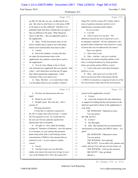### Case 1:13-cv-03675-WBH Document 108-7 Filed 12/30/16 Page 365 of 519

# Paul Simone, Ph.D. November 7, 2016

Washington, D.C.

|             | Page 270                                                                                                 | Page 272                                                       |
|-------------|----------------------------------------------------------------------------------------------------------|----------------------------------------------------------------|
| $\mathbf 1$ | are RR, SS, SR, RS, two sets. So RR and SS are a                                                         | Zhang 2012; and De Lorenzo 2012 studies, both in<br>1          |
| 2           | pair. But what we don't know is, is the ratios of RR                                                     | terms of analytical chemistry and the level of<br>$\mathbf{2}$ |
| 3           | to SS equal or are they different? And there is no                                                       | authentication of geranium plant samples.<br>3                 |
| 4           | published study that shows whether they are equal or                                                     | Do you see that?<br>4                                          |
| 5           | they are different in the plant. What Zhang has                                                          | A I see that.<br>5                                             |
| 6           | shown is that they -- they are apparently equal in                                                       | 6<br>And so it goes on to say that: "The<br>0                  |
| 7           | the supplements.                                                                                         | 7<br>differences between the sets of reports have yet to       |
| 8           | Okay. So the stereoisomer ratio, no one<br>Q                                                             | be adequately explained. The best explanation is the<br>8      |
| 9           | knows whether they're equal or not in the plants                                                         | geranium plants composition varies based on a variety<br>9     |
| 10          | based on the research that's been done to date?                                                          | of factors that were not addressed by the studies."<br>10      |
| 11          | A Correct.                                                                                               | 11<br>That's your opinion?                                     |
| 12          | But in the synthetic, we know that they<br>$\mathcal{O}$                                                 | That's what I wrote.<br>12<br>A                                |
| 13          | are equal, the stereoisomer ratios in the                                                                | Q Okay. And that -- and you've testified<br>13                 |
| 14          | supplements, the synthetic version that is used in                                                       | that you have no opinion regarding whether or not<br>14        |
| 15          | the supplements?                                                                                         | there is a biological pathway by which geranium<br>15          |
| 16          | A So to be clear, Zhang, as far as I know,                                                               | plants can actually produce DMAA, correct?<br>16               |
| 17          | only measured one supplement that was reported. And                                                      | A I don't really know much about biological<br>17              |
| 18          | I don't -- and I think there was that one CE paper                                                       | pathways, so yes.<br>18                                        |
| 19          | that I think reported the supplements. I don't                                                           | Q Okay. And it goes on to say that on 90,<br>19                |
| 20          | remember if they were equal or not.                                                                      | that no one has been able to demonstrate that the<br>20        |
| 21          | Q Okay. But then -- so we don't know what                                                                | 1,3-DMAA in the plants is composed of only two of the<br>21    |
| 22          | is in the plants based on any scientific evidence?                                                       | four stereoisomers rather than all four stereoisomers<br>22    |
|             |                                                                                                          |                                                                |
|             | Page 271                                                                                                 | Page 273                                                       |
| 1           | We know the diastereomer ratios are<br>A                                                                 | present in the supplements, correct?<br>1                      |
| 2           | equal.                                                                                                   | 2<br>A Correct.                                                |
| 3           | Based on your work?<br>Q                                                                                 | 3<br>And at the moment, the only information<br>0              |
| 4           | Roughly equal. My work and -- did Li<br>A                                                                | or support for finding that the stereoisomers in the<br>4      |
| 5           | measure it?                                                                                              | plant are equivalent to those in the supplements is<br>5       |
| 6           | (Perusing document.)                                                                                     | 6<br>your study.                                               |
| 7           | It looks like Li could have measured it,                                                                 | 7<br>MS. WOOLSON: Objection to form.                           |
| 8           | the 2012 Li paper, but it does not look -- I cannot                                                      | 8<br>You can answer.                                           |
| 9           | tell if he reported it or not. So it looks like I'm                                                      | 9<br>BY MR. SCOTT:                                             |
| 10          | the only one who has explicitly reported that                                                            | Correct?<br>10<br>Q                                            |
| 11          | diastereomer ratio in the plants.                                                                        | 11<br>Say that again.<br>A                                     |
| 12          | Q All right, sir. Now, under the heading                                                                 | 12<br>Sure. Has anybody but you measured the<br>0              |
| 13          | on page 48, "Summary of Opinions," your first opinion                                                    | 13<br>stereoisomers in the plant, the DMAA where -- in a       |
| 14          | is, in summary, it's your opinion that geranium                                                          | 14<br>plant?                                                   |
| $15$        | plants analyzed by both Li and Fleming contain                                                           | 15<br>MS. WOOLSON: Objection to form.                          |
| 16          | concentrations of DMAA in the amounts that are                                                           | 16<br>You can answer.                                          |
| 17          | reported in your -- in your respective studies,                                                          | 17<br>THE WITNESS: Not explicitly.                             |
| $18\,$      | correct?                                                                                                 | MR. SCOTT: Let me take a few minutes and<br>18                 |
| 19          | A Correct.                                                                                               | 19<br>confer, and see if we can't get you out of here, sir.    |
| 20          | And then it goes on to say that these<br>Q                                                               | 20<br>THE WITNESS: I will use the restroom.                    |
| 21<br>22    | studies were done to the same level of rigor in your<br>view as the ElSohly 2012, 2015; the Austin 2013; | 21<br>MR. SCOTT: Sure, go ahead.<br>22<br>(Recess.)            |

69 (Pages 270 to 273)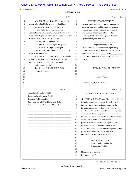#### Case 1:13-cv-03675-WBH Document 108-7 Filed 12/30/16 Page 366 of 519

Washington, D.C.

Paul Simone, Ph.D. November 7, 2016

|              | Page 274                                                                                                              | Page 276                                                      |
|--------------|-----------------------------------------------------------------------------------------------------------------------|---------------------------------------------------------------|
|              |                                                                                                                       |                                                               |
| 1            | MR. SCOTT: All right. We're back on the                                                                               | <b>CERTIFICATE OF DEPONENT</b><br>$\mathbf{1}$                |
| 2            | record after what I believe to be our final break.                                                                    | 2<br>I hereby certify that I have read and examined the       |
| 3            | Dr. Simone, we're done for the day.                                                                                   | 3<br>foregoing transcript, and the same is a true and         |
| 4            | I will note for the record that on the                                                                                | 4<br>accurate record of the testimony given by me.            |
| 5            | chance that we get additional opinions from you or                                                                    | Any additions or corrections that I feel are<br>5             |
| 6            | supplemental opinions from you, we reserve the right                                                                  | 6<br>necessary, I will attach on a separate sheet of          |
| 7            | to reopen and continue the deposition.                                                                                | 7<br>paper to the original transcript.                        |
| 8            | THE WITNESS: I understand.                                                                                            | 8                                                             |
| 9            | MS. WOOLSON: All right. Duly noted.                                                                                   | Signature of Deponent<br>9                                    |
| 10           | MR. SCOTT: All right. Thank you.                                                                                      | I hereby certify that the individual representing<br>10       |
| 11           | THE REPORTER: Sheila, would you like a                                                                                | himself/herself to be the above-named individual,<br>11<br>12 |
| 12           | copy of the transcript?                                                                                               | appeared before me this ______ day of                         |
| 13           | MS. WOOLSON: Yes, I would. I would like                                                                               | 2016, and executed the above certificate in my<br>13<br>14    |
| 14           | a draft e-mailed as soon as possible, and we will                                                                     | presence.<br>15                                               |
| 15<br>16     | take the transcript regular time turnaround.<br>(Whereupon, at 5:27 p.m. the                                          | 16                                                            |
| 17           | deposition of PAUL SIMONE, Ph.D.                                                                                      | NOTARY PUBLIC IN AND FOR<br>17                                |
| 18           | was concluded.)                                                                                                       | 18                                                            |
| 19           |                                                                                                                       | 19                                                            |
| 20           |                                                                                                                       | 20<br>County Name                                             |
| 21           |                                                                                                                       | 21                                                            |
| 22           |                                                                                                                       | 22<br>MY COMMISSION EXPIRES:                                  |
|              |                                                                                                                       |                                                               |
|              |                                                                                                                       |                                                               |
|              | Page 275                                                                                                              | Page 277                                                      |
| $\mathbf{1}$ | Notice Date: November 17, 2016                                                                                        | <b>CERTIFICATE OF NOTARY PUBLIC</b><br>$\mathbf{1}$           |
| 2            | Deposition Date: November 7, 2016                                                                                     | $\overline{c}$                                                |
| 3            | Deponent: Paul Simone, Ph.D.                                                                                          | 3<br>I, LESLIE ANNE TODD, the officer before whom the         |
| 4            | Case Name: US v. Hi-Tech Pharmaceuticals, Inc.                                                                        | foregoing deposition was taken, do hereby certify<br>4        |
| 5            | Page:Line<br>Now Reads<br>Should Read                                                                                 | that the witness whose testimony appears in the<br>5          |
| 6            |                                                                                                                       | foregoing deposition was duly sworn by me in<br>6             |
| 7            |                                                                                                                       | stenotype and thereafter reduced to typewriting under<br>7    |
| 8            |                                                                                                                       | 8<br>my direction; that said deposition is a true record of   |
| 9            |                                                                                                                       | 9<br>the testimony given by said witness; that I am neither   |
| 10           |                                                                                                                       | counsel for, related to, nor employed by and the<br>10        |
| 11           | <u> La Carriera de la Carriera de la Carriera de la Carriera de la Carriera de la Carriera de la Carriera de la C</u> | parties to the action in which this deposition was<br>11      |
| $1\,2$       |                                                                                                                       | 12<br>taken; and, further, that I am not a relative or        |
| 13           | <u> La Carlo de la Carlo de la Carlo de la Carlo de la Carlo de la Carlo de la Carlo de la Carlo de la Carlo de l</u> | employee of any counsel or attorney employed by the<br>13     |
| 14           |                                                                                                                       | parties hereto, nor financially or otherwise<br>14            |
| 15           |                                                                                                                       | interested in the outcome of this action.<br>15               |
| 16           |                                                                                                                       | 16                                                            |
| 17           |                                                                                                                       | LESLIE ANNE TODD<br>17                                        |
| 18           |                                                                                                                       | Notary Public in and for the<br>18                            |
| 19           |                                                                                                                       | District of Columbia<br>19                                    |
| 20           |                                                                                                                       | 20                                                            |
| 21<br>22     |                                                                                                                       | 21<br>My commission expires:<br>22<br>November 14, 2017       |

70 (Pages 274 to 277)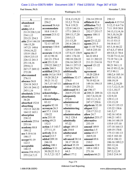Washington, D.C.

November 7, 2016

| $\mathbf A$      | 255:15,18         | 32:8,13,19,22           | 236:14 259:10      | 250:12               |
|------------------|-------------------|-------------------------|--------------------|----------------------|
| abandoned        | 256:2             | 33:2,3 75:16            | affidavit 42:4     | analysis $4:15\,5:4$ |
| 146:2            | accessed 56:4,6   | 76:4 119:21             | affiliation 73:2   | 5:12,13 6:4 7:6      |
| ability $65:4$   | accommodate       | 122:9 144:13            | agencies 252:13    | 7:11 19:9 30:8       |
| 211:9 228:3,10   | 10:8 114:13       | 177:1 209:13            | 252:17 253:17      | 34:13,13,14,16       |
| 234:1,12         | account 213:12    | 209:13,17,20            | agency 108:11      | 38:3,10,16,20        |
| 253:21 254:3     | 214:4             | 210:5,13                | 253:4              | 38:20 49:22          |
| able 25:4 144:18 | accounting        | 211:13,20               | agent 23:12,22     | 51:13 53:13          |
| 146:15,20        | 72:13 107:19      | 241:6 246:11            | agents 251:5       | 54:18 61:17          |
| 147:21 148:6     | accuracy 110:4    | additional              | ago 11:10 79:22    | 65:3,16 66:22        |
| 154:6, 16, 22    | 183:11            | 129:19 130:9            | 165:8 235:10       | 67:4,5,17 69:4       |
| 155:9 156:5      | accurate 13:8,18  | 137:8,15 138:9          | agree 46:17        | 69:5,9,13 70:4       |
| 158:9 215:15     | 43:12 98:18       | 149:1 176:10            | 66:22 69:4         | 72:20 73:12,14       |
| 226:12 241:3     | 241:21 276:4      | 190:18 226:22           | 161:11 202:22      | 73:19 74:1,14        |
| 251:14,16        | acid $251:5,10$   | 236:16 245:15           | 211:21 214:16      | 75:5 77:18           |
| 259:8,11         | 259:22 260:2,7    | 246:11 257:15           | agreed 121:22      | 90:21 94:1,11        |
| 267:17 269:12    | acidic 260:3      | 265:20 274:5            | 212:1              | 94:15 95:12,16       |
| 272:20           | acidified 259:21  | additionally            | agreement          | 97:5 99:11           |
| abovenamed       | acids 14:3,6 19:9 | 123:4                   | 10:20 220:4        | 100:2,4 105:14       |
| 276:11           | 19:20 20:2,9      | additions 32:17         | ahead 54:15        | 105:14,15,16         |
| absence 56:8     | 30:21 31:12       | 276:5                   | 70:19 82:14        | 108:19,19            |
| 224:18 243:5     | 34:7,15 167:11    | address 45:14           | 149:16 194:15      | 109:1,2,10,20        |
| 243:18 244:12    | acknowledge       | 145:5 234:20            | 273:21             | 111:7,12,13,14       |
| 245:1,16         | 83:15             | addressed 54:1          | air 196:17         | 112:1,10,17          |
| absolutely 219:6 | acknowledge       | 264:9 272:10            | al 208:21 209:16   | 121:14,18            |
| absorbance       | 83:14             | adequately              | 242:7,8,10,10      | 122:9,10             |
| 38:20            | acknowledgm       | 272:8                   | 242:11,11,12       | 129:11,13            |
| absorbed 152:8   | 83:12             | administered            | 247:17 258:6       | 133:13,19            |
| absorbing        | acquire 82:10     | 72:12                   | algebraic 32:10    | 134:15 135:15        |
| 152:13 162:20    | acronym 26:3      | administering           | aliquot 32:2       | 135:22 138:6         |
| 164:12 165:1     | act 57:1 116:8    | 2:16                    | 210:17 211:2       | 141:5,17             |
| absorption       | 150:22            | administration          | allow 24:7         | 142:16 143:6         |
| 238:12           | acta $255:10$     | 56:2 128:4              | alphabet 253:17    | 144:21 145:1         |
| academic 253:6   | acting $69:21$    | admittedly              | alternative        | 146:14 148:19        |
| 253:16           | 152:3             | 97:22                   | 253:19             | 155:9 157:10         |
| academy 88:8     | action 1:5 143:7  | adopt 149:15            | <b>amend</b> 149:9 | 157:18 164:13        |
| 199:12           | 277:11,15         | ads 254:8               | america 1:5        | 169:19 170:8         |
| acc 5:10 6:16    | actively 21:6     | adulterated             | amine 65:17        | 175:13 181:13        |
| 190:17           | actual $213:7$    | 197:2                   | 260:9,10           | 182:5 183:10         |
| accept 91:19     | added 209:18      | advanced 38:14          | amount 69:6        | 185:4 186:13         |
| 122:3            | 246:10            | 38:17 39:10             | 210:2              | 186:16 189:2,5       |
| acceptable       | adding $100:1$    | advised $35:19$         | amounts 32:8       | 203:12,16            |
| 146:15           | addition 9:11     | <b>advisor</b> 35:20,20 | 109:4 189:1        | 206:16,21            |
| access 254:19,21 | 30:20,22 31:2     | 64:3                    | 271:16             | 207:2,12,19          |
| 255:2,4,7,13     | 31:5,7,21 32:7    | affect 177:2            | analyses 66:21     | 210:5 214:14         |
|                  |                   |                         |                    |                      |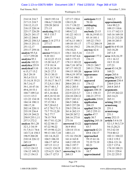Washington, D.C.

November 7, 2016

| 214:14 216:7      | 184:9 193:14    | 127:17 130:4   | anticipate 9:15  | 166:2,5          |
|-------------------|-----------------|----------------|------------------|------------------|
| 217:13 218:7      | 196:6,7 210:20  | 130:15,20      | 70:10            | approximately    |
| 218:12,13,15      | 229:20 265:8    | 131:7 138:22   | antidoping       | 14:6 99:2,5      |
| 218:15 220:14     | 271:15          | 139:9,16 140:2 | 252:15           | 109:15 110:6     |
| 225:17 226:20     | analyzing 35:12 | 140:4,7,12     | anybody 23:15    | 111:17 162:13    |
| 226:21 241:17     | 95:5 135:7      | 141:22 143:11  | 48:16,19 85:11   | 165:16 169:18    |
| 245:12 246:8      | 209:17          | 145:12,21      | 85:14 101:1      | 211:21 212:20    |
| 249:22 250:3,5    | anne 2:14 277:3 | 147:6,13 148:3 | 105:22 174:3     | 244:18 245:5     |
| 250:13 251:11     | 277:17          | 149:10 151:17  | 177:12 200:19    | 260:10           |
| 251:12,17         | announcements   | 152:16 154:2   | 256:10 273:12    | april 56:4 93:10 |
| 255:17 259:16     | 56:5            | 154:10,21      | anyway $62:4$    | 163:18,20        |
| analyte 95:5,6    | answer 9:5,8,11 | 156:1 161:5,16 | 113:15           | 247:1,9          |
| 113:7 259:20      | 9:20 10:1       | 163:9 167:4,6  | apparent 177:2   | area 14:8,16,19  |
| analytes 95:1     | 14:12,22 15:13  | 168:3 173:15   | 236:15           | 15:1 16:12       |
| analytic 182:21   | 15:20 16:5,17   | 178:13 183:22  | apparently       | 18:5 33:10       |
| analytica 255:9   | 17:9 18:14      | 186:7,18 187:6 | 159:21 249:7     | 157:21           |
| analytical 5:10   | 19:3,18 24:10   | 187:17 193:22  | 249:11 270:6     | arent 43:14,20   |
| 6:15,17 15:2      | 24:21 27:3      | 194:15 195:20  | appear 169:8     | 169:21           |
| 26:5 29:19        | 29:13 30:15     | 196:4,19 197:8 | appearance       | argue 265:6      |
| 30:3,4 33:11      | 31:1 33:7 34:1  | 197:14 198:5   | 21:10            | arguing 263:21   |
| 33:14,18 35:21    | 35:10,17 36:17  | 198:17 199:15  | appeared         | argument 230:4   |
| 38:7,14,17        | 37:2,9,11 38:1  | 200:4 201:11   | 276:12           | 230:9 231:9      |
| 39:1,10 47:16     | 39:17 40:1,7    | 202:2 203:5    | appearing 47:19  | 264:8 265:5      |
| 49:6,10 53:1      | 42:21 43:22     | 216:13 217:5   | appears 108:18   | arguments        |
| 104:7 109:3,4     | 45:1,16 46:6    | 222:9 223:3,7  | 121:1 158:13     | 217:19 262:22    |
| 113:5 115:3       | 49:5,18 52:10   | 224:10 228:12  | 246:21 277:5     | 263:14,21        |
| 121:22 134:18     | 53:9,21 56:19   | 229:7 243:12   | applicable 218:8 | 265:11           |
| 184:14 190:11     | 57:15 58:1      | 246:5 248:6    | application      | arising 208:22   |
| 190:17,18         | 59:7,20 63:2    | 249:5 257:20   | 204:15           | armstrong        |
| 202:14 220:11     | 67:2 70:2 71:3  | 258:5 259:14   | applied 204:20   | 251:1            |
| 235:19 236:4      | 73:7 75:12,20   | 261:6 262:13   | 245:2 255:11     | armstrongs       |
| 243:19 244:21     | 76:2 77:7       | 264:20 267:2   | applies 47:7     | 251:1            |
| 250:9 255:1,11    | 78:15 79:8      | 268:16 273:8   | apply 30:7       | army 252:13      |
| 257:3 272:2       | 80:17 81:12,20  | 273:16         | applying 245:18  | article 5:4 6:18 |
| analyze $30:1,20$ | 82:22 86:13     | answered 33:22 | appreciated      | 52:1,5 54:3,7,9  |
| 32:1,3 34:19      | 87:22 96:22     | 36:9 49:4      | 65:7             | 54:13,20,21      |
| 51:7,9,11 74:6    | 97:19 98:12,21  | 120:14 131:6   | approach $62:21$ | 55:2 62:10       |
| 143:7,14 158:3    | 99:13 101:7,10  | 140:1,11       | 69:8 136:17      | 75:8 80:12       |
| 196:9 204:20      | 101:14,18,22    | 151:16 154:20  | approached       | 102:11 104:22    |
| 210:14 226:12     | 104:5 106:10    | 161:4 163:8    | 59:15 61:16      | 118:2 119:2      |
| 245:13            | 106:17 107:4    | 168:2 195:19   | 72:19 73:19      | 120:6 121:16     |
| analyzed 99:1     | 107:15 111:2    | 196:3 197:7    | 80:21            | 122:7 137:6      |
| 115:2 124:12      | 114:21 124:19   | 202:1 243:11   | appropriate      | 174:10 188:21    |
| 136:12 149:21     | 125:4,21 126:7  | answering 9:16 | 10:7             | 219:11 229:4     |
| 151:2 154:13      | 126:17 127:5    | 268:13         | approximated     | 231:22 255:5     |
|                   |                 |                |                  |                  |

Page 279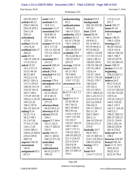#### Case 1:13-cv-03675-WBH Document 108-7 Filed 12/30/16 Page 369 of 519

Paul Simone, Ph.D.

Washington, D.C.

November 7, 2016

| 255:20 256:7      | assist $143:1$   | authenticating      | backed 235:2       | 117:6,11,21          |
|-------------------|------------------|---------------------|--------------------|----------------------|
| articles 40:12    | assistant 4:11   | 87:3                | background         | 251:7                |
| 220:5 244:16      | 12:9 13:1        | authentication      | 202:10 235:20      | <b>batch</b> 105:17  |
| 254:19 255:3      | associate 11:17  | 149:6,10            | 235:22             | <b>bates</b> 91:14   |
| 256:1,19          | associated 29:5  | 184:15 272:3        | <b>base</b> 129:9  | batesstamped         |
| 258:13            | 29:8 89:13       | authorize 153:3     | <b>based</b> 28:18 | 91:7                 |
| articulated       | 97:15 98:3       | authors 52:13       | 49:11 51:14        | <b>bayer</b> 148:21  |
| 117:8             | 223:14           | 83:15 176:20        | 54:9 81:2          | 149:3 152:6          |
| artifact 133:18   | assume 9:9 21:9  | 193:1 258:13        | 93:12 94:12        | bearing 63:9         |
| 134:14,16         | 43:1 117:16      | availability        | 95:10 96:4,11      | 90:20 120:22         |
| artificial 266:17 | 121:13 152:10    | 223:14 235:15       | 97:22 98:22        | 132:9 141:4          |
| 266:21            | 173:12 178:15    | available 78:5      | 108:21 116:20      | 148:16 168:10        |
| aside 93:14       | 181:17           | 78:12,20 96:13      | 117:10 121:13      | 180:7 190:7          |
| 140:19 158:14     | assuming 99:7    | 150:16 255:5        | 124:6 128:13       | 192:18 227:9         |
| 171:6 231:6       | 214:13           | 255:15              | 128:20 129:4       | 231:18 246:19        |
| asked 15:22       | assured 100:14   | average 110:14      | 138:18 146:18      | <b>bears</b> 190:15  |
| 16:1,3 21:13      | atlanta 1:3      | aware 15:21         | 147:16 148:5       | becker 2:5 3:15      |
| 33:21 44:18       | attach 276:6     | 43:13 78:1          | 152:6,14           | beginning            |
| 48:12 49:3        | attached 4:6 5:2 | 79:3 80:9           | 153:21 154:5       | 258:14 263:11        |
| 74:2,3,11,14      | 6:27:2           | 126:14 172:17       | 154:11 176:10      | <b>behalf</b> 3:3,13 |
| 80:22 120:13      | attempt 179:4    | 174:7 177:21        | 176:22 179:7       | believe 26:2         |
| 131:5 139:22      | attempted 155:6  | awareness 55:8      | 186:4,8,9          | 49:2 53:6,22         |
| 140:10 151:15     | 161:8            | B                   | 187:10,11          | 71:15 101:8          |
| 154:19 161:4      | attitude 22:12   |                     | 191:13 192:3       | 113:14 120:3,8       |
| 163:7 168:1       | 22:13 46:22      | $b$ 4:5 5:1 6:1 7:1 | 197:1 200:8,22     | 121:20 122:20        |
| 173:19 187:20     | 47:2 48:13       | 13:3                | 201:1,18 211:3     | 129:5,16             |
| 194:4,11,18,19    | attorney 8:15    | back 9:4 21:5       | 214:14 215:16      | 135:16 138:2,7       |
| 195:3,5,18        | 277:13           | 23:20 50:18         | 221:3,6 236:9      | 144:2 145:22         |
| 196:2 197:6       | attorneyclient   | 54:7 56:12          | 236:10,12          | 146:3 147:1          |
| 201:22 243:10     | 44:22 46:3,12    | 64:7,10 68:5        | 247:17 258:11      | 162:3,7 163:18       |
| asking $9:14$     | attorneys 47:8   | 90:5 93:16          | 261:11,18          | 169:3,5,7            |
| 22:21 31:4        | attract 253:21   | 114:6 119:3,5       | 262:3 264:7        | 190:21 205:15        |
| 36:2,748:7        | 254:3            | 119:7 127:20        | 265:1,11           | 205:15 228:13        |
| 51:2 67:20        | august 5:7 56:6  | 131:10,17           | 266:19 270:10      | 233:21 234:9         |
| 77:10 117:20      | 121:2 122:5      | 132:21 143:18       | 270:22 271:3       | 236:1 241:16         |
| 118:1,7,10        | 156:17 228:21    | 145:5 160:3         | 272:9              | 248:22 255:8         |
| 119:8 189:11      | 235:9            | 165:7 171:11        | basically 25:7     | 261:8 274:2          |
| 194:8,12 202:6    | austin 184:13    | 178:10 182:3        | 94:21 95:1         | believed 94:19       |
| 218:4 239:8       | 242:11 243:6     | 188:10 203:22       | 181:15 205:16      | 198:2                |
| 268:7,8           | 244:13 271:22    | 211:3 218:22        | 214:1,19 232:4     | benzene 238:20       |
| aspects 150:18    | australian       | 221:8 225:4         | 240:14 253:6       | benzyl $182:16$      |
| assessment        | 252:14           | 234:14,19           | basing $117:1$     | best 11:11 23:5      |
| 162:8             | authenticated    | 242:2 244:16        | 192:6              | 28:8 42:22           |
| assignment 62:1   | 86:15,21 87:7    | 261:15 269:15       | basis $49:9$       | 50:22 51:5           |
| 65:13             | 199:10           | 274:1               | 114:17 115:15      | 62:2,18 78:4         |
|                   |                  |                     |                    |                      |

Page 280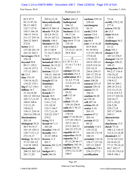Paul Simone, Ph.D. November 7, 2016

| 85:5 87:5          | 202:6,12,18            | <b>bullet</b> 164:13 | carbons 239:14    | 72:14             |
|--------------------|------------------------|----------------------|-------------------|-------------------|
| 93:13 97:10        | biosynthetically       | bulletproof          | 239:16            | certify 276:2,10  |
| 98:13 109:2        | 265:12                 | 246:12               | carcinogens       | 277:4             |
| 122:7 127:6        | bit 83:9 260:14        | burns 223:22         | 28:15             | cetera 238:20     |
| 145:5 166:18       | <b>bleach</b> 19:9,20  | business 13:11       | cards 219:8       | ch $13:3$         |
| 190:13 191:6       | 20:2,9 34:13           | 59:17,18             | career 13:4       | chair $64:4,6$    |
| 211:17 255:16      | 34:14 167:12           | <b>butane 238:19</b> | carolina 13:5     | 149:4             |
| 264:22 269:5       | blindly $150:3$        | buy 69:8 77:14       | cas 66:5          | challenges 56:2   |
| 272:8              | bloomer 63:20          | 135:16               | case 11:4 16:20   | challenging       |
| better 21:2        | 64:11 65:1,7           | byproducts           | 42:9 44:8         | 31:12             |
| 157:20 241:19      | 65:13 68:9             | 13:15,21 14:19       | 91:10 95:6        | chan 193:1        |
| 241:22 242:1       | 71:14,17,20,22         | 29:9 30:2            | 113:19 140:14     | chance 9:20       |
| beverages 256:8    | 72:5                   |                      | 173:8,10          | 187:12 274:5      |
| 256:18             | <b>bonded 239:13</b>   | $\mathbf C$          | 174:19,22         | changed 116:13    |
| beyond 59:8        | botanical 199:11       | c 1:18 3:1 4:1       | 183:9 195:13      | changes 108:21    |
| 89:11 129:2        | <b>botany</b> 36:15,22 | 5:1 6:1 7:1 8:1      | 210:9 214:16      | 108:21            |
| 136:18 157:3       | 37:6,13,16             | 193:1                | 235:14,15         | changzhou 88:6    |
| 177:12 268:1       | <b>bottom</b> 112:17   | cabinet 252:16       | 236:6 239:13      | 94:2,17 116:4     |
| $bh 13:3$          | 156:21 164:10          | calculate 211:3      | 245:17 251:8      | 136:18,22         |
| bias 133:19        | 205:22 228:19          | calibration 30:1     | 260:17 275:4      | 137:4,9,19,19     |
| 134:14,16,22       | bought $82:14$         | 31:2,5 77:18         | cases 108:20      | 138:9,12          |
| 134:22 135:1       | boundary               | 113:4 211:18         | cassava 223:15    | 205:16 209:1      |
| big 67:12 110:1    | 243:21                 | 241:5                | caused 129:14     | 209:10 212:2      |
| billion $14:7$     | box 232:15             | calibrations         | causes 53:15      | 212:13,13,14      |
| 31:14,18,20        | branch 3:7             | 29:22                | 166:21            | 213:6 214:5,5     |
| 102:12 103:4,6     | break $10:5$           | call 112:16          | caution 44:20     | 215:17 224:16     |
| 103:7,7,13,19      | 89:21 90:6,13          | 240:3                | ce 270:18         | 224:16,17         |
| 104:8 108:6        | 114:1,7,12             | called 153:10        | cell 207:16       | 225:1,18,22       |
| 112:11,18          | 131:10,18              | 158:16 256:8         | celsius 88:18     | 226:5,20          |
| 150:8,12           | 132:3 144:7            | calls 46:3 78:13     | center $3:16$     | 229:17,19         |
| 158:11 218:14      | 171:7,11,18            | candidate            | 265:15            | 247:17 249:8      |
| 244:5,6 250:18     | 218:22 219:7           | 170:19               | centers 97:2      | 249:11            |
| biochemistry       | 274:2                  | cant 17:10 44:10     | 265:16            | characterize      |
| 201:14             | bring $53:5$           | 137:10 138:11        | certain 45:21     | 74:10             |
| biological 39:21   | broad $68:7,11$        | 167:5 181:3          | 80:22             | charleston 13:5   |
| 40:5 81:9,17       | 203:20                 | 215:2 265:21         | certainly 114:3   | check 75:16       |
| 101:19 120:11      | broader $154:15$       | 265:22 273:19        | 135:15,22         | 108:1,2 110:13    |
| 129:7131:1,3       | broadly $14:1$         | capable 46:15        | 164:18 172:19     | 112:3, 13, 14, 20 |
| 272:15,17          | 33:15 109:4            | capacities 10:19     | 188:15            | chemical 6:12     |
| biology $36:18,21$ | brown $11:3$           | capacity 28:2        | certainty 116:16  | 33:16 34:3,5,6    |
| 37:15 101:12       | 201:7                  | 47:12,20 48:17       | 129:17 137:10     | 34:18 65:22       |
| 114:18 149:4       | browns 201:2,19        | capillary 182:16     | 187:13 228:9      | 77:13 79:14,14    |
| biosynthetic       | 202:17                 | carbon 238:18        | certificate 276:1 | 80:7 102:17       |
| 200:15 201:3,8     | budget 68:1            | 239:2,12,12,20       | 276:13 277:1      | 123:18 176:3,8    |
| 201:17,20          | <b>built</b> 246:10    | 240:5                | certification     | 180:9 186:1       |
|                    |                        |                      |                   |                   |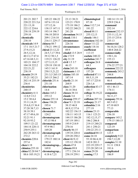#### Case 1:13-cv-03675-WBH Document 108-7 Filed 12/30/16 Page 371 of 519

Washington, D.C.

Paul Simone, Ph.D. November 7, 2016

| 201:21 202:7                       | 105:22 106:22               | 23:13 38:21                   | climatological               | 100:14 131:10        |
|------------------------------------|-----------------------------|-------------------------------|------------------------------|----------------------|
| 220:22 221:5,6                     | 107:6 133:14                | 123:21 170:9                  | 87:18                        | 229:9 236:4          |
| 221:13,18                          | 137:12,16                   | 175:18 186:2                  | close 112:7,14               | command              |
| 222:12 224:6                       | 138:15 147:11               | 192:22 240:21                 | 181:22                       | 252:14               |
| 238:18 239:19                      | 193:14 196:7                | 241:20                        | closed 88:11                 | comment 232:15       |
| 259:10                             | 196:10 205:8                | chromium 34:15                | 255:12,13                    | 233:11,12,14         |
| chemically                         | 209:1 214:10                | chunk 110:1                   | closely 146:1                | 233:15 235:6         |
| 238:10                             | 216:11 229:17               | circumstance                  | closeness 182:10             | 235:13               |
| chemicals 14:9                     | chinese 88:7                | 226:16                        | closer 111:22                | commercial           |
| 17:1 18:5 21:7                     | 178:21 199:12               | circumstances                 | coach 118:16                 | 56:10,16 128:2       |
| 27:9,15,21                         | chiral 23:12,22             | 89:9                          | coefficient                  | 140:8 264:22         |
| 28:5, 12, 16                       | 24:5,7,17 39:6              | citadel 13:5 28:9             | 113:15                       | commercially         |
| 40:13,17 67:4                      | 39:12 50:1,5                | cite 172:9                    | coelute 240:22               | 150:1,16             |
| 67:16 68:3,11                      | 119:21 126:22               | city 31:19                    | coelution 241:7              | 155:13               |
| 103:21 104:17                      | 127:3,13,15                 | civil 1:5 3:7                 | colleague 26:8               | commission           |
| 104:18 222:2                       | 129:18 130:10               | 46:15                         | 64:3                         | 276:22 277:21        |
| 222:21,22                          | 145:3 161:9                 | claim 243:18                  | colleagues                   | common 222:22        |
| 238:19                             | 250:13,21,22                | claimants 1:15                | 157:20                       | commonly 243:2       |
| chemist 29:19                      | 251:3,5 265:15              | claims 185:10                 | collected 87:11              | 244:8                |
| 35:21 182:21                       | 265:15 266:2                | 187:14                        | 88:5,11,19                   | communication        |
| 202:14 235:19                      | chloride 251:6              | clarify $21:14$               | 107:17 225:8                 | 46:4                 |
| 236:4                              | 251:10                      | 268:9                         | 226:1,6                      | communicatio         |
| chemistries                        | chlorination                | class 31:20                   | collection 83:17             | 45:1 46:13           |
| 240:15                             | 14:4                        | 36:14 38:6                    | 181:7                        | 174:11               |
| chemistry 4:11                     | choice 165:2                | classes 38:14                 | college 36:19,22             | companies            |
| 12:8,9 13:2                        | 255:12                      | claude 3:4                    | 37:4                         | 56:11,17             |
| 15:2 30:4,4                        | choose 255:14               | cleanup 259:17                | collision 207:16             | company 59:16        |
| 33:11,14,19                        | chose 194:20                | clear 9:1 22:18               | colloquy 21:17               | 60:3 65:2            |
| 35:6,8,15 36:4                     | 195:4                       | 38:15 46:8                    | columbia 2:16                | 67:10 68:9           |
| 37:20 38:7,13                      | chosen 71:7                 | 48:9,12 57:6                  | 277:19                       | 77:13                |
| 38:18 39:1                         | chromadex                   | 102:22 136:13                 | column 23:13                 | comparable           |
| 47:17 49:6,10                      | 124:2                       | 138:11 143:15                 | 116:1 123:21                 | 236:18               |
| 52:21 91:1                         | chromatogram                | 144:15 186:20                 | 182:12,15,17                 | compare 145:2        |
| 92:18 93:2                         | 97:15 98:4                  | 187:19 189:1                  | 186:2 206:8                  | 179:15 180:15        |
| 109:5 121:22                       | chromatograms               | 195:9 214:9                   | 219:15 240:21                | compared             |
| 184:14 220:11                      | 97:9 98:1                   | 270:16                        | 241:1 250:21                 | 123:19               |
| 250:9 255:1                        | 169:20                      | clearly $86:15$               | 250:22 251:3                 | comparison           |
| 262:20 263:12                      | chromatograph               | 139:18 220:4                  | combined 88:13               | 123:5                |
| 272:2<br>chemists 220:6            | 25:12,14                    | 229:20 250:2                  | come 24:18                   | completely 9:22      |
|                                    | 179:15 180:14               | client $46:9,12$              | 55:10 86:4,10                | 194:7,12,20          |
| 257:4                              | 182:4<br>chromatograp       | 155:12 158:10<br>clients 47:8 | 142:8 201:3                  | complex $31:10$      |
| chen 6:18                          |                             |                               | 223:19 229:17                | 31:11 158:8          |
|                                    |                             |                               |                              |                      |
| chimica $255:10$                   | 169:8                       | climate 89:8                  | 233:20 245:14                | 181:6                |
| china 82:20 84:7<br>88:6 105:19,21 | chromatograp<br>4:18 6:7,21 | 177:1 236:14<br>258:19 259:1  | comes 29:20<br>coming $17:5$ | complicated<br>186:9 |

Page 282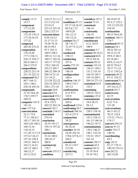Paul Simone, Ph.D. November 7, 2016

| comply $13:13$                  | 210:15 211:1,2         | 243:21                         | considers 187:2               | 80:10 85:19              |
|---------------------------------|------------------------|--------------------------------|-------------------------------|--------------------------|
| 14:17                           | 211:5 212:18           | conditions 87:13               | consist 73:14                 | 95:3,17 152:2            |
| component                       | 213:9,13               | 87:17,18,18,19                 | consistent                    | 152:12 233:22            |
| 177:12,20                       | 223:15 225:18          | 89:3,6,7,12                    | 186:14                        | 234:10                   |
| components                      | 226:2 227:15           | 109:9,20                       | consistently                  | continuation             |
| 175:19 176:13                   | concentrations         | 181:12,13                      | 136:19                        | 49:15 50:4,10            |
| 177:10,16,19                    | $4:20$ 14:2,5          | 182:12,14                      | constant 126:4                | continue 146:11          |
| 177:22                          | 31:17 51:13            | conduct 26:17                  | constituents                  | 274:7                    |
| composed                        | 74:20 76:18            | 38:7 61:17                     | 6:12 143:9                    | continued 49:13          |
| 265:20 272:21                   | 88:14 94:3             | 72:19 73:12,19                 | 180:9                         | contract 24:1            |
| composition                     | 97:3 103:11            | 250:4                          | consumer 3:7                  | 49:22 50:1,6             |
| 176:19,20                       | 104:9 108:3            | conducted                      | contact 58:14,21              | 50:13,15,19              |
| 177:3 236:11                    | 109:12 111:16          | 150:15                         | contacted 44:8                | 59:9,13 60:2             |
| 236:15 258:17                   | 160:17 165:16          | conducting                     | 59:12 84:16                   | 62:14 68:1               |
| 262:6 264:11                    | 165:17 177:22          | 257:4                          | contacts 59:12                | 69:9,13,14,17            |
| 266:5 272:9                     | 178:2 184:10           | confer 273:19                  | contain 133:14                | 69:22 70:4,5             |
| compositions                    | 193:15 205:7           | confidential                   | 136:21 150:2                  | 70:17 71:1,8             |
| 220:22 221:14                   | 208:22 209:18          | 148:18                         | 151:2 155:14                  | 72:11 139:2,6            |
| 221:19 222:12                   | 209:19 211:8           | configuration                  | 184:10 185:3                  | contracts 49:21          |
| compound 46:2                   | 211:19,21              | 186:4                          | 193:14 269:1                  | 67:11 129:12             |
| 80:7 164:12                     | 213:20 222:22          | confirm 146:15                 | 269:18 271:15                 | contractual 51:6         |
| 165:1 186:1                     | 224:18 229:21          | 148:6 155:1                    | contained 42:9                | contradictory            |
| 238:18 245:16                   | 250:1 271:16           | 187:12                         | 152:5                         | 257:10,12,17             |
| compounds                       | concepts 30:8          | confirmation                   | containing                    | control 181:7            |
| 31:18 34:6,10                   | concern 67:8           | 4:15 97:5                      | 150:22 152:2                  | controversy              |
| 176:5 239:17                    | concerned 152:1        | 122:8                          | contains 123:4                | 62:15                    |
| 240:22                          | concerning 14:1        | confirmations                  | contaminants                  | conversation             |
| computer 181:9                  | 55:4 155:3             | 245:6                          | 18:6 28:15                    | 8:22 71:6                |
| 181:16                          | 262:22 263:14          | confirmed 123:6                | 29:1,5                        | 121:20                   |
| conc 157:5,6                    | concert 142:7          | confirming 56:7                | contaminate                   | conversations            |
| concentration                   | conclude 114:17        | confused 184:16                | 150:3 154:18                  | 46:11 65:12              |
| 32:11 75:4                      | concluded              | 221:8 237:5                    | contaminated                  | 70:15 152:6              |
| 77:11 102:6,7<br>102:17 103:10  | 274:18                 | conjunction<br>29:22           | 147:2 154:13                  | 173:21 174:11            |
|                                 | conclusion             |                                | 161:13 196:16<br>196:22 197:2 | 174:17<br>convert 250:14 |
| 104:3,20 108:2                  | 24:19 193:17           | consequences                   |                               |                          |
| 108:15,16                       | 195:15 197:22<br>200:1 | 56:10,16                       | contamination                 | convey 91:15             |
| 110:14,15                       | conclusions            | consider 24:18<br>34:20 102:16 | 130:2 146:21<br>148:1 152:14  | cooler 135:17<br>140:16  |
| 111:20 113:7,9<br>157:4,7,10,13 | 53:14 100:2            | 178:6 237:8,13                 | 152:21 154:7                  | coordinating             |
| 157:16 158:4                    | 189:10,17              | 244:2                          | 161:14                        | 85:3                     |
| 159:21 160:11                   | 200:8                  | considered                     | content 150:17                | copy $10:13$             |
| 162:11,16,21                    | conclusively           | 95:12 110:7                    | contents 42:5                 | 91:17 179:11             |
| 165:13 166:3                    | 178:7                  | 213:20                         | context 30:12                 | 190:10 274:12            |
| 166:12,17                       | concrete 155:5,7       | considering                    | 33:19 36:4                    | core 262:21              |
| 167:2,19,21                     | condition              | 237:11                         | 55:10 74:2                    | 263:14,20                |
|                                 |                        |                                |                               |                          |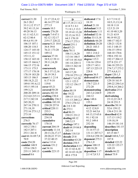Washington, D.C.

November 7, 2016

| correct $21:20$   | 21:17 22:4,12     | D                 | dedicated 17:6   | 6:3 7:3 8:12      |
|-------------------|-------------------|-------------------|------------------|-------------------|
| 26:3 28:2         | 46:14 277:10      | d 1:17,18 2:1 4:2 | 18:19            | 10:5, 13, 13, 14  |
| 33:11,12 37:17    | 277:13            | 4:14 5:1 6:1      | defend $21:18$   | 10:18 11:8        |
| 39:2 41:13,14     | counts $10:3$     | 7:1 8:1,3 13:3    | defendant 3:13   | 12:5 21:19        |
| 49:20 56:13       | county 276:20     | 35:19 41:13,20    | defendants 1:11  | 41:10 48:3,20     |
| 61:11 62:5,11     | couple 7:4 67:1   | 52:15,16 53:3     | defended 52:16   | 51:21 63:9        |
| 62:12 80:4        | 82:12 132:17      | 64:3 170:19       | define 33:13,18  | 90:19 95:22       |
| 89:4,691:19       | 219:17 228:22     | 274:17 275:3      | definitely 66:20 | 100:17 102:5      |
| 106:15 107:1      | course 8:21 10:4  | daniel $251:1$    | definition 20:20 | 120:21 132:8      |
| 108:20 118:3      | 36:8 39:8         | daryl $3:21$      | 20:21 103:3      | 141:3 148:15      |
| 124:17 145:10     | 76:21 173:20      | data 70:11        | definitions      | 156:15 159:4      |
| 145:13 151:12     | 189:12            | 106:11,14,20      | 103:1 214:2      | 168:10 170:6      |
| 153:11,12         | courses 37:18     | 113:16 146:5      | definitive 229:7 | 190:6 192:14      |
| 158:12 165:10     | 38:9,12 39:11     | 147:14 181:8,8    | degree $115:3$   | 192:17 204:12     |
| 165:15 166:6,7    | 39:11,14,20       | 181:14 220:11     | 116:16 129:4     | 227:8 231:17      |
| 166:15 172:16     | 40:4              | 220:13 262:10     | 129:17 143:1     | 246:18 255:21     |
| 173:11 175:5      | coursework        | date 159:8        | 187:13 225:15    | 274:7,17 275:2    |
| 177:17 178:18     | 36:3 37:12,16     | 163:17,20         | 228:8            | 277:4,6,8,11      |
| 178:19 183:20     | 38:19 39:3        | 270:10 275:1,2    | degrees 36:5     | depot 120:1,5     |
| 185:13 186:5      | court 1:1 2:14    | dated 5:7 63:20   | delivered 84:17  | derivatization    |
| 188:18,21,22      | 8:17 9:18         | 121:1 122:5       | demonstrate      | 129:18 161:9      |
| 189:8 191:6,12    | 119:8             | 132:12 156:17     | 178:7 221:5      | 249:22 250:3,4    |
| 193:5 195:14      | cover 45:21       | 247:9             | 272:20           | 250:8,14 266:2    |
| 199:3,21          | covered 50:20     | dates 88:19       | demonstrating    | derivatize 25:4   |
| 200:20 209:14     | covers 202:10     | day 18:22         | 243:3,4 244:9    | 250:19            |
| 212:4,8 215:11    | crafting 230:4    | 109:15 111:12     | 244:12           | derivatizing      |
| 217:3 242:18      | credibility 236:3 | 111:13 268:2,3    | deny 148:6       | 23:12,22 24:5     |
| 245:20,21         | credible 183:10   | 274:3 276:12      | 155:1            | 24:18 251:5       |
| 267:16 270:11     | 230:20 257:8      | dc $2:83:10$      | department 3:6   | describe 50:14    |
| 271:18,19         | critical 220:11   | de 272:1          | 4:12 12:8,9      | 52:6 139:12       |
| 272:16 273:1,2    | 235:3             | deal 86:21        | 52:21 64:5,6     | 156:4 211:18      |
| 273:10            | criticizing       | 230:21 231:2      | 64:13,15 65:6    | described 62:8    |
| corrections       | 234:18            | dealing $68:12$   | 91:1 92:18       | 117:13 119:2      |
| 276:5             | cumulative        | 248:3,13          | 93:2 149:4       | 119:18,19         |
| correctly 76:17   | 170:18            | dealings 197:1    | 252:16           | 146:19 181:14     |
| 103:2 158:1       | current 204:19    | dealt 64:19 84:8  | depending        | describes 181:15  |
| 182:5 207:1       | currently 11:14   | 202:14            | 31:14 57:13      | description       |
| 253:1 261:8       | 20:13,16,17,17    | debate 118:5,8    | 131:11 207:5,7   | 65:15 68:7        |
| cost 66:16 69:7,8 | 20:20,22 37:21    | decade 25:8       | 224:4,4 258:18   | detail 160:6,7,12 |
| 70:9              | 37:22 40:15       | december 63:20    | deponent 275:3   | 187:8             |
| costs 254:20      | curve 113:4       | decision 254:5    | 276:1,9          | detailed 122:22   |
| couldnt 148:9     | custom $151:2$    | declaration 4:13  | depose 100:15    | 123:22 135:17     |
| 155:6 158:5       | cut 54:16         | 41:13 42:4,10     | 100:18,20        | 169:19            |
| 235:11 249:13     | cyanide $223:15$  | 42:14 43:14,20    | deposition 1:17  | details 66:22     |
| counsel 8:6       |                   | 48:6 175:8        | 2:14:7,85:3      | detect 75:9       |

Page 284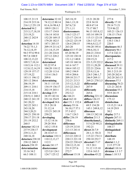Washington, D.C.

November 7, 2016

| 108:15 211:9      | determine 32:10  | 265:18,19        | 15:21 20:20        | 277:8              |
|-------------------|------------------|------------------|--------------------|--------------------|
| 214:19 215:16     | 74:12,12 80:14   | 266:1,13,18      | 22:8 34:18         | directly 17:18     |
| 216:1,2 251:19    | 81:6,16 98:4,5   | 267:6,7,8        | 48:8 67:14         | 29:14 71:21        |
| detected 94:2     | 109:9 120:11     | 271:1,11         | 73:17 88:7         | 72:9 86:22         |
| 215:3,17,18,18    | 133:17 134:8     | diastereomers    | 96:13 103:8,12     | 105:21 126:13      |
| 215:19,21         | 136:14 143:8     | 116:3 123:17     | 103:14 109:19      | 138:15 174:4       |
| 240:12 242:9      | 152:20 169:15    | 123:17 124:14    | 115:13 123:18      | disagreement       |
| 265:7             | 179:20 182:5     | 124:22 125:19    | 126:3 127:14       | 134:3 136:3        |
| detection 14:10   | 187:1 203:15     | 126:4 250:15     | 194:6,9,12,17      | 220:5              |
| 74:22 75:1,3      | 209:19 211:4,7   | 263:20           | 194:20 195:4       | disclosure 46:3    |
| 76:12,14,19       | 211:14,15,19     | didnt 43:5 57:20 | 196:6,10,11        | discovery 96:1     |
| 94:3 97:6 99:4    | 211:20 216:8     | 85:20 96:19      | 204:21 210:4       | 117:4 142:11       |
| 99:7,8 108:9      | 227:12 228:2     | 125:10 130:18    | 214:8 216:3        | discrepancies      |
| 108:12,13,22      | 257:6,16         | 131:1,2 140:8    | 220:15,21          | 217:2              |
| 109:5,7,10,14     | determined       | 145:18 160:16    | 221:5,19 222:2     | discuss $262:10$   |
| 110:5,16 112:1    | 93:22 97:4       | 161:6 167:7      | 222:11,20,20       | discussed 39:11    |
| 112:8, 12, 14, 19 | 104:20 110:12    | 184:4 185:12     | 222:21 224:6       | 98:14 157:18       |
| 129:19 157:17     | 112:20 113:4     | 189:2 194:9      | 225:9,13,16        | 201:3 213:19       |
| 157:19,22         | 115:4 136:5      | 195:4 204:6      | 228:5 246:1,7      | 243:20 262:4       |
| 183:11 196:12     | 209:8            | 209:10 211:7     | 246:9 269:11       | 262:20 263:13      |
| 203:12 206:6      | determining      | 212:21 213:3     | 269:21 270:3,5     | discusses 57:3     |
| 206:19,19         | 34:11 115:10     | 215:12,13,22     | differential       | discussing $70:21$ |
| 209:11 210:1      | 134:19 136:17    | 215:22 216:3     | 207:9              | 121:21 263:8       |
| 214:15,18         | 202:19 203:1     | 251:2,3,4        | differently        | discussion 55:3    |
| 215:14 218:1      | develop 23:9     | 252:3,3          | 265:6              | 55:9 261:9         |
| 238:9,11 240:2    | 34:19 142:16     | die 166:21       | differing $221:12$ | discussions        |
| 240:12 241:19     | 251:16 254:9     | died 162:10      | differs 126:15     | 175:12             |
| 241:20,22         | developed 24:6   | diet 151:1 152:4 | difficult 9:18     | disinfection       |
| 242:22 243:1      | 25:3 28:18       | dietary 55:16    | 69:5 134:20        | 13:15,21 14:4      |
| 243:18,20         | 51:12,14         | 56:10,17 57:1    | 145:1 249:8,12     | 14:19 29:9         |
| 244:3,20,21       | 153:21 245:19    | 57:3 65:2        | dilorenzo          | 30:2               |
| 249:21 250:10     | 250:22           | 116:7 124:3      | 184:13 242:10      | display $217:1$    |
| 250:17 251:18     | developing       | differ 236:19    | dilution 211:3     | dispute $267:11$   |
| 251:19 252:2      | 13:12 14:16      | 258:6            | dimethylamyl       | distinctly 269:11  |
| 260:5             | 29:20 30:6       | difference       | 5:5 6:20 90:21     | distinguishable    |
| detector 182:14   | 143:2 155:8      | 125:19 213:8     | 192:21             | 108:17             |
| 237:9 238:17      | development      | 213:13 241:4     | direct 26:7,9      | distinguished      |
| 239:3,11,21       | 28:14 67:11      | differences      | 28:1,11 58:21      | 75:5               |
| 240:16,18         | deviation 110:11 | 213:22 220:12    | 115:22 174:11      | distribute         |
| detectors 238:10  | 110:12,13,17     | 220:13 221:18    | 250:10 252:7       | 148:19             |
| 238:12 240:3      | 112:3            | 224:22 230:4,9   | directed 17:17     | district $1:1,2$   |
| detects 238:19    | devote 241:17    | 230:12,15,18     | 19:5 20:1          | 2:15 277:19        |
| determination     | diastereomer     | 231:9 257:6      | 51:12 115:10       | divided 110:14     |
| 33:16 34:2        | 123:5,8 124:1    | 272:7            | 133:6 163:5        | division $1:3:3:7$ |
| 66:3 108:11       | 124:7 125:12     | different 15:18  | direction 45:22    | dmaa $1:105:5$     |
|                   |                  |                  |                    |                    |

Page 285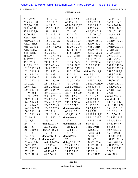Paul Simone, Ph.D. November 7, 2016

| 7:10 22:22     | 180:16 184:18   | 51:1,22 52:3   | 40:18 48:10      | 159:12 162:3       |
|----------------|-----------------|----------------|------------------|--------------------|
| 23:4 25:18,20  | 185:3,10,15     | 60:19 61:7     | 50:3,9 55:10     | 163:11 164:3       |
| 27:5,10,16,20  | 186:14,15       | 63:16 90:17,17 | 57:10 58:5,13    | 168:4 169:14       |
| 29:11 40:18    | 187:2,3,14,15   | 90:19 91:3     | 58:20 59:3       | 172:18 174:1       |
| 53:15 56:2,16  | 188:1 191:9,12  | 102:4 105:6    | 60:6,12 67:11    | 178:4,22 180:1     |
| 57:20 58:7     | 191:20 193:11   | 120:22 128:8   | 71:14,20 76:22   | 184:1 185:11       |
| 62:15 75:10    | 193:18 195:16   | 132:6,9,18     | 84:9 100:4       | 188:1,4,5          |
| 76:10,22 77:14 | 196:11 197:22   | 139:12 141:2,4 | 135:10 146:11    | 189:19 190:21      |
| 77:22 78:3,8   | 198:2,12,14     | 141:7,8,11,16  | 162:10 163:5     | 197:15,19          |
| 78:11,20 79:5  | 199:6,19 200:2  | 141:20 142:3,6 | 174:8 186:16     | 198:19 203:18      |
| 79:13 80:4,7   | 201:5,21        | 142:12 148:16  | 188:20 189:13    | 217:16,22          |
| 80:14 81:1,6   | 202:20 203:1    | 149:8 151:19   | 189:16 190:20    | 219:4 222:5        |
| 81:16 90:21    | 203:16 204:2,3  | 152:2 159:10   | 191:4 194:5,14   | 223:7 230:22       |
| 92:19 93:2     | 205:7 209:22    | 159:11,16      | 203:11 207:2     | 231:3 232:9        |
| 96:3 97:17     | 211:8,13,15     | 163:13 164:3   | 210:12 211:6     | 235:7,7 237:5      |
| 98:6,19 101:11 | 212:2,6 214:4   | 168:10 170:7   | 217:1 256:11     | 237:11 241:16      |
| 101:20 102:3,5 | 216:8 225:12    | 170:14,15,17   | 259:15           | 249:12 250:18      |
| 102:10 115:11  | 227:14 228:3    | 171:3 176:16   | dollar 254:11,11 | 251:2 253:7,7      |
| 115:15 117:8   | 228:10 231:1,2  | 180:7,17       | dont $9:3,12$    | 253:8 259:18       |
| 117:15 120:12  | 231:10 234:12   | 186:19 187:18  | 12:15 18:15      | 260:11 261:10      |
| 127:10 128:15  | 236:8 237:10    | 190:5,7 192:18 | 20:19 21:11,15   | 261:20 262:11      |
| 128:20,22      | 237:14 242:17   | 199:7 204:5    | 22:13,16 23:20   | 262:14 267:11      |
| 129:6, 14, 21  | 246:2 251:12    | 205:5 208:6,18 | 35:3 43:9,10     | 269:20 270:2       |
| 130:11 131:4   | 254:16 257:9    | 219:21 225:2   | 43:10 44:4,17    | 270:18,19,21       |
| 134:9 136:6    | 259:3 260:9,15  | 227:9,18,20,20 | 47:5 48:18       | 272:17             |
| 137:2,4,5,9,22 | 260:19 261:1,3  | 231:18 232:1   | 51:2 53:22       | doping 252:17      |
| 140:9 143:20   | 262:8 264:2,3   | 233:10 236:9   | 54:16 58:9       | doublecheck        |
| 144:13 145:9   | 264:4,10,16,17  | 246:19 247:6   | 60:12 69:16      | 208:5 211:14       |
| 145:18 146:20  | 264:22 265:9    | 263:7 271:6    | 71:15 72:2       | $dr$ 8:10 10:18,22 |
| 146:21 147:22  | 266:22 267:9    | documentation  | 78:5,7,10,22     | 13:1,10 21:10      |
| 150:22 151:1,4 | 267:15,19       | 60:9 95:22     | 79:1,2,20        | 52:16 65:1,13      |
| 151:10 152:3,3 | 268:5,21 269:1  | 96:4,12,13,15  | 80:18 85:11,13   | 71:17,20,22        |
| 152:5,9,13     | 271:16 272:16   | documented     | 86:14,1787:2     | 72:5 83:15,22      |
| 153:17,20      | 273:13          | 162:6          | 89:21 91:8,21    | 84:8,16 85:3,8     |
| 154:7,8,17     | dmaas 200:15    | documents 11:4 | 98:7 101:8       | 85:20 86:4,9       |
| 155:1 157:7    | 201:9 206:2     | 11:6 12:22     | 105:3 106:5      | 86:18 87:4         |
| 158:19 160:4   | doctor 118:20   | 100:6,8,11     | 107:8,8,16       | 90:7 96:3,16       |
| 161:1,13       | 171:12          | 173:17         | 117:18 120:8     | 96:16 100:17       |
| 162:12,20      | doctorate 38:15 | doesnt 91:7    | 127:18 129:1     | 100:20 114:8       |
| 164:12 165:1,3 | document 5:18   | 237:4          | 131:9,22         | 131:19 138:16      |
| 165:4,5,12,14  | 6:4,11,147:6    | doing 20:13,17 | 132:22 135:6     | 167:9 201:2,7      |
| 166:20 167:19  | 12:6,12,41:8    | 21:7,12 22:7   | 138:17 140:18    | 201:19 202:17      |
| 169:13 172:3   | 41:11,16 42:4   | 23:4,17 24:5   | 143:16 146:5     | 219:1 223:19       |
| 177:11,20      | 42:19 43:5      | 24:17 25:17    | 147:17,18        | 274:3              |
| 178:7 179:16   | 44:3 50:21      | 27:6 39:1      | 156:4 157:22     | draft 229:9        |
|                |                 |                |                  |                    |

Page 286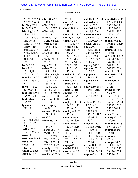Washington, D.C.

November 7, 2016

| 231:21 232:2,3                     | education 57:1    | 201:8             | entail 23:8 38:18  | essentially 32:13 |
|------------------------------------|-------------------|-------------------|--------------------|-------------------|
| 233:20 274:14                      | 116:8             | elute 186:16      | entered 60:2       | 82:12 134:1,4     |
| drafting 232:8                     | effect 122:21     | 240:22            | entire 162:21      | 135:3 146:2       |
| drafts $233:20$                    | 134:10 227:14     | eluted 186:14     | entitled 5:4 6:4   | 156:5 162:8       |
| drinking $13:13$                   | effectively       | 188:1             | 6:11,147:6         | 239:18 241:2      |
| 13:14,21 14:3                      | 250:15            | elutes 185:15,19  | environmental      | 245:13 260:18     |
| 14:17,18 15:3                      | effects 31:9,22   | eluting $187:2,4$ | 34:3 108:10        | establish 228:8   |
| 15:7 16:13                         | 32:12 94:1,11     | email 4:22 5:9    | 109:20 224:15      | estimate 42:22    |
| $17:1,7$ 18:5,5,6                  | 95:1 133:18       | 7:4,10 63:4,6     | epstein $2:53:15$  | 109:6 110:3,10    |
| 18:19 19:14                        | 134:9 144:21      | 63:19 64:20       | equal $20:3$       | 111:11            |
| 26:18,22 27:4                      | 228:3             | 65:1 70:8,16      | 162:13 243:8       | estimates 144:2   |
| 28:16 29:1,5,8                     | effort 21:4 100:1 | 73:9 99:1         | 244:18 245:5       | 144:16            |
| 30:1,5,7 31:11                     | 142:4             | 132:11,20,22      | 269:21 270:3,4     | et 208:21 209:16  |
| 31:14 34:8                         | efforts 138:18    | 133:5 151:21      | 270:6,9,13,20      | 238:20 242:7,7    |
| 167:11                             | 253:9             | 217:15 228:19     | 271:2,4            | 242:10,10,11      |
| drs $64:997:16$                    | eight 239:14      | 228:21 229:8      | equally 245:2      | 242:11,12         |
| drug $56:1$                        | either 27:13      | 246:22 247:8      | equation 32:10     | 247:17 258:6      |
| 121:14.18                          | 28:11 32:8        | 247:13            | 113:1,3            | event 162:21      |
| 128:3 255:17                       | 53:15 65:4,16     | emailed 151:20    | equipment 68:3     | eventually 87:8   |
| due 94:21 145:7                    | 68:8 85:12,14     | 151:20 274:14     | 141:18 182:11      | 231:21            |
| 226:20 235:16                      | 87:4 159:14       | emails 59:8       | equivalence        | everybody 92:2    |
| 241:7                              | 169:13 182:1      | 98:15 99:15       | 151:4              | 140:4 229:22      |
| duly 8:4 46:22                     | 183:9 203:2       | 132:15 228:16     | equivalent 108:5   | 253:17            |
| 274:9 277:6                        | 207:5 217:14      | emerge 241:1      | 125:1 165:13       | evidence 46:5     |
| duplicate 179:4                    | 227:13 250:21     | emmert 26:8       | 166:13,20          | 56:3 75:17        |
| 179:9 182:8                        | electric 182:18   | 63:21,21 64:2     | 266:15 269:13      | 76:18 97:8        |
| duplication                        | electron 182:18   | 64:9              | 273:5              | 118:22 129:4,5    |
| 179:22                             | 182:19            | employed 11:14    | erik 58:15 70:8    | 160:21 196:20     |
| dynamics                           | electrospray      | 174:12,18,19      | 85:5 86:11         | 196:22 220:3      |
| 223:13                             | 94:20             | 277:10,13         | 121:21 132:11      | 257:8 261:11      |
| E                                  | elements 198:14   | employee 58:22    | 132:15,21          | 270:22            |
|                                    | 259:18,19         | 277:13            | 133:6,7 151:21     | exact $261:9$     |
| e $3:1,14:1,55:1$                  | eli 80:3          | enantiomeric      | 228:16,21          | exactly $221:20$  |
| 5:1 6:1,1 7:1,1                    | eliminate 146:20  | 265:10,13,14      | 246:22             | 239:10            |
| 8:1,1 27:22                        | 147:21 154:7      | enantiomers       | error 103:20,22    | examination 4:2   |
| 238:10                             | 154:17            | 123:15,16,19      | 104:1,6 105:2      | 8:6 181:9,17      |
| earlier 173:20                     | elsohly $96:3,16$ | 250:15 265:22     | 110:20 111:7       | examinations      |
| 184:16 213:19                      | 97:16 133:17      | 269:21            | 111:11,15,18       | 170:18            |
| earned 13:3                        | 184:12 242:10     | ended 145:3       | 111:21 112:2,2     | examined 8:5      |
| earthmate 169:6                    | 242:12 243:5      | 229:11 235:13     | 112:15 134:20      | 276:2             |
| easy 8:16                          | 244:13 261:8      | 247:15            | 226:10             | example 54:20     |
| edited 170:22                      | 265:5 271:22      | engaged 28:6      | errors $104:8,10$  | 111:14 112:9      |
| 232:10                             | elsohlys 95:21    | english $179:1$   | 104:15,16          | 210:6 223:12      |
| editing $232:5,8$<br>editor 121:14 | 249:14 265:11     | ensure 196:15     | 111:10 134:18      | 238:16 255:8      |
|                                    | elucidate 200:14  | 260:18            | esquire $3:4,5,14$ | 255:16 256:11     |
|                                    |                   |                   |                    |                   |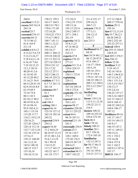Washington, D.C.

November 7, 2016

| 260:6            | 158:21 159:3     | 173:10,21         | 211:4 251:17          | 217:12 246:8       |
|------------------|------------------|-------------------|-----------------------|--------------------|
| excellent 113:21 | 163:17 164:5     | 174:2,19 175:9    | 259:16,21             | 269:17 270:16      |
| excess 265:10,14 | 168:5,9 170:1    | 189:13,16         | 260:7,13              | fashion 29:11      |
| 265:14           | 170:6 171:20     | 195:13 222:4      | extracts 176:21       | 195:16             |
| excited 25:7     | 172:10,20        | 236:2 249:17      | 177:3,11              | fast $67:12,13,14$ |
| executed 276:13  | 174:9,22 175:3   | 257:1 258:1       | 236:12,15             | fda 53:7 56:2,3    |
| exercise 64:13   | 175:4,7 180:2    | 261:19            | 258:17                | 68:20 249:21       |
| 75:15 80:12      | 180:7 181:11     | expertise 34:21   | eye 235:3             | 250:2 252:10       |
| 81:6 165:9       | 188:11,12,21     | 35:8,11,21        |                       | 252:22 257:11      |
| 211:14           | 190:1,6,15       | 47:16 48:22       | $\mathbf F$           | federal 100:8      |
| exhibit 4:8,9,13 | 192:10,17        | 49:2 53:5         | facilitated 84:17     | fee 255:15 256:9   |
| 4:15,22 5:4,7,9  | 200:11 204:12    | 222:13            | 84:19                 | 256:9,19           |
| 5:12,13,16,17    | 219:10 220:22    | experts 47:8      | fact 10:19 48:1,2     | feel 205:3 276:5   |
| 5:18 6:4,11,14   | 221:13 222:12    | expires 276:22    | 48:17,20 87:9         | fees 256:15        |
| 6:16,187:4,6     | 227:3,8 228:15   | 277:21            | 97:8 109:17           | fellow $52:20$     |
| $7:10$ 10:12,15  | 229:4 231:12     | explain 9:5 31:4  | 116:17 136:6          | fertilizer 5:12    |
| 12:1,5 28:14     | 231:17,22        | 120:6 224:15      | 143:5,19              | 5:19 141:5         |
| 40:20 41:3,6     | 232:12 237:1     | explained         | 145:16 155:1          | 142:16 143:6       |
| 41:10 42:10      | 242:5 246:13     | 230:11 272:8      | 157:9 158:4           | 144:3 146:8,21     |
| 43:15,20 49:2    | 246:18 255:21    | explaining        | 179:21 187:14         | 147:15,18,21       |
| 51:16,21 54:4    | exhibits 4:7 5:3 | 220:12            | 188:19 198:12         | 150:1 151:3,4      |
| 60:15,20 61:10   | 6:3 7:3 261:13   | explanation       | 209:7,12 250:4        | 152:5,14 154:7     |
| 62:9,10 63:8,9   | 261:18           | 167:18 230:14     | 252:3,12 254:7        | 154:13,17          |
| 63:19 69:3       | existence 80:7   | 258:5 272:8       | 265:7                 | 155:2,4,14         |
| 72:18 75:8       | 81:1             | explicitly 271:10 | factfinding           | 156:22 157:17      |
| 80:11 82:3       | exists 79:9      | 273:17            | 135:2                 | 158:3,16 160:5     |
| 83:10,11 90:2    | 123:13           | exposed 164:12    | factor 110:5,16       | 161:13 164:13      |
| 90:18 92:4,16    | exit 186:3       | 165:1,4,5         | 112:5, 11, 12, 18     | 165:6 168:13       |
| 93:16 94:14      | exiting 186:1    | express 88:17     | 159:22 211:3          | 168:22 169:2,4     |
| 95:9 102:4,11    | expect 66:14     | extensive 220:20  | 216:5                 | 169:6 196:17       |
| 105:1 115:18     | 125:19 127:12    | 221:11 235:22     | <b>factors</b> 108:22 | 197:12             |
| 115:20 117:7     | 162:19 185:16    | extent 84:4       | 109:18 253:22         | fertilizers 89:16  |
| 118:2 119:2,19   | 245:22           | 98:19 187:11      | 254:4 272:10          | 141:17 143:7       |
| 120:16,21        | expected 254:9   | external 211:18   | facts 46:4            | 143:14 144:13      |
| 127:20 128:6,7   | 254:12           | 241:5             | faith $178:16$        | 145:9,17           |
| 128:14 131:14    | expert 10:20     | externally 254:9  | <b>falsely</b> 249:21 | 146:19 147:3       |
| 132:7 133:3,10   | 11:2 44:8,19     | extract $25:3$    | familiar 26:1         | 147:11 149:21      |
| 133:10 135:14    | 46:10 47:13,15   | 55:16 116:7       | 83:7 158:16           | 150:15,21          |
| 137:6,13         | 47:21 48:1,3,6   | 128:1 169:4       | 172:6 185:18          | 151:1 152:2        |
| 139:13 140:20    | 53:6,7,13,19     | 175:20 176:5      | familiarize           | 153:16,20          |
| 141:3,12,14      | 54:1 99:18       | 260:19 267:19     | 132:13 247:3          | 154:6 157:8        |
| 142:6 148:10     | 114:15,22        | 268:4,21          | far $58:1766:13$      | 161:1 162:2        |
| 148:15 153:7     | 117:17 143:17    | extracted 269:2   | 66:15 78:1            | 169:9,13 197:4     |
| 153:10,14        | 143:22 161:7     | extraction 94:13  | 191:16 193:6          | 197:17             |
| 156:10,15,16     | 161:18 173:7     | 158:7 182:22      | 214:21 217:11         | fhlf111 156:17     |
|                  |                  |                   |                       |                    |

Page 288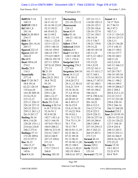Washington, D.C.

November 7, 2016

| fhlff131 $5:18$       | 10:12 12:7        | fluctuating         | 107:14 111:1     | <b>found</b> 18:1 |
|-----------------------|-------------------|---------------------|------------------|-------------------|
| 168:13                | 24:11 41:12       | 221:10 223:12       | 114:20 120:13    | 74:17 76:8        |
| fhlff135 159:5        | 43:16 50:13,19    | fluorescent         | 124:18 125:3     | 81:7 94:15        |
| fid $240:1,8$         | 52:15 59:21       | 238:12              | 125:20 126:6     | 96:3 97:3         |
| 241:16                | 64:10 65:21       | focus $83:9$        | 126:16 127:4     | 102:7,11          |
| field 26:20 88:9      | 66:13 69:2        | <b>folks</b> 91:16  | 127:16 130:3     | 115:11 124:3,9    |
| 234:17                | 90:21 111:14      | 106:21 142:16       | 130:14,19        | 124:14 125:13     |
| fifth $3:8$           | 116:1,1 122:8     | 143:5               | 131:5 136:7      | 126:3,11          |
| figure 201:14,16      | 123:5 132:11      | <b>follow</b> 179:9 | 138:21 139:8     | 128:15 136:20     |
| 205:17                | 139:5 148:18      | followed 218:8      | 139:15,22        | 137:5 144:13      |
| <b>figured</b> 222:15 | 156:16 159:4      | follows 8:5         | 140:10 143:10    | 146:13 150:2      |
| figures $243:19$      | 168:14 170:7      | food 5:14 56:1      | 145:11,19        | 155:14 157:7      |
| 244:22                | 173:4,9 180:9     | 128:3 148:20        | 147:5,12 148:2   | 158:10 160:1      |
| <b>file</b> 60:9      | 190:16 192:19     | 151:1 152:4         | 151:7,15         | 160:11,22         |
| final 189:6,10        | 227:11 229:8      | footprint 24:8      | 152:15,22        | 162:2,14,16       |
| 274:2                 | 247:8,18 250:8    | foregoing 276:3     | 154:1,9,19       | 165:13 166:3,5    |
| finally 25:9          | 271:13            | 277:4,6             | 155:22 161:3     | 166:13,21         |
| 116:3                 | fit $21:19$       | forgotten 204:10    | 161:15 163:1,7   | 167:20 178:7      |
| financially           | fits $113:16$     | form 14:11,21       | 167:3 168:1      | 184:18 185:10     |
| 277:14                | five 28:21 29:3   | 17:8 18:13          | 173:14 183:21    | 187:14 193:19     |
| find 57:20 58:7       | 34:8 79:22        | 24:9,20 27:2        | 186:6,17 187:5   | 196:11 198:2      |
| 58:8 59:16            | 93:19             | 29:11,12 30:14      | 187:16 188:3     | 198:14 199:5      |
| 62:22 126:19          | flame 237:9       | 33:6,21 35:9        | 193:21 195:16    | 199:19 200:6,7    |
| 135:6,6,10            | 238:10,17         | 35:16 36:16         | 195:18 196:2     | 203:2 204:3       |
| 143:20 209:10         | 239:11,20         | 37:1,8 39:16        | 196:18,21        | 205:8 212:1,15    |
| 212:6,19,21           | 240:1,12,17       | 39:22 40:6          | 197:6 198:4,16   | 212:22 213:3      |
| 215:12,13             | 241:20 252:2      | 42:20 45:15         | 199:14 200:3     | 217:15 223:20     |
| 225:11 226:13         | fleck 251:5,10    | 46:2 49:3,17        | 201:10,22        | 228:6 230:14      |
| 226:18 227:15         | fleming $4:205:4$ | 50:16 52:9          | 203:4 212:3      | 259:2 266:14      |
| 245:22 252:11         | 6:10 7:9 52:14    | 53:8,15 56:18       | 216:12 217:4     | 266:15 268:20     |
| 259:11 261:1,2        | 52:16 91:1        | 57:14,22 59:6       | 222:8 223:2      | founded 235:2     |
| 261:9 267:17          | 92:8 95:20        | 59:19 63:1          | 224:9 228:11     | four 23:10 95:19  |
| finding $56:16$       | 142:7 143:1,6     | 70:1 71:2 72:1      | 230:16 237:16    | 120:14 123:14     |
| 80:6 116:20           | 163:3 164:18      | 73:6 75:11,19       | 243:10 246:4     | 123:14 126:22     |
| 128:20 135:1,1        | 167:9,9 170:11    | 76:1 77:6           | 248:5 249:4      | 127:7 184:18      |
| 214:4,6 216:8         | 184:9 208:21      | 78:13 79:7          | 257:19 259:13    | 235:9 243:4       |
| 246:2 273:4           | 209:16 213:10     | 80:16 81:11,19      | 261:5 262:12     | 244:12 245:3      |
| findings $57:13$      | 232:4,7 242:7     | 82:21 86:12         | 264:19 267:1     | 250:15 252:11     |
| 172:20 209:6          | 243:4 244:9       | 87:21 89:18         | 273:7,15         | 265:16 266:5      |
| 231:9 257:5           | 247:15 258:6      | 91:13 96:21         | formal $36:14$   | 269:8, 16, 19, 22 |
| fine 36:12            | 271:15            | 97:18 98:11,20      | formally 35:19   | 272:22,22         |
| 194:13,17             | flip $174:21$     | 99:12 100:5         | forms $239:2$    | frame $15:10$     |
| finish $9:17,20$      | 175:7 219:13      | 101:6,13,20,21      | forth 132:21     | 18:3 20:15        |
| 145:6                 | 266:8             | 102:19 104:4        | 153:14           | 23:21 67:9        |
| first $8:4,18$        | flowing $105:10$  | 106:9,16 107:2      | forward $172:19$ | 69:4 70:9         |

Page 289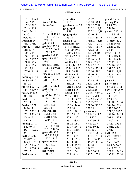Washington, D.C.

November 7, 2016

| 185:15 186:4        | 181:6            | generation      | 166:19 167:1      | gestalt 95:17    |
|---------------------|------------------|-----------------|-------------------|------------------|
| 186:13,15           | fused 182:16     | 173:7           | 167:18 170:8      | getting 36:4     |
| 187:3 229:3         | future 269:8     | gentleman 86:20 | 172:3 175:20      | 85:3 253:18      |
| 235:9 241:8         |                  | geographic      | 176:5, 12, 19, 21 | 254:10           |
| frank 136:11        | G                | 87:18           | 177:3,11,16,19    | give 9:20 17:10  |
| free 205:3          | g 4:19 8:1 150:2 | geographical    | 180:10 184:8      | 17:13 37:6       |
| freely $255:5$      | 150:7 155:15     | 223:12          | 184:15 188:16     | 44:8 100:3,9     |
| freshman 36:19      | 238:10           | georgia 1:2     | 191:8,13,15,19    | 138:19 143:3     |
| 36:21 37:15         | gain 255:4       | geranium $4:16$ | 192:21 193:11     | 149:1 167:6      |
| front $12:441:1,8$  | gamble 135:15    | 5:6,14 6:5,12   | 193:18 195:17     | 229:6 236:2      |
| 51:6 63:7           | 135:22 136:9     | 6:20 7:8 19:8   | 197:22 198:11     | 240:4            |
| 120:19 141:1        | 139:14,20        | 19:19 20:2,10   | 199:9 200:15      | given 87:6,12    |
| 146:5 148:13        | garden 199:12    | 22:20,22 23:11  | 202:19 203:3      | 90:17 109:1,8    |
| 156:13 159:2        | gary 26:8 63:21  | 30:9 34:16.18   | 204:16,17,20      | 109:9 149:12     |
| 168:8 170:4         | 64:2             | 47:18 49:7      | 204:21 206:2      | 173:17 179:1     |
| 180:5 190:4         | gas 23:13 25:12  | 51:7,9,14 55:5  | 209:9 220:3       | 179:20 186:3     |
| 192:13,16           | 175:18 240:21    | 55:16 56:9,17   | 224:19 227:14     | 191:3 218:3      |
| 227:6 246:16        | 241:19           | 57:11,20 59:4   | 227:16 228:3      | 261:12,12,18     |
| 261:11              | gasoline 238:20  | 61:18 65:18     | 228:10 234:11     | 266:11 276:4     |
| fulfilling 116:7    | gateway 3:16     | 66:5,5,14,15    | 236:7,11,15       | 277:9            |
| full 8:8 66:12      | gather $106:22$  | 72:20 73:20     | 242:6,9,16        | glad 9:4         |
| 267:21              | 107:12           | 74:6,7,17 77:1  | 247:17 250:9      | glassware 67:4   |
| function 101:12     | gathered 107:11  | 80:15 81:6,7,8  | 251:12,18         | 67:16 68:3,11    |
| 114:18 129:7        | gathering 85:10  | 81:18 82:15     | 252:12 257:7      | go 9:4 16:8 26:9 |
| functions 40:5      | 106:1            | 83:4,1788:8     | 258:8,17 259:2    | 26:16 54:15      |
| 81:9,18             | gc 65:16 175:18  | 90:22 101:11    | 259:9 261:1       | 70:18 77:13      |
| fund 153:15         | 176:3 181:13     | 101:18 106:22   | 262:6,8 263:22    | 82:9 103:10      |
| 253:14              | 237:8 238:11     | 107:12 114:17   | 266:13 269:1      | 109:18 129:14    |
| <b>funded</b> 52:21 | 240:10,15        | 115:16 116:4    | 271:14 272:3,9    | 149:16 153:6     |
| 54:14,17            | 241:16           | 117:9,14        | 272:15            | 157:3 160:3      |
| 167:12 252:11       | general 31:17    | 118:21 120:1,2  | geraniums         | 171:3,3 182:3    |
| 252:13 253:2,9      | 37:20 38:13      | 120:5,7,9,12    | 20:14,18 21:7     | 188:10 194:15    |
| 254:9 256:11        | 57:18 67:12      | 122:9,11,22     | 21:8 22:7         | 201:13 223:9     |
| 256:15              | 69:15 103:14     | 123:7 128:1,17  | 27:22 30:13       | 234:21,22        |
| funding $23:19$     | 154:17 176:18    | 128:22 129:5    | 49:11 52:7        | 237:21 253:8     |
| 24:2 49:14          | 177:10,15,18     | 129:15 130:11   | 55:10 80:22       | 268:12 269:7     |
| 253:4,17,20,21      | 202:5 242:16     | 131:3 133:16    | 86:9 106:1        | 273:21           |
| 254:4,10            | generally 36:1   | 134:4,6,9       | 116:17 128:16     | goal 135:5       |
| further 37:12       | 99:5 127:1,11    | 135:4 136:6     | 133:15 134:10     | goes 13:10 26:2  |
| 76:20 95:9          | 172:7 186:3      | 138:10 139:5    | 135:9 137:19      | 26:13 42:15      |
| 97:4,11 129:10      | generate 100:1   | 142:18 148:1    | 146:22 147:1,4    | 55:13 56:7       |
| 129:13 136:16       | 113:10,17        | 148:20 149:20   | 147:10,16         | 64:9,22 66:2     |
| 161:19 200:14       | 210:21           | 150:11 154:8    | 154:12,18         | 66:11 67:15      |
| 277:12              | generated        | 161:21 164:1    | 199:5 200:2       | 127:21 134:13    |
| furthermore         | 156:19           | 165:9,10,14     | 230:21 257:9      | 135:13 150:14    |
|                     |                  |                 |                   |                  |

Page 290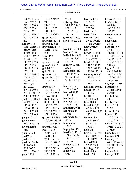# Case 1:13-cv-03675-WBH Document 108-7 Filed 12/30/16 Page 380 of 519

Paul Simone, Ph.D.

Washington, D.C.

November 7, 2016

| 150:21 175:17    | 159:22 212:20   | 264:8            | harvest 88:7     | <b>hereto</b> 277:14  |
|------------------|-----------------|------------------|------------------|-----------------------|
| 176:1 220:9,19   | 213:1,11        | guiyang 88:6     | 216:3,9          | hes 36:9 46:10        |
| 229:16 230:3     | 214:11,12       | 94:4,17 209:2    | harvested        | 64:4 84:6             |
| 238:16 239:1     | 215:1,10,22     | 209:11,12        | 225:20           | 100:5 119:8           |
| 245:4 250:1      | 218:14,16       | 213:4 214:6      | hash $134:4$     | 182:17                |
| 258:11 269:15    | 225:19 226:3,7  | 224:19           | hasnt $25:9$     | hexane 259:21         |
| 271:20 272:6     | graph 158:14    | guizhou 215:6,7  | havent 12:18     | 260:4                 |
| 272:19           | graphical 32:12 | guy 84:6 223:22  | 37:12 100:12     | hexavalent            |
| going 9:8,16     | graphs $156:16$ |                  | 195:6 200:18     | 34:15                 |
| 10:11 21:16,18   | graveolens 55:5 | $\bf H$          | hazy 205:20      | high $4:176:6$        |
| 21:20 42:15      | 87:10 120:2     | h4:55:16:17:1    | hci 1:9          | 37:4 104:10           |
| 43:10 44:20      | 206:3           | hadnt 189:6      | head 9:12 44:6   | 109:16 110:18         |
| 68:1,8,9 69:14   | great 199:1     | half 43:16 59:21 | 57:7 178:4       | 112:15 150:16         |
| 89:20 108:5      | 219:9           | 260:10,13,15     | 217:22 231:4     | 165:19 170:9          |
| 111:22 112:4     | greater 113:20  | 260:16           | headed 5:18      | 213:22 251:21         |
| 112:15 113:18    | green 2:5 3:15  | halfway 133:11   | 141:5 156:17     | 252:4,4               |
| 118:5 126:18     | griglak $3:21$  | 252:9            | 159:5 168:13     | higher $31:19$        |
| 127:1,12         | grin $68:18$    | haloacetic 14:2  | 190:16 192:19    | 69:18 103:10          |
| 132:20 136:15    | ground $8:15$   | 14:5 19:9,19     | heading $107:22$ | 104:9 111:20          |
| 149:5 163:11     | group 26:1,7,10 | 20:2,9 30:21     | 148:18 164:7     | 113:20 158:3          |
| 203:6 206:8      | 142:4 249:14    | 31:12 34:7,15    | 204:15 242:4     | 162:1 204:4           |
| 234:19,19        | 251:1           | 167:11           | 271:12           | highlight 235:12      |
| 237:20,21        | grow 89:17      | hand 90:16       | headings 105:10  | highlighted           |
| 239:15 240:4     | 133:15 147:11   | 132:6 164:5      | heads 135:17     | 233:15 235:8          |
| 241:2,3 243:17   | 197:12 269:2    | handed 51:19     | 140:16           | 235:10                |
| 258:14 260:14    | growing 87:13   | 231:15           | health $53:15$   | highlighting          |
| good 10:9 30:3,4 | 87:17 89:6,7    | handle 261:2     | 57:1 116:8       | 209:7                 |
| 57:19 109:15     | 89:12 147:18    | handled 72:14    | hear 184:4       | highly $255:10$       |
| 112:8 143:3      | 149:10 177:1,1  | 139:4 232:4      | heard 59:3,13    | <b>hired 80:13</b>    |
| 167:6 178:16     | 197:5 236:13    | handling 29:21   | 62:14 65:21      | 217:8                 |
| 245:14 255:8     | 236:13 258:19   | happen $27:6$    | 68:15 84:11,13   | hiring $48:19$        |
| 255:16 260:6     | 258:19 259:1,1  | 43:10            | 195:6            | hitech $1:13$         |
| google 205:17    | grown 88:9 89:8 | happened 85:16   | heather 6:9      | 173:22 174:3,4        |
| government       | 89:9,10 133:16  | 227:2            | 52:14 90:22      | 174:5 275:4           |
| 252:15 253:18    | 197:18 229:18   | happening        | 91:4 92:8        | hold 47:14 184:5      |
| governments      | growth 150:17   | 134:5            | 170:11           | 191:17 203:21         |
| 91:9             | guess $18:15$   | happy $268:12$   | held $2:1$       | 215:20                |
| $grab 171:20$    | 20:19 29:19     | hard 9:20 17:10  | help 13:13 14:17 | <b>home</b> $120:1,5$ |
| grad 92:9        | 37:10 44:2      | 109:6 136:14     | 65:6 102:10      | <b>honest 23:21</b>   |
| grade $151:3$    | 74:12,19 115:1  | 144:22 164:8     | 149:10 234:12    | honestly 37:11        |
| graduate 38:14   | 129:10 140:13   | 262:10           | helped 91:4      | 44:10,17 47:22        |
| 38:16 39:11      | 184:20 185:6    | harder $253:18$  | 92:16 93:4       | 140:18 143:16         |
| 53:1 142:5       | 211:17 222:3    | 253:19           | helping $92:11$  | 163:11                |
| 253:11 254:13    | 225:19,21       | harlow 3:5       | herbs 88:8       | hoping $58:8$         |
| gram 150:9       | 243:17 253:3    | 68:21            | herby 7:8        | hourly $54:21$        |
|                  |                 |                  |                  |                       |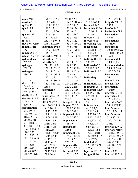Washington, D.C.

November 7, 2016

| hours 268:10                  | 170:2,5 176:4     | 91:18 92:13                     | 161:18 167:7      | 72:19 220:14      |
|-------------------------------|-------------------|---------------------------------|-------------------|-------------------|
| houston 31:19                 | 180:3,6,8         | 114:22 118:4,5                  | 217:1 242:15      | insights $250:10$ |
| hp 238:12                     | 185:8 190:2,5     | 118:7,10,15                     | included 94:7     | 255:1             |
| hplc 113:7                    | 190:7,15          | 125:10 126:18                   | including 98:10   | insofar $44:21$   |
| 241:18                        | 192:11,18,20      | 127:10,10                       | 117:16 175:19     | institution 71:9  |
| hplcms 5:6                    | 227:4,7,9         | 133:1 141:21                    | 184:19            | instruction       |
| 90:22                         | 231:13,16,18      | 143:3 146:4                     | increase 112:4    | 85:21             |
| ht 180:8                      | 232:13 240:15     | 151:21 153:8                    | increased 158:7   | instructions      |
| ht06140 192:19                | 246:14,17,19      | 155:15 160:20                   | increasing 32:5   | 138:20            |
| human $151:1$                 | identified 102:5  | 174:6 175:4                     | independent       | instrument        |
| 152:4                         | 104:2 130:10      | 177:21 178:8                    | 15:9,16 61:18     | 30:21 109:8,22    |
| humans $53:16$                | 145:17            | 180:19 184:4,5                  | 72:21,22          | 111:18 144:22     |
| <b>hybrid</b> 255:8,18        | identifier 240:14 | 184:16 186:20                   | 133:12 245:13     | 157:14            |
| hydrochloric                  | identifies 185:15 | 189:11 191:12                   | indicate 106:14   | instrumental      |
| 259:22                        | identify 24:7     | 191:18 192:15                   | 233:17            | 38:3,10,15        |
| hydrogen                      | 74:8 131:1,2      | 194:8 195:8                     | indicated 65:3    | instrumentation   |
| 239:13                        | 150:15 153:20     | 196:7 198:18                    | 70:18 224:3       | 25:8,11 38:6      |
| hydrogens                     | 156:18 172:3      | 198:18 201:4                    | indicates 116:6   | 145:7 246:8       |
| 239:14                        | 175:19 176:13     | 202:6,8,9                       | 127:22            | instruments       |
|                               | 177:11,19         | 203:18 204:10                   | indicating        | 26:16             |
| I                             | 179:16 180:15     | 207:1 214:11                    | 147:14            | intake 224:5      |
| idea 67:13,13                 | 185:10 231:20     | 214:22 216:20                   | indication 210:1  | intensity 206:1   |
| 72:2 117:5                    | 259:8             | 222:3 223:4                     | indirectly 29:16  | interaction       |
| 162:22 201:7                  | identifying       | 230:3 253:5                     | individual 47:20  | 186:10            |
| 202:5 233:11                  | 203:14            | 261:13 263:6                    | 88:15 210:12      | intercept $211:1$ |
| ideally 113:17                | ignores 252:12    | 268:7,8,12                      | 276:10,11         | interest 65:4     |
| identical 122:11              | ilk 155:21        | 271:9                           | influenced        | 128:2 140:9       |
| 124:4,15                      | ill 23:21 27:20   | image 181:8,17                  | 253:3             | interested 66:20  |
| 220:15                        | im $8:149:2,8,14$ | impact $57:12$                  | information       | 70:12 277:15      |
| identification                | 9:16 10:11        | 228:9 230:18                    | 4:10 9:2,3        | interference      |
| 6:19 10:16                    | 11:17 15:21       | 234:1 262:8                     | 12:16 13:8        | 22:1,3 241:11     |
| 12:2 40:16,21                 |                   | 19:15 21:16,18   impacted 216:9 | 55:20 86:2,7      | interferences     |
| 41:2,9 51:17                  | 21:20 22:18       | 261:3 262:5                     | 86:10,17 87:2     | 31:9 32:15        |
| 51:20 60:16                   | 23:10 26:3        | implemented                     | 87:6,12 88:20     | 239:4 240:18      |
| 63:8,10 85:9                  | 27:18 36:2        | 188:19                          | 89:3,12,15        | 241:7             |
| 90:3,18 103:20                | 37:11 41:6        | importance                      | 94:7 105:1        | interlab 139:12   |
| 104:17 120:17                 | 43:6,7,16         | 245:6                           | 107:22 108:8      | interlaboratory   |
| 120:20,22                     | 44:20 47:3,14     | important 56:9                  | 179:7 183:16      | 133:12 135:15     |
| 131:15 132:7<br>132:10 140:21 | 47:15,22 48:7     | 128:2 149:22                    | 187:10 206:12     | 135:22 136:2,5    |
|                               | 48:19 51:2        | 155:13 203:1                    | 217:19 273:3      | 245:6 247:16      |
| 141:2,4 148:11<br>148:14,16   | 54:15 61:2        | 220:12                          | initial $61:22$   | 247:22 248:1      |
| 156:11,14                     | 62:9 63:3         | importantly                     | 72:8,16 93:21     | 248:10,12,20      |
| 158:22 159:3                  | 64:18 73:15       | 208:21 209:5                    | 176:4             | 249:3             |
| 168:6,9,11,11                 | 74:12 78:1        | include $87:17$                 | injector $182:13$ | intern 3:21       |
|                               | 79:9 80:9         | 105:1 117:3                     | insight $61:16$   | internal $107:19$ |
|                               |                   |                                 |                   |                   |

Page 292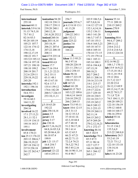Washington, D.C.

November 7, 2016

| international            | ionization 94:20               | 256:7                       | 103:9 106:5,6   | known 55:14                     |
|--------------------------|--------------------------------|-----------------------------|-----------------|---------------------------------|
| 255:10                   | 182:18 238:11                  | journals 255:6,7            | 107:5,8,8,16    | 77:11 209:18                    |
| internet 60:11           | 238:17 239:11                  | jr 4:138:1013:1             | 114:12 127:18   | 210:15 269:2                    |
| <b>intertek</b> 5:9 6:16 | 239:20 240:1                   | 41:13,20                    | 132:1,4,14,16   | knows 270:9                     |
| 51:15 74:5,18            | 240:12,18                      | judgment                    | 135:2 136:11    | kompatnick                      |
| 75:781:2                 | 241:8,20 252:2                 | 244:22 245:1                | 140:3 141:20    | 11:3                            |
| 82:16 83:3               | ionized 260:16                 | july 132:12                 | 146:3,7 147:3   | kunming 88:6                    |
| 95:20 105:19             | ions 203:14,14                 | june 225:22                 | 147:18 155:3    | 94:4,17 209:2                   |
| 105:21 107:7             | 203:18,19                      | justice 3:6                 | 156:4 164:3,21  | 209:11,12                       |
| 122:16 174:12            | 206:21 207:4                   | juxtapose                   | 165:18 167:5    | 210:6 212:2                     |
| 174:13,18                | 207:22 208:10                  | 166:22                      | 168:4 169:14    | 213:4 214:5,6                   |
| 190:12,17,19             | 208:11                         |                             | 170:14 171:15   | 218:12 224:18                   |
| 190:22 191:7             | $\sin t$ 47:9 235:14           | K                           | 171:19 179:14   |                                 |
| 193:5,9 195:12           | <b>issue</b> 100:16            | khan 11:3 95:21             | 184:1 185:11    | L                               |
| 196:14 197:18            | issued $80:4,8$                | 96:3 97:16                  | 185:14 188:1    | 152:14 90:22                    |
| 197:21 198:10            | issues $17:7$                  | 100:20 220:19               | 193:6 194:4,8   | 108:1,7 170:11                  |
| 198:10 199:2             | ive 17:16 19:4                 | 221:11 236:1,1              | 197:15,19       | lab 15:9 16:9,22                |
| 200:19 201:7             | 21:1,21 22:21                  | 236:2 258:15                | 200:18,21       | 17:15,18 18:2                   |
| 212:6 229:11             | 24:2 35:11                     | khans 96:16                 | 202:7 204:2     | 18:11,18 19:4                   |
| 229:18,19,22             | 43:11 48:1                     | 100:17 223:19               | 205:11 208:16   | 19:12 20:6                      |
| 245:20                   | 49:13 67:10                    | 230:19 231:1                | 210:16 213:19   | 21:7,12 22:7                    |
| interteks 192:1          | 92:6 117:3                     | kill 167:21                 | 214:1 215:17    | 22:20 23:4                      |
| 192:1 196:16             | 135:4 159:12                   | killed 161:20               | 216:2,4 217:12  | 26:12,13 69:9                   |
| introduction             | 174:6 182:20                   | kind 69:15 70:5             | 219:17 222:6    | 69:13,14,17,18                  |
| 54:6 55:1                | 200:5,7 226:15                 | 103:3,22 109:6              | 223:7 229:10    | 69:22 70:5,17                   |
| investigate              | 253:10,11,11                   | 146:4,14 164:8              | 229:18 230:5    | 71:1,8 72:8                     |
| 59:16 60:3               | $\bf J$                        | 210:10 239:22               | 232:18 235:7,7  | 74:5 104:11,15                  |
| 164:11,22                |                                | 266:2 269:15                | 235:19 245:2    | 104:20 109:21                   |
| investigating            | j 5:1063:20                    | knew 73:5 95:11             | 246:9 249:12    | 122:18 156:19                   |
| 204:16                   | 192:22                         | know 10:6 12:15             | 251:3 253:15    | 159:12 160:8                    |
| involved 16:22           | jain 258:14,14<br>james 3:5    | 24:3 31:13                  | 259:19 260:11   | 160:14 168:17                   |
| 17:1 27:13,21            |                                | 34:12 35:3,5<br>37:10 41:16 | 262:11,14       | 196:16 259:4<br>labeled $55:16$ |
| 28:1,11 52:1             | jared $1:14$                   | 43:3,10 44:4                | 264:15 265:2    | 169:21                          |
| 133:19 134:15            | jersey $3:17$<br>$\lim$ 138:16 | 47:7 48:18                  | 267:9 269:20    | laboratories                    |
| 144:16 163:3             | jin $83:7,16,16,22$            | 51:2 58:17,18               | 270:2,12,16,21  | 51:15 134:2                     |
| 195:1                    | 84:8,16 85:3,8                 | 59:1 61:4                   | 271:1 272:17    | 135:5,6,9                       |
| involvement              | 85:20 86:4,10                  | 63:12 65:5                  | knowing $46:16$ | 213:22 248:8,8                  |
| 85:8 170:21              | 86:18 87:4                     | 66:21 67:21                 | 68:5 182:9      | laboratory 26:5                 |
| ion $25:13$ 176:22       | 199:9                          | 68:22 71:13                 | knowledge 78:4  | 53:2 61:19                      |
| 203:12 206:6,7           | job 1:21 15:17                 | 72:2,4 74:21                | 85:5 87:5       | 72:21 73:1,2                    |
| 206:19,19,22             | 16:8 254:7                     | 78:5,22 79:2                | 97:11 98:14     | 122:10 133:18                   |
| 207:18 236:12            | joined $18:3$                  | 80:3 85:2,16                | 122:7 127:7     | 134:14,16                       |
| 237:9 258:18             | journal $121:22$               | 86:14 90:11,14              | 166:18 200:22   | 248:9                           |
| 261:22 262:4,7           | 145:4 255:11                   | 91:8 98:7                   | 265:1 266:12    | labs $6:16\,23:20$              |
| 262:7                    |                                |                             | 269:5,17        |                                 |

Page 293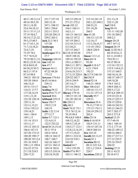## Case 1:13-cv-03675-WBH Document 108-7 Filed 12/30/16 Page 383 of 519

Paul Simone, Ph.D.

Washington, D.C.

November 7, 2016

| 40:11 49:12,14 | 231:7 237:10      | 245:15 250:18           | 215:14 241:19      | 221:13,19           |
|----------------|-------------------|-------------------------|--------------------|---------------------|
| 49:16 50:5,10  | 245:13,18         | 271:21 272:2            | 242:1,22 244:3     | 222:11,20           |
| 50:11,14,20    | 247:1 248:21      | levels 102:12           | 244:21,21          | lod 218:8           |
| 52:6 54:10,12  | 249:1 250:6       | 104:3 160:11            | 251:18,20          | long 99:19          |
| 55:11 57:11,13 | 252:11 253:2      | 162:1,11                | 260:5              | 131:11 182:20       |
| 57:19 58:6,7   | 255:20 256:13     | 165:13 166:3,5          | line 41:20         | 191:18 260:2        |
| 58:14,17,21,22 | 259:2 265:2       | 166:12 167:2            | 104:12 112:10      | 268:2,3             |
| 59:3,15 60:3   | lack 21:2 56:3    | 167:19 204:2            | 112:16,17          | longer $26:18$      |
| 61:17 62:1,14  | 157:20            | 212:18 213:13           | 113:3, 10, 16, 17  | 69:7 167:12         |
| 71:7,14,18,21  | landscape         | 213:20,21               | 113:18 130:2       | longest $26:19$     |
| 72:4,7,19      | 253:16            | 227:15 244:7            | 140:8 229:9        | look 12:20 54:3     |
| 73:19 74:2     | landscaper 37:3   | li 6:18,18 95:20        | 275:5              | 60:19 63:6,11       |
| 75:7 76:9,22   | 37:7              | 184:9 188:16            | linear $113:1,4$   | 63:11,18 69:2       |
| 79:18 80:11,12 | language 164:16   | 189:16 192:22           | lines 64:14        | 78:6 83:11          |
| 80:21,22 81:16 | late 142:14       | 193:1,4 200:11          | 93:20              | 94:15 98:14         |
| 82:6 84:9,18   | law $47:7$        | 204:3,11 207:1          | liquid 4:18 6:7    | 112:16 132:13       |
| 84:20,22 85:2  | lawyer $44:11$    | 207:13 213:10           | 6:21 170:9         | 133:9 134:6,21      |
| 86:5,11 87:4   | 47:22 48:20       | 214:4,18 215:7          | 192:21             | 157:15 160:3        |
| 87:14 98:9     | 173:12            | 217:3,15 220:4          | lis $217:9246:10$  | 160:10,16,18        |
| 104:21 105:18  | lawyers 174:4,6   | 229:22 242:7            | lisi 242:9         | 168:15 169:17       |
| 105:20 106:6   | $lc$ 65:16 66:6   | 243:4 244:9             | listed $52:14$     | 169:18,20           |
| 106:15,21      | 238:12            | 247:14,17               | 148:21 188:8       | 178:5 183:2         |
| 107:8 115:17   | $lcms$ 7:8        | 257:18 258:6            | liter $108:4,4,5$  | 190:9 204:11        |
| 116:21 117:7   | leading $59:12$   | 271:4,7,8,15            | 109:16 111:17      | 205:3,17,21         |
| 117:10,14,19   | learn 69:6 71:17  | library $179:16$        | 111:21 157:13      | 207:6,8 209:15      |
| 119:1,13,18    | learned 30:6      | 180:15 181:18           | literally 95:7     | 219:10 221:8        |
| 122:10 128:14  | lefthand $219:15$ | 181:20 182:10           | 229:21             | 224:13 225:17       |
| 129:11,14      | lesco 158:17      | life 254:13             | literature 55:4    | 228:15 229:6        |
| 132:11,15,21   | 159:5,7,19        | <b>lilly</b> 80:3       | 79:13,17 95:11     | 240:10 242:21       |
| 133:6 139:2,5  | 168:19            | limit 74:22 75:1        | 175:13 176:11      | 245:12 246:21       |
| 139:14,21      | leslie 1:22 2:14  | 75:3 76:12,14           | 236:10 258:12      | 247:7 262:17        |
| 144:1 146:9    | 277:3,17          | 76:19 94:4              | 262:4              | 263:5 271:8         |
| 149:1,13       | letter 5:7 121:1  | 99:4,8,9 108:9          | litho 25:14        | <b>looked</b> 12:19 |
| 151:14 153:3   | 121:6,9,13        | 108:12,14,22            | little 8:16 83:9   | 57:7 60:10          |
| 153:11,17      | 122:5 252:22      | 109:5,7,10,14           | 102:9 131:11       | 146:1 160:14        |
| 155:12 165:15  | level 38:14,15,16 | 110:5,17 112:1          | 154:15 167:16      | 171:2 177:14        |
| 166:6 167:13   | 39:11 97:4        | 112:8, 12, 14, 19       | 186:9 260:14       | 186:22 189:12       |
| 167:20 172:15  | 102:6 103:6       | 157:17,19,22            | live 165:10        | 189:16 200:5        |
| 188:20 190:17  | 108:14 144:15     | 209:11 214:16           | locally $82:13,15$ | 202:17 217:11       |
| 190:20 191:2,4 | 148:7 160:7       | 214:18 218:1            | locate $81:1$      | 217:12 235:5        |
| 191:16 194:5   | 162:16 166:17     | 243:20                  | location 88:12     | 235:16 254:5        |
| 198:1,13 199:4 | 167:21 184:12     | limited 34:7            | 88:12 221:5,6      | 260:22              |
| 216:22 217:8   | 184:14 185:6      | 118:2 235:20            | 222:1,2 224:4      | looking $27:21$     |
| 217:18 218:5   | 185:15 210:16     | <b>limits</b> 97:6 99:7 | 224:7              | 28:11 43:21         |
| 228:17,21      | 210:18,19,20      | 183:11 196:12           | locations 220:21   | 58:10 67:3          |
|                |                   |                         |                    |                     |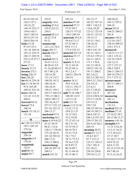Paul Simone, Ph.D. November 7, 2016

| 83:10 103:18         | 253:8                          | 182:10                    | 101:15,17                         | 240:20,22                      |
|----------------------|--------------------------------|---------------------------|-----------------------------------|--------------------------------|
| 126:2 127:1          | majority 18:4                  | matches 97:20             | 102:22 107:16                     | 245:12 255:2                   |
| 143:21,22            | making $47:4,4$                | material 57:11            | 108:1 110:2,2                     | 266:16                         |
| 146:19 152:17        | 195:8 222:21                   | 57:21 95:3                | 110:6,19,20                       | meant 20:16                    |
| 154:6 165:3          | 254:5                          | 126:15 137:22             | 123:12 125:18                     | 164:21 200:21                  |
| 184:5 189:16         | mamml $26:3,4$                 | 139:5 269:10              | 126:21 133:22                     | 201:8                          |
| 207:8 237:14         | 26:22 27:8                     | materials 39:5,8          | 134:15,17                         | measure 102:6                  |
| 240:9 265:19         | 93:21                          | 59:4 67:5,17              | 135:21 136:1                      | 113:16 124:7                   |
| looks 12:18          | manuscript                     | 67:22 68:11               | 136:10,10                         | 150:10 209:22                  |
| 97:10 133:1          | 123:1,4 176:2                  | 69:8 117:3                | 139:17,17                         | 210:1 271:5                    |
| 141:16 168:16        | maps 205:17                    | 171:8 253:12              | 140:3 141:10                      | measured                       |
| 193:12 218:15        | march 224:17                   | materiel 252:14           | 141:21 142:2                      | 110:13 111:17                  |
| 226:13 228:18        | 226:6                          | matrices 33:17            | 153:4,5 159:11                    | 124:1 125:12                   |
| 232:2,19 271:7       | marked 10:12                   | 34:3,19                   | 163:11 165:4                      | 125:14 126:9                   |
| 271:9                | $10:15$ 12:1,5                 | matrix 31:9,12            | 171:1 176:8                       | 126:12,13                      |
| loose 17:13          | 40:20 41:2,9                   | 32:11 65:18               | 181:12 182:6                      | 127:7 157:13                   |
| loosely $33:15$      | 51:16,20 60:15                 | 93:22 94:11               | 189:21 191:10                     | 196:5 228:5                    |
| <b>lorenzo</b> 272:1 | 63:7 90:2,18                   | 95:1,2,4,7                | 191:11 200:5                      | 260:11 266:13                  |
| losing $226:15$      | 120:16,20                      | 144:21 259:18             | 201:2,6,12                        | 269:18 270:17                  |
| loss 226:20          | 131:14 132:7                   | 259:19                    | 202:3,5 203:19                    | 271:7 273:12                   |
| lot 69:14 239:18     | 140:20 141:2                   | matter 18:11              | 209:5,21 216:3                    | measurement                    |
| low 31:18 94:18      | 148:10,14                      | 39:4 114:16               | 216:14,14                         | 207:17 208:11                  |
| 97:4 165:20          | 156:10,14                      | 152:11 154:17             | 217:6,11                          | 269:8                          |
| 249:22 251:18        | 158:21 159:3                   | 174:3 175:9               | 221:17,20,22                      | measures                       |
| <b>lower</b> 104:10  | 163:17 168:5,9                 | mdl 75:18 108:7           | 222:7,14,15                       | 207:14                         |
| 111:22 112:22        | 170:1,5 180:2                  | 108:20 112:5              | 223:4 230:8,10                    | measuring                      |
| 204:4                | 180:6 190:1,5                  | 112:11,18                 | 233:3,7,19,20                     | 103:11                         |
| lowered 94:22        | 192:10,14,17                   | mdls 211:16               | 235:12,12                         | mechanism                      |
| <b>lowest</b> 75:4   | 227:3,7 231:12                 | mean 11:9 12:18           | 239:7,10                          | 131:2,3                        |
| 108:16               | 231:16 232:12                  | 13:22 17:21               | 240:19 243:16                     | medical 252:14                 |
| lunch 131:10,13      | 246:13,17                      | 19:8 21:1,9               | 244:19 245:11                     | medium $27:10$                 |
| 131:18               | marketed 57:4                  | 33:13 34:5                | 246:6 247:21                      | 27:16,22 28:5                  |
| M                    | marketing 56:2                 | 35:2,19,20                | 248:1,8 251:14                    | 28:12 40:13,17                 |
| m 1:20 13:3 93:2     | mass 4:19 6:8,22               | 37:12 43:1,9              | 259:15 261:22                     | memory $143:16$                |
| 193:1 247:10         | 25:12 38:19                    | 44:2 51:10                | 263:4,18 265:1                    | memphis $4:9$                  |
| 274:16               | 94:21 113:6                    | 53:19 54:17<br>68:10 70:3 | 269:14                            | 11:15 12:8,16<br>13:2,13 16:21 |
| magazine             | 158:3,7 170:10<br>175:18 181:8 | 72:22 73:8                | meaning $30:22$<br>means 9:1 31:3 | 17:5 18:4,22                   |
| 256:18               | 181:16 192:22                  | 74:1 75:2                 | 35:4,5 43:7                       | 27:17 28:7                     |
| magnetic 6:9         | 206:17,21                      | 76:13 77:2,3              | 87:7 112:11                       | 31:16,17 37:19                 |
| 170:10               | 238:13 240:6                   | 79:16,17,22               | 123:13 130:13                     | 38:9 52:22                     |
| magnitude            | masstocharge                   | 82:9 85:13                | 134:1 201:4                       | 64:4,17,18                     |
| 123:9                | 206:20 207:14                  | 86:14 89:7                | 221:20,21                         | 82:13,15 83:18                 |
| mail 88:18           | 240:11                         | 92:13 94:10               | 238:18 239:8                      | 84:7 88:14                     |
| major $66:7$         | <b>match 181:22</b>            | 95:15 96:11               | 239:10,11,12                      | 91:2,12,16,22                  |
|                      |                                |                           |                                   |                                |

Page 295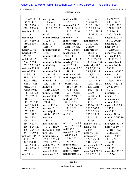### Case 1:13-cv-03675-WBH Document 108-7 Filed 12/30/16 Page 385 of 519

Paul Simone, Ph.D.

Washington, D.C.

November 7, 2016

| 107:6,7 141:19    | micrograms            | molecule 186:5     | 150:9 159:22    | 66:21 67:2        |
|-------------------|-----------------------|--------------------|-----------------|-------------------|
| 142:9 149:5       | 108:4,4,5             | 186:11             | 212:20,22       | 69:18 90:13       |
| 168:12 170:19     | 109:16 111:17         | moment 93:15       | 213:11 214:11   | 114:12 132:3      |
| 229:12 254:8      | 111:20 157:13         | 158:15 184:5       | 215:1,8,9,10    | 171:18 219:7      |
| mention $125:10$  | 214:11                | 224:21 231:6       | 215:21 218:14   | 229:10,18         |
| 143:17            | mil 99:2              | 273:3              | 218:16 225:18   | 230:5 243:18      |
| mentioned         | million $103:5,8$     | monday $1:19$      | 226:3,7         | needed 67:5,17    |
| 134:17 160:15     | 103:9,11              | money 68:10        | nanometers      | 68:10 200:14      |
| 189:22 196:8      | mid 45:12             | monitoring 26:5    | 214:21 215:1    | needing $201:3$   |
| 216:4             | 218:17                | 26:17,19 53:2      | 215:19          | needs 69:16       |
| merely 239:2      | miniaturization       | 97:21 206:16       | natural 56:8    | 167:10 201:13     |
| merit 243:19      | 53:2                  | moshers 251:5      | 101:12,19       | negative 211:1    |
| 244:22            | minimize 31:22        | 251:10             | 114:18 116:6    | neither 154:22    |
| metal 176:22      | 241:7                 | moved 167:8,13     | 128:1 129:6,15  | 183:17 277:9      |
| 236:12 258:18     | minimizes 32:14       | moving $201:6$     | 130:1 268:5,20  | nervous 146:4     |
| 261:22 262:4,7    | minimizing            | ms1 207:13         | naturally 57:5  | neutral 260:16    |
| methane 238:19    | 32:11                 | multicenter 97:2   | 78:2,6,11,19    | 260:19            |
| method 23:9       | minimum $76:11$       | 249:15             | 79:4,4 80:14    | neutralize 260:7  |
| 25:3 32:18        | 76:14 108:14          | multilab $97:16$   | 81:8,17 115:6   | never 43:11       |
| 51:12,14 66:3     | minister 252:16       | multipage $41:10$  | 115:16,21       | 62:14 144:17      |
| 66:7,12 68:6      | minus 88:18           | 51:21 63:9         | 116:18 117:9    | 146:15 148:6,8    |
| 69:6 74:5,21      | 213:11 214:18         | 90:19 132:9        | 117:15 118:21   | new 3:17 13:12    |
| 75:1,2 76:4       | minute 54:7           | 148:15 156:15      | 120:7 128:17    | 29:20 69:6        |
| 99:6,8 108:9      | 60:19 227:20          | 170:6 180:7        | 128:21 130:12   | 96:12             |
| 108:11,13,22      | minutes $273:18$      | 190:7 192:18       | 152:20 167:1    | newark 3:17       |
| 109:5,7,9,14      | mislead 118:14        | 231:17 246:18      | 167:18 191:8    | news 56:3         |
| 110:4,5,16        | misleading            | multiple 32:4,5    | 191:13,20       | newsroom 56:5     |
| 112:1,7,12,19     | 21:20                 | 88:9 97:21         | 193:11,18       | nexus 13:11       |
| 144:20 148:9      | missed 43:16          | 104:20 134:2,6     | 195:16 198:12   | ng 4:19 150:2,7   |
| 155:8 157:17      | mission $135:2$       | 176:12,20          | 200:2 203:2     | 155:15            |
| 157:19,21         | mississippi           | 206:16             | 220:3 228:4     | nice 240:6        |
| 177:2 189:2.5     | 64:16 133:17          | mz 206:6           | 263:1,15,22     | nicely 229:10     |
| 190:11 204:16     | misstated             |                    | 264:11,17       | nine 34:7 260:10  |
| 204:20 214:15     | 184:20                | $\mathbf N$        | 267:19          | 260:13            |
| 214:17 215:14     | misstates 46:4        | n 3:1 4:1,1 5:1,1  | nda 66:13 67:2  | nitrogen $150:16$ |
| 236:14 244:20     | 107:3 145:20          | 6:1,17:1,18:1      | near 243:1      | $mmr$ 7:11 50:1,5 |
| 246:10 247:18     | mistakes 178:18       | nail 156:5         | 244:4           | 251:11,17,21      |
| 251:17 259:8      | mix 151:2             | name 8:9 56:22     | nearly $240:2$  | 251:22,22         |
| methods $6:15,17$ | mmbmm 65:9            | 68:13 83:7         | necessarily     | nods 9:12 45:8    |
| 30:1,7 39:13      | 208:3 224:20          | 86:16 275:4        | 222:4 235:14    | 61:12 63:15       |
| 97:5 134:18       | 238:15 252:19         | 276:20             | 241:3 252:3     | 162:18            |
| 176:13 190:17     | <b>mobile</b> 26:4,12 | <b>named</b> 68:15 | necessary 17:22 | noise 75:5        |
| 190:19 236:17     | 26:13,15 53:1         | 169:10 223:22      | 18:2 276:6      | 108:17            |
| 252:2             | model 255:18          | names 168:19       | need 10:5 21:15 | nonchiral 23:12   |
| mha 55:14         | modeling 26:5         | nanograms 99:2     | 22:1 65:3,16    | 123:20            |
|                   |                       |                    |                 |                   |

Page 296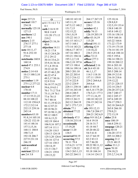#### Case 1:13-cv-03675-WBH Document 108-7 Filed 12/30/16 Page 386 of 519

Paul Simone, Ph.D.

Washington, D.C.

November 7, 2016

| nope 237:21      | $\mathbf 0$     | 140:10 143:10  | 264:17 267:19      | 125:10,16            |
|------------------|-----------------|----------------|--------------------|----------------------|
| normal 110:7     | 04:15:16:17:1   | 145:11,19      | occurs $115:16$    | 128:8,8,9            |
| 254:18           | 8:1             | 147:5,12 148:2 | 220:3              | 132:5,19 133:4       |
| normally 125:18  | oath 2:16 8:19  | 151:7,15       | october 42:1       | 138:8 140:19         |
| 127:13           | 90:8 114:9      | 152:15,22      | <b>oddly</b> 74:13 | 145:8 149:12         |
| northern 1:2     | 131:20 171:13   | 154:1,9,19     | 126:19 203:19      | 155:16 158:14        |
| nos 190:1        | 219:2           | 155:22 161:3   | offer 43:14,19     | 159:9 160:16         |
| notary $2:15$    | object 21:16,16 | 161:15 163:1,7 | 115:20             | 163:22 164:6         |
| 276:17 277:1     | 40:6            | 167:3 168:1    | offered 191:11     | 171:22 173:9         |
| 277:18           | objection 14:11 | 173:14 183:21  | offering 42:9      | 173:19 175:10        |
| note 10:11,17    | 14:21 17:8      | 186:6,17 187:5 | 114:16,22          | 176:14 181:19        |
| 91:6 252:10      | 18:13 24:9,20   | 187:16 188:3   | 236:5 251:8        | 183:4,8 188:14       |
| 274:4            | 27:2 29:12      | 193:21 194:16  | office 72:13       | 192:5 195:6          |
| notebooks 160:8  | 30:14 33:6,21   | 195:1,2,7,18   | officer 277:3      | 196:14 198:21        |
| 160:14           | 35:9,16 36:16   | 196:2,18 197:6 | offices 2:2        | 199:18 200:12        |
| noted 47:1 253:1 | 37:1,8 39:16    | 197:13 198:4   | officiated 2:16    | 201:6 203:10         |
| 274:9            | 39:22 42:20     | 198:16 199:14  | oh 26:4 45:10      | 204:1,10,11,14       |
| notice 2:14 4:8  | 45:15 46:2,20   | 200:3 201:10   | 46:1,1,17          | 205:5 208:14         |
| 10:13 100:3,10   | 46:22 47:4      | 201:22 203:4   | 114:3 118:18       | 208:19 213:8         |
| 275:1            | 49:3,17 50:16   | 212:3 216:12   | 157:11 159:9       | 216:18 218:6         |
| november 1:19    | 52:9 53:8       | 217:4 222:8    | 229:2 264:6,6      | 219:12,22            |
| 275:1,2 277:22   | 56:18 57:14,22  | 223:2 224:9    | 264:6,6            | 227:21 228:15        |
| nuclear 6:8      | 59:6,1963:1     | 228:11 230:16  | oil 6:13 65:18     | 232:14 236:5         |
| 170:10           | 70:1 71:2 73:6  | 237:16 243:10  | 66:5,14 175:20     | 236:20 237:2,6       |
| number 17:11     | 75:11,19 76:1   | 246:4 248:5    | 176:5,21 177:3     | 238:7 240:17         |
| 17:13 55:21,22   | 77:6 78:13      | 249:4 257:19   | 177:11,16,19       | 242:2 245:17         |
| 88:10 108:22     | 79:7 80:16      | 259:13 261:5   | 180:10 182:22      | 247:6 249:19         |
| 112:10 158:6,9   | 81:11,19 82:21  | 262:12 264:19  | 236:15 242:16      | 256:17 258:3         |
| 172:2 212:14     | 86:12 87:21     | 267:1 273:7,15 | 258:17             | 262:18 264:6,9       |
| 232:13 239:16    | 89:18 96:21     | obtain $77:1$  | oils 193:12,13     | 265:8 266:10         |
| 245:14           | 97:18 98:11,20  | obtained 77:22 | 196:7,8 204:17     | 270:8,21             |
| numbers $63:10$  | 99:12 100:5     | 115:11         | 204:21 242:6,9     | 272:13.19            |
| 91:8,14 105:10   | 101:6,13,21     | obviously 47:5 | okay 9:9 10:2,4    | older 25:8           |
| 120:22 132:10    | 102:19 104:4    | 118:16 215:14  | 16:4 19:18         | once 100:19          |
| 141:4 148:16     | 106:9,16 107:2  | occasionally   | 24:16 31:7         | 166:8 259:11         |
| 157:3,15,16      | 107:14 111:1    | 17:19,20       | 41:18 44:7         | onepage 120:21       |
| 168:11 180:8     | 114:20 118:5    | occur $11:20$  | 45:20 48:22        | ones 30:18           |
| 190:7,15         | 120:13 124:18   | 138:5          | 54:5 61:8          | 136:20 137:5         |
| 192:18 206:7     | 125:3,20 126:6  | occurred 94:19 | 63:17 64:19        | 205:14 208:2         |
| 227:9 231:18     | 126:16 127:4    | occurring 57:5 | 82:2 83:13         | ongoing 21:2         |
| 246:19           | 127:16 130:3    | 78:11 79:4     | 85:7 86:20         | 25:21 40:15          |
| nutraceutical    | 130:14,19       | 115:6,21 117:9 | 89:22 90:11,12     | <b>online</b> 33:1,3 |
| 65:2             | 131:5 136:7     | 120:7 128:22   | 90:15 92:22        | open 70:10           |
| nutrient 223:13  | 138:21 139:8    | 134:3 263:1,15 | 93:18 104:14       | 254:18,21            |
| nw 2:6 3:8       | 139:15,22       | 263:22 264:11  | 114:14 124:13      | 255:2,7,14,18        |
|                  |                 |                |                    |                      |

Page 297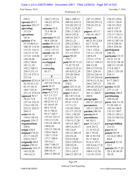Paul Simone, Ph.D. November 7, 2016

| 256:2              | 150:2 155:14     | 206:1 208:12      | 247:15 250:9      | 128:22 129:6           |
|--------------------|------------------|-------------------|-------------------|------------------------|
| operate 69:17      | 156:22 157:8     | 208:16 219:13     | 250:10 255:12     | 129:11 136:9           |
| operates 255:17    | 158:11           | 219:20 232:12     | 270:18 271:8      | 138:19 139:2           |
| operating          | outcome 62:9     | 237:1,3,19,20     | 276:7             | 143:8 155:7            |
| 213:19             | 73:5 98:18       | 238:1,3 242:3     | papers 147:17     | 165:3 170:18           |
| operations         | 277:15           | 242:4 247:8       | 183:18 185:7      | 173:17 176:11          |
| 181:6              | outcomes 93:22   | 249:16 252:7      | paragraph         | 177:5 191:14           |
| opinion 47:6       | 98:9 220:16      | 256:21,21         | 60:21 61:2,4,9    | 195:12 207:19          |
| 53:18 96:9,11      | outlier 95:12,15 | 258:2,4 262:1     | 62:7 72:18        | 233:4 248:14           |
| 100:10 114:16      | outlined 94:14   | 262:17 263:11     | 93:19 95:10       | 250:5 254:10           |
| 115:21 116:11      | 115:5 137:13     | 266:9 269:7       | 116:1 122:6       |                        |
|                    |                  | 271:13 275:5      |                   | participated<br>248:19 |
| 116:13 117:8       | outside 142:19   |                   | 133:11 135:14     |                        |
| 117:21 118:20      | 227:19           | pages 90:20       | 149:8,19          | particular 23:15       |
| 128:10,20          | oven 182:13      | 170:7             | 175:11 177:8      | 25:21 33:10            |
| 129:2 184:8        | overlapped       | paid 50:10 71:21  | 183:3,7 188:13    | 92:12,21 98:18         |
| 191:11,19          | 125:17           | 71:22 72:5,9      | 208:15,20         | 108:15 115:10          |
| 192:2 198:11       | overseeing       | 106:4, 12, 15, 21 | 209:15 219:16     | 173:8 202:7            |
| 236:5 271:13       | 83:17            | 107:8,9,12,18     | 220:1 224:14      | 226:11 235:10          |
| 271:14 272:11      | P                | 255:20 256:8      | 229:16 236:16     | 254:17                 |
| 272:14             | p3:1,18:1        | 256:12,19         | 237:19 238:4,6    | particularly           |
| opinions $42:8,14$ | 247:10 274:16    | pair 269:20       | 243:9, 13, 15, 16 | 8:17 248:3             |
| 42:18 43:3,13      |                  | 270:2             | 244:2 247:13      | 256:14                 |
| 43:19 101:4        | pack 26:15       | pairs 123:15,16   | 249:20 252:8,9    | parties 10:20          |
| 184:7 251:8        | package 52:22    | 250:14 265:22     | 258:4 262:2,17    | 277:11,14              |
| 271:13 274:5,6     | page 4:2,7 5:3   | paper 5:10,11     | 263:11 266:9      | partition 260:4        |
| opposed 70:17      | 6:3 7:3 12:7     | 80:1 87:15,16     | 269:6             | partitioning           |
| 70:22 71:8         | 41:12,16 51:22   | 94:14 95:20,20    | paragraphs        | 259:18,20              |
| 127:14 152:21      | 60:22 61:1,2     | 95:21 115:5       | 262:21 263:13     | parts 14:6 31:18       |
| 174:4 193:19       | 61:10 63:19      | 117:11,13         | parameters        | 31:20 102:11           |
| 222:21 229:21      | 69:2 72:18       | 119:20 120:4      | 183:11 243:19     | 103:18 104:8           |
| 264:17             | 83:11 90:21      | 121:17 123:22     | pardon 249:10     | 133:15 150:7           |
| order $84:16$      | 93:17 105:7      | 124:1 158:20      | parens 66:4       | 150:12 158:11          |
| 134:4 138:19       | 115:22 132:11    | 169:20 179:11     | parentheses       | 218:14 244:5,6         |
| organic 239:17     | 133:3,5,7,10     | 179:15,17,20      | 88:10,11          | 250:18                 |
| organizations      | 135:14 148:18    | 185:14 188:7      | part 15:3,4,17    | partsperbillion        |
| 220:6              | 149:8,18         | 189:3,6,10,17     | 16:8 24:12        | 213:21                 |
| origin $230:5$     | 155:15 156:16    | 192:3,6,8         | 31:14 52:22       | pass 66:12             |
| original 178:21    | 159:4 164:4      | 195:12 205:19     | 66:7 79:18        | patent 30:19           |
| 211:7 216:22       | 170:7 175:9      | 222:10,14         | 80:12 81:5,8      | 32:16,21 80:4          |
| 239:9 276:7        | 177:7 180:9      | 223:9,19,20       | 81:17 84:21       | 80:8                   |
| originally 88:9    | 183:5,6,7        | 224:3 229:9,15    | 91:8,11 97:1      | patented 32:18         |
| origins $230:12$   | 184:7 188:13     | 230:10,19         | 103:4,4,6,7,7,8   | 33:1                   |
| osmocote 143:17    | 190:16 192:19    | 231:1 234:8       | 103:9,11,12       | patents 28:17,22       |
| 143:19,20          | 200:10,13        | 235:1,14,17       | 108:6 112:10      | 29:3,10 30:10          |
| 144:5,6,13         | 204:13 205:22    | 246:12 247:14     | 112:18 115:9      | 30:18                  |
|                    |                  |                   |                   |                        |

Page 298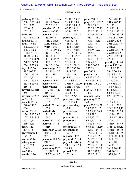#### Case 1:13-cv-03675-WBH Document 108-7 Filed 12/30/16 Page 388 of 519

Washington, D.C.

Paul Simone, Ph.D. November 7, 2016

| pathway 120:12 | 107:9,11 134:6   | 25:18 27:9,15       | picks 258:16       | 177:3 200:15    |
|----------------|------------------|---------------------|--------------------|-----------------|
| 200:15 201:4,8 | 178:18 216:6     | 28:4,15 39:9        | ping 95:21 172:7   | 201:4 202:19    |
| 201:17,20      | 253:7 263:21     | 39:13,15 40:11      | 172:9,15,20        | 210:12,16       |
| 202:6,13       | peoples 147:17   | 40:12,16,18         | 173:5,9 175:13     | 214:12,14       |
| 272:15         | perarticle 255:4 | 96:16 172:3         | 175:17 177:12      | 220:15 222:1,2  |
| pathways       | percent 17:14    | 190:11 254:16       | 177:19 178:2,6     | 222:20 223:16   |
| 202:18 272:18  | 18:9,10,18       | perusing 52:3       | 178:21 179:5,8     | 224:4,8 227:14  |
| patricia 52:17 | 19:12 20:4,8     | 61:7 63:16          | 179:11,14,15       | 227:16 262:6    |
| paul 1:17 2:1  | 20:12 94:12,16   | 128:8 132:18        | 180:11,14          | 265:4,9,13,17   |
| 4:2,10,135:8   | 94:19 104:11     | 141:8 159:16        | 183:15,19          | 266:3,14,19     |
| 8:3,10 12:8    | 104:16 110:2,6   | 164:3 176:16        | 184:19,19,22       | 267:15 269:10   |
| 13:1,141:13    | 110:7,11,15,17   | 180:17 186:19       | 185:4,9,14         | 269:10 270:5    |
| 41:20 47:20,21 | 110:18 111:15    | 187:18 199:7        | 186:14,22          | 272:3 273:5,13  |
| 132:12 148:21  | 111:19 112:2     | 204:5 205:5         | 187:11 188:1,7     | 273:14          |
| 228:20 247:9   | 112:21 182:16    | 208:6,18            | 204:4,8,9          | planting 149:20 |
| 274:17 275:3   | 214:1 260:14     | 219:21 225:2        | 242:7 243:7        | plants 4:17 5:6 |
| pay 54:12,20   | percentage 15:8  | 232:1 233:10        | 257:18             | 5:15 6:6 23:11  |
| 69:7 105:22    | 17:6 18:8 20:7   | 236:9 247:6         | pka 260:9          | 26:18 30:5,9    |
| 106:7 253:10   | 110:8 143:4      | 263:7 271:6         | place 31:19        | 34:18 35:12     |
| 253:10,11,12   | 183:12           | ph 1:17 2:1 4:2     | 66:13 67:22        | 47:18 49:7,11   |
| 254:19 255:3   | perfect 113:18   | 4:14 8:3 13:3       | 68:2 69:15,16      | 51:7,10,14      |
| 255:14 256:2   | perfectly 46:14  | 35:19 41:13,20      | plaintiff $1:63:3$ | 55:5 56:9,17    |
| 256:16         | performance      | 52:15,16 53:3       | 8:6                | 74:6,7 81:18    |
| payment 254:16 | 4:17 6:6 170:9   | 64:3 170:19         | plan 42:18 43:9    | 83:4 87:3,13    |
| 255:4          | 215:16           | 260:8,12,18         | 44:2               | 88:8,9,12,15    |
| payments 72:14 | performed        | 274:17 275:3        | planned 164:7      | 89:13,17 90:22  |
| pc 2:5 3:15    | 109:21 172:2     | pharmaceutic        | planning 42:9      | 115:2,3,7       |
| peak 97:12,17  | 181:9            | $1:13$ 275:4        | 43:6,8             | 116:4 117:9     |
| 240:4 241:2    | period 157:5,6   | pharmacology        | plant 27:9,16,21   | 118:21 122:9    |
| 266:1,1        | 167:8            | 39:15               | 28:5,12 31:15      | 124:8 125:7,13  |
| peaks 123:19   | periodicals      | pharmakon           | 35:5,8,15 36:3     | 125:18 126:2,8  |
| 126:22 127:3,7 | 121:15 122:2     | 77:20               | 36:8 39:21         | 126:14 127:12   |
| 127:15 265:18  | 256:2            | <b>phase</b> 186:10 | 40:5,13,17         | 128:1,17 129:6  |
| 265:20,21      | person 84:18,20  | philosophy          | 66:6,15 77:11      | 129:15,19       |
| 269:18,19      | personal 47:12   | 109:4               | 80:15 81:7,8       | 133:16 134:4,6  |
| peer 119:21    | 48:16            | phonetic 215:6      | 95:3 101:11,19     | 135:4 136:6,12  |
| 234:8,15       | personally 22:21 | phosphorous         | 102:13 114:18      | 136:15 138:10   |
| peerreviewed   | 23:4 27:14       | 150:17              | 115:16 117:15      | 142:18 147:19   |
| 175:13         | 259:4            | phrased 105:4       | 120:1,2,9,12       | 148:1,20 149:6  |
| peers 234:16   | personnel 84:22  | physical 123:18     | 122:12 123:7,8     | 149:11,20       |
| pelargonium    | 246:7            | phytochemistry      | 125:10 126:11      | 150:3,18        |
| 55:5 87:9      | pertain 40:5     | 34:21 35:1,2,4      | 126:15 127:1,8     | 152:13,18       |
| 206:3          | pertaining 17:7  | 39:4,7              | 128:22 129:20      | 160:1 161:12    |
| pen 232:4      | 20:8,18 21:7     | picked 70:22        | 131:3 152:7,8      | 161:20,21       |
| people $16:10$ | 22:7 23:4 24:5   | 165:19              | 162:17,19          | 162:9,14,16     |
|                |                  |                     |                    |                 |

Page 299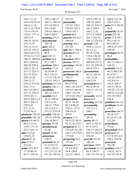Washington, D.C.

November 7, 2016

| 164:1,11,22       | 129:3 146:12     | 182:18             | 155:4 159:14     | 204:6 213:18     |
|-------------------|------------------|--------------------|------------------|------------------|
| 165:4, 10, 10, 14 | 164:13 180:19    | potentially        | 159:19 160:4     | 220:5 253:1      |
| 166:4,11,19       | 217:14 247:4     | 127:22 150:3       | 169:12 224:15    | price 67:1 69:18 |
| 167:1,18 170:8    | 252:10,20        | 150:22 152:3       | 243:3 244:9      | 70:4             |
| 172:4 176:19      | 259:16 260:1,6   | 154:8 181:1        | 245:1,7,16       | primarily 74:16  |
| 176:21 177:11     | 268:6 269:7      | potted 88:8        | 257:7,9 258:8    | prime 252:16     |
| 184:9,15          | pointing 253:5   | poured 162:9,17    | 261:3 263:22     | prior 11:8 59:3  |
| 188:16 191:8      | polysiloxane     | 166:4,8            | 266:12 276:14    | 59:11 62:13      |
| 191:13,19         | 182:16           | pouring 164:1      | present 3:20     | 80:7 88:13       |
| 193:11,12,13      | poor 165:2       | 167:20             | 34:8,11,12,12    | 109:2,10 133:7   |
| 193:18 195:17     | poorly 97:22     | ppb 243:1 244:4    | 94:1,2,11        | 149:19           |
| 196:6, 10, 15, 21 | 98:4             | practice 82:12     | 95:19 123:6      | privileged 44:22 |
| 197:4,11,17,22    | port 182:13      | 82:16              | 135:4 136:18     | 46:4             |
| 198:11 199:8,9    | portion 54:6     | practices 109:3    | 176:5 208:22     | probability      |
| 203:3 204:16      | 55:1 120:7       | precise 125:11     | 209:8,9 211:5    | 161:12 164:11    |
| 204:20 220:4      | portions 260:3   | precision $110:10$ | 211:15 239:19    | 164:22           |
| 220:21 221:4      | position 11:16   | 183:12             | 242:6 273:1      | probably 12:21   |
| 221:12 222:11     | 58:18 69:21      | precursor 206:6    | presentation     | 44:12 60:5,10    |
| 222:19 223:1      | 96:2 116:15      | preliminarily      | 93:12 163:14     | 91:4 92:7        |
| 228:3,5,10        | 117:14 128:10    | 145:17             | 163:15,16        | 125:22 138:17    |
| 230:12,15         | 128:15 193:11    | preliminary        | 164:2,19         | 142:4,8,14       |
| 234:12 235:20     | positions 217:19 | 94:13 97:8         | presented 94:11  | 143:4 164:17     |
| 236:1,7,11        | positive 144:17  | 144:1,16 145:9     | 96:14 99:14      | 165:2 170:15     |
| 242:7,9 245:7     | possibility      | 145:13 146:14      | 124:11 151:13    | 170:22 173:19    |
| 251:12 258:17     | 103:19 129:3     | 148:7 153:19       | 155:7            | 189:21 215:20    |
| 259:9 261:1       | possible 24:3    | 155:5,20 156:3     | presently 16:15  | 225:19 229:5     |
| 262:9 264:3,12    | 76:15 128:21     | preparation        | press 56:5       | 234:8            |
| 265:7 266:13      | 136:1,4,10       | 29:21 54:20        | pressing 167:10  | problem 241:12   |
| 270:9,22          | 146:21 179:8     | 86:3,9 88:21       | presumably       | problems 53:16   |
| 271:11,15         | 182:3 222:3      | 170:21 177:2       | 157:11,12        | 145:7            |
| 272:9,16,21       | 233:22 274:14    | 236:14,18          | 169:1            | procedure 46:15  |
| platform $130:10$ | possibly 128:16  | 259:9              | presuming        | 74:18 75:7       |
| plausible 142:18  | 129:15 158:20    | prepare 11:1       | 201:4            | 82:16 211:19     |
| please 8:9 48:13  | 234:10 261:7     | 54:12,21 85:21     | pretty $48:12$   | 211:20           |
| 90:14 111:4       | postdoc $35:20$  | 92:11,16 232:3     | 68:7,11 92:13    | procedures       |
| 119:5 171:15      | postdoctoral     | prepared 42:13     | 97:3 127:2       | 75:16            |
| 225:5 261:15      | 52:20            | 121:6,9 141:20     | 136:13 144:21    | proceeded 93:21  |
| plot 113:8,8      | posted $12:20$   | 142:7,13 174:9     | 203:19 230:19    | process $81:2$   |
| 210:22,22         | potassium        | 175:8,8            | 254:18           | 117:4 187:2,4    |
| plural $45:16$    | 150:17           | preparing 52:2     | prevail $135:18$ | 188:2 234:16     |
| plus 213:11       | potential 56:16  | 173:20             | 140:16           | processes        |
| 214:18            | 57:12 65:13      | presence 47:17     | previous 149:9   | 101:20           |
| point 32:8 45:7   | 105:2 110:21     | 55:4,9 56:8        | previously 12:13 | produce 116:17   |
| 71:18 90:14       | 111:7,9 121:16   | 74:8 120:9         | 83:5 134:17      | 118:21 167:1     |
| 92:17 128:19      | 147:22 154:18    | 122:21 146:8       | 141:7,9 157:18   | 167:19 191:9     |
|                   |                  |                    |                  |                  |

Page 300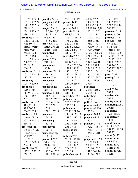Paul Simone, Ph.D. November 7, 2016

| 191:20 193:11    | profiles 221:5   | 218:7 245:19      | 40:12 52:2        | 168:9 170:5      |
|------------------|------------------|-------------------|-------------------|------------------|
| 193:18 197:22    | program $252:15$ | protocols 85:9    | 54:9 62:10        | 180:6 190:6      |
| 198:12 227:14    | 254:10           | 188:20            | 80:1 87:15,16     | 227:7 231:16     |
| 228:3,10         | project 23:18    | proven $269:1$    | 95:18 96:17,18    | 246:17           |
| 234:12 239:15    | 27:5,10,16,20    | provide 61:16     | 102:4 115:5       | pursuant 2:14    |
| 239:21 272:16    | 28:4 32:14       | 68:8,972:18       | 117:11,13         | pursue 76:20     |
| produced 11:4    | 69:20 84:9       | 109:11 150:17     | 119:22 120:5      | pursued 24:2     |
| 14:3 78:2,8,20   | 167:9 241:17     | 176:3 215:2       | 148:8 156:7       | put 42:14 43:5   |
| 79:5 80:14       | projects 18:19   | 220:2,14 231:7    | 171:21 172:1      | 45:13 62:3       |
| 81:8,1791:14     | 25:20 27:9,15    | 241:6 242:22      | 172:10 174:10     | 91:4 93:5        |
| 91:15 92:6       | 28:10 40:16      | 242:22 243:18     | 192:4 205:19      | 101:1 143:6      |
| 95:22 100:6      | prompted         | 243:21 244:3      | 217:21 220:20     | 148:22 162:8     |
| 159:12 168:12    | 142:15           | provided 52:7     | 221:11 222:14     | 162:15 165:12    |
| 191:13 195:17    | prone 239:3      | 58:6 59:5 76:9    | 229:22 231:21     | 172:19 185:5     |
| 200:2 203:2      | 240:18           | 87:14 96:5        | 234:1 247:18      | 202:11 231:5     |
| 265:3,12         | pronounce        | 117:4 173:6,16    | 250:8 251:1       | 234:14,22        |
| 266:22           | 86:16            | 179:8 180:12      | 254:15 255:9      | 235:17 239:22    |
| produces 101:11  | propane 238:19   | 182:11,15,21      | 255:21 256:1,3    | 264:7            |
| 101:20 114:18    | 239:13           | 182:22 190:11     | 256:5,7 257:5     | puts 12:16       |
| 117:15           | proper $47:9$    | 190:19 191:5      | 257:17 258:7      | putting 21:3     |
| producing        | properties       | 191:15 198:1      | 266:4 269:17      | 69:20            |
| 128:17 129:6     | 123:18           | 244:20 250:6      | 270:4             |                  |
| product 56:9     | proportional     | 269:2             | publisher         | $\mathbf 0$      |
| 57:5 116:6       | 239:15           | provides $111:11$ | 254:17 255:2      | quad 25:14       |
| 117:9 129:15     | proposal 144:1   | 241:18            | 256:8,18          | 207:11           |
| 156:18 167:1     | 146:9,10         | providing 122:8   | publishers        | quadrupoles      |
| 207:15           | 148:22 149:12    | public $2:15$     | 254:21            | 207:11           |
| production 91:9  | 153:5,6,10,14    | 255:5 276:17      | pull 179:14       | qualify 170:18   |
| 91:9,12,17       | 153:17,22        | 277:1,18          | purchase 68:10    | qualifying 206:2 |
| 92:1 206:7       | 155:8,11         | publication       | purchased 150:1   | 207:18           |
| 236:7 262:8      | 158:11 252:5     | 70:11 121:16      | 155:13            | qualitative      |
| products 56:3    | proposals        | 146:16 175:12     | purport 205:7     | 162:8 185:7      |
| 140:9 168:19     | 256:15           | 189:22 217:15     | purported 185:3   | qualitatively    |
| 207:15 264:16    | proposing        | 234:13 254:20     | 267:18            | 182:1            |
| 264:18           | 152:12           | 255:15 256:12     | purpose 77:16     | quantification   |
| professor $4:11$ | prospectus       | 256:15,16         | 172:21 176:15     | 6:19 103:20      |
| 5:8 11:17 12:9   | 170:15           | publications      | 176:17 177:15     | 104:17 192:20    |
| 13:2,4 15:5      | protection 3:7   | 183:10            | 185:1 217:10      | 207:17           |
| 64:12 95:21      | 108:10           | publish 73:5      | 250:3             | quantify 122:11  |
| 121:2,12         | protocol 24:6    | 96:20 144:18      | purposes $41:2,9$ | quantitation     |
| 199:10 249:14    | 31:2 81:3        | 155:6 157:21      | 51:20 63:8        | 66:4 99:9        |
| 254:14           | 94:14 104:7      | 161:8 192:6       | 90:18 91:20       | quantitative     |
| profile $126:22$ | 108:11 142:16    | 254:12,17         | 120:20 132:7      | 181:6 185:7      |
| 127:2,13 221:7   | 143:2,6 153:21   | 256:19            | 141:3 148:14      | quantitatively   |
| 259:10           | 188:16 211:4     | published 40:11   | 156:14 159:3      | 182:1            |
|                  |                  |                   |                   |                  |

Page 301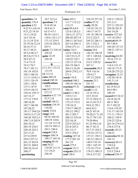Washington, D.C.

November 7, 2016

| quantities 1:8    | 10:7 22:2,4          | rates 105:2         | 218:18 257:10   | 224:11 230:22         |
|-------------------|----------------------|---------------------|-----------------|-----------------------|
| quantity 176:4    | questions 7:5        | 111:7 112:2,2       | realize $47:12$ | 231:3,11              |
| question 4:22     | 9:14 45:16           | 112:15              | really 29:20    | 237:11 252:22         |
| 8:22 9:1,4,8,16   | 54:8 61:5            | ratio 99:4,8,9      | 118:18 141:21   | 256:20 261:8          |
| 9:21,22 14:14     | 63:13 67:1           | 123:8 126:3,3       | 144:17 167:5    | 261:19,20             |
| 15:11,19,22       | 90:10 114:11         | 126:5,15 127:2      | 191:18 198:18   | receive 137:2,8       |
| 16:5 18:16        | 118:6 132:1,17       | 206:20 207:14       | 215:2 222:5     | 137:18 254:1          |
| 21:13,19 22:8     | 171:15 219:5         | 240:11 267:6,8      | 245:22 246:11   | received 68:19        |
| 22:19 24:12,14    | 219:18 228:22        | 267:14 269:11       | 251:3 252:1     | 85:788:8              |
| 36:10 37:11       | 247:5                | 270:8 271:11        | 259:19 272:17   | 105:20 137:15         |
| 43:17 44:21       | quick 7:5 218:18     | <b>ratios</b> 116:3 | reason $10:6$   | 190:21 197:11         |
| 45:2,4 46:3,7     | 228:22               | 123:6 124:2,4       | 142:18 146:10   | 199:8                 |
| 48:5,8,15 51:3    | quite 12:19          | 124:7,9,13,15       | 147:1 148:8,8   | receiving 64:20       |
| 58:2 67:12        | 229:10               | 124:22 125:1        | 154:12 167:7    | 70:16 137:11          |
| 71:4 73:15        |                      | 125:13 127:14       | 215:2 239:22    | recess 90:1           |
| 74:13 76:7        | $\bf R$              | 263:19 266:5        | 267:11          | 114:4 131:13          |
| 78:17 101:11      | r 3:1 8:1 113:12     | 266:13,18,20        | reasonable 20:5 | 144:10 171:9          |
| 101:18 102:8      | 113:19               | 269:8 270:2,13      | 70:9 116:16     | 218:20 273:22         |
| 105:3 106:18      | r2 113:12            | 271:1               | 129:4,17        | recognize 12:12       |
| 111:3 118:8,11    | raise 260:18         | reach 135:8         | 187:13 228:8    | 132:20 141:6          |
| 119:3 126:19      | <b>raised</b> 100:16 | reached 100:2       | reasons 21:3    | 141:11,14             |
| 129:1 130:6       | ramifications        | 189:10 196:16       | 241:15          | recollection          |
| 137:3 147:9       | 128:2                | reaction 97:21      | rebuttals 11:4  | 62:19 83:21           |
| 153:9 154:15      | ran 24:2 217:13      | 206:16              | recall 11:12    | 84:5 99:1             |
| 154:16 159:17     | 217:13               | read 61:3 88:2      | 12:14 19:11     | 189:19                |
| 167:15,17         | ranaivo 4:21 7:9     | 119:5,7,11          | 23:5 25:22      | record 8:9 10:12      |
| 177:13 178:9      | 52:17,18             | 143:16 164:8        | 27:12 28:8,13   | 10:18 26:19           |
| 180:18,20         | randall 148:21       | 172:13 173:3        | 44:13,18 51:5   | 48:11 90:5            |
| 182:7 186:20      | random 134:19        | 178:10,12           | 58:9,12 59:1    | 91:7 102:22           |
| 187:20,22         | 134:20               | 179:17 180:22       | 60:6 62:2       | 114:6 119:10          |
| 191:17 194:2,6    | randy 152:6          | 195:12 199:2        | 64:21 65:14     | 131:17 143:19         |
| 194:9, 13, 17, 19 | range $14:6$         | 201:2 203:7         | 70:20,21 71:10  | 171:11 178:11         |
| 194:20 195:3,5    | 94:18 104:10         | 208:15 219:16       | 76:17 78:7,10   | 180:21 195:9          |
| 198:7,19 202:9    | 109:19 110:6         | 222:10,18           | 79:20 80:6      | 218:22 225:6          |
| 202:10,12         | 111:18 113:19        | 223:9 225:4,7       | 81:22 84:2,14   | 261:16 274:2,4        |
| 203:19 210:3      | 165:19 184:11        | 233:8 247:2         | 86:17 92:11     | 276:4 277:8           |
| 220:10 225:3      | 243:1 244:4          | 261:15,17           | 93:7,13 103:2   | <b>records</b> 143:21 |
| 227:17,21         | ranged $124:9$       | 275:5 276:2         | 119:16 137:11   | 160:21                |
| 237:4 239:9       | ranges 109:14        | reading $147:16$    | 137:21 138:11   | recoveries 94:16      |
|                   |                      |                     |                 |                       |
| 254:2 257:11      | 109:17 165:18        | 177:5 201:18        | 142:12 144:12   | 183:12                |
| 261:13 263:9      | ranging $88:10$      | 261:19              | 146:9 153:18    | recovery $94:13$      |
| 267:21 268:8      | rate 54:21           | reads 275:5         | 158:1 165:19    | 110:2,6               |
| 268:10,14,16      | 110:20 111:15        | reagent $151:3$     | 172:18 173:4    | <b>redo</b> 232:20    |
| 268:17            | 111:18,21<br>226:10  | reagents $253:12$   | 174:15 190:13   | 233:5 234:4           |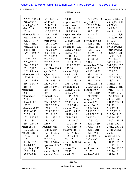Paul Simone, Ph.D. November 7, 2016

| 239:2,12,16,20     | 53:5,14 55:9     | 34:10                | 177:15 222:13     | report 7:10 45:7 |
|--------------------|------------------|----------------------|-------------------|------------------|
| 240:4 277:7        | 65:13 67:8       | regulation 57:8      | rely 161:7,8      | 45:12,13,17,18   |
| reducing 260:5     | 70:16 71:7       | regulations          | 173:2 176:14      | 45:21 49:1       |
| <b>refer</b> 172:9 | 79:13 85:3       | 13:14 14:1,18        | 176:17 191:7      | 53:6 54:1        |
| 251:9              | 86:3,8 87:7,12   | 53:7 128:3           | 191:22 192:1      | 60:19 62:3,8     |
| reference 13:20    | 87:17,19 88:21   | regulatory 56:9      | 195:15 197:21     | 72:17 73:11,18   |
| 55:21,22 56:12     | 89:3,12,15       | relate 19:14,14      | 199:22            | 74:15,20 75:1    |
| 62:7 77:1,3,9      | 93:1 105:1       | 29:4,10 110:8        | relying $100:4,6$ | 93:17 94:8       |
| 77:21 78:3,9       | 106:11 120:5     | 111:6,9              | 100:8 117:12      | 96:5,7,8,10      |
| 78:12,21 79:5      | 130:10 135:10    | related 18:11,19     | 118:22 119:12     | 99:18 100:1,3    |
| 80:6 173:1         | 160:22 200:1     | 22:20 27:4,5,6       | 119:17 172:21     | 101:5 102:3,11   |
| 179:16 180:15      | 200:19 217:19    | 29:5,739:5           | 183:19 184:18     | 109:1,5 115:1    |
| 181:18,19          | 231:9 236:6      | 47:16 48:5           | 184:19,22         | 117:17 122:8     |
| 182:9 185:9        | 254:5 258:7      | 92:18 141:16         | 193:10 198:11     | 123:5 145:3      |
| 209:6 223:21       | 259:9 266:12     | 161:19 167:11        | 231:2             | 146:7 157:22     |
| 226:15 228:20      | 272:14           | 173:8 227:17         | remember 23:20    | 161:7,19 167:7   |
| 235:16,18,21       | regardless 156:8 | 277:10               | 44:10,16,17       | 173:7 174:21     |
| 267:18 269:3       | regards 65:7     | relates $20:8,9$     | 60:12 132:22      | 175:1,2,7        |
| referenced 80:1    | region $177:1$   | 47:17 57:4           | 138:17 140:18     | 176:11,15        |
| 137:6 176:12       | 209:1,10 215:4   | 113:5 139:21         | 143:16 163:6      | 177:5 178:2,6    |
| 176:20 216:5       | 229:17 232:21    | 201:21 233:12        | 163:11 178:4      | 178:21 181:11    |
| 236:11 243:9       | 233:6 234:4      | 236:7 264:1          | 178:22 217:12     | 183:3,11,16      |
| 258:13             | 236:13 249:8     | relating 19:22       | 217:16 270:20     | 185:1,2 188:11   |
| references         | 249:11 258:19    | 20:1,14 25:20        | remind 90:7       | 191:21 193:14    |
| 236:16             | 259:1            | 26:22 29:1           | 114:8 131:19      | 198:10 199:2     |
| referencing        | regional 122:21  | 36:15 39:21          | 171:12 219:1      | 199:20 200:1,6   |
| 20:15              | 133:18 134:14    | 50:5 79:14           | reopen $274:7$    | 200:7,8 201:2    |
| referred 11:7      | 224:14 227:13    | 92:19 160:4          | repaired 25:9     | 201:19 202:18    |
| 172:7              | 228:2,9 230:4    | 161:8 231:9          | repeat $14:13$    | 208:13,16        |
| referring 32:17    | 230:8,11,18      | relation 33:4        | 15:14 16:3        | 214:17,17        |
| 56:12 69:12        | 231:8 233:12     | 48:22 53:4,12        | 24:11 27:18       | 216:5,17,19      |
| 76:3 81:21         | 233:16,18,22     | 54:19 62:6           | 45:3 58:2 71:4    | 217:20 236:22    |
| 122:15 125:7       | 234:11 235:15    | 72:16 75:6           | 73:15 78:16       | 237:19 242:5     |
| 137:1 186:1        | 235:20,22        | 79:12 104:22         | 119:3 130:5       | 244:22 249:16    |
| 234:7 244:16       | 236:6            | 107:21 114:15        | 147:9 159:16      | 249:17 252:7     |
| refers $28:14$     | regions 87:10    | 179:14 254:15        | 177:13 178:9      | 256:22 257:1,5   |
| 103:3 233:16       | 88:6 133:14      | relative 110:11      | 182:6 185:17      | 258:1 261:20     |
| reflect $76:10$    | 193:13 196:6     | 110:17 112:3         | 197:9 198:6       | 266:9            |
| 157:6 159:13       | 196:11 205:18    | 176:4 206:1          | 211:10 227:21     | reported 1:22    |
| 159:18             | 209:2 212:7      | 277:12               | 254:2 263:8       | 75:8 88:16       |
| reflects 157:9     | 216:10 228:6     | relatively 31:10     | repeatedly        | 104:19 105:17    |
| refresh 83:21      | regression 113:2 | 94:18                | 166:11            | 115:17 117:7     |
| regarding $12:17$  | 113:4            | release 56:4         | rephrase 9:4      | 128:14 177:22    |
| 16:21 22:1         | regular $274:15$ | 79:17                | 21:21             | 178:14,16        |
| 32:17 49:10        | regulated 34:9   | <b>relied</b> 100:11 | replace 238:9     | 181:10,12        |
|                    |                  |                      |                   |                  |

Page 303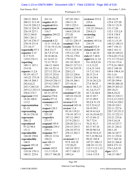Paul Simone, Ph.D. November 7, 2016

| 188:21 204:4     | 261:16          | 187:20 194:1       | reviewer 235:4    | 120:10,19      |
|------------------|-----------------|--------------------|-------------------|----------------|
| 208:21 213:10    | require 44:21   | 194:11,19          | 235:6             | 125:6 127:20   |
| 214:19 220:2,5   | required 68:6   | 195:3 225:3        | reviewers         | 128:13 131:9   |
| 220:12 224:19    | requirement     | restroom 114:2     | 232:22 234:6,6    | 131:17,20      |
| 226:19 227:1     | 116:7           | 144:8 218:18       | 234:8,13          | 132:1 133:2,9  |
| 243:2 244:8      | requires 249:22 | 273:20             | reviewing         | 135:8 138:4    |
| 250:1 261:2      | 255:3           | result 57:19       | 234:17            | 140:9 141:1    |
| 267:10 270:17    | research 4:22   | 127:21 220:15      | reviews $145:5,6$ | 142:11,15,19   |
| 270:19 271:9     | 13:11 15:9,16   | resulted 174:9     | 234:19            | 144:12 148:13  |
| 271:10,17        | 17:16 19:13,16  | results 74:15,16   | reward 252:4      | 149:7 156:13   |
| reportedly 97:3  | 20:8 23:17      | 93:21 145:9,16     | richard 63:20     | 160:2 161:11   |
| reporter 2:15    | 26:7,9 27:14    | 155:3,5,7,20       | 64:11 66:19       | 168:18 169:22  |
| 8:17 9:19        | 28:18 40:16     | 178:16 179:4       | rick 65:7 68:8    | 170:4,20 171:6 |
| 119:9 274:11     | 61:16 67:11     | 179:10,21          | right $8:8,11,14$ | 171:13 172:4,5 |
| reporting        | 72:13 79:13     | 181:10 182:9       | 9:6 10:8,9,10     | 172:14 173:4   |
| 109:11 187:1     | 146:12 164:8    | 204:21 217:2,3     | 11:5,13,22        | 177:9,16 180:5 |
| 214:10           | 201:14 221:4    | 217:16 219:19      | 12:4,15 14:8      | 183:2 188:10   |
| reports $11:2,6$ | 227:12 252:14   | 220:2,13           | 15:7,12 18:1      | 189:4 190:4,14 |
| 95:19 143:17     | 252:15 253:6    | 225:12 228:6       | 20:13 21:4        | 191:3,16       |
| 143:22 175:18    | 253:16,20,22    | 230:11 234:10      | 23:14 24:4        | 192:13 195:13  |
| 186:14 204:3     | 254:4,9 256:11  | 236:18 246:1       | 25:16 26:2,21     | 197:20 199:6   |
| 242:6,8,21       | 257:4,5 258:7   | 257:10,16          | 27:8 30:10        | 199:20 200:10  |
| 243:3 244:3,8    | 259:4 270:10    | retained $44:7,14$ | 36:11 38:2,17     | 200:19 203:21  |
| 245:2,3 253:13   | researchers     | 173:10             | 41:1,6,15,17      | 205:18,21      |
| 258:6 272:7      | 85:15 257:9     | retention 97:20    | 42:7,16 44:4      | 206:8,18,22    |
| represent 15:8   | reserve 274:6   | 169:18 216:22      | 44:13 45:7        | 208:12 210:11  |
| 18:20 108:8      | resolve 97:12   | 240:11,13          | 47:13 49:9        | 213:2,12 219:2 |
| 113:2            | resonance 6:9   | reverse 9:18       | 50:2,8 51:19      | 219:8,14 220:1 |
| representation   | 170:11          | reversed 145:16    | 52:5 53:4,12      | 220:10 224:1   |
| 91:19            | respect 128:3   | review 11:6        | 54:19 59:2        | 225:11 227:6   |
| representing     | respected       | 95:10 119:21       | 60:18 61:6,9      | 228:7,19 231:5 |
| 48:16 276:10     | 255:10          | 176:10 187:11      | 63:14,18 64:22    | 231:15 232:11  |
| represents       | respective      | 187:12 189:3       | 67:15 68:12       | 232:21 233:6   |
| 206:12           | 271:17          | 217:9 220:11       | 70:7 72:4         | 234:5,16,18    |
| reproduced       | respond 195:9   | 220:20 221:11      | 76:21 81:3        | 235:14 237:7   |
| 97:22 98:4       | responds 239:2  | 234:15 235:3       | 82:17 87:16       | 241:21 242:2   |
| 151:3            | 239:11          | 236:10 257:4       | 89:20 90:5,8      | 244:1,10       |
| reproducible     | response 70:7   | 258:12 262:3       | 90:16 92:4,15     | 246:16 247:7   |
| 144:20 158:6     | 109:22 113:6    | 265:1              | 93:7,14 96:2,6    | 251:11 252:6   |
| reproducibly     | 194:21          | reviewed 11:2      | 99:22 105:8       | 257:7 262:16   |
| 148:9            | rest 100:13     | 97:9 143:18        | 107:21 108:13     | 265:21 266:8   |
| request 195:10   | 258:7           | 172:20,22          | 108:18 111:21     | 269:6 271:12   |
| requested        | restate $102:8$ | 183:18 185:2       | 112:5 113:1,12    | 274:1,6,9,10   |
| 119:10 178:11    | 111:3 153:9     | 187:7 188:15       | 113:14,22         | rigor $115:3$  |
| 180:21 225:6     | 185:17 186:20   | 189:2,4            | 114:6 115:9       | 144:15 148:7   |
|                  |                 |                    |                   |                |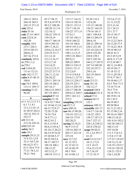# Case 1:13-cv-03675-WBH Document 108-7 Filed 12/30/16 Page 394 of 519

Paul Simone, Ph.D.

Washington, D.C.

November 7, 2016

| 184:12 185:6                     | 83:17 94:15                      | 115:17 116:21                  | 93:20 116:3             | 19:2,6,17,21               |
|----------------------------------|----------------------------------|--------------------------------|-------------------------|----------------------------|
| 244:18 245:5                     | 95:5,8,19 97:9                   | 124:14 128:16                  | 122:6,20                | 21:11,15,22                |
| 245:15 271:21                    | 99:2,5 108:20                    | 128:21 133:13                  | 133:12 148:20           | 22:5,13,16                 |
| risk $252:4$                     | 108:20 111:14                    | 135:7 136:18                   | 156:21 164:10           | 23:1 24:13                 |
| risks $53:16$                    | 122:10,12                        | 136:22 137:1,4                 | 179:16 181:5            | 25:1 27:7                  |
| role 27:14 149:5                 | 156:22 159:15                    | 137:8,11                       | 188:1 199:4,8           | 29:15 30:17                |
| root 152:8,14                    | 159:19,19                        | 147:10 150:11                  | 200:13 204:19           | 33:9 34:4                  |
| 162:20                           | 160:17 166:16                    | 154:8 160:22                   | 206:6,18                | 35:13,22 36:9              |
| roughly 18:9                     | 185:9 205:16                     | 165:18 166:6                   | 208:21 209:16           | 36:13,20 37:5              |
| 213:1 226:3                      | 209:17,18,21                     | 169:9 191:5,15                 | 220:2 221:20            | 37:14,22 38:4              |
| 235:9 245:21                     | 210:6, 12, 14, 17                | 193:19 197:1                   | 223:10 224:14           | 39:19 40:3,9               |
| 260:8,12                         | 210:18 211:7                     | 198:1,3,13,15                  | 229:8 232:20            | 40:22 41:5                 |
| 267:16 271:4                     | 211:12,16                        | 199:5,18 204:3                 | 238:8 239:1             | 43:2 45:5,19               |
| routinely 103:6                  | 212:13,16,17                     | 205:8,11                       | 242:5 243:16            | 46:8,11,17,19              |
| rr 270:1,1,2                     | 213:2,7,16                       | 208:22 209:9                   | 244:2,17 247:9          | 47:2,10 48:7               |
| rs 270:1                         | 214:14,22                        | 209:13 210:13                  | 247:14 249:20           | 48:11,14 49:8              |
| rsd 110:8,20                     | 215:2,5,15,17                    | 210:21 211:5                   | 252:10 257:3            | 49:19 50:17                |
| 111:6 112:21                     | 215:22 217:13                    | 212:2,6,9                      | 258:5,16                | 51:18 52:12                |
| rule 142:17,17                   | 226:11,12,16                     | 213:4 214:6,8                  | 262:19 264:4            | 53:11,20 54:2              |
| rules 8:15 46:15                 | 226:20,22                        | 216:8,11 217:9                 | 266:11                  | 57:9,17 58:3               |
| 100:8                            | 229:11 245:14                    | 218:3,5 224:17                 | scale 213:21            | 59:10 60:1,17              |
| run 74:5 109:8                   | 245:18 246:2                     | 224:19 225:1                   | scan 181:18             | 63:5 70:6 71:5             |
| 113:11 169:17                    | 247:16,17                        | 225:13 229:19                  | 182:12,17               | 73:10 75:14                |
| running $51:22$                  | 248:4,14 249:2                   | 236:17 248:20                  | scanned 160:8           | 76:5 77:8                  |
| 90:20                            | 267:18 269:3                     | 249:8,12 250:5                 | scheduled 151:4         | 78:18 79:11                |
| S                                | sampled 87:14                    | 259:1 261:2,3                  | school 37:4             | 80:19 81:14                |
|                                  | samples 31:10                    | 272:3                          | science 64:13           | 82:1 83:2                  |
| $s$ 3:1 4:1,5,13 5:1             | 32:4 52:7 58:6                   | sampling 239:19                | 122:1                   | 86:19 88:3                 |
| 6:17:18:1                        | 61:18 66:13,14                   | sat 45:7,11                    | sciences 199:12         | 89:20 90:4                 |
| 13:1,3,3 41:13<br>41:20 47:20,21 | 66:15 72:9,17                    | save 209:16                    | scientific 101:17       | 91:11,21 92:3              |
| 192:22 252:13                    | 72:20 73:20                      | saw 96:15 99:20                | 114:17 116:16           | 97:13 98:2,16              |
| 252:17                           | 74:18 75:6                       | 124:16 125:1,2                 | 118:22 129:5            | 99:10,16 100:7             |
| s11212:14                        | 76:9 77:1,1                      | 164:19 173:9                   | 129:17 187:13           | 100:15,18,22               |
| 213:16 224:16                    | 80:22 81:2                       | 202:20,21                      | 216:7 227:12            | 101:9,16 102:2             |
| s112 225:18                      | 82:5,15 83:4                     | saying 32:18,21                | 228:1,8 230:13          | 102:20 104:13              |
| safety 56:3                      | 84:6,15 85:4,7                   | 46:9 115:15                    | 243:8 270:22            | 106:13,19                  |
| sake 10:1                        | 85:10,17,20,22<br>86:3,9 87:8,10 | 129:16 202:15<br>203:17 222:19 | scope 50:20,21          | 107:10,20<br>111:5 114:3,5 |
| sample 29:21,21                  | 87:20 88:5,17                    | 235:18                         | 51:1,3,6 59:17<br>61:22 | 115:8 117:18               |
| 31:8 32:1,2,9                    | 88:22 94:2,4                     | says 12:7,22                   | scott 3:4 4:3 8:7       | 117:22 118:4,9             |
| 32:11 65:3,18                    | 94:17 105:17                     | 41:12 55:2                     | 10:11,17,21             | 118:12,15,18               |
| 66:16,21 67:1                    | 105:18 106:1                     | 61:15 62:13                    | 12:3 14:15              | 118:19 119:5,7             |
| 67:3 70:4 77:9                   | 106:12,22                        | 65:16 66:19                    | 15:6, 12, 15, 21        | 119:14 120:18              |
| 77:21 78:3,12                    | 107:5,12,17                      | 69:3 70:8                      | 16:7,16,19              | 124:21 125:5               |
| 78:21 79:6                       | 109:10 115:11                    | 83:14 88:1,5                   | 17:12 18:17             | 126:1,10,20                |
|                                  |                                  |                                |                         |                            |

Page 305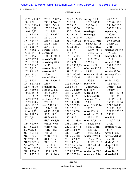Paul Simone, Ph.D. November 7, 2016

| 127:9,19 130:7               | 237:21 238:2,5            | 121:4,5 122:13               | seeing $69:20$            | 24:7 25:5                     |
|------------------------------|---------------------------|------------------------------|---------------------------|-------------------------------|
| 130:17,22                    | 243:14 246:15             | 123:2,10                     | 173:5 203:15              | 123:20 176:3                  |
| 131:9,16 136:8               | 248:11 249:9              | 127:13,15                    | 266:16,19                 | 250:16 265:21                 |
| 139:3,10,19                  | 257:22 260:21             | 128:5 133:20                 | 267:14                    | 265:22 276:6                  |
| 140:6, 15, 22                | 261:15,21                 | 133:21 134:6                 | seeking 9:2               | separating                    |
| 143:13 144:9                 | 262:15 266:7              | 135:19 146:20                | seemingly                 | 250:19                        |
| 144:11 145:14                | 267:3,5,22                | 150:5,19 151:6               | 220:14                    | separation 50:1               |
| 146:17 147:7                 | 268:4,8,12,18             | 155:17 156:22                | seen 12:13 91:3           | 50:6 119:21                   |
| 147:20 148:4                 | 273:9,18,21               | 157:4,11,12,12               | 92:5,7 133:18             | 240:16,20                     |
| 148:12 151:9                 | 274:1,10                  | 157:12 158:3                 | 134:9 141:7,9             | 251:4                         |
| 151:18 152:19                | screen 153:16             | 159:6,7,9                    | 159:10 168:15             | separations 39:6              |
| 153:2 154:4,14               | screening                 | 164:14,15                    | 168:16 172:15             | 39:12,13                      |
| 155:10 156:12                | 146:14 150:14             | 165:3 168:15                 | 173:3 178:20              | september $11:21$             |
| 156:22 157:8                 | search 79:18              | 168:20 170:12                | 189:6 193:7               | 170:11                        |
| 159:1 161:10                 | searching 28:5            | 175:15,21                    | 226:15                    | series 113:10                 |
| 161:22 163:2                 | 30:12                     | 176:6 183:1,13               | select 85:21              | 132:15 207:11                 |
| 163:12,16,21                 | season 216:4,10           | 188:4,5,7                    | selection 86:3,8          | 228:16                        |
| 167:14 168:7                 | seasons 88:7              | 189:17 193:2,3               | 88:21                     | service 82:20                 |
| 169:4 170:3                  | 89:10,11                  | 199:7 200:16                 | selective 103:16          | services 72:13                |
| 171:7,10                     | second 139:2              | 200:17 204:6                 | 103:18 238:17             | 82:11                         |
| 173:18 174:14                | 219:16 250:12             | 204:17 205:1,2               | 240:3,9                   | set 26:17 70:18               |
| 174:16 175:2,4               | 258:4                     | 205:9,10 206:4               | selectivity               | 72:2 93:14                    |
| 175:6 178:10                 | secondly 8:21             | 206:5,9,10                   | 241:19 242:1              | 105:14,14,15                  |
| 178:17 180:4                 | section 232:20            | 209:3,22 210:9               | sell 140:9                | 108:19,19                     |
| 180:20 181:2                 | 233:5 234:4               | 211:7 217:20                 | seller 264:15             | 111:14 112:10                 |
| 184:3 186:12                 | 235:8,10                  | 220:7,8,17                   | selling $264:16$          | 112:17 135:7                  |
| 186:21 187:9<br>187:21 188:6 | sections 232:10<br>232:10 | 221:1,15,16                  | seminar 92:17             | 140:19 153:6<br>153:13 158:14 |
| 190:3 192:12                 | see 12:10 13:6            | 223:10,17,18<br>224:3 226:13 | 93:1,8<br>send 83:3 93:16 |                               |
| 194:3,8,16,22                | 13:16 21:19               | 226:17,18                    | 106:22                    | 171:6 207:13<br>218:13,13,15  |
| 195:6, 11, 22                | 41:12 55:6,18             | 229:1,13 230:1               | sense 103:14              | 222:22 225:17                 |
| 196:13 197:3                 | 56:21 58:6                | 230:2,6,7                    | sensitive 103:15          | 250:12                        |
| 197:10,16                    | 61:20 62:16               | 232:16,17                    | 103:18 252:1              | sets 105:16                   |
| 198:8,20                     | 63:22 65:8,19             | 233:1,2 238:14               | sent 82:9,11,19           | 115:2 270:1                   |
| 199:17 200:9                 | 66:9,17 67:6              | 238:21 239:5,6               | 84:6,15 86:4              | 272:7                         |
| 201:15 202:4                 | 67:18 69:10               | 242:13 244:14                | 88:17 153:11              | setting $59:9,12$             |
| 203:9 212:5                  | 70:13 73:21               | 244:15 245:9                 | 153:17,22                 | 85:9                          |
| 213:17 214:3                 | 74:8 75:16                | 247:11,12,19                 | 198:13 228:21             | seven 110:12                  |
| 216:16,20,21                 | 76:16 77:20               | 249:2 252:18                 | sentence 93:20            | sevenandahalf                 |
| 217:7 218:19                 | 81:1 83:19                | 257:13 258:9                 | 116:2,2 128:7             | 268:10                        |
| 218:21 222:17                | 94:5 95:13                | 258:10,20,21                 | 133:12 155:17             | shakes 9:12                   |
| 223:6 224:12                 | 104:10,14                 | 261:9 263:2,16               | 181:5 208:20              | shape $29:11$                 |
| 225:4,10 227:5               | 105:12 109:13             | 263:17 264:8                 | 264:2,4                   | 196:21                        |
| 228:14 230:17                | 112:8,18,21               | 267:8,15 272:4               | sentences 268:2           | share $101:5$                 |
| 231:14 237:18                | 113:13 116:9              | 272:5 273:19                 | separate $23:10$          | shared $49:1$                 |
|                              |                           |                              |                           |                               |

Page 306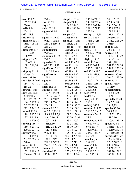# Case 1:13-cv-03675-WBH Document 108-7 Filed 12/30/16 Page 396 of 519

Paul Simone, Ph.D.

Washington, D.C.

November 7, 2016

| sheet 158:20                       | 270:4                            | simpler $137:4$               | 246:16 247:7                     | 54:15 61:2                    |
|------------------------------------|----------------------------------|-------------------------------|----------------------------------|-------------------------------|
| 169:20 190:19                      | shut 25:21                       | simply $24:15$                | 249:18 252:6                     | 62:9 64:18                    |
| 276:6                              | shy $9:3$                        | 104:9 109:6                   | 257:2 262:16                     | 73:15 74:12                   |
| sheila $3:14$                      | side 100:10                      | 149:6 160:14                  | 269:6 271:12                     | 153:9 175:4                   |
| 274:11                             | sigmaaldrich                     | 241:4                         | 273:19                           | 178:8 184:4                   |
| shift 171:8                        | 124:2                            | single $30:21$                | sitting $43:12,18$               | 191:18 192:15                 |
| ship 107:13                        | signal 94:19,22                  | 32:8 103:6                    | six 28:21 29:4                   | 204:10 214:11                 |
| shipment 83:18                     | 97:21 113:5,9                    | sir 8:9,11 10:10              | 131:6 242:8                      | 214:22 216:20                 |
| 88:13 106:12                       | 210:22 239:15                    | 11:5,13,22                    | 244:16                           | 261:14                        |
| 139:2,5                            | 239:21                           | 14:8 15:7 19:7                | size 186:4                       | sounds $10:9$                 |
| shipments 137:1                    | signaltonoise                    | 22:6,10 23:2                  | slide $91:14$                    | 20:5 201:13                   |
| 137:15,18                          | 99:4,7,9                         | 24:4 25:16                    | 92:12,21 93:1                    | source 94:20                  |
| 138:9,9                            | signature $41:19$                | 26:21 27:8                    | 93:8,12                          | 146:21 147:22                 |
| shipped 85:22                      | 276:9                            | 30:10 38:17                   | slightly $73:16$                 | 150:22 152:3                  |
| 107:6,9,17                         | signed $41:22$                   | 41:1,1542:7                   | small $15:3,4$                   | 154:8,18                      |
| 138:15,18,20                       | 42:3 121:7,10                    | 48:15 51:19                   | 65:17 247:15                     | 201:19 229:10                 |
| 139:1                              | significant 55:2                 | 53:12 59:2                    | 247:21 248:2,8                   | 254:11 255:13                 |
| shipping $82:11$                   | 144:20 260:3                     | 60:18 61:9                    | soil 87:19 89:3                  | sourced 82:13                 |
| 82:19 106:1                        |                                  | 63:18 64:22                   | 89:16 161:13                     | sources $150:16$              |
| shoot 131:10                       | significantly<br>158:8           | 70:7 76:21                    | 164:13 165:5                     | 204:21 253:20                 |
| short 89:21 90:6                   |                                  | 90:16 92:4                    | 176:22 196:17                    | south $13:5$                  |
|                                    | signs $211:8$<br>212:1           |                               | 223:14 236:13                    |                               |
| 114:7 171:7,11                     |                                  | 93:7,14 96:6                  |                                  | speak 136:16<br>137:10        |
| 218:22                             | silica 182:16<br>similar $116:5$ | 99:22 113:12<br>113:22 120:19 | 258:19,22                        |                               |
| shotgun $136:17$<br>show 9:13 82:3 | 123:9 124:10                     | 127:20 128:13                 | 262:1,5,8<br>soils 149:20        | specialization<br>14:9 33:20  |
|                                    | 125:15 176:13                    | 133:2 135:8                   | sold 264:2                       | 34:21                         |
| 92:12,21 93:1<br>93:8,12 136:12    | 207:19 240:7                     | 138:4 141:1                   |                                  |                               |
| 136:12 169:12                      | 245:14 264:13                    | 142:15 144:12                 | solely 240:13<br>255:6           | specialty 14:20<br>15:2 29:20 |
| 203:7 221:18                       | 264:14                           | 148:13 149:7                  | solidify 146:11                  |                               |
| 223:12 242:17                      | simone 1:17 2:1                  | 156:13 160:2                  | solution 259:22                  | 33:11,19<br>species $33:16$   |
| showed 98:19                       | 4:2,7,10,13,21                   | 161:11 168:18                 |                                  | 34:3,5,18                     |
| 119:22 137:2,9                     | 5:3,8 6:3 7:3,9                  | 169:22 170:4                  | 260:2,7,13,15<br>solutions 34:13 | 122:22 123:6                  |
|                                    | 8:3,10 10:18                     |                               |                                  |                               |
| 137:22 145:9<br>145:16 229:20      | 10:22 12:8                       | 170:20 171:6                  | 34:14                            | 151:5,10<br>220:15 239:19     |
|                                    |                                  | 173:4 177:9<br>180:5 183:2    | somebody 35:19                   |                               |
| showing $136:19$                   | 13:1,1,10                        |                               | 45:20 46:12                      | specific $54:8$               |
| 159:13 211:12                      | 41:13,20 47:20                   | 188:10 190:4                  | 99:1 103:5                       | 143:15 167:16                 |
| 220:20 221:12                      | 47:21 64:10                      | 190:14 192:13                 | 142:19 201:13                    | 189:19 212:14                 |
| shown $98:5,9$                     | 90:7 114:8                       | 195:12 197:20                 | 235:21 253:9                     | 216:10 238:10                 |
| 133:14 187:3<br>204:22 265:17      | 131:19 132:12                    | 200:10 205:21<br>206:18,22    | 268:22                           | specifically 19:5             |
|                                    | 148:21 219:1                     |                               | somebodys                        | 39:6,12 48:6                  |
| 270:6                              | 228:20 247:9                     | 208:12 213:12                 | 254:19                           | 57:16 60:7,13                 |
| shows 80:11                        | 274:3,17 275:3                   | 219:20 220:1                  | soon 274:14                      | 60:14 68:6                    |
| 97:17 151:22                       | simones $21:10$                  | 224:1 225:11                  | sorry $19:15$                    | 79:21 92:13                   |
| 159:19 193:17                      | simple $49:22$                   | 227:6 228:7,19                | 23:11 27:18                      | 102:10 159:11                 |
| 266:4,4 269:10                     | 50:14 198:22                     | 231:5,15 244:1                | 41:6 43:16                       | 160:18 196:8                  |
|                                    |                                  |                               |                                  |                               |

Page 307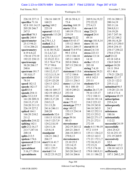# Case 1:13-cv-03675-WBH Document 108-7 Filed 12/30/16 Page 397 of 519

Washington, D.C.

Paul Simone, Ph.D. November 7, 2016

| 226:18 237:11   | 156:16 160:19    | 49:16 50:4,11      | 269:9,16,19,22   | 193:16 200:11    |
|-----------------|------------------|--------------------|------------------|------------------|
| specifics 71:16 | 160:21           | 73:4               | 272:22,22        | 200:14,19        |
| 82:8 181:14,15  | spring $169:2$   | starting $168:19$  | 273:4,13         | 203:11,16        |
| 205:20 246:7    | 225:19           | starts $133:6$     | steven 8:10      | 204:8,9,11       |
| 247:5           | squared 113:12   | 149:19 175:11      | stop 224:21      | 216:19,20        |
| specified 70:3  | squareds 113:20  | 219:19             | stopped 24:4     | 243:7 247:16     |
| specify 240:9   | sr 270:1         | startup 52:22      | 49:14            | 247:22 248:2     |
| spectrometer    | ss 270:1,1,3     | state 8:8 43:17    | storage 181:8,14 | 248:10,14,20     |
| 25:13 94:21     | stalled 21:2     | 155:12 184:8       | store 181:16     | 249:3,15 250:5   |
| 113:6 206:21    | standard 6:14    | 266:11 269:17      | stored 88:18     | 250:8 254:15     |
| spectrometry    | 6:16 30:19,22    | stated 73:8 97:6   | street 2:6 3:8   | 254:17 258:22    |
| 4:19 6:8,22     | 31:2,4,7,21      | 99:3 135:4         | stress 223:13    | 270:4 273:6      |
| 170:10 175:19   | 32:3,7,8,12,17   | 155:3 184:10       | stricter 13:14   | stuff 23:22      |
| 192:22 238:13   | 32:19,22 33:1    | 185:11 188:9       | 14:18            | 45:18 145:4      |
| spectroscopy    | 33:3 76:4 77:4   | 203:8 204:6        | strike 115:13    | 156:9 265:9      |
| 38:20 206:17    | 77:17 99:6       | 207:13 230:10      | 203:10           | subject 10:20    |
| 240:6           | 108:1,2 110:11   | 254:7              | string $7:4,10$  | 18:11 39:4       |
| spectrum 181:7  | 110:12,13,17     | statement 115:6    | structures 39:21 | 45:1 46:6        |
| 181:8,8,17      | 112:3,3,13,14    | 117:2 184:6        | student 52:15    | 179:21 228:22    |
| speculation     | 112:20 113:8     | 222:13 223:5       | 69:8 142:5       | submit 121:17    |
| 78:14           | 122:9 123:20     | 223:11 236:3       | 253:11           | 121:21 122:2     |
| speed 182:12    | 124:13 125:2     | states $1:1,5,3:6$ | students 92:9    | 255:11,12        |
| speeds 182:17   | 127:1,14         | 56:1 108:10        | 254:13           | submitted 96:5   |
| spell 83:8      | 146:16 169:17    | 183:9 249:21       | studies 26:17,19 | 119:20 121:16    |
| spends 254:11   | 182:19 189:2,5   | 253:18             | 79:14 135:17     | 145:4 171:4      |
| spike 32:2,5,9  | 190:10,17,18     | stationary         | 172:2 184:11     | subpoena 68:19   |
| 161:20 209:21   | 209:13,17,20     | 186:10             | 184:18 191:14    | subscription     |
| 210:15,17,19    | 210:5,12         | stem 175:12        | 218:2 223:12     | 255:4,14         |
| 210:20 211:13   | 211:13,20        | stenotype 277:7    | 236:19 243:8     | subsequently     |
| 226:19 227:2    | 241:6 246:11     | step 149:22        | 244:18 245:5     | 24:2             |
| spiked 164:1    | 268:20           | 155:13 234:14      | 248:12 252:11    | substances       |
| 166:20 210:2    | standards 32:6   | 259:17             | 252:13 253:2     | 180:16           |
| 211:2           | 110:13 113:10    | steps 59:16        | 260:22 271:17    | substantially    |
| spikedin 210:22 | 116:5 123:7,9    | 80:13              | 271:21 272:1     | 112:22           |
| spiking $162:1$ | 124:2,5,8,10     | stereoisomer       | 272:10           | successful 24:19 |
| split 212:16,17 | 124:11,16        | 262:19 263:12      | study 6:11 96:19 | successfully     |
| 213:7 247:16    | 125:8,14         | 265:21 266:5       | 97:2 115:9       | 24:6 25:4,5      |
| 248:14          | standpoint       | 266:18 269:11      | 135:11 136:2,5   | 52:16 251:15     |
| splits $213:5$  | 126:21 246:2     | 270:8,13           | 139:12 163:3     | 251:19 269:9     |
| spoken 174:6    | 266:17           | stereoisomers      | 171:21 172:1,7   | successively     |
| sponsored 23:14 | start $9:1641:7$ | 23:10 25:5         | 172:10,10,13     | 32:5             |
| spot $10:7$     | 182:11,14        | 123:14,15          | 172:15,21        | sufficient 115:2 |
| spreadsheet     | 183:1 253:7      | 250:16,20          | 173:5 174:10     | 158:10 162:13    |
| 5:16,17 159:4   | started 13:4     | 263:20 264:12      | 179:8 180:9,11   | sufficiently     |
| spreadsheets    | 18:22 23:19,22   | 265:16 266:6       | 181:11 186:22    | 187:1 260:2,19   |
|                 |                  |                    |                  |                  |

Page 308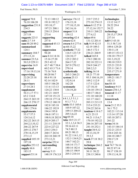# Case 1:13-cv-03675-WBH Document 108-7 Filed 12/30/16 Page 398 of 519

Washington, D.C.

Paul Simone, Ph.D. November 7, 2016

| suggest 70:8      | 72:13 100:12    | surveys 176:12                 | 219:7 235:2         | technologies    |
|-------------------|-----------------|--------------------------------|---------------------|-----------------|
| 76:18 106:20      | 191:8 192:2,7   | 176:15,18                      | 273:18 274:15       | 13:12 14:17     |
| suggestion 231:8  | 193:10,17       | 177:10,15,18                   | taken 8:12 27:8     | 28:22 29:4      |
| 234:3             | 197:21 200:1    | 242:16,16                      | 37:12,16 152:7      | 38:22           |
| suggestions       | 230:13 254:4    | suspect 31:8                   | 210:11 268:22       | technology      |
| 217:18            | 273:4           | 154:12                         | 277:4,12            | 28:15,17 29:8   |
| suggests 223:5    | supporting      | swearing 42:4                  | takes 69:6          | 237:14          |
| suite 2:7 3:9     | 257:8           | swore 62:4                     | 131:12 201:4        | tell 9:3 43:18  |
| sum 88:20 89:2    | supposed 45:13  | sworn 8:4 277:6                | talk 9:19 42:15     | 51:3 58:7,10    |
| summarized        | 100:9           | sy 68:15,22                    | 42:19 109:3         | 109:6 129:20    |
| 124:1             | suppression     | synthetic 77:22                | 146:5 172:1         | 130:11,18       |
| summary 184:7     | 94:20           | 116:5 123:7,9                  | 236:21 260:9        | 149:15 153:13   |
| 271:13,14         | sure 8:14 14:16 | 124:10,17                      | <b>talked</b> 165:8 | 158:10 179:17   |
| summer 23:5,6     | 15:16 27:20     | 125:2 203:2                    | 174:3 200:18        | 181:3,19,22     |
| 50:3,9 229:11     | 29:3 42:12      | 264:17,22                      | 202:18 222:11       | 190:10 219:5    |
| supervise 16:9    | 43:7 48:7 58:4  | 267:9 270:12                   | 234:9 244:17        | 225:21 233:9    |
| supervised        | 60:2 63:3 71:6  | 270:14                         | 268:2,3,5           | 235:11 241:3    |
| 17:16 19:13,16    | 73:16 76:8      | synthetically                  | talking 16:14       | 255:17 271:9    |
| supervising       | 80:20 86:7      | 265:3 266:21                   | 18:21 77:10         | temperature     |
| 22:20 25:18       | 88:491:18       | system $25:13$                 | 95:3 104:16,19      | 109:21 181:7    |
| 28:11             | 92:14 102:9     | 152:9,14                       | 109:2 112:9         | 182:13          |
| supervisory       | 105:5 106:20    | 162:20                         | 117:5 122:6         | ten 88:10       |
| 27:14 28:1        | 111:6 113:13    | systematic                     | 127:10,10           | tendency 9:15   |
| supplement        | 124:22 130:8    | 134:19,20                      | 134:10 139:13       | tenure 254:1,5  |
| 56:11,17 57:1     | 141:21 144:9    | T                              | 140:17 146:4        | tenured 11:17   |
| 65:2 116:8        | 147:10 151:21   |                                | 151:10 160:20       | 11:18           |
| 264:15 265:19     | 159:18 177:14   | $t$ 4:1,1,5 5:1,1              | 161:17 164:1        | tenuretrack     |
| 266:15 270:17     | 179:12 180:19   | 6:1,17:1,1<br>table 53:5 105:6 | 203:13 213:15       | 13:4            |
| supplemental      | 182:8 185:18    |                                | 215:4 233:21        | term 21:2 35:3  |
| 100:1 274:6       | 186:22 192:9    | 105:9 107:22<br>109:13 204:22  | 254:22 263:6        | 36:1 75:2       |
| supplements       | 194:4 195:8     |                                | tandem 4:18 6:7     | 102:21 113:14   |
| 55:17 57:3        | 196:8 197:11    | 205:3,6,22                     | 6:21 25:15          | 113:14 157:20   |
| 124:3,4,12        | 198:9,18 202:9  | tag $69:18$<br>take 10:5 21:17 | 94:21 113:6,7       | 185:18 207:1    |
| 262:22 263:15     | 202:9 205:17    |                                | 170:10 192:22       | 261:22          |
| 264:2,5,10,12     | 211:11 218:19   | 32:1,1,3,436:3<br>59:16 63:11  | 206:16 207:10       | terms $34:16$   |
| 266:22 267:9      | 223:4 227:22    | 74:5 80:13                     | 241:18 252:1        | 143:15 184:14   |
| 269:12 270:7      | 234:3 254:3     | 89:21 90:13                    | taught $38:9,12$    | 232:21 233:5    |
| 270:14,15,19      | 260:17 263:6    | 91:22 114:1,12                 | 38:13,18,19         | 234:4 243:16    |
| 273:1,5           | 263:10 268:19   | 132:3 134:9,21                 | 39:3,5              | 244:18 248:7    |
| supplied 105:19   | 273:12,21       | 144:7 162:21                   | teach 37:18 38:2    | 250:17,19       |
| 197:18            | surprise 252:4  | 168:14 171:7                   | 39:8                | 272:2           |
| supplies $253:12$ | surrounding     | 180:14 182:4                   | technique 266:2     | test 74:7 76:16 |
| supply 66:6       | 62:15           | 188:15 190:9                   | techniques          | 80:22 87:14     |
| 183:15            | survey $5:13$   | 205:3 210:14                   | 30:11 38:22         | 98:17 158:19    |
| support $53:14$   | 148:19 176:3,9  |                                | 238:13 240:6        | 159:13,14,18    |

Page 309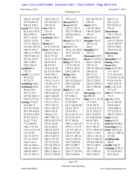Paul Simone, Ph.D. November 7, 2016

| 166:21 167:20      | 218:2 225:12     | 272:11,12        | 267:10 270:18               | 240:11,13                     |
|--------------------|------------------|------------------|-----------------------------|-------------------------------|
| 217:9 245:19       | 237:10 255:17    | thereof 88:15    | 270:19                      | 241:1,2,16                    |
| 248:13 259:5       | 259:10,12        | theres 93:20     | third 122:6                 | 253:10,10,11                  |
| tested 75:7 76:8   | tests 150:11     | 122:21 181:5     | 133:10 149:8                | 274:15                        |
| 82:5 83:5 87:8     | 213:14           | 183:17 190:14    | 149:19 226:4                | timerelease                   |
| 88:22 89:13        | text 258:16      | 228:20 234:21    | 247:13                      | 150:1 155:14                  |
| 107:1 116:21       | textbook 103:3   | 259:16           | thms $31:13$                | <b>times</b> 103:10           |
| 124:15 135:9       | 214:1            | thevis 5:8 121:2 | thought 184:17              | 110:15 120:14                 |
| 137:21 146:22      | thank $65:7$     | 121:2,12         | 191:12,14                   | 131:6 169:19                  |
| 147:2,8 193:19     | 83:15 274:10     | theyre $31:19$   | 264:3                       | 195:19 196:3                  |
| 196:15 197:5       | thats 15:18 16:4 | 34:11,12 126:9   | thoughts 5:9                | 225:9 251:20                  |
| 198:1,13 199:5     | 16:9,22 26:4     | 127:2 214:10     | 247:14                      | timestamps                    |
| 199:19 205:12      | 26:21 27:22      | 270:9            | thousand 103:9              | 229:6                         |
| 212:16 218:5       | 36:11,11 37:17   | theyve $253:1$   | three 11:10 41:4            | timetable 67:3                |
| 246:3 249:1        | 46:19 47:6       | thing 9:17 61:4  | 88:6,7 184:21               | timing $138:6$                |
| 259:2 261:4        | 48:10 52:1       | 112:9 136:14     |                             | tissue 66:6                   |
| testified 8:5      | 57:6,6 61:10     | 139:14 156:4     | 193:13,13<br>195:19 196:3,6 |                               |
|                    |                  |                  |                             | today 8:22 10:5<br>11:1 16:15 |
| 272:13             | 62:3,5,18 70:4   | 224:5 245:15     | 196:10,10                   |                               |
| testify $11:143:4$ | 78:4,5 94:7      | things $30:6$    | 207:5,7,11                  | 17:5 18:4 19:1                |
| 44:2,5,22          | 96:6,9 108:2     | 69:15 80:1       | 210:20 225:1                | 21:10 43:12,18                |
| 47:12,15           | 110:1,3 115:5    | 181:16 216:10    | 225:12 228:5                | 91:20 116:16                  |
| testifying 160:2   | 116:20 117:11    | 224:5 233:20     | 236:16 239:14               | 160:3 253:16                  |
| testimony 44:8     | 119:1 133:5      | 259:5,20         | 242:5 248:20                | todd 1:22 2:14                |
| 49:10 53:6         |                  |                  |                             |                               |
|                    | 134:21 144:18    | think 21:11,19   | 248:22                      | 277:3,17                      |
| 107:3 115:1        | 158:4 163:16     | 22:19 31:10      | threepage $12:6$            | told 47:19 48:1,2             |
| 145:20 184:17      | 164:5 166:20     | 47:5 48:11       | tie 205:18                  | 171:3                         |
| 276:4 277:5,9      | 170:17 172:16    | 56:21,22 57:2    | time 11:11 15:10            | top 44:6 57:6                 |
| testing $27:9,15$  | 173:11 175:3     | 57:19 58:9       | 17:5 18:3                   | 61:15 105:10                  |
| 33:4 40:12         | 179:7 181:13     | 64:13 68:20,20   | 19:22 20:15                 | 159:8 164:7                   |
| 52:7 57:10,20      | 183:1 185:22     | 70:5,5 78:11     | 21:6 22:6 23:3              | 178:4 200:13                  |
| 58:5 59:4 62:6     | 189:8 191:6      | 78:19 79:1       | 23:21 25:6,17               | 217:22 231:3                  |
| 62:8 65:5 68:4     | 194:6, 13, 13    | 82:12 85:11,13   | 64:7,12 65:21               | 246:11 254:12                 |
| 70:19 72:8,17      | 200:7 201:12     | 92:15,22 97:4    | 67:9,10 69:4,6              | topic $53:18$                 |
| 76:22 77:4,5       | 202:9,10 212:4   | 97:17 99:20      | 69:19 70:9                  | topics $45:21$                |
| 77:22 80:10        | 215:6 219:8      | 100:13 103:2,4   | 71:15 72:14                 | total 88:20 89:2              |
| 106:2 115:16       | 221:6 222:5      | 107:11 113:15    | 95:11 96:12                 | toxicology 5:11               |
| 119:1, 12, 17, 19  | 228:18 232:9     | 117:18 118:13    | 97:21 109:8,19              | trace 102:16,21               |
| 121:14,18          | 236:16 244:5     | 120:6 137:20     | 116:11 119:4                | 103:2,2 198:14                |
| 122:15 137:9       | 245:15 247:4     | 143:17 149:14    | 128:11 135:16               | 213:20                        |
| 137:12 138:5       | 248:2 251:22     | 159:12 182:21    | 162:15 166:10               | traditionally                 |
| $160:3$ 161:1      | 253:15,15,16     | 187:3 202:8,8    | 167:8,8 169:18              | 104:8                         |
| 165:14 166:6       | 253:18 254:13    | 207:15 209:7     | 185:15 186:3                | traffic $246:22$              |
| 166:14 188:16      | 254:13 260:4     | 216:4 217:14     | 186:13,15                   | training $35:8,15$            |
| 188:20 189:5       | 260:12 264:13    | 226:17 232:9,9   | 187:3 209:16                | 35:18,20 36:2                 |
| 191:15 197:12      | 267:21 270:10    | 239:14 264:8     | 229:3 235:9                 | 36:3,14,22                    |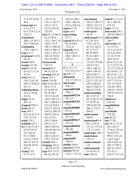#### Case 1:13-cv-03675-WBH Document 108-7 Filed 12/30/16 Page 400 of 519

Washington, D.C.

Paul Simone, Ph.D. November 7, 2016

| 37:6 39:14,20            | 118:13,16                     | 103:19 104:1        | uncommon                      | united $1:1,5,3:6$     |
|--------------------------|-------------------------------|---------------------|-------------------------------|------------------------|
| 40:4                     | 125:11 142:17                 | 130:1 186:16        | 104:12 109:17                 | 56:1 108:10            |
| transcript 4:6           | 143:3 172:3                   | 221:6 224:5,6       | 220:21 221:12                 | 253:18                 |
| 5:2 6:2 7:2              | 211:6 234:16                  | typed $41:19$       | 251:22 256:14                 | units 157:11           |
| 9:13 274:12,15           | 252:20                        | types $14:9$        | undergrad                     | universal 239:3        |
| 276:3,7                  | turn 41:15 60:21              | typewriting         | 38:16                         | 239:18 240:2,7         |
| transitions              | 82:2 105:6                    | 277:7               | understand 8:18               | universality           |
| 206:2,15 207:1           | 133:2 149:7,18                | typical $69:6,9,13$ | 9:7,10 10:3                   | 240:7                  |
| 207:3 208:4,8            | 164:4 175:9                   | 69:18 99:6          | 15:22 18:15                   | university 4:9         |
| translation              | 188:12 200:10                 | 176:2,8             | 42:3,13 46:21                 | 11:15 12:7             |
| 179:1 180:11             | 204:13 208:12                 | typically 31:8      | 47:3 73:13                    | 13:2,12 16:21          |
| trap $25:13$             | 216:17 232:11                 | 34:8 69:16          | 80:18 90:9                    | 18:3,22 28:6           |
| treatment 14:10          | 236:22 252:6                  | 160:1 202:13        | 91:16 100:7                   | 31:16 37:19            |
| 26:18                    | 253:19 258:1                  | 239:12              | 105:3 129:1                   | 38:8 52:22             |
| trend 238:8              | turnaround                    | U                   | 131:22 139:20                 | 64:4,15,17,18          |
| trends 215:20            | 274:15                        | u 5:1 6:1 7:1       | 165:8 174:1                   | 71:1,22 72:10          |
| trial $42:15,19$         | turned 92:2                   | 93:2 252:13,17      | 180:1 186:15                  | 72:11,12 83:16         |
| 43:4,11,11,14            | 99:18 251:4                   | ug 108:1,7          | 194:9 198:19                  | 83:18 84:7,13          |
| 43:19                    | turning $249:16$              | ultimately          | 202:8 203:17                  | 88:13 91:1,12          |
| tried 143:12             | turns $251:2$                 | 121:17 235:13       | 203:18 219:4,5                | 91:16,22 107:6         |
| 158:2 161:20             | twice 154:20                  | ultraviolet         | 221:17 222:19                 | 107:7 133:16           |
| 249:13 250:22            | two 10:18 38:13               | 238:11              | 250:2 266:20                  | 141:18 142:9           |
| 251:13                   | 49:21 57:3                    | umpsht001088        | 266:21 268:15                 | 142:20 149:5           |
| trihalomethan            | 67:16 88:10                   | 148:17              | 268:22 274:8                  | 168:12 170:19          |
| 14:2,5 30:20<br>34:14    | 93:22 94:1                    | umpsht002154        | understanding<br>46:15 47:15  | 199:10 229:12<br>254:8 |
|                          | 123:15,16,19<br>124:2 207:3,5 | 231:19              |                               | unknown                |
| triple $25:14$<br>207:11 | 207:7 208:8,11                | umpsht002361        | 56:15,20 57:12<br>57:18 97:14 | 210:19                 |
| tropical 199:11          | 213:14 214:9                  | 121:1               | 189:9 201:20                  | unpublished            |
| truck 26:13              | 214:15 229:19                 | umpsht004885        | 206:11 221:3                  | 145:3                  |
| true 109:7               | 234:21 240:14                 | 63:10               | 264:21                        | unreliable             |
| 222:16 253:13            | 240:22 241:4                  | umpsht005487        | understated                   | 155:20                 |
| 276:3 277:8              | 241:15,18                     | 227:10              | 245:8                         | ups 84:22              |
| truth $135:3$            | 243:3 244:8                   | umpsht005617        | understood 9:9                | usa 77:20              |
| truthful $227:1$         | 245:2,13,17                   | 132:10              | 92:1 114:10                   | use 30:11 31:21        |
| try 9:16,19 10:7         | 248:8 250:14                  | umpsht005965        | 131:21 171:14                 | 36:1 68:13             |
| 27:20 34:19              | 250:20 265:15                 | 246:20              | 171:17 219:3                  | 77:4,22 78:3,8         |
| 78:2 86:16               | 265:18,20                     | umpsht00682         | undertake 104:7               | 78:20 79:5             |
| 97:11 98:8               | 269:12,18,19                  | 190:8               | undertaken                    | 99:6 113:5,14          |
| 114:13 179:9             | 270:1 272:21                  | umpsht687           | 133:13                        | 114:2 144:7            |
| 203:15 221:9             | twolab 248:1                  | 190:16              | undetermined                  | 185:9 203:14           |
| 234:20 257:6             | twopage 141:4                 | unable 145:6        | 1:8                           | 203:17 207:2           |
| 267:4                    | 168:10 227:8                  | unaware $79:10$     | unfortunately                 | 207:22 210:5           |
| trying $23:9$            | type 59:17 67:2               | unclear 90:10       | 25:14 91:13                   | 211:4,13               |
| 37:11 47:3               | 68:2,4 70:19                  | 114:11 171:16       | unit 150:10                   | 218:17 237:14          |
|                          |                               |                     |                               |                        |

Page 311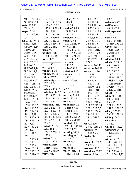#### Case 1:13-cv-03675-WBH Document 108-7 Filed 12/30/16 Page 401 of 519

Paul Simone, Ph.D.

Washington, D.C.

November 7, 2016

| 240:15 241:4,6  | 191:2,4,16                      | verbally 9:12      | 14:17,19 15:3   | 69:7            |
|-----------------|---------------------------------|--------------------|-----------------|-----------------|
| 241:8 273:20    | 194:5 198:1,13                  | verify 98:8        | 15:8 16:13      | welcomed 47:1   |
| useful 237:13   | 199:4 216:22                    | 118:10             | 17:1,7 18:5,6   | wellfounded     |
| 239:9,10        | 217:8,18 218:5                  | version $78:3,8$   | 18:20 19:14     | 46:19 47:5      |
| usepa 13:14     | 228:17,21                       | 78:20 79:5         | 26:16,18 27:1   | wellrespected   |
| 14:18 34:9,10   | 231:7 237:10                    | 270:14             | 27:5 28:16      | 220:6           |
| 108:7,10        | 246:22 250:6                    | versions $224:7,7$ | 29:1,6,8 30:1,5 | went 45:22      |
| usp 23:20 40:11 | 252:11 253:2                    | versus 20:2        | 30:7 31:11,14   | 82:14 143:18    |
| 49:12,14,16     | 255:20 256:13                   | 210:22 213:9       | 34:8 89:16      | 235:16 253:22   |
| 50:4,10,11,14   | 259:2 265:2                     | view 139:11        | 162:9,12,17     | weve 89:20      |
| 50:19 52:6      | usually $31:9$                  | 166:22 191:8       | 164:1 165:12    | 107:17 225:17   |
| 54:10,12 55:11  | utilities 13:13                 | 193:17 202:22      | 166:4,9,16,20   | 265:18 268:1,4  |
| 57:11,13,19     | 14:17 26:16                     | 243:7 271:22       | 167:11,21       | 268:10          |
| 58:6,7,14,17    | uvvis 38:20                     | viewed 176:2       | 196:17 223:13   | whatnot 68:3    |
| 58:21,22 59:3   |                                 | viewpoint          | 224:5           | whats 12:5 41:2 |
| 59:15 60:3      | V                               | 243:17             | watered 166:11  | 43:10 44:3      |
| 61:17 62:1,14   | v1:7275:4                       | visible 238:11     | watering 166:19 | 51:20 63:7      |
| 71:7,14,18,21   | validated 66:3                  | volatile 65:17     | way 9:2 14:10   | 87:15 97:7      |
| 72:4,7,19       | validity 243:8                  | volition 142:21    | 21:5 29:11      | 111:21 117:13   |
| 73:19 74:2      | valley 169:2                    | 142:22             | 31:22 33:1      | 148:14 159:2    |
| 75:7 76:9,22    | variability 216:5               | volts 182:19       | 35:745:6        | 168:8 170:5,16  |
| 79:18 80:11,12  | 235:20,22                       |                    | 73:17 74:11     | 180:6 192:14    |
| 80:21,21 81:16  | 236:6                           | W                  | 103:10 105:5    | 192:16 194:16   |
| 82:6 84:9,17    | variance 113:15                 | w 3:5              | 111:6 115:14    | 227:7 231:16    |
| 84:20 85:2      | variation 176:22                | waived 256:18      | 134:21 139:4    | wheat $1:14$    |
| 86:5,10 87:4    | 227:13 232:21                   | waiving 256:9      | 140:7 156:4     | white 58:15,16  |
| 87:14 105:18    | 234:4 236:13                    | walk 210:10        | 185:5 196:21    | 68:12 70:8      |
| 106:6,15,21     | 258:18 262:1,7                  | wall 255:3         | 202:11 210:4    | 85:6 86:11      |
| 107:8 115:17    | variations 88:15                | want 21:16,22      | 211:17 217:14   | 121:21 133:7    |
| 116:21 117:7    | 220:22 221:13                   | 54:16 67:13        | 222:6 223:5,7   | 151:21 228:17   |
| 117:10,14,19    | 222:12 223:15                   | 88:1 113:13        | 232:22 234:6    | widely 176:22   |
| 119:1,13,18     | 224:15 228:6                    | 149:9 195:1        | 234:15 241:5    | 236:12 258:18   |
| 128:14 129:11   | 233:6, 13, 16, 18               | 231:8 237:3,5      | 256:6 261:2     | willing $106:7$ |
| 129:14 132:11   | 233:22 234:11                   | 247:2 261:10       | 264:7           | willynilly      |
| 132:15,21       | 262:5                           | wanted $70:17$     | ways 29:20      | 234:22          |
| 133:6 139:2,5   | varied 125:13                   | 73:5,12 146:10     | 234:21 250:20   | wilson 68:16,22 |
| 139:14,21       | varies 108:19<br>236:12 258:18  | 233:18 235:1       | website 4:9     | withdraw 24:14  |
| 144:1 146:9     |                                 | wanting $140:9$    | 12:16 56:5      | 187:22 210:3    |
| 149:1,12        | 272:9                           | washington 1:18    | wed 66:12       | 267:3           |
| 151:13 153:3    | variety 21:3                    | 2:83:10            | 210:14          | witness $2:17$  |
| 153:11,17       | 103:1 272:9                     | wasnt 76:11        | week 11:9 99:20 | 10:19,20 11:2   |
| 155:12 165:15   | various $26:16$<br>33:16 193:13 | 140:8              | 99:21,21        | 14:13 15:1,14   |
| 166:6 167:13    | 205:6 236:19                    | watch 48:13        | weekend 11:9    | 16:6,18 17:10   |
| 167:20 172:15   |                                 | water 13:13,14     | weeklong 26:17  | 18:15 19:4,19   |
| 188:20 190:20   | vary 176:21                     | 13:21 14:3,4       | weeks 11:10     | 22:18 24:11,22  |
|                 |                                 |                    |                 |                 |

Page 312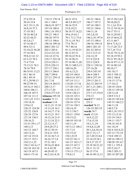Washington, D.C.

November 7, 2016

| 27:4 29:14     | 174:15 178:14     | 46:21 47:6     | 183:21 186:6    | 49:15 50:2,4,8 |
|----------------|-------------------|----------------|-----------------|----------------|
| 30:16 33:8     | 181:1 184:1       | 48:5,949:3,17  | 186:17 187:5    | 50:10,20,21    |
| 34:2 35:11,18  | 186:8,19 187:7    | 50:16 52:9     | 187:16 188:3    | 51:1,3,6 52:6  |
| 36:8,18 37:3   | 187:18 188:4      | 53:8,19,21     | 193:21 194:6    | 53:12 54:10,14 |
| 37:10 38:2     | 194:1,18 195:3    | 56:18 57:14,22 | 194:11,18       | 54:17 55:11    |
| 39:18 40:2,8   | 195:21 196:5      | 59:6,1963:1    | 195:2,8,18      | 58:13,20 65:1  |
| 42:22 44:21    | 196:20 197:9      | 70:1 71:2 73:6 | 196:2,18 197:6  | 65:15 66:8,22  |
| 45:3,8,17      | 197:15 198:6      | 75:11,1976:1   | 197:13 198:4    | 67:11 68:7     |
| 47:16 48:17    | 198:18 199:16     | 77:6 78:13     | 198:16 199:14   | 69:4 71:8,13   |
| 49:6 52:11     | 200:5 201:12      | 79:7 80:16     | 200:3 201:10    | 71:17,20 72:5  |
| 53:10,22 56:20 | 202:3 203:6       | 81:11,19 82:21 | 201:22 203:4    | 72:7,16 73:4   |
| 57:16 58:2     | 212:4 213:18      | 86:12 87:21    | 212:3 213:15    | 76:22 79:12,18 |
| 59:8,21 61:12  | 216:14 217:6      | 89:18,22 91:6  | 216:12,19       | 92:18,19 93:2  |
| 63:3,15 70:3   | 218:17 222:10     | 91:18 96:21    | 217:4 222:8     | 93:21 95:18,21 |
| 71:4 73:8      | 223:4 224:11      | 97:18 98:11,20 | 223:2 224:9     | 96:16 97:11,15 |
| 75:13,21 76:3  | 225:8 228:13      | 99:12 100:5,13 | 228:11 230:16   | 97:16 98:3,8   |
| 78:16 79:9     | 237:17 238:1      | 100:16,20      | 237:16,20       | 98:10,17       |
| 80:18 81:13,21 | 243:13 246:6      | 101:6,13,21    | 238:4 243:10    | 101:10,17      |
| 83:1 86:14     | 248:7 249:6       | 102:19 104:4   | 246:4 248:5     | 103:5 104:12   |
| 88:1 89:19     | 257:21 259:15     | 106:9,16 107:2 | 249:4 257:19    | 105:2 106:8    |
| 97:1,20 98:13  | 261:7,18          | 107:14 111:1   | 259:13 261:5    | 114:15 117:6   |
| 98:22 99:14    | 262:14 264:21     | 114:20 117:16  | 262:12 264:19   | 117:10,12      |
| 101:8,15 102:1 | 268:13,17         | 117:20 118:1,7 | 267:1,21 268:1  | 120:10 124:6   |
| 104:6 106:11   | 273:17,20         | 118:10,13,17   | 268:7,9,15      | 128:13 129:10  |
| 106:18 107:5   | 274:8 277:5,9     | 119:8 120:13   | 273:7,15 274:9  | 129:13,18      |
| 107:16 111:3   | witnesss $195:10$ | 124:18 125:3   | 274:13          | 130:9 131:2    |
| 114:1,22 115:1 | wonder 71:11      | 125:20 126:6   | word 97:7 165:2 | 144:18 145:6,8 |
| 118:14,16      | woolson $3:14$    | 126:16 127:4   | 253:3           | 145:15 146:2,3 |
| 119:6,12       | 14:11,21 15:10    | 127:16 130:3   | worded 74:13    | 146:11,18      |
| 120:15 124:20  | 15:13,18 16:3     | 130:14,19      | 126:19 203:19   | 148:5,7,9      |
| 125:22 126:8   | 16:14,17 17:8     | 131:5 136:7    | words 74:7      | 149:1,16 153:3 |
| 126:18 127:6   | 18:13,21 19:3     | 138:21 139:8   | work 15:3,9     | 153:13,15,16   |
| 127:18 130:5   | 19:15,18 21:9     | 139:15,22      | 16:9,12,22      | 153:19 154:5   |
| 130:16,21      | 21:13,18 22:3     | 140:10 143:10  | 17:6,15,18      | 154:11 155:7   |
| 131:8 139:1,17 | 22:12,15,17       | 145:11,19      | 18:2,11,19      | 156:18 161:8   |
| 140:3,13       | 24:9,20 27:2      | 147:5,12 148:2 | 19:4,8,12,20    | 161:18,19      |
| 143:12 144:7   | 29:12 30:14       | 151:7,15       | 20:1,2,6,10,14  | 162:4 163:4,22 |
| 145:13,22      | 33:6,21 35:9      | 152:15,22      | 20:17 21:1,7    | 167:12 172:14  |
| 147:14 151:8   | 35:16 36:7,11     | 154:1,9,19     | 22:7,20 23:4,8  | 174:8 189:13   |
| 152:17 153:1   | 36:16 37:1,8      | 155:22 161:3   | 23:14,19 24:1   | 189:16 190:12  |
| 154:3,11,22    | 37:21 38:1        | 161:15 163:1,7 | 24:5,17 25:17   | 190:20 191:4,7 |
| 156:2 161:6,17 | 39:16,22 40:6     | 163:15 167:3   | 25:18 26:21,22  | 192:1,1 193:4  |
| 162:18 163:10  | 41:4 42:20        | 168:1 173:14   | 28:11 31:12     | 193:5, 10, 17  |
| 163:19 167:5   | 44:20 45:15       | 174:13 175:1,3 | 36:15 37:6      | 194:5 203:11   |
| 168:4 173:16   | 46:2,10,14,18     | 178:8,13       | 40:10 49:12,13  | 205:18 207:20  |
|                |                   |                |                 |                |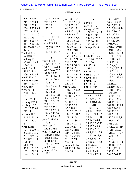Paul Simone, Ph.D.

Washington, D.C.

November 7, 2016

| 209:13 217:1    | 191:21 203:7      | youre 8:18,22  | Z                | 73:13,20,20    |
|-----------------|-------------------|----------------|------------------|----------------|
| 217:10 218:9    | 222:15 232:10     | 16:22 32:18,21 | z 193:1          | 74:6,6,8,9,15  |
| 228:1 232:8     | 232:10,18         | 36:7 37:10     | zero 113:19      | 74:15,17,17    |
| 234:17 235:3,4  | 272:12            | 41:6 42:15     | zhang 123:22     | 77:12,18 88:14 |
| 237:8,9 241:9   |                   | 43:8 47:11,19  | 124:12 184:13    | 88:15 90:20    |
| 251:2,3,4,7,10  | X                 | 48:10 63:12    | 242:11 243:5     | 94:1,22 95:1,7 |
| 252:3 253:7,7   | x 1:4,164:55:1    | 79:3 117:5,20  | 244:13 251:2     | 95:7,18,19     |
| 254:16 257:5    | 6:17:1211:1       | 118:1,16 125:7 | 267:10 270:5     | 97:3,22 99:3   |
| 257:15 258:22   | xaxis 113:8,9     | 132:14 134:10  | 270:16 272:1     | 101:20,20      |
| 261:9 266:4,19  | xishuangbanna     | 151:10 171:12  | zhangs $124:6$   | 103:3,4 104:8  |
| 271:3,4         | 199:11            | 175:5 191:17   |                  | 105:14 108:3   |
| worked 37:3     | xu 86:16 199:10   | 193:10 194:12  | $\boldsymbol{0}$ | 109:13 112:10  |
| 67:10 82:5      |                   | 194:13 202:15  | 0 109:15 112:21  | 112:11,12,20   |
| working 15:7    | Y                 | 203:6,17 211:6 | 113:20 159:22    | 113:18,19,19   |
| 66:20 103:6,8   | yaxis 113:9       | 211:12 219:1   | 218:16           | 114:19,19      |
| 174:2,5         | yeah 26:4 29:17   | 239:19 240:9   | 00 113:19        | 115:4,4,6      |
| works 13:11     | 31:6 35:5 44:1    | 240:10,13      | 131:11           | 116:4,6,17,17  |
| 58:17 174:4     | 62:5 74:4 76:6    | 241:2,3 248:3  | 05 159:22        | 118:21,21      |
| 209:17 253:6    | 92:20 99:21       | 254:12 259:18  | 06151 192:19     | 120:1 122:8,11 |
| world 133:15    | 102:14 110:22     | 259:20 260:13  | 06200 180:8      | 122:22 123:6,8 |
| wouldnt 74:10   | 117:22 120:3      | 266:16,19      | 071023:17        | 123:13,20      |
| 214:19 215:3    | 125:9,22          | 267:14         | 09 168:13        | 127:8,22       |
| wow 268:4       | 141:13 142:11     | youve 12:13    | 0911135:19       | 129:19 131:11  |
| write 45:11     | 173:16 177:4      | 16:21 17:5,15  |                  | 133:14 134:3   |
| 96:17 142:3     | 183:14 188:4      | 18:10 20:1     | 1                | 135:3,10       |
| 164:16          | 190:13 191:21     | 27:10,16 28:5  | 11:6,93:164:8    | 136:15,17,19   |
| writes 170:17   | 202:16 209:20     | 28:6 37:15     | 4:16,165:13      | 136:21 138:2   |
| writeup 193:4   | 213:17 223:22     | 38:18 51:19    | 5:14 6:5,5 7:7   | 141:17,17      |
| writing $101:2$ | 226:7,17,19       | 90:17 92:5     | 7:710:15         | 142:18 143:8,8 |
| 132:22 229:4    | 229:2 236:1       | 95:6 104:1     | 11:21 14:6       | 144:2 146:8    |
| 229:14          | 237:15 239:9      | 126:22 132:16  | 23:10,11 25:4    | 148:19,20      |
| written 51:6    | 246:6 248:16      | 134:1,2 141:7  | 25:6,6 30:8,12   | 149:21,22      |
| 86:15 111:19    | 251:13 264:13     | 168:15 174:2   | 30:12 31:13,18   | 150:2 151:2,11 |
| 156:2 235:5     | year 23:6 37:15   | 174:18 180:5   | 32:14 33:4,4     | 151:11 152:18  |
| 247:8           | 225:9             | 188:15 191:11  | 34:17,17 35:12   | 155:4,4,15     |
| wrong $26:3$    | years 79:22       | 203:10 207:10  | 35:12 39:6,9     | 157:7,7 159:14 |
| 191:12 220:10   | 235:9 238:9       | 221:4 231:15   | 39:12 47:18      | 159:14,20,20   |
| 232:21 233:6    | yi 83:7,15,16,22  | 244:1 246:16   | 49:7,11 51:7,8   | 161:9,21 162:9 |
| 234:5 235:15    | 84:8,16 85:3,8    | 253:9 255:12   | 51:10,10,13,13   | 169:13,13      |
| 257:8 261:10    | 85:20 86:4,9      | 259:17 260:1   | 52:8,8 53:15     | 170:7,8,8      |
| wrote $45:7$    | 86:18 87:4        | 272:13         | 53:15 55:3,3,4   | 175:20 183:10  |
| 61:11 94:8      | 138:16 199:9      | yunnan $83:16$ | 55:9,13,15       | 184:10 188:5,7 |
| 96:11 128:12    | <b>youd</b> 205:4 | 84:13 199:10   | 56:8 61:17,18    | 188:8, 17, 17  |
| 133:1 139:18    | youkai 86:16      | 214:10         | 65:17 66:4       | 193:15,15      |
| 144:1 164:18    | 199:11            |                | 72:20,20 73:13   | 204:7 208:22   |
|                 |                   |                |                  |                |

Page 314

Alderson Court Reporting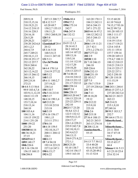Paul Simone, Ph.D.

Washington, D.C.

November 7, 2016

| 209:9,18               | 207:13 208:7,7                | 1940s 80:4                       | 163:20 170:11        | 53:15 60:20               |
|------------------------|-------------------------------|----------------------------------|----------------------|---------------------------|
| 210:15,15,16           | 124:125:17                    | 1994 57:2                        | 184:13 242:11        | 61:10 74:6,8              |
| 210:19,21,21           | 63:20 69:7                    | 1996 175:14                      | 243:6 244:13         | 74:15,1793:16             |
| 214:12 218:15          | 150:2,7 155:15                | 242:7                            | 247:1 271:22         | 94:22 99:7.8              |
| 218:16 220:3           | 158:11,21                     | 19th 247:9                       | 2015 44:16 97:2      | 101:20 105:15             |
| 224:16,18              | 159:3 260:8,18                | 1st 132:12                       | 184:12 242:12        | 108:3 111:17              |
| 226:5,20               | 120 5:8                       |                                  | 243:5 244:13         | 112:10,19                 |
| 229:20,21              | 12272:6                       | $\overline{2}$                   | 271:22               | 114:19 115:4              |
| 238:20 242:6,8         | 12andahalf 20:4               | 24:9 12:1,5                      | 2016 1:19 11:21      | 116:17 118:21             |
| 243:1,2,3              | 20:12                         | 28:14 41:3                       | 23:7 42:1            | 123:6 143:8               |
| 244:4,7,9              | 13 3:16 5:18                  | 99:2 105:6,9                     | 275:1,2 276:13       | 151:11 155:4              |
| 245:7 249:21           | 168:5,9,13                    | 105:14 107:22                    | 2017 277:22          | 157:7 159:14              |
| 250:10,11,13           | 214:11 247:10                 | 109:13,16                        | 2022:9               | 159:20 169:13             |
| 250:18 251:17          | 1315:11                       | 110:5,16                         | 205303:10            | 175:4,7 188:11            |
| 252:12 257:7           | 13cv3675wbh                   | 111:14 112:10                    | 217:10 246:13        | 188:12 210:15             |
| 258:8 260:4            | 1:6                           | 112:17,20                        | 246:18               | 210:21 218:13             |
| 262:20,22              | 14 6:4 170:1,6                | 210:18,20                        | 213 226:6            | 218:15 225:17             |
| 263:12,14,22           | 214:19 277:22                 | 218:13 225:17                    | 2156 232:13          | 225:22 237:1              |
| 265:15 266:12          | 140 5:12                      | 20 7:6 88:18                     | 2168 231:19          | 242:5 250:10              |
| 266:14,15              | 1485:15                       | 214:18 218:12                    | 22 183:5,7           | 30 1:20 110:18            |
| 269:2,9,16             | 156:11 180:2,7                | 218:13 231:12                    | 2277:5               | 111:15,19                 |
| 272:21                 | 237:19,22                     | 231:17 232:12                    | 23 170:7 175:9       | 238:9                     |
| 104:8 5:13 56:6        | 238:3,4                       | 2001 258:14                      | 237:19 238:4,6       | 300 243:1 244:4           |
| 99:9 103:4,7,8         | 150 110:7                     | 200372:8                         | 2317:9               | 35 66:15 237:1,3          |
| 103:9,11,12,18         | 156 5:16 213:8                | 2006 258:15                      | 2467:11              | 237:20 242:3,4            |
| 104:8 111:19           | 158 5:17                      | 2011 63:20 64:7<br>184:13 225:19 | 25 18:10,20          | 36 262:21 263:5           |
| 148:10,15              | 16 6:14 190:1,6               | 225:22 229:11                    | 19:12                | 263:13                    |
| 153:7,10,14            | 165 212:20                    | 242:10                           | 254 212:22           | 365214:21                 |
| 218:13,14              | 213:10 215:8                  | 2012 5:7 23:20                   | 213:9,10             | 215:1,9,10                |
| 260:10                 | 215:18                        | 56:4,6 121:2                     | 225:18               | 37 249:16                 |
| 100 103:4,4            | 1685:19                       | 122:5 132:12                     | 25th 2:6             | 38 99:5 183:3,7           |
| 104:11,16              | 176:16 156:17                 | 184:9,9,12,13                    | 265215:18            | 252:7                     |
| 110:15 159:22          | 190:1,15                      | 224:17,17                        | 27 56:4 188:13       | 39 164:4 175:11           |
| 214:1 251:20           | 213:11 275:1                  | 226:1,6 228:21                   | 262:21 263:5         | 3dimethylaml              |
| 1000 159:22            | 1706:10<br>186:18 159:5       | 235:9 242:7,8                    | 263:13 274:16        | 1:9                       |
| 251:20<br>100300 66:16 |                               | 242:10,10,11                     | 28 208:12,16         | 3dimethylamy              |
| 101 36:18,21           | 192:10,14,17<br>200:11 204:12 | 243:4,4,5,5                      | 2amino4meth<br>55:15 | 23:11 30:8<br>34:17 47:18 |
| 37:15                  | 226:1                         | 244:13,13                        |                      | 55:3                      |
| 105419 66:5            | 1806:13                       | 250:9 271:8,22                   | 3                    | 3dimethylpent             |
| 1093 148:17            | 197:494:18                    | 272:1,1                          | 34:137:730:12        | 55:15 65:17               |
| 10th 226:6             | 192:14 223:21                 | 2013 23:20                       | 33:4 40:20           | 66:4                      |
| 11 5:16 156:10         | 227:3,8 247:1                 | 93:10 138:7                      | 41:6,10 42:10        | <b>3dmaa</b> 4:16 5:13    |
| 156:15 168:13          | 190 6:15,17                   | 142:14 156:17                    | 43:15,20 49:2        | 6:523:1025:4              |
| 116 206:8              | 1926:22                       | 159:5 163:18                     | 51:13 52:8           | 25:6 32:14                |
|                        |                               |                                  |                      |                           |

Page 315

Alderson Court Reporting